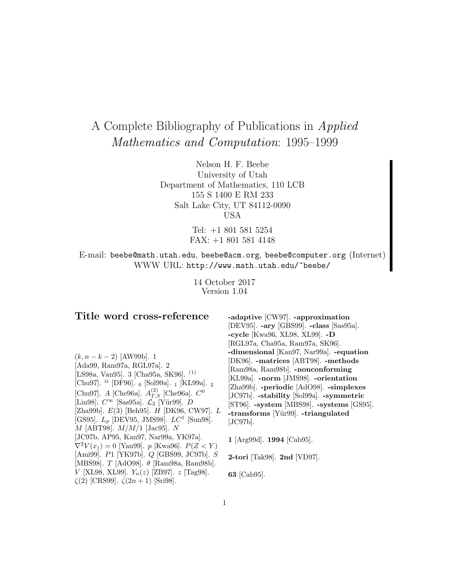# A Complete Bibliography of Publications in Applied Mathematics and Computation: 1995–1999

Nelson H. F. Beebe University of Utah Department of Mathematics, 110 LCB 155 S 1400 E RM 233 Salt Lake City, UT 84112-0090 USA

> Tel: +1 801 581 5254 FAX: +1 801 581 4148

E-mail: beebe@math.utah.edu, beebe@acm.org, beebe@computer.org (Internet) WWW URL: http://www.math.utah.edu/~beebe/

> 14 October 2017 Version 1.04

# **Title word cross-reference**

 $(k, n - k - 2)$  [AW99b]. 1 [Ada99, Ram97a, RGL97a]. 2 [LS98a, Van95]. 3 [Cha95a, SK96]. (1) [Chu97]. <sup>ti</sup> [DF96]. <sub>0</sub> [Sol99a]. <sub>1</sub> [KL99a]. <sub>2</sub> [Chu97]. A [Che96a].  $A_{T,S}^{(2)}$  [Che96a].  $C^0$ [Lin98].  $C^{\infty}$  [Sas95a].  $\mathcal{L}_2$  [Yür99]. D [Zha99b]. E(3) [Beh95]. H [DK96, CW97]. L [GS95].  $L_p$  [DEV95, JMS98].  $LC^1$  [Sun98].  $M$  [ABT98].  $M/M/1$  [Jac95]. N [JC97b, AP95, Kan97, Nar99a, YK97a].  $\nabla^2 V(x_i) = 0$  [Yan99]. p [Kwa96].  $P(Z < Y)$ [Ami99]. P1 [YK97b]. Q [GBS99, JC97b]. S [MBS98]. T [AdO98]. θ [Ram98a, Ram98b].  $V$  [XL98, XL99].  $Y_n(z)$  [ZB97].  $z$  [Tag98]. ζ(2) [CRS99]. ζ(2n + 1) [Sri98].

**-adaptive** [CW97]. **-approximation** [DEV95]. **-ary** [GBS99]. **-class** [Sas95a]. **-cycle** [Kwa96, XL98, XL99]. **-D** [RGL97a, Cha95a, Ram97a, SK96]. **-dimensional** [Kan97, Nar99a]. **-equation** [DK96]. **-matrices** [ABT98]. **-methods** [Ram98a, Ram98b]. **-nonconforming** [KL99a]. **-norm** [JMS98]. **-orientation** [Zha99b]. **-periodic** [AdO98]. **-simplexes** [JC97b]. **-stability** [Sol99a]. **-symmetric** [ST96]. **-system** [MBS98]. **-systems** [GS95]. **-transforms** [Y¨ur99]. **-triangulated** [JC97b].

**1** [Arg99d]. **1994** [Cab95].

**2-tori** [Tak98]. **2nd** [VD97].

**63** [Cab95].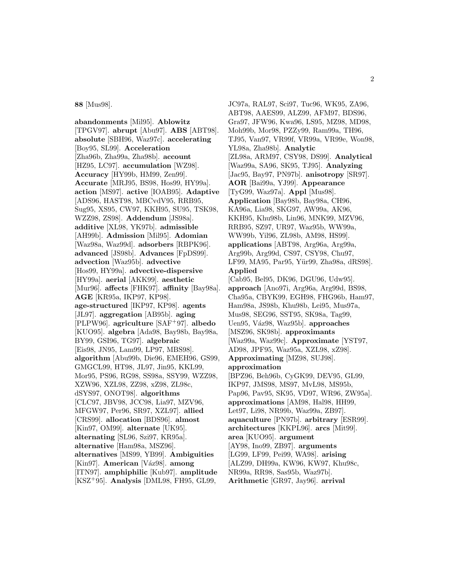**88** [Mus98].

**abandonments** [Mil95]. **Ablowitz** [TPGV97]. **abrupt** [Abu97]. **ABS** [ABT98]. **absolute** [SBH96, Waz97c]. **accelerating** [Boy95, SL99]. **Acceleration** [Zha96b, Zha99a, Zha98b]. **account** [HZ95, LC97]. **accumulation** [WZ98]. **Accuracy** [HY99b, HM99, Zen99]. **Accurate** [MRJ95, BS98, Hos99, HY99a]. **action** [MS97]. **active** [IOAB95]. **Adaptive** [ADS96, HAST98, MBCvdV95, RRB95, Sug95, XS95, CW97, KKH95, SU95, TSK98, WZZ98, ZS98]. **Addendum** [JS98a]. **additive** [XL98, YK97b]. **admissible** [AH99b]. **Admission** [Mil95]. **Adomian** [Waz98a, Waz99d]. **adsorbers** [RBPK96]. **advanced** [JS98b]. **Advances** [FpDS99]. **advection** [Waz95b]. **advective** [Hos99, HY99a]. **advective-dispersive** [HY99a]. **aerial** [AKK99]. **aesthetic** [Mur96]. **affects** [FHK97]. **affinity** [Bay98a]. **AGE** [KR95a, IKP97, KP98]. **age-structured** [IKP97, KP98]. **agents** [JL97]. **aggregation** [AB95b]. **aging** [PLPW96]. **agriculture** [SAF<sup>+</sup>97]. **albedo** [KUO95]. **algebra** [Ada98, Bay98b, Bay98a, BY99, GSI96, TG97]. **algebraic** [Eis98, JN95, Lam99, LP97, MBS98]. **algorithm** [Abu99b, Die96, EMEH96, GS99, GMGCL99, HT98, JL97, Jin95, KKL99, Mor95, PS96, RG98, SS98a, SSY99, WZZ98, XZW96, XZL98, ZZ98, xZ98, ZL98c, dSYS97, ONOT98]. **algorithms** [CLC97, JBV98, JCC98, Lia97, MZV96, MFGW97, Per96, SR97, XZL97]. **allied** [CRS99]. **allocation** [BDS96]. **almost** [Kin97, OM99]. **alternate** [UK95]. **alternating** [SL96, Szi97, KR95a]. **alternative** [Ham98a, MSZ96]. **alternatives** [MS99, YB99]. **Ambiguities** [Kin97]. **American** [Váz98]. **among** [ITN97]. **amphiphilic** [Kub97]. **amplitude** [KSZ<sup>+</sup>95]. **Analysis** [DML98, FH95, GL99,

JC97a, RAL97, Sci97, Tuc96, WK95, ZA96, ABT98, AAES99, ALZ99, AFM97, BDS96, Gra97, JFW96, Kwa96, LS95, MZ98, MD98, Moh99b, Mor98, PZZy99, Ram99a, TH96, TJ95, Van97, VR99f, VR99a, VR99e, Won98, YL98a, Zha98b]. **Analytic** [ZL98a, ARM97, CSY98, DS99]. **Analytical** [Waz99a, SA96, SK95, TJ95]. **Analyzing** [Jac95, Bay97, PN97b]. **anisotropy** [SR97]. **AOR** [Bai99a, YJ99]. **Appearance** [TyG99, Waz97a]. **Appl** [Mus98]. **Application** [Bay98b, Bay98a, CH96, KA96a, Lia98, SKG97, AW99a, AK96, KKH95, Khu98b, Lin96, MNK99, MZV96, RRB95, SZ97, UR97, Waz95b, WW99a, WW99b, Yil96, ZL98b, AM98, HS99]. **applications** [ABT98, Arg96a, Arg99a, Arg99b, Arg99d, CS97, CSY98, Chu97, LF99, MA95, Par95, Yür99, Zha98a, dRS98]. **Applied** [Cab95, Bel95, DK96, DGU96, Udw95]. **approach** [Ano97i, Arg96a, Arg99d, BS98, Cha95a, CBYK99, EGH98, FHG96b, Ham97, Ham98a, JS98b, Khu98b, Lei95, Mus97a, Mus98, SEG96, SST95, SK98a, Tag99, Uen95, Váz98, Waz95b]. **approaches** [MSZ96, SK98b]. **approximants** [Waz99a, Waz99c]. **Approximate** [YST97, AD98, JPF95, Waz95a, XZL98, xZ98]. **Approximating** [MZ98, SUJ98]. **approximation** [BPZ96, Beh96b, CyGK99, DEV95, GL99, IKP97, JMS98, MS97, MvL98, MS95b, Pap96, Pav95, SK95, VD97, WR96, ZW95a]. **approximations** [AM98, Hal98, HH99, Let97, Li98, NR99b, Waz99a, ZB97]. **aquaculture** [PN97b]. **arbitrary** [ESR99]. **architectures** [KKPL96]. **arcs** [Mit99]. **area** [KUO95]. **argument** [AY98, Ino99, ZB97]. **arguments** [LG99, LF99, Pei99, WA98]. **arising** [ALZ99, DH99a, KW96, KW97, Khu98c, NR99a, RR98, Sas95b, Waz97b]. **Arithmetic** [GR97, Jay96]. **arrival**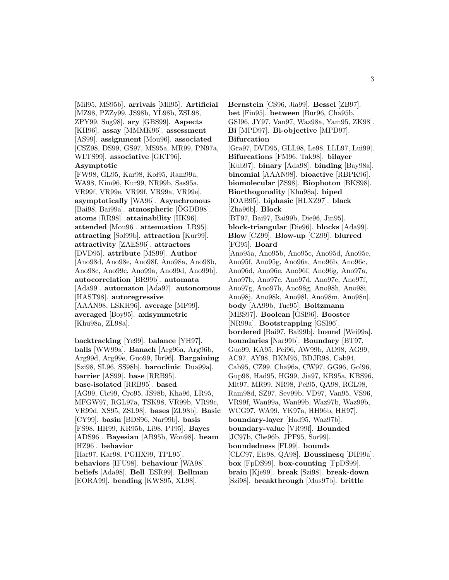[Mil95, MS95b]. **arrivals** [Mil95]. **Artificial** [MZ98, PZZy99, JS98b, YL98b, ZSL98, ZPY99, Sug98]. **ary** [GBS99]. **Aspects** [KH96]. **assay** [MMMK96]. **assessment** [AS99]. **assignment** [Mou96]. **associated** [CSZ98, DS99, GS97, MS95a, MR99, PN97a, WLTS99]. **associative** [GKT96].

# **Asymptotic**

[FW98, GL95, Kar98, Kol95, Ram99a, WA98, Kim96, Kur99, NR99b, Sas95a, VR99f, VR99e, VR99f, VR99a, VR99e]. **asymptotically** [WA96]. **Asynchronous** [Bai98, Bai99a]. **atmospheric** [ÖGDB98]. **atoms** [RR98]. **attainability** [HK96]. **attended** [Mou96]. **attenuation** [LR95]. **attracting** [Sol99b]. **attraction** [Kur99]. **attractivity** [ZAES96]. **attractors** [DVD95]. **attribute** [MS99]. **Author** [Ano98d, Ano98e, Ano98f, Ano98a, Ano98b, Ano98c, Ano99c, Ano99a, Ano99d, Ano99b]. **autocorrelation** [BR99b]. **automata** [Ada99]. **automaton** [Ada97]. **autonomous** [HAST98]. **autoregressive** [AAAN98, LSKH96]. **average** [MF99]. **averaged** [Boy95]. **axisymmetric** [Khu98a, ZL98a].

**backtracking** [Ye99]. **balance** [YH97]. **balls** [WW99a]. **Banach** [Arg96a, Arg96b, Arg99d, Arg99e, Guo99, Ibr96]. **Bargaining** [Szi98, SL96, SS98b]. **baroclinic** [Dua99a]. **barrier** [AS99]. **base** [RRB95]. **base-isolated** [RRB95]. **based** [AG99, Cic99, Cro95, JS98b, Kha96, LR95, MFGW97, RGL97a, TSK98, VR99b, VR99c, VR99d, XS95, ZSL98]. **bases** [ZL98b]. **Basic** [CY99]. **basin** [BDS96, Nar99b]. **basis** [FS98, HH99, KR95b, Li98, PJ95]. **Bayes** [ADS96]. **Bayesian** [AB95b, Won98]. **beam** [HZ96]. **behavior** [Har97, Kar98, PGHX99, TPL95]. **behaviors** [IFU98]. **behaviour** [WA98]. **beliefs** [Ada98]. **Bell** [ESR99]. **Bellman** [EORA99]. **bending** [KWS95, XL98].

**Bernstein** [CS96, Jia99]. **Bessel** [ZB97]. **bet** [Fin95]. **between** [Bur96, Cha95b, GSI96, JY97, Van97, Waz98a, Yam95, ZK98]. **Bi** [MPD97]. **Bi-objective** [MPD97]. **Bifurcation** [Gra97, DVD95, GLL98, Le98, LLL97, Lui99]. **Bifurcations** [FM96, Tak98]. **bilayer** [Kub97]. **binary** [Ada98]. **binding** [Bay98a]. **binomial** [AAAN98]. **bioactive** [RBPK96]. **biomolecular** [ZS98]. **Biophoton** [BKS98]. **Biorthogonality** [Khu98a]. **biped** [IOAB95]. **biphasic** [HLXZ97]. **black** [Zha96b]. **Block** [BT97, Bai97, Bai99b, Die96, Jin95]. **block-triangular** [Die96]. **blocks** [Ada99]. **Blow** [CZ99]. **Blow-up** [CZ99]. **blurred** [FG95]. **Board** [Ano95a, Ano95b, Ano95c, Ano95d, Ano95e, Ano95f, Ano95g, Ano96a, Ano96b, Ano96c, Ano96d, Ano96e, Ano96f, Ano96g, Ano97a, Ano97b, Ano97c, Ano97d, Ano97e, Ano97f, Ano97g, Ano97h, Ano98g, Ano98h, Ano98i, Ano98j, Ano98k, Ano98l, Ano98m, Ano98n]. **body** [AA99b, Tuc95]. **Boltzmann** [MBS97]. **Boolean** [GSI96]. **Booster** [NR99a]. **Bootstrapping** [GSI96]. **bordered** [Bai97, Bai99b]. **bound** [Wei99a]. **boundaries** [Nar99b]. **Boundary** [BT97, Guo99, KA95, Pei96, AW99b, AD98, AG99, AC97, AY98, BKM95, BDJR98, Cab94, Cab95, CZ99, Cha96a, CW97, GG96, Gol96, Gup98, Had95, HG99, Jia97, KR95a, KBS96, Mit97, MR99, NR98, Pei95, QA98, RGL98, Ram98d, SZ97, Sev99b, VD97, Van95, VS96, VR99f, Wan99a, Wan99b, Waz97b, Waz99b, WCG97, WA99, YK97a, HH96b, HH97]. **boundary-layer** [Had95, Waz97b]. **boundary-value** [VR99f]. **Bounded** [JC97b, Che96b, JPF95, Sor99]. **boundedness** [FL99]. **bounds** [CLC97, Eis98, QA98]. **Boussinesq** [DH99a]. **box** [FpDS99]. **box-counting** [FpDS99]. **brain** [Kje99]. **break** [Szi98]. **break-down**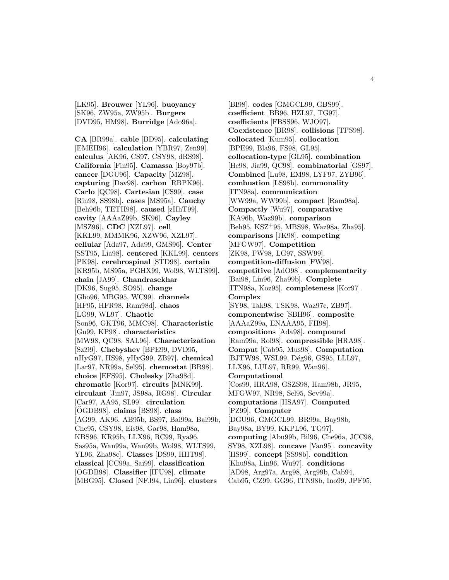[LK95]. **Brouwer** [YL96]. **buoyancy** [SK96, ZW95a, ZW95b]. **Burgers** [DVD95, HM98]. **Burridge** [Ado96a].

**CA** [BR99a]. **cable** [BD95]. **calculating** [EMEH96]. **calculation** [YBR97, Zen99]. **calculus** [AK96, CS97, CSY98, dRS98]. **California** [Fin95]. **Camassa** [Boy97b]. **cancer** [DGU96]. **Capacity** [MZ98]. **capturing** [Dav98]. **carbon** [RBPK96]. **Carlo** [QC98]. **Cartesian** [CS99]. **case** [Rin98, SS98b]. **cases** [MS95a]. **Cauchy** [Beh96b, TETH98]. **caused** [zHhT99]. **cavity** [AAAaZ99b, SK96]. **Cayley** [MSZ96]. **CDC** [XZL97]. **cell** [KKL99, MMMK96, XZW96, XZL97]. **cellular** [Ada97, Ada99, GMS96]. **Center** [SST95, Lia98]. **centered** [KKL99]. **centers** [PK98]. **cerebrospinal** [STD98]. **certain** [KR95b, MS95a, PGHX99, Wol98, WLTS99]. **chain** [JA99]. **Chandrasekhar** [DK96, Sug95, SO95]. **change** [Gho96, MBG95, WC99]. **channels** [HF95, HFR98, Ram98d]. **chaos** [LG99, WL97]. **Chaotic** [Son96, GKT96, MMC98]. **Characteristic** [Gu99, KP98]. **characteristics** [MW98, QC98, SAL96]. **Characterization** [Szi99]. **Chebyshev** [BPE99, DVD95, nHyG97, HS98, yHyG99, ZB97]. **chemical** [Lar97, NR99a, Sel95]. **chemostat** [BR98]. **choice** [EFS95]. **Cholesky** [Zha98d]. **chromatic** [Kor97]. **circuits** [MNK99]. **circulant** [Jin97, JS98a, RG98]. **Circular** [Car97, AA95, SL99]. **circulation** [OGDB98]. **claims** [BS98]. **class** [AG99, AK96, AB95b, BS97, Bai99a, Bai99b, Che95, CSY98, Eis98, Gar98, Ham98a, KBS96, KR95b, LLX96, RC99, Rya96, Sas95a, Wan99a, Wan99b, Wol98, WLTS99, YL96, Zha98c]. **Classes** [DS99, HHT98]. **classical** [CC99a, Sai99]. **classification** [OGDB98]. ¨ **Classifier** [IFU98]. **climate** [MBG95]. **Closed** [NFJ94, Lin96]. **clusters**

[BI98]. **codes** [GMGCL99, GBS99]. **coefficient** [BB96, HZL97, TG97]. **coefficients** [FBSS96, WJO97]. **Coexistence** [BR98]. **collisions** [TPS98]. **collocated** [Kum95]. **collocation** [BPE99, Bla96, FS98, GL95]. **collocation-type** [GL95]. **combination** [He98, Jia99, QC98]. **combinatorial** [GS97]. **Combined** [Lu98, EM98, LYF97, ZYB96]. **combustion** [LS98b]. **commonality** [ITN98a]. **communication** [WW99a, WW99b]. **compact** [Ram98a]. **Compactly** [Wu97]. **comparative** [KA96b, Waz99b]. **comparison** [Beh95, KSZ<sup>+</sup>95, MBS98, Waz98a, Zha95]. **comparisons** [JK98]. **competing** [MFGW97]. **Competition** [ZK98, FW98, LG97, SSW99]. **competition-diffusion** [FW98]. **competitive** [AdO98]. **complementarity** [Bai98, Lin96, Zha99b]. **Complete** [ITN98a, Koz95]. **completeness** [Kor97]. **Complex** [SY98, Tak98, TSK98, Waz97c, ZB97]. **componentwise** [SBH96]. **composite** [AAAaZ99a, ENAAA95, FH98]. **compositions** [Ada98]. **compound** [Ram99a, Rol98]. **compressible** [HRA98]. **Comput** [Cab95, Mus98]. **Computation** [BJTW98, WSL99, Dég96, GS95, LLL97, LLX96, LUL97, RR99, Wan96]. **Computational** [Cos99, HRA98, GSZS98, Ham98b, JR95, MFGW97, NR98, Sel95, Sev99a]. **computations** [HSA97]. **Computed** [PZ99]. **Computer** [DGU96, GMGCL99, BR99a, Bay98b, Bay98a, BY99, KKPL96, TG97]. **computing** [Abu99b, Bil96, Che96a, JCC98, SY98, XZL98]. **concave** [Van95]. **concavity** [HS99]. **concept** [SS98b]. **condition** [Khu98a, Lin96, Wu97]. **conditions** [AD98, Arg97a, Arg98, Arg99b, Cab94, Cab95, CZ99, GG96, ITN98b, Ino99, JPF95,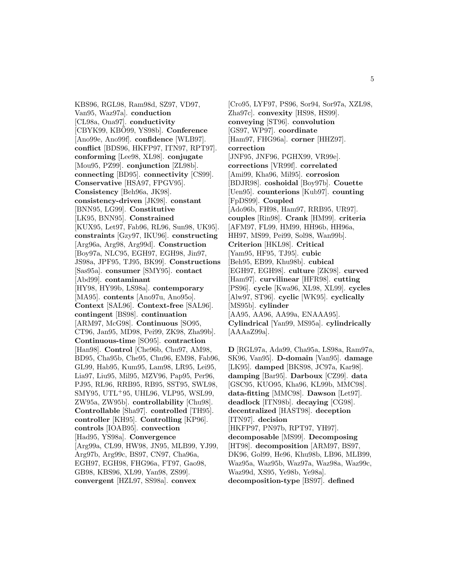KBS96, RGL98, Ram98d, SZ97, VD97, Van95, Waz97a]. **conduction** [CL98a, Ona97]. **conductivity** [CBYK99, KBO99, YS98b]. **Conference** [Ano99e, Ano99f]. **confidence** [WLB97]. **conflict** [BDS96, HKFP97, ITN97, RPT97]. **conforming** [Lee98, XL98]. **conjugate** [Mou95, PZ99]. **conjunction** [ZL98b]. **connecting** [BD95]. **connectivity** [CS99]. **Conservative** [HSA97, FPGV95]. **Consistency** [Beh96a, JK98]. **consistency-driven** [JK98]. **constant** [BNN95, LG99]. **Constitutive** [LK95, BNN95]. **Constrained** [KUX95, Let97, Fab96, RL96, Sun98, UK95]. **constraints** [Gzy97, IKU96]. **constructing** [Arg96a, Arg98, Arg99d]. **Construction** [Boy97a, NLC95, EGH97, EGH98, Jin97, JS98a, JPF95, TJ95, BK99]. **Constructions** [Sas95a]. **consumer** [SMY95]. **contact** [Abd99]. **contaminant** [HY98, HY99b, LS98a]. **contemporary** [MA95]. **contents** [Ano97u, Ano95o]. **Context** [SAL96]. **Context-free** [SAL96]. **contingent** [BS98]. **continuation** [ARM97, McG98]. **Continuous** [SO95, CT96, Jan95, MD98, Pei99, ZK98, Zha99b]. **Continuous-time** [SO95]. **contraction** [Han98]. **Control** [Che96b, Chu97, AM98, BD95, Cha95b, Che95, Chu96, EM98, Fab96, GL99, Hab95, Kum95, Lam98, LR95, Lei95, Lia97, Liu95, Mil95, MZV96, Pap95, Per96, PJ95, RL96, RRB95, RB95, SST95, SWL98, SMY95, UTL<sup>+</sup>95, UHL96, VLP95, WSL99, ZW95a, ZW95b]. **controllability** [Chu98]. **Controllable** [Sha97]. **controlled** [TH95]. **controller** [KH95]. **Controlling** [KP96]. **controls** [IOAB95]. **convection** [Had95, YS98a]. **Convergence** [Arg99a, CL99, HW98, JN95, MLB99, YJ99, Arg97b, Arg99c, BS97, CN97, Cha96a, EGH97, EGH98, FHG96a, FT97, Gao98, GB98, KBS96, XL99, Yan98, ZS99]. **convergent** [HZL97, SS98a]. **convex**

[Cro95, LYF97, PS96, Sor94, Sor97a, XZL98, Zha97c]. **convexity** [HS98, HS99]. **conveying** [ST96]. **convolution** [GS97, WP97]. **coordinate** [Ham97, FHG96a]. **corner** [HHZ97]. **correction** [JNF95, JNF96, PGHX99, VR99e]. **corrections** [VR99f]. **correlated** [Ami99, Kha96, Mil95]. **corrosion** [BDJR98]. **coshoidal** [Boy97b]. **Couette** [Uen95]. **counterions** [Kub97]. **counting** [FpDS99]. **Coupled** [Ado96b, FH98, Ham97, RRB95, UR97]. **couples** [Rin98]. **Crank** [HM99]. **criteria** [AFM97, FL99, HM99, HH96b, HH96a, HH97, MS99, Pei99, Sol98, Wan99b]. **Criterion** [HKL98]. **Critical** [Yam95, HF95, TJ95]. **cubic** [Beh95, EB99, Khu98b]. **cubical** [EGH97, EGH98]. **culture** [ZK98]. **curved** [Ham97]. **curvilinear** [HFR98]. **cutting** [PS96]. **cycle** [Kwa96, XL98, XL99]. **cycles** [Alw97, ST96]. **cyclic** [WK95]. **cyclically** [MS95b]. **cylinder** [AA95, AA96, AA99a, ENAAA95]. **Cylindrical** [Yan99, MS95a]. **cylindrically** [AAAaZ99a].

**D** [RGL97a, Ada99, Cha95a, LS98a, Ram97a, SK96, Van95]. **D-domain** [Van95]. **damage** [LK95]. **damped** [BKS98, JC97a, Kar98]. **damping** [Bar95]. **Darboux** [CZ99]. **data** [GSC95, KUO95, Kha96, KL99b, MMC98]. **data-fitting** [MMC98]. **Dawson** [Let97]. **deadlock** [ITN98b]. **decaying** [CG98]. **decentralized** [HAST98]. **deception** [ITN97]. **decision** [HKFP97, PN97b, RPT97, YH97]. **decomposable** [MS99]. **Decomposing** [HT98]. **decomposition** [ARM97, BS97, DK96, Gol99, He96, Khu98b, LB96, MLB99, Waz95a, Waz95b, Waz97a, Waz98a, Waz99c, Waz99d, XS95, Ye98b, Ye98a]. **decomposition-type** [BS97]. **defined**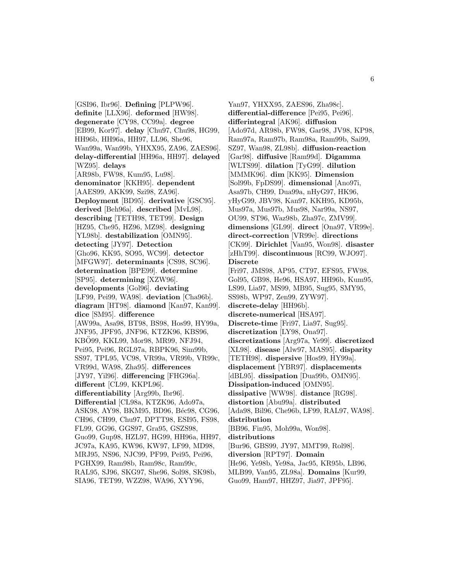[GSI96, Ibr96]. **Defining** [PLPW96]. **definite** [LLX96]. **deformed** [HW98]. **degenerate** [CY98, CC99a]. **degree** [EB99, Kor97]. **delay** [Chu97, Chu98, HG99, HH96b, HH96a, HH97, LL96, She96, Wan99a, Wan99b, YHXX95, ZA96, ZAES96]. **delay-differential** [HH96a, HH97]. **delayed** [WZ95]. **delays** [AR98b, FW98, Kum95, Lu98]. **denominator** [KKH95]. **dependent** [AAES99, AKK99, Szi98, ZA96]. **Deployment** [BD95]. **derivative** [GSC95]. **derived** [Beh96a]. **described** [MvL98]. **describing** [TETH98, TET99]. **Design** [HZ95, Che95, HZ96, MZ98]. **designing** [YL98b]. **destabilization** [OMN95]. **detecting** [JY97]. **Detection** [Gho96, KK95, SO95, WC99]. **detector** [MFGW97]. **determinants** [CS98, SC96]. **determination** [BPE99]. **determine** [SP95]. **determining** [XZW96]. **developments** [Gol96]. **deviating** [LF99, Pei99, WA98]. **deviation** [Cha96b]. **diagram** [HT98]. **diamond** [Kan97, Kan99]. **dice** [SM95]. **difference** [AW99a, Asa98, BT98, BS98, Hos99, HY99a, JNF95, JPF95, JNF96, KTZK96, KBS96, KBO99, KKL99, Mor98, MR99, NFJ94, Pei95, Pei96, RGL97a, RBPK96, Sim99b, SS97, TPL95, VC98, VR99a, VR99b, VR99c, VR99d, WA98, Zha95]. **differences** [JY97, Yil96]. **differencing** [FHG96a]. **different** [CL99, KKPL96]. **differentiability** [Arg99b, Ibr96]. **Differential** [CL98a, KTZK96, Ado97a, ASK98, AY98, BKM95, BD96, Béc98, CG96, CH96, CH99, Chu97, DPTT98, ESI95, FS98, FL99, GG96, GGS97, Gra95, GSZS98, Guo99, Gup98, HZL97, HG99, HH96a, HH97, JC97a, KA95, KW96, KW97, LF99, MD98, MRJ95, NS96, NJC99, PF99, Pei95, Pei96, PGHX99, Ram98b, Ram98c, Ram99c, RAL95, SJ96, SKG97, She96, Sol98, SK98b, SIA96, TET99, WZZ98, WA96, XYY96,

Yan97, YHXX95, ZAES96, Zha98c]. **differential-difference** [Pei95, Pei96]. **differintegral** [AK96]. **diffusion** [Ado97d, AR98b, FW98, Gar98, JV98, KP98, Ram97a, Ram97b, Ram98a, Ram99b, Sai99, SZ97, Wan98, ZL98b]. **diffusion-reaction** [Gar98]. **diffusive** [Ram99d]. **Digamma** [WLTS99]. **dilation** [TyG99]. **dilution** [MMMK96]. **dim** [KK95]. **Dimension** [Sol99b, FpDS99]. **dimensional** [Ano97i, Asa97b, CH99, Dua99a, nHyG97, HK96, yHyG99, JBV98, Kan97, KKH95, KD95b, Mus97a, Mus97b, Mus98, Nar99a, NS97, OU99, ST96, Waz98b, Zha97c, ZMV99]. **dimensions** [GL99]. **direct** [Ona97, VR99e]. **direct-correction** [VR99e]. **directions** [CK99]. **Dirichlet** [Van95, Won98]. **disaster** [zHhT99]. **discontinuous** [RC99, WJO97]. **Discrete** [Fri97, JMS98, AP95, CT97, EFS95, FW98, Gol95, GB98, He96, HSA97, HH96b, Kum95, LS99, Lia97, MS99, MB95, Sug95, SMY95, SS98b, WP97, Zen99, ZYW97]. **discrete-delay** [HH96b]. **discrete-numerical** [HSA97]. **Discrete-time** [Fri97, Lia97, Sug95]. **discretization** [LY98, Ona97]. **discretizations** [Arg97a, Ye99]. **discretized** [XL98]. **disease** [Alw97, MAS95]. **disparity** [TETH98]. **dispersive** [Hos99, HY99a]. **displacement** [YBR97]. **displacements** [dBL95]. **dissipation** [Dua99b, OMN95]. **Dissipation-induced** [OMN95]. **dissipative** [WW98]. **distance** [RG98]. **distortion** [Abu99a]. **distributed** [Ada98, Bil96, Che96b, LF99, RAL97, WA98]. **distribution** [BB96, Fin95, Moh99a, Won98]. **distributions** [Bur96, GBS99, JY97, MMT99, Rol98]. **diversion** [RPT97]. **Domain** [He96, Ye98b, Ye98a, Jac95, KR95b, LB96, MLB99, Van95, ZL98a]. **Domains** [Kur99,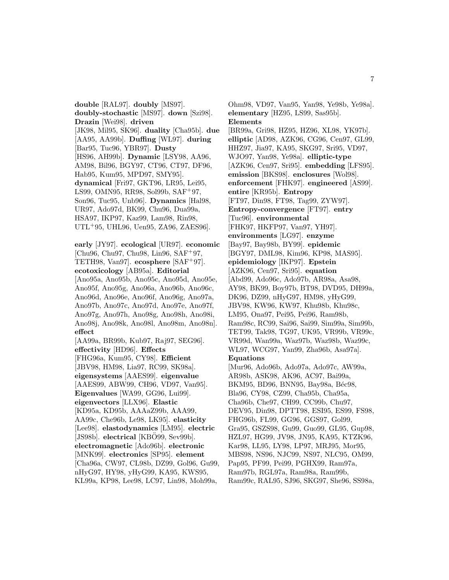**double** [RAL97]. **doubly** [MS97]. **doubly-stochastic** [MS97]. **down** [Szi98]. **Drazin** [Wei98]. **driven** [JK98, Mil95, SK96]. **duality** [Cha95b]. **due** [AA95, AA99b]. **Duffing** [WL97]. **during** [Bar95, Tuc96, YBR97]. **Dusty** [HS96, AH99b]. **Dynamic** [LSY98, AA96, AM98, Bil96, BGY97, CT96, CT97, DF96, Hab95, Kum95, MPD97, SMY95]. **dynamical** [Fri97, GKT96, LR95, Lei95, LS99, OMN95, RR98, Sol99b, SAF<sup>+</sup>97, Son96, Tuc95, Unb96]. **Dynamics** [Hal98, UR97, Ado97d, BK99, Chu96, Dua99a, HSA97, IKP97, Kaz99, Lam98, Rin98, UTL<sup>+</sup>95, UHL96, Uen95, ZA96, ZAES96].

**early** [JY97]. **ecological** [UR97]. **economic** [Chu96, Chu97, Chu98, Lin96, SAF<sup>+</sup>97, TETH98, Van97]. **ecosphere** [SAF<sup>+</sup>97]. **ecotoxicology** [AB95a]. **Editorial** [Ano95a, Ano95b, Ano95c, Ano95d, Ano95e, Ano95f, Ano95g, Ano96a, Ano96b, Ano96c, Ano96d, Ano96e, Ano96f, Ano96g, Ano97a, Ano97b, Ano97c, Ano97d, Ano97e, Ano97f, Ano97g, Ano97h, Ano98g, Ano98h, Ano98i, Ano98j, Ano98k, Ano98l, Ano98m, Ano98n]. **effect** [AA99a, BR99b, Kub97, Raj97, SEG96].

**effectivity** [HD96]. **Effects** [FHG96a, Kum95, CY98]. **Efficient** [JBV98, HM98, Lia97, RC99, SK98a]. **eigensystems** [AAES99]. **eigenvalue** [AAES99, ABW99, CH96, VD97, Van95]. **Eigenvalues** [WA99, GG96, Lui99]. **eigenvectors** [LLX96]. **Elastic** [KD95a, KD95b, AAAaZ99b, AAA99, AA99c, Che96b, Le98, LK95]. **elasticity** [Lee98]. **elastodynamics** [LM95]. **electric** [JS98b]. **electrical** [KBO99, Sev99b]. **electromagnetic** [Ado96b]. **electronic** [MNK99]. **electronics** [SP95]. **element** [Cha96a, CW97, CL98b, DZ99, Gol96, Gu99, nHyG97, HY98, yHyG99, KA95, KWS95, KL99a, KP98, Lee98, LC97, Lin98, Moh99a,

Ohm98, VD97, Van95, Yan98, Ye98b, Ye98a]. **elementary** [HZ95, LS99, Sas95b]. **Elements** [BR99a, Gri98, HZ95, HZ96, XL98, YK97b]. **elliptic** [AD98, AZK96, CG96, Cen97, GL99, HHZ97, Jia97, KA95, SKG97, Sri95, VD97, WJO97, Yan98, Ye98a]. **elliptic-type** [AZK96, Cen97, Sri95]. **embedding** [LFS95]. **emission** [BKS98]. **enclosures** [Wol98]. **enforcement** [FHK97]. **engineered** [AS99]. **entire** [KR95b]. **Entropy** [FT97, Din98, FT98, Tag99, ZYW97]. **Entropy-convergence** [FT97]. **entry** [Tuc96]. **environmental** [FHK97, HKFP97, Van97, YH97]. **environments** [LG97]. **enzyme** [Bay97, Bay98b, BY99]. **epidemic** [BGY97, DML98, Kim96, KP98, MAS95]. **epidemiology** [IKP97]. **Epstein** [AZK96, Cen97, Sri95]. **equation** [Abd99, Ado96c, Ado97b, AR98a, Asa98, AY98, BK99, Boy97b, BT98, DVD95, DH99a, DK96, DZ99, nHyG97, HM98, yHyG99, JBV98, KW96, KW97, Khu98b, Khu98c, LM95, Ona97, Pei95, Pei96, Ram98b, Ram98c, RC99, Sai96, Sai99, Sim99a, Sim99b, TET99, Tak98, TG97, UK95, VR99b, VR99c, VR99d, Wan99a, Waz97b, Waz98b, Waz99c, WL97, WCG97, Yan99, Zha96b, Asa97a]. **Equations** [Mur96, Ado96b, Ado97a, Ado97c, AW99a, AR98b, ASK98, AK96, AC97, Bai99a, BKM95, BD96, BNN95, Bay98a, Béc98, Bla96, CY98, CZ99, Cha95b, Cha95a, Cha96b, Che97, CH99, CC99b, Chu97, DEV95, Din98, DPTT98, ESI95, ES99, FS98, FHG96b, FL99, GG96, GGS97, Gol99, Gra95, GSZS98, Gu99, Guo99, GL95, Gup98, HZL97, HG99, JV98, JN95, KA95, KTZK96, Kar98, LL95, LY98, LP97, MRJ95, Mor95, MBS98, NS96, NJC99, NS97, NLC95, OM99, Pap95, PF99, Pei99, PGHX99, Ram97a, Ram97b, RGL97a, Ram98a, Ram99b,

Ram99c, RAL95, SJ96, SKG97, She96, SS98a,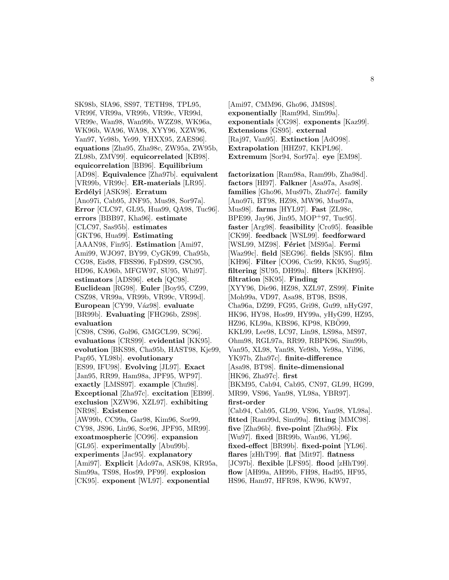SK98b, SIA96, SS97, TETH98, TPL95, VR99f, VR99a, VR99b, VR99c, VR99d, VR99e, Wan98, Wan99b, WZZ98, WK96a, WK96b, WA96, WA98, XYY96, XZW96, Yan97, Ye98b, Ye99, YHXX95, ZAES96]. **equations** [Zha95, Zha98c, ZW95a, ZW95b, ZL98b, ZMV99]. **equicorrelated** [KB98]. **equicorrelation** [BB96]. **Equilibrium** [AD98]. **Equivalence** [Zha97b]. **equivalent** [VR99b, VR99c]. **ER-materials** [LR95]. **Erd´elyi** [ASK98]. **Erratum** [Ano97i, Cab95, JNF95, Mus98, Sor97a]. **Error** [CLC97, GL95, Hua99, QA98, Tuc96]. **errors** [BBB97, Kha96]. **estimate** [CLC97, Sas95b]. **estimates** [GKT96, Hua99]. **Estimating** [AAAN98, Fin95]. **Estimation** [Ami97, Ami99, WJO97, BY99, CyGK99, Cha95b, CG98, Eis98, FBSS96, FpDS99, GSC95, HD96, KA96b, MFGW97, SU95, Whi97]. **estimators** [ADS96]. **etch** [QC98]. **Euclidean** [RG98]. **Euler** [Boy95, CZ99, CSZ98, VR99a, VR99b, VR99c, VR99d]. **European** [CY99, V´az98]. **evaluate** [BR99b]. **Evaluating** [FHG96b, ZS98]. **evaluation** [CS98, CS96, Gol96, GMGCL99, SC96]. **evaluations** [CRS99]. **evidential** [KK95]. **evolution** [BKS98, Cha95b, HAST98, Kje99, Pap95, YL98b]. **evolutionary** [ES99, IFU98]. **Evolving** [JL97]. **Exact** [Jan95, RR99, Ham98a, JPF95, WP97]. **exactly** [LMSS97]. **example** [Chu98]. **Exceptional** [Zha97c]. **excitation** [EB99]. **exclusion** [XZW96, XZL97]. **exhibiting** [NR98]. **Existence** [AW99b, CC99a, Gar98, Kim96, Sor99, CY98, JS96, Lin96, Sor96, JPF95, MR99]. **exoatmospheric** [CO96]. **expansion** [GL95]. **experimentally** [Abu99b]. **experiments** [Jac95]. **explanatory** [Ami97]. **Explicit** [Ado97a, ASK98, KR95a, Sim99a, TS98, Hos99, PF99]. **explosion** [CK95]. **exponent** [WL97]. **exponential**

[Ami97, CMM96, Gho96, JMS98]. **exponentially** [Ram99d, Sim99a]. **exponentials** [CG98]. **exponents** [Kaz99]. **Extensions** [GS95]. **external** [Raj97, Van95]. **Extinction** [AdO98]. **Extrapolation** [HHZ97, KKPL96]. **Extremum** [Sor94, Sor97a]. **eye** [EM98].

**factorization** [Ram98a, Ram99b, Zha98d]. **factors** [HI97]. **Falkner** [Asa97a, Asa98]. **families** [Gho96, Mus97b, Zha97c]. **family** [Ano97i, BT98, HZ98, MW96, Mus97a, Mus98]. **farms** [HYL97]. **Fast** [ZL98c, BPE99, Jay96, Jin95, MOP<sup>+</sup>97, Tuc95]. **faster** [Arg98]. **feasibility** [Cro95]. **feasible** [CK99]. **feedback** [WSL99]. **feedforward** [WSL99, MZ98]. **F´eriet** [MS95a]. **Fermi** [Waz99c]. **field** [SEG96]. **fields** [SK95]. **film** [KH96]. **Filter** [CO96, Cic99, KK95, Sug95]. **filtering** [SU95, DH99a]. **filters** [KKH95]. **filtration** [SK95]. **Finding** [XYY96, Die96, HZ98, XZL97, ZS99]. **Finite** [Moh99a, VD97, Asa98, BT98, BS98, Cha96a, DZ99, FG95, Gri98, Gu99, nHyG97, HK96, HY98, Hos99, HY99a, yHyG99, HZ95, HZ96, KL99a, KBS96, KP98, KBO99, KKL99, Lee98, LC97, Lin98, LS98a, MS97, Ohm98, RGL97a, RR99, RBPK96, Sim99b, Van95, XL98, Yan98, Ye98b, Ye98a, Yil96, YK97b, Zha97c]. **finite-difference** [Asa98, BT98]. **finite-dimensional** [HK96, Zha97c]. **first** [BKM95, Cab94, Cab95, CN97, GL99, HG99, MR99, VS96, Yan98, YL98a, YBR97]. **first-order** [Cab94, Cab95, GL99, VS96, Yan98, YL98a]. **fitted** [Ram99d, Sim99a]. **fitting** [MMC98]. **five** [Zha96b]. **five-point** [Zha96b]. **Fix** [Wu97]. **fixed** [BR99b, Wan96, YL96]. **fixed-effect** [BR99b]. **fixed-point** [YL96]. **flares** [zHhT99]. **flat** [Mit97]. **flatness** [JC97b]. **flexible** [LFS95]. **flood** [zHhT99]. **flow** [AH99a, AH99b, FH98, Had95, HF95,

HS96, Ham97, HFR98, KW96, KW97,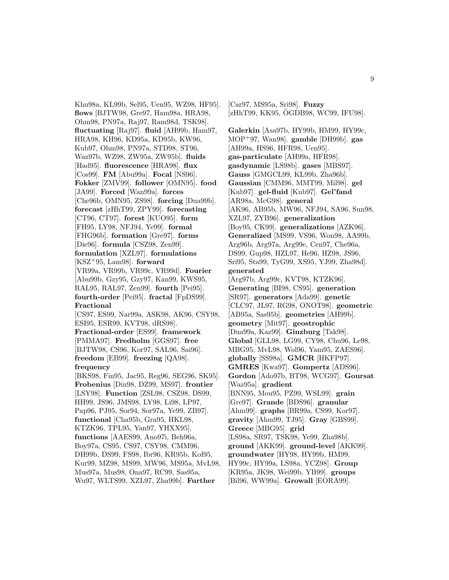Khu98a, KL99b, Sel95, Uen95, WZ98, HF95]. **flows** [BJTW98, Gre97, Ham98a, HRA98, Ohm98, PN97a, Raj97, Ram98d, TSK98]. **fluctuating** [Raj97]. **fluid** [AH99b, Ham97, HRA98, KH96, KD95a, KD95b, KW96, Kub97, Ohm98, PN97a, STD98, ST96, Waz97b, WZ98, ZW95a, ZW95b]. **fluids** [Had95]. **fluorescence** [HRA98]. **flux** [Cos99]. **FM** [Abu99a]. **Focal** [NS96]. **Fokker** [ZMV99]. **follower** [OMN95]. **food** [JA99]. **Forced** [Wan99a]. **forces** [Che96b, OMN95, ZS98]. **forcing** [Dua99b]. **forecast** [zHhT99, ZPY99]. **forecasting** [CT96, CT97]. **forest** [KUO95]. **form** [FH95, LY98, NFJ94, Ye99]. **formal** [FHG96b]. **formation** [Gre97]. **forms** [Die96]. **formula** [CSZ98, Zen99]. **formulation** [XZL97]. **formulations** [KSZ<sup>+</sup>95, Lam98]. **forward** [VR99a, VR99b, VR99c, VR99d]. **Fourier** [Abu99b, Gzy95, Gzy97, Kan99, KWS95, RAL95, RAL97, Zen99]. **fourth** [Pei95]. **fourth-order** [Pei95]. **fractal** [FpDS99]. **Fractional** [CS97, ES99, Nar99a, ASK98, AK96, CSY98, ESI95, ESR99, KVT98, dRS98]. **Fractional-order** [ES99]. **framework** [PMMA97]. **Fredholm** [GGS97]. **free** [BJTW98, CS96, Kor97, SAL96, Sai96]. **freedom** [EB99]. **freezing** [QA98]. **frequency** [BKS98, Fin95, Jac95, Reg96, SEG96, SK95]. **Frobenius** [Din98, DZ99, MS97]. **frontier** [LSY98]. **Function** [ZSL98, CSZ98, DS99, HH99, JS96, JMS98, LY98, Li98, LP97, Pap96, PJ95, Sor94, Sor97a, Ye99, ZB97]. **functional** [Cha95b, Gra95, HKL98, KTZK96, TPL95, Yan97, YHXX95]. **functions** [AAES99, Ano97i, Beh96a, Boy97a, CS95, CS97, CSY98, CMM96, DH99b, DS99, FS98, Ibr96, KR95b, Kol95, Kur99, MZ98, MS99, MW96, MS95a, MvL98, Mus97a, Mus98, Ona97, RC99, Sas95a, Wu97, WLTS99, XZL97, Zha99b]. **Further**

[AH99a, HS96, HFR98, Uen95]. **gas-particulate** [AH99a, HFR98]. **gasdynamic** [LS98b]. **gases** [MBS97]. **Gauss** [GMGCL99, KL99b, Zha96b]. **Gaussian** [CMM96, MMT99, Mil98]. **gel** [Kub97]. **gel-fluid** [Kub97]. **Gel'fand** [AR98a, McG98]. **general** [AK96, AB95b, MW96, NFJ94, SA96, Sun98, XZL97, ZYB96]. **generalization** [Boy95, CK99]. **generalizations** [AZK96]. **Generalized** [MS99, VS96, Won98, AA99b, Arg96b, Arg97a, Arg99e, Cen97, Che96a, DS99, Gup98, HZL97, He96, HZ98, JS96, Sri95, Sta99, TyG99, XS95, YJ99, Zha98d]. **generated** [Arg97b, Arg99c, KVT98, KTZK96]. **Generating** [BI98, CS95]. **generation** [SR97]. **generators** [Ada99]. **genetic** [CLC97, JL97, RG98, ONOT98]. **geometric** [AB95a, Sas95b]. **geometries** [AH99b]. **geometry** [Mit97]. **geostrophic** [Dua99a, Kaz99]. **Ginzburg** [Tak98]. **Global** [GLL98, LG99, CY98, Chu96, Le98, MBG95, MvL98, Wol96, Yam95, ZAES96]. **globally** [SS98a]. **GMCR** [HKFP97]. **GMRES** [Kwa97]. **Gompertz** [ADS96]. **Gordon** [Ado97b, BT98, WCG97]. **Goursat** [Waz95a]. **gradient** [BNN95, Mou95, PZ99, WSL99]. **grain** [Gre97]. **Grande** [BDS96]. **granular** [Ahm99]. **graphs** [BR99a, CS99, Kor97]. **gravity** [Ahm99, TJ95]. **Gray** [GBS99]. **Greece** [MBG95]. **grid** [LS98a, SR97, TSK98, Ye99, Zha98b]. **ground** [AKK99]. **ground-level** [AKK99]. **groundwater** [HY98, HY99b, HM99, HY99c, HY99a, LS98a, YCZ98]. **Group** [KR95a, JK98, Wei99b, YB99]. **groups** [Bil96, WW99a]. **Growall** [EORA99].

[Car97, MS95a, Sri98]. **Fuzzy**

[zHhT99, KK95, ÖGDB98, WC99, IFU98].

**Galerkin** [Asa97b, HY99b, HM99, HY99c, MOP<sup>+</sup>97, Wan98]. **gamble** [DH99b]. **gas**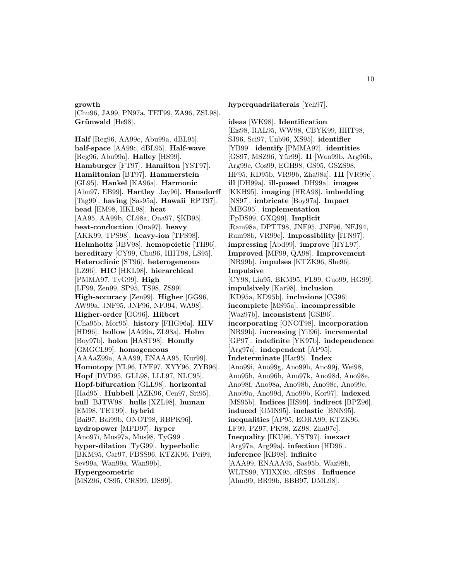#### **growth**

[Chu96, JA99, PN97a, TET99, ZA96, ZSL98]. Grünwald<sup>[He98].</sup>

**Half** [Reg96, AA99c, Abu99a, dBL95]. **half-space** [AA99c, dBL95]. **Half-wave** [Reg96, Abu99a]. **Halley** [HS99]. **Hamburger** [FT97]. **Hamilton** [YST97]. **Hamiltonian** [BT97]. **Hammerstein** [GL95]. **Hankel** [KA96a]. **Harmonic** [Abu97, EB99]. **Hartley** [Jay96]. **Hausdorff** [Tag99]. **having** [Sas95a]. **Hawaii** [RPT97]. **head** [EM98, HKL98]. **heat** [AA95, AA99b, CL98a, Ona97, SKB95]. **heat-conduction** [Ona97]. **heavy** [AKK99, TPS98]. **heavy-ion** [TPS98]. **Helmholtz** [JBV98]. **hemopoietic** [TH96]. **hereditary** [CY99, Chu96, HHT98, LS95]. **Heteroclinic** [ST96]. **heterogeneous** [LZ96]. **HIC** [HKL98]. **hierarchical** [PMMA97, TyG99]. **High** [LF99, Zen99, SP95, TS98, ZS99]. **High-accuracy** [Zen99]. **Higher** [GG96, AW99a, JNF95, JNF96, NFJ94, WA98]. **Higher-order** [GG96]. **Hilbert** [Cha95b, Mor95]. **history** [FHG96a]. **HIV** [HD96]. **hollow** [AA99a, ZL98a]. **Holm** [Boy97b]. **holon** [HAST98]. **Homfly** [GMGCL99]. **homogeneous** [AAAaZ99a, AAA99, ENAAA95, Kur99]. **Homotopy** [YL96, LYF97, XYY96, ZYB96]. **Hopf** [DVD95, GLL98, LLL97, NLC95]. **Hopf-bifurcation** [GLL98]. **horizontal** [Had95]. **Hubbell** [AZK96, Cen97, Sri95]. **hull** [BJTW98]. **hulls** [XZL98]. **human** [EM98, TET99]. **hybrid** [Bai97, Bai99b, ONOT98, RBPK96]. **hydropower** [MPD97]. **hyper** [Ano97i, Mus97a, Mus98, TyG99]. **hyper-dilation** [TyG99]. **hyperbolic** [BKM95, Car97, FBSS96, KTZK96, Pei99, Sev99a, Wan99a, Wan99b]. **Hypergeometric**

[MSZ96, CS95, CRS99, DS99].

**hyperquadrilaterals** [Yeh97].

**ideas** [WK98]. **Identification** [Eis98, RAL95, WW98, CBYK99, HHT98, SJ96, Sci97, Unb96, XS95]. **identifier** [YB99]. **identify** [PMMA97]. **identities** [GS97, MSZ96, Yür99]. **II** [Wan99b, Arg96b, Arg99e, Cos99, EGH98, GS95, GSZS98, HF95, KD95b, VR99b, Zha98a]. **III** [VR99c]. **ill** [DH99a]. **ill-posed** [DH99a]. **images** [KKH95]. **imaging** [HRA98]. **imbedding** [NS97]. **imbricate** [Boy97a]. **Impact** [MBG95]. **implementation** [FpDS99, GXQ99]. **Implicit** [Ram98a, DPTT98, JNF95, JNF96, NFJ94, Ram98b, VR99e]. **Impossibility** [ITN97]. **impressing** [Abd99]. **improve** [HYL97]. **Improved** [MF99, QA98]. **Improvement** [NR99b]. **impulses** [KTZK96, She96]. **Impulsive** [CY98, Liu95, BKM95, FL99, Guo99, HG99]. **impulsively** [Kar98]. **inclusion** [KD95a, KD95b]. **inclusions** [CG96]. **incomplete** [MS95a]. **incompressible** [Waz97b]. **inconsistent** [GSI96]. **incorporating** [ONOT98]. **incorporation** [NR99b]. **increasing** [Yil96]. **incremental** [GP97]. **indefinite** [YK97b]. **independence** [Arg97a]. **independent** [AP95]. **Indeterminate** [Har95]. **Index** [Ano99i, Ano99g, Ano99h, Ano99j, Wei98, Ano95h, Ano96h, Ano97k, Ano98d, Ano98e, Ano98f, Ano98a, Ano98b, Ano98c, Ano99c, Ano99a, Ano99d, Ano99b, Kor97]. **indexed** [MS95b]. **Indices** [HS99]. **indirect** [BPZ96]. **induced** [OMN95]. **inelastic** [BNN95]. **inequalities** [AP95, EORA99, KTZK96, LF99, PZ97, PK98, ZZ98, Zha97c]. **Inequality** [IKU96, YST97]. **inexact** [Arg97a, Arg99a]. **infection** [HD96]. **inference** [KB98]. **infinite** [AAA99, ENAAA95, Sas95b, Waz98b, WLTS99, YHXX95, dRS98]. **Influence** [Ahm99, BR99b, BBB97, DML98].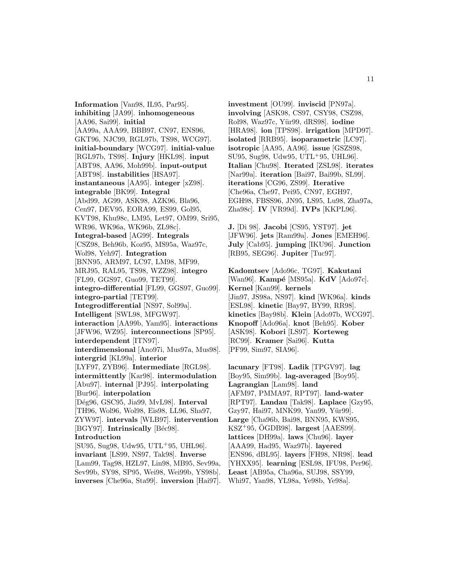**Information** [Van98, IL95, Par95]. **inhibiting** [JA99]. **inhomogeneous** [AA96, Sai99]. **initial** [AA99a, AAA99, BBB97, CN97, ENS96, GKT96, NJC99, RGL97b, TS98, WCG97]. **initial-boundary** [WCG97]. **initial-value** [RGL97b, TS98]. **Injury** [HKL98]. **input** [ABT98, AA96, Moh99b]. **input-output** [ABT98]. **instabilities** [HSA97]. **instantaneous** [AA95]. **integer** [xZ98]. **integrable** [BK99]. **Integral** [Abd99, AG99, ASK98, AZK96, Bla96, Cen97, DEV95, EORA99, ES99, Gol95, KVT98, Khu98c, LM95, Let97, OM99, Sri95, WR96, WK96a, WK96b, ZL98c]. **Integral-based** [AG99]. **Integrals** [CSZ98, Beh96b, Koz95, MS95a, Waz97c, Wol98, Yeh97]. **Integration** [BNN95, ARM97, LC97, LM98, MF99, MRJ95, RAL95, TS98, WZZ98]. **integro** [FL99, GGS97, Guo99, TET99]. **integro-differential** [FL99, GGS97, Guo99]. **integro-partial** [TET99]. **Integrodifferential** [NS97, Sol99a]. **Intelligent** [SWL98, MFGW97]. **interaction** [AA99b, Yam95]. **interactions** [JFW96, WZ95]. **interconnections** [SP95]. **interdependent** [ITN97]. **interdimensional** [Ano97i, Mus97a, Mus98]. **intergrid** [KL99a]. **interior** [LYF97, ZYB96]. **Intermediate** [RGL98]. **intermittently** [Kar98]. **intermodulation** [Abu97]. **internal** [PJ95]. **interpolating** [Bur96]. **interpolation** [D´eg96, GSC95, Jia99, MvL98]. **Interval** [TH96, Wol96, Wol98, Eis98, LL96, Sha97, ZYW97]. **intervals** [WLB97]. **intervention** [BGY97]. **Intrinsically** [Béc98]. **Introduction** [SU95, Sug98, Udw95, UTL<sup>+</sup>95, UHL96]. **invariant** [LS99, NS97, Tak98]. **Inverse** [Lam99, Tag98, HZL97, Lin98, MB95, Sev99a, Sev99b, SY98, SP95, Wei98, Wei99b, YS98b]. **inverses** [Che96a, Sta99]. **inversion** [Hai97].

**investment** [OU99]. **inviscid** [PN97a]. **involving** [ASK98, CS97, CSY98, CSZ98, Rol98, Waz97c, Y¨ur99, dRS98]. **iodine** [HRA98]. **ion** [TPS98]. **irrigation** [MPD97]. **isolated** [RRB95]. **isoparametric** [LC97]. **isotropic** [AA95, AA96]. **issue** [GSZS98, SU95, Sug98, Udw95, UTL<sup>+</sup>95, UHL96]. **Italian** [Chu98]. **Iterated** [ZSL98]. **iterates** [Nar99a]. **iteration** [Bai97, Bai99b, SL99]. **iterations** [CG96, ZS99]. **Iterative** [Che96a, Che97, Pei95, CN97, EGH97, EGH98, FBSS96, JN95, LS95, Lu98, Zha97a, Zha98c]. **IV** [VR99d]. **IVPs** [KKPL96].

**J.** [Di 98]. **Jacobi** [CS95, YST97]. **jet** [JFW96]. **jets** [Ram99a]. **Jones** [EMEH96]. **July** [Cab95]. **jumping** [IKU96]. **Junction** [RB95, SEG96]. **Jupiter** [Tuc97].

**Kadomtsev** [Ado96c, TG97]. **Kakutani** [Wan96]. **Kampé** [MS95a]. **KdV** [Ado97c]. **Kernel** [Kan99]. **kernels** [Jin97, JS98a, NS97]. **kind** [WK96a]. **kinds** [ESL98]. **kinetic** [Bay97, BY99, RR98]. **kinetics** [Bay98b]. **Klein** [Ado97b, WCG97]. **Knopoff** [Ado96a]. **knot** [Beh95]. **Kober** [ASK98]. **Kobori** [LS97]. **Korteweg** [RC99]. **Kramer** [Sai96]. **Kutta** [PF99, Sim97, SIA96].

**lacunary** [FT98]. **Ladik** [TPGV97]. **lag** [Boy95, Sim99b]. **lag-averaged** [Boy95]. **Lagrangian** [Lam98]. **land** [AFM97, PMMA97, RPT97]. **land-water** [RPT97]. **Landau** [Tak98]. **Laplace** [Gzy95, Gzy97, Hai97, MNK99, Yan99, Yür99]. **Large** [Cha96b, Bai98, BNN95, KWS95, KSZ<sup>+</sup>95,  $\ddot{\text{O}}$ GDB98. **largest** [AAES99]. **lattices** [DH99a]. **laws** [Chu96]. **layer** [AAA99, Had95, Waz97b]. **layered** [ENS96, dBL95]. **layers** [FH98, NR98]. **lead** [YHXX95]. **learning** [ESL98, IFU98, Per96]. **Least** [AB95a, Cha96a, SUJ98, SSY99, Whi97, Yan98, YL98a, Ye98b, Ye98a].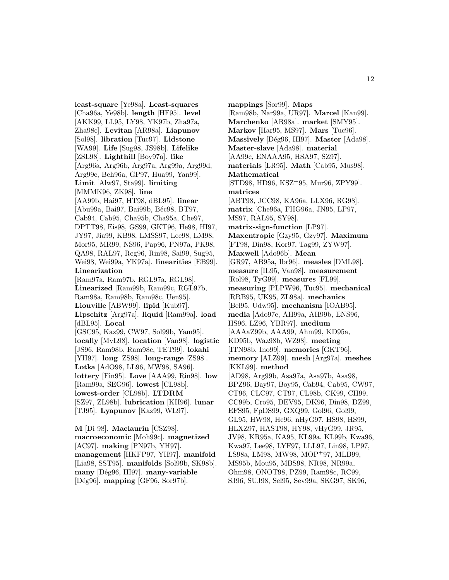**least-square** [Ye98a]. **Least-squares** [Cha96a, Ye98b]. **length** [HF95]. **level** [AKK99, LL95, LY98, YK97b, Zha97a, Zha98c]. **Levitan** [AR98a]. **Liapunov** [Sol98]. **libration** [Tuc97]. **Lidstone** [WA99]. **Life** [Sug98, JS98b]. **Lifelike** [ZSL98]. **Lighthill** [Boy97a]. **like** [Arg96a, Arg96b, Arg97a, Arg99a, Arg99d, Arg99e, Beh96a, GP97, Hua99, Yan99]. **Limit** [Alw97, Sta99]. **limiting** [MMMK96, ZK98]. **line** [AA99b, Hai97, HT98, dBL95]. **linear** [Abu99a, Bai97, Bai99b, Béc98, BT97, Cab94, Cab95, Cha95b, Cha95a, Che97, DPTT98, Eis98, GS99, GKT96, He98, HI97, JY97, Jia99, KB98, LMSS97, Lee98, LM98, Mor95, MR99, NS96, Pap96, PN97a, PK98, QA98, RAL97, Reg96, Rin98, Sai99, Sug95, Wei98, Wei99a, YK97a]. **linearities** [EB99]. **Linearization** [Ram97a, Ram97b, RGL97a, RGL98]. **Linearized** [Ram99b, Ram99c, RGL97b, Ram98a, Ram98b, Ram98c, Uen95]. **Liouville** [ABW99]. **lipid** [Kub97]. **Lipschitz** [Arg97a]. **liquid** [Ram99a]. **load** [dBL95]. **Local** [GSC95, Kaz99, CW97, Sol99b, Yam95]. **locally** [MvL98]. **location** [Van98]. **logistic** [JS96, Ram98b, Ram98c, TET99]. **lokahi** [YH97]. **long** [ZS98]. **long-range** [ZS98]. **Lotka** [AdO98, LL96, MW98, SA96]. **lottery** [Fin95]. **Love** [AAA99, Rin98]. **low** [Ram99a, SEG96]. **lowest** [CL98b]. **lowest-order** [CL98b]. **LTDRM** [SZ97, ZL98b]. **lubrication** [KH96]. **lunar** [TJ95]. **Lyapunov** [Kaz99, WL97].

**M** [Di 98]. **Maclaurin** [CSZ98]. **macroeconomic** [Moh99c]. **magnetized** [AC97]. **making** [PN97b, YH97]. **management** [HKFP97, YH97]. **manifold** [Lia98, SST95]. **manifolds** [Sol99b, SK98b]. **many** [D´eg96, HI97]. **many-variable** [D´eg96]. **mapping** [GF96, Sor97b].

**mappings** [Sor99]. **Maps** [Ram98b, Nar99a, UR97]. **Marcel** [Kan99]. **Marchenko** [AR98a]. **market** [SMY95]. **Markov** [Har95, MS97]. **Mars** [Tuc96]. **Massively** [D´eg96, HI97]. **Master** [Ada98]. **Master-slave** [Ada98]. **material** [AA99c, ENAAA95, HSA97, SZ97]. **materials** [LR95]. **Math** [Cab95, Mus98]. **Mathematical** [STD98, HD96, KSZ<sup>+</sup>95, Mur96, ZPY99]. **matrices** [ABT98, JCC98, KA96a, LLX96, RG98]. **matrix** [Che96a, FHG96a, JN95, LP97, MS97, RAL95, SY98]. **matrix-sign-function** [LP97]. **Maxentropic** [Gzy95, Gzy97]. **Maximum** [FT98, Din98, Kor97, Tag99, ZYW97]. **Maxwell** [Ado96b]. **Mean** [GR97, AB95a, Ibr96]. **measles** [DML98]. **measure** [IL95, Van98]. **measurement** [Rol98, TyG99]. **measures** [FL99]. **measuring** [PLPW96, Tuc95]. **mechanical** [RRB95, UK95, ZL98a]. **mechanics** [Bel95, Udw95]. **mechanism** [IOAB95]. **media** [Ado97e, AH99a, AH99b, ENS96, HS96, LZ96, YBR97]. **medium** [AAAaZ99b, AAA99, Ahm99, KD95a, KD95b, Waz98b, WZ98]. **meeting** [ITN98b, Ino99]. **memories** [GKT96]. **memory** [ALZ99]. **mesh** [Arg97a]. **meshes** [KKL99]. **method** [AD98, Arg99b, Asa97a, Asa97b, Asa98, BPZ96, Bay97, Boy95, Cab94, Cab95, CW97, CT96, CLC97, CT97, CL98b, CK99, CH99, CC99b, Cro95, DEV95, DK96, Din98, DZ99, EFS95, FpDS99, GXQ99, Gol96, Gol99, GL95, HW98, He96, nHyG97, HS98, HS99, HLXZ97, HAST98, HY98, yHyG99, JR95, JV98, KR95a, KA95, KL99a, KL99b, Kwa96, Kwa97, Lee98, LYF97, LLL97, Lin98, LP97, LS98a, LM98, MW98, MOP<sup>+</sup>97, MLB99, MS95b, Mou95, MBS98, NR98, NR99a, Ohm98, ONOT98, PZ99, Ram98c, RC99, SJ96, SUJ98, Sel95, Sev99a, SKG97, SK96,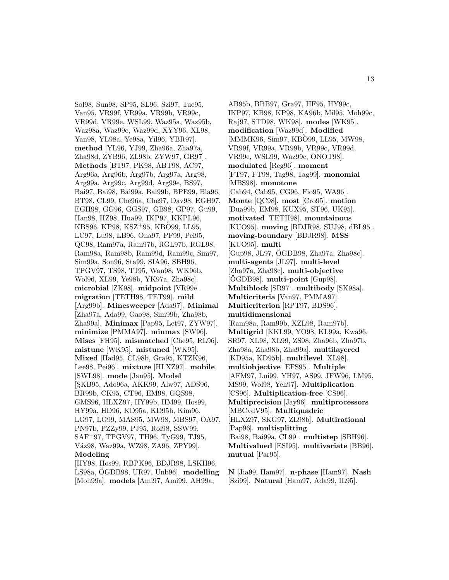Sol98, Sun98, SP95, SL96, Szi97, Tuc95, Van95, VR99f, VR99a, VR99b, VR99c, VR99d, VR99e, WSL99, Waz95a, Waz95b, Waz98a, Waz99c, Waz99d, XYY96, XL98, Yan98, YL98a, Ye98a, Yil96, YBR97]. **method** [YL96, YJ99, Zha96a, Zha97a, Zha98d, ZYB96, ZL98b, ZYW97, GR97]. **Methods** [BT97, PK98, ABT98, AC97, Arg96a, Arg96b, Arg97b, Arg97a, Arg98, Arg99a, Arg99c, Arg99d, Arg99e, BS97, Bai97, Bai98, Bai99a, Bai99b, BPE99, Bla96, BT98, CL99, Che96a, Che97, Dav98, EGH97, EGH98, GG96, GGS97, GB98, GP97, Gu99, Han98, HZ98, Hua99, IKP97, KKPL96, KBS96, KP98, KSZ<sup>+</sup>95, KBÖ99, LL95, LC97, Lu98, LB96, Ona97, PF99, Pei95, QC98, Ram97a, Ram97b, RGL97b, RGL98, Ram98a, Ram98b, Ram99d, Ram99c, Sim97, Sim99a, Son96, Sta99, SIA96, SBH96, TPGV97, TS98, TJ95, Wan98, WK96b, Wol96, XL99, Ye98b, YK97a, Zha98c]. **microbial** [ZK98]. **midpoint** [VR99e]. **migration** [TETH98, TET99]. **mild** [Arg99b]. **Minesweeper** [Ada97]. **Minimal** [Zha97a, Ada99, Gao98, Sim99b, Zha98b, Zha99a]. **Minimax** [Pap95, Let97, ZYW97]. **minimize** [PMMA97]. **minmax** [SW96]. **Mises** [FH95]. **mismatched** [Che95, RL96]. **mistune** [WK95]. **mistuned** [WK95]. **Mixed** [Had95, CL98b, Gra95, KTZK96, Lee98, Pei96]. **mixture** [HLXZ97]. **mobile** [SWL98]. **mode** [Jan95]. **Model** [SKB95, Ado96a, AKK99, Alw97, ADS96. BR99b, CK95, CT96, EM98, GQS98, GMS96, HLXZ97, HY99b, HM99, Hos99, HY99a, HD96, KD95a, KD95b, Kim96, LG97, LG99, MAS95, MW98, MBS97, OA97, PN97b, PZZy99, PJ95, Rol98, SSW99, SAF<sup>+</sup>97, TPGV97, TH96, TyG99, TJ95, Váz98, Waz99a, WZ98, ZA96, ZPY99]. **Modeling**

[HY98, Hos99, RBPK96, BDJR98, LSKH96, LS98a, OGDB98, UR97, Unb96]. **modelling** [Moh99a]. **models** [Ami97, Ami99, AH99a,

AB95b, BBB97, Gra97, HF95, HY99c, IKP97, KB98, KP98, KA96b, Mil95, Moh99c, Raj97, STD98, WK98]. **modes** [WK95]. **modification** [Waz99d]. **Modified** [MMMK96, Sim97, KBO99, LL95, MW98, VR99f, VR99a, VR99b, VR99c, VR99d, VR99e, WSL99, Waz99c, ONOT98]. **modulated** [Reg96]. **moment** [FT97, FT98, Tag98, Tag99]. **monomial** [MBS98]. **monotone** [Cab94, Cab95, CG96, Fio95, WA96]. **Monte** [QC98]. **most** [Cro95]. **motion** [Dua99b, EM98, KUX95, ST96, UK95]. **motivated** [TETH98]. **mountainous** [KUO95]. **moving** [BDJR98, SUJ98, dBL95]. **moving-boundary** [BDJR98]. **MSS** [KUO95]. **multi** [Gup98, JL97, OGDB98, Zha97a, Zha98c]. ¨ **multi-agents** [JL97]. **multi-level** [Zha97a, Zha98c]. **multi-objective**  $[OGDB98]$ . multi-point  $[Gup98]$ . **Multiblock** [SR97]. **multibody** [SK98a]. **Multicriteria** [Van97, PMMA97]. **Multicriterion** [RPT97, BDS96]. **multidimensional** [Ram98a, Ram99b, XZL98, Ram97b]. **Multigrid** [KKL99, YO98, KL99a, Kwa96, SR97, XL98, XL99, ZS98, Zha96b, Zha97b, Zha98a, Zha98b, Zha99a]. **multilayered** [KD95a, KD95b]. **multilevel** [XL98]. **multiobjective** [EFS95]. **Multiple** [AFM97, Lui99, YH97, AS99, JFW96, LM95, MS99, Wol98, Yeh97]. **Multiplication** [CS96]. **Multiplication-free** [CS96]. **Multiprecision** [Jay96]. **multiprocessors** [MBCvdV95]. **Multiquadric** [HLXZ97, SKG97, ZL98b]. **Multirational** [Pap96]. **multisplitting** [Bai98, Bai99a, CL99]. **multistep** [SBH96]. **Multivalued** [ESI95]. **multivariate** [BB96]. **mutual** [Par95].

**N** [Jia99, Ham97]. **n-phase** [Ham97]. **Nash** [Szi99]. **Natural** [Ham97, Ada99, IL95].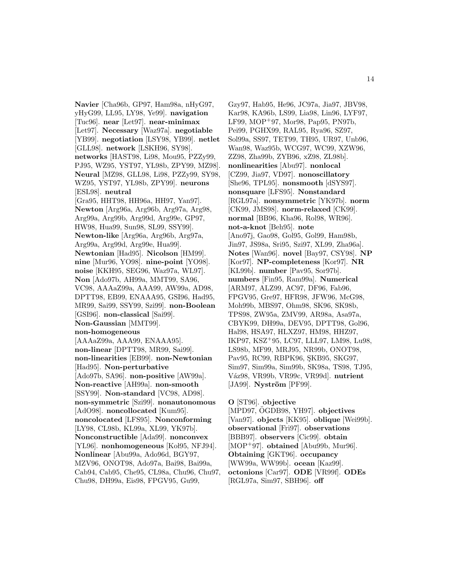**Navier** [Cha96b, GP97, Ham98a, nHyG97, yHyG99, LL95, LY98, Ye99]. **navigation** [Tuc96]. **near** [Let97]. **near-minimax** [Let97]. **Necessary** [Waz97a]. **negotiable** [YB99]. **negotiation** [LSY98, YB99]. **netlet** [GLL98]. **network** [LSKH96, SY98]. **networks** [HAST98, Li98, Mou95, PZZy99, PJ95, WZ95, YST97, YL98b, ZPY99, MZ98]. **Neural** [MZ98, GLL98, Li98, PZZy99, SY98, WZ95, YST97, YL98b, ZPY99]. **neurons** [ESL98]. **neutral** [Gra95, HHT98, HH96a, HH97, Yan97]. **Newton** [Arg96a, Arg96b, Arg97a, Arg98, Arg99a, Arg99b, Arg99d, Arg99e, GP97, HW98, Hua99, Sun98, SL99, SSY99]. **Newton-like** [Arg96a, Arg96b, Arg97a, Arg99a, Arg99d, Arg99e, Hua99]. **Newtonian** [Had95]. **Nicolson** [HM99]. **nine** [Mur96, YO98]. **nine-point** [YO98]. **noise** [KKH95, SEG96, Waz97a, WL97]. **Non** [Ado97b, AH99a, MMT99, SA96, VC98, AAAaZ99a, AAA99, AW99a, AD98, DPTT98, EB99, ENAAA95, GSI96, Had95, MR99, Sai99, SSY99, Szi99]. **non-Boolean** [GSI96]. **non-classical** [Sai99]. **Non-Gaussian** [MMT99]. **non-homogeneous** [AAAaZ99a, AAA99, ENAAA95]. **non-linear** [DPTT98, MR99, Sai99]. **non-linearities** [EB99]. **non-Newtonian** [Had95]. **Non-perturbative** [Ado97b, SA96]. **non-positive** [AW99a]. **Non-reactive** [AH99a]. **non-smooth** [SSY99]. **Non-standard** [VC98, AD98]. **non-symmetric** [Szi99]. **nonautonomous** [AdO98]. **noncollocated** [Kum95]. **noncolocated** [LFS95]. **Nonconforming** [LY98, CL98b, KL99a, XL99, YK97b]. **Nonconstructible** [Ada99]. **nonconvex**  $[YL96]$ . **nonhomogeneous**  $[Ko195, NFJ94]$ . **Nonlinear** [Abu99a, Ado96d, BGY97, MZV96, ONOT98, Ado97a, Bai98, Bai99a, Cab94, Cab95, Che95, CL98a, Chu96, Chu97, Chu98, DH99a, Eis98, FPGV95, Gu99,

Gzy97, Hab95, He96, JC97a, Jia97, JBV98, Kar98, KA96b, LS99, Lia98, Lin96, LYF97, LF99, MOP<sup>+</sup>97, Mor98, Pap95, PN97b, Pei99, PGHX99, RAL95, Rya96, SZ97, Sol99a, SS97, TET99, TH95, UR97, Unb96, Wan98, Waz95b, WCG97, WC99, XZW96, ZZ98, Zha99b, ZYB96, xZ98, ZL98b]. **nonlinearities** [Abu97]. **nonlocal** [CZ99, Jia97, VD97]. **nonoscillatory** [She96, TPL95]. **nonsmooth** [dSYS97]. **nonsquare** [LFS95]. **Nonstandard** [RGL97a]. **nonsymmetric** [YK97b]. **norm** [CK99, JMS98]. **norm-relaxed** [CK99]. **normal** [BB96, Kha96, Rol98, WR96]. **not-a-knot** [Beh95]. **note** [Ano97j, Gao98, Gol95, Gol99, Ham98b, Jin97, JS98a, Sri95, Szi97, XL99, Zha96a]. **Notes** [Wan96]. **novel** [Bay97, CSY98]. **NP** [Kor97]. **NP-completeness** [Kor97]. **NR** [KL99b]. **number** [Pav95, Sor97b]. **numbers** [Fin95, Ram99a]. **Numerical** [ARM97, ALZ99, AC97, DF96, Fab96, FPGV95, Gre97, HFR98, JFW96, McG98, Moh99b, MBS97, Ohm98, SK96, SK98b, TPS98, ZW95a, ZMV99, AR98a, Asa97a, CBYK99, DH99a, DEV95, DPTT98, Gol96, Hal98, HSA97, HLXZ97, HM98, HHZ97, IKP97, KSZ<sup>+</sup>95, LC97, LLL97, LM98, Lu98, LS98b, MF99, MRJ95, NR99b, ONOT98, Pav95, RC99, RBPK96, SKB95, SKG97, Sim97, Sim99a, Sim99b, SK98a, TS98, TJ95, V´az98, VR99b, VR99c, VR99d]. **nutrient** [JA99]. **Nyström** [PF99].

**O** [ST96]. **objective** [MPD97, OGDB98, YH97]. objectives [Van97]. **objects** [KK95]. **oblique** [Wei99b]. **observational** [Fri97]. **observations** [BBB97]. **observers** [Cic99]. **obtain** [MOP<sup>+</sup>97]. **obtained** [Abu99b, Mur96]. **Obtaining** [GKT96]. **occupancy** [WW99a, WW99b]. **ocean** [Kaz99]. **octonions** [Car97]. **ODE** [VR99f]. **ODEs** [RGL97a, Sim97, SBH96]. **off**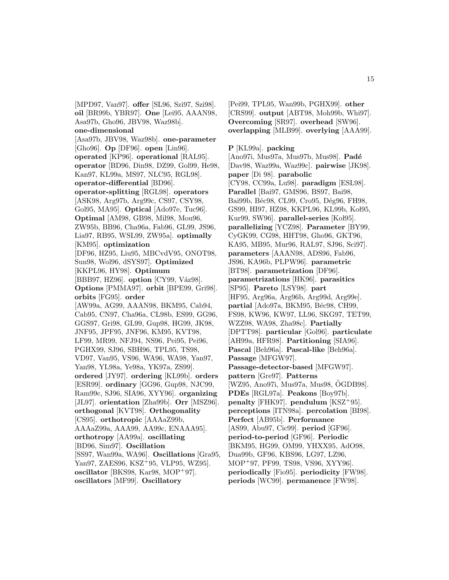[MPD97, Van97]. **offer** [SL96, Szi97, Szi98]. **oil** [BR99b, YBR97]. **One** [Lei95, AAAN98, Asa97b, Gho96, JBV98, Waz98b]. **one-dimensional** [Asa97b, JBV98, Waz98b]. **one-parameter** [Gho96]. **Op** [DF96]. **open** [Lin96]. **operated** [KP96]. **operational** [RAL95]. **operator** [BD96, Din98, DZ99, Gol99, He98, Kan97, KL99a, MS97, NLC95, RGL98]. **operator-differential** [BD96]. **operator-splitting** [RGL98]. **operators** [ASK98, Arg97b, Arg99c, CS97, CSY98, Gol95, MA95]. **Optical** [Ado97e, Tuc96]. **Optimal** [AM98, GB98, Mil98, Mou96, ZW95b, BB96, Cha96a, Fab96, GL99, JS96, Lia97, RB95, WSL99, ZW95a]. **optimally** [KM95]. **optimization** [DF96, HZ95, Liu95, MBCvdV95, ONOT98, Sun98, Wol96, dSYS97]. **Optimized** [KKPL96, HY98]. **Optimum** [BBB97, HZ96]. **option** [CY99, Váz98]. **Options** [PMMA97]. **orbit** [BPE99, Gri98]. **orbits** [FG95]. **order** [AW99a, AG99, AAAN98, BKM95, Cab94, Cab95, CN97, Cha96a, CL98b, ES99, GG96, GGS97, Gri98, GL99, Gup98, HG99, JK98, JNF95, JPF95, JNF96, KM95, KVT98, LF99, MR99, NFJ94, NS96, Pei95, Pei96, PGHX99, SJ96, SBH96, TPL95, TS98, VD97, Van95, VS96, WA96, WA98, Yan97, Yan98, YL98a, Ye98a, YK97a, ZS99]. **ordered** [JY97]. **ordering** [KL99b]. **orders** [ESR99]. **ordinary** [GG96, Gup98, NJC99, Ram99c, SJ96, SIA96, XYY96]. **organizing** [JL97]. **orientation** [Zha99b]. **Orr** [MSZ96]. **orthogonal** [KVT98]. **Orthogonality** [CS95]. **orthotropic** [AAAaZ99b, AAAaZ99a, AAA99, AA99c, ENAAA95]. **orthotropy** [AA99a]. **oscillating** [BD96, Sim97]. **Oscillation** [SS97, Wan99a, WA96]. **Oscillations** [Gra95, Yan97, ZAES96, KSZ<sup>+</sup>95, VLP95, WZ95]. **oscillator** [BKS98, Kar98, MOP<sup>+</sup>97]. **oscillators** [MF99]. **Oscillatory**

[Pei99, TPL95, Wan99b, PGHX99]. **other** [CRS99]. **output** [ABT98, Moh99b, Whi97]. **Overcoming** [SR97]. **overhead** [SW96]. **overlapping** [MLB99]. **overlying** [AAA99].

**P** [KL99a]. **packing**

[Ano97i, Mus97a, Mus97b, Mus98]. **Pad´e** [Dav98, Waz99a, Waz99c]. **pairwise** [JK98]. **paper** [Di 98]. **parabolic** [CY98, CC99a, Lu98]. **paradigm** [ESL98]. **Parallel** [Bai97, GMS96, BS97, Bai98, Bai99b, Béc98, CL99, Cro95, Dég96, FH98, GS99, HI97, HZ98, KKPL96, KL99b, Koł95, Kur99, SW96. **parallel-series** [Kol95]. **parallelizing** [YCZ98]. **Parameter** [BY99, CyGK99, CG98, HHT98, Gho96, GKT96, KA95, MB95, Mur96, RAL97, SJ96, Sci97]. **parameters** [AAAN98, ADS96, Fab96, JS96, KA96b, PLPW96]. **parametric** [BT98]. **parametrization** [DF96]. **parametrizations** [HK96]. **parasitics** [SP95]. **Pareto** [LSY98]. **part** [HF95, Arg96a, Arg96b, Arg99d, Arg99e]. partial [Ado97a, BKM95, Béc98, CH99, FS98, KW96, KW97, LL96, SKG97, TET99, WZZ98, WA98, Zha98c]. **Partially** [DPTT98]. **particular** [Gol96]. **particulate** [AH99a, HFR98]. **Partitioning** [SIA96]. **Pascal** [Beh96a]. **Pascal-like** [Beh96a]. **Passage** [MFGW97]. **Passage-detector-based** [MFGW97]. **pattern** [Gre97]. **Patterns** [WZ95, Ano97i, Mus97a, Mus98, OGDB98]. **PDEs** [RGL97a]. **Peakons** [Boy97b]. **penalty** [FHK97]. **pendulum** [KSZ<sup>+</sup>95]. **perceptions** [ITN98a]. **percolation** [BI98]. **Perfect** [AB95b]. **Performance** [AS99, Abu97, Cic99]. **period** [GF96]. **period-to-period** [GF96]. **Periodic** [BKM95, HG99, OM99, YHXX95, AdO98, Dua99b, GF96, KBS96, LG97, LZ96, MOP<sup>+</sup>97, PF99, TS98, VS96, XYY96]. **periodically** [Fio95]. **periodicity** [FW98]. **periods** [WC99]. **permanence** [FW98].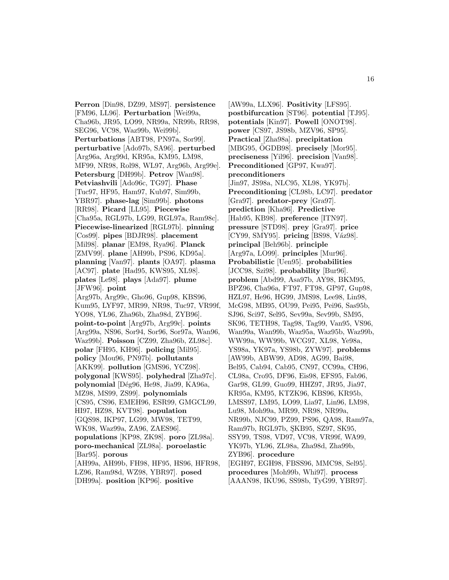**Perron** [Din98, DZ99, MS97]. **persistence** [FM96, LL96]. **Perturbation** [Wei99a, Cha96b, JR95, LO99, NR99a, NR99b, RR98, SEG96, VC98, Waz99b, Wei99b]. **Perturbations** [ABT98, PN97a, Sor99]. **perturbative** [Ado97b, SA96]. **perturbed** [Arg96a, Arg99d, KR95a, KM95, LM98, MF99, NR98, Rol98, WL97, Arg96b, Arg99e]. **Petersburg** [DH99b]. **Petrov** [Wan98]. **Petviashvili** [Ado96c, TG97]. **Phase** [Tuc97, HF95, Ham97, Kub97, Sim99b, YBR97]. **phase-lag** [Sim99b]. **photons** [RR98]. **Picard** [LL95]. **Piecewise** [Cha95a, RGL97b, LG99, RGL97a, Ram98c]. **Piecewise-linearized** [RGL97b]. **pinning** [Cos99]. **pipes** [BDJR98]. **placement** [Mil98]. **planar** [EM98, Rya96]. **Planck** [ZMV99]. **plane** [AH99b, PS96, KD95a]. **planning** [Van97]. **plants** [OA97]. **plasma** [AC97]. **plate** [Had95, KWS95, XL98]. **plates** [Le98]. **plays** [Ada97]. **plume** [JFW96]. **point** [Arg97b, Arg99c, Gho96, Gup98, KBS96, Kum95, LYF97, MR99, NR98, Tuc97, VR99f, YO98, YL96, Zha96b, Zha98d, ZYB96]. **point-to-point** [Arg97b, Arg99c]. **points** [Arg99a, NS96, Sor94, Sor96, Sor97a, Wan96, Waz99b]. **Poisson** [CZ99, Zha96b, ZL98c]. **polar** [FH95, KH96]. **policing** [Mil95]. **policy** [Mou96, PN97b]. **pollutants** [AKK99]. **pollution** [GMS96, YCZ98]. **polygonal** [KWS95]. **polyhedral** [Zha97c]. **polynomial** [D´eg96, He98, Jia99, KA96a, MZ98, MS99, ZS99]. **polynomials** [CS95, CS96, EMEH96, ESR99, GMGCL99, HI97, HZ98, KVT98]. **population** [GQS98, IKP97, LG99, MW98, TET99, WK98, Waz99a, ZA96, ZAES96]. **populations** [KP98, ZK98]. **poro** [ZL98a]. **poro-mechanical** [ZL98a]. **poroelastic** [Bar95]. **porous** [AH99a, AH99b, FH98, HF95, HS96, HFR98, LZ96, Ram98d, WZ98, YBR97]. **posed** [DH99a]. **position** [KP96]. **positive**

[AW99a, LLX96]. **Positivity** [LFS95]. **postbifurcation** [ST96]. **potential** [TJ95]. **potentials** [Kin97]. **Powell** [ONOT98]. **power** [CS97, JS98b, MZV96, SP95]. **Practical** [Zha98a]. **precipitation** [MBG95, OGDB98]. **precisely** [Mor95]. **preciseness** [Yil96]. **precision** [Van98]. **Preconditioned** [GP97, Kwa97]. **preconditioners** [Jin97, JS98a, NLC95, XL98, YK97b]. **Preconditioning** [CL98b, LC97]. **predator** [Gra97]. **predator-prey** [Gra97]. **prediction** [Kha96]. **Predictive** [Hab95, KB98]. **preference** [ITN97]. **pressure** [STD98]. **prey** [Gra97]. **price** [CY99, SMY95]. **pricing** [BS98, Váz98]. **principal** [Beh96b]. **principle** [Arg97a, LO99]. **principles** [Mur96]. **Probabilistic** [Uen95]. **probabilities** [JCC98, Szi98]. **probability** [Bur96]. **problem** [Abd99, Asa97b, AY98, BKM95, BPZ96, Cha96a, FT97, FT98, GP97, Gup98, HZL97, He96, HG99, JMS98, Lee98, Lin98, McG98, MB95, OU99, Pei95, Pei96, Sas95b, SJ96, Sci97, Sel95, Sev99a, Sev99b, SM95, SK96, TETH98, Tag98, Tag99, Van95, VS96, Wan99a, Wan99b, Waz95a, Waz95b, Waz99b, WW99a, WW99b, WCG97, XL98, Ye98a, YS98a, YK97a, YS98b, ZYW97]. **problems** [AW99b, ABW99, AD98, AG99, Bai98, Bel95, Cab94, Cab95, CN97, CC99a, CH96, CL98a, Cro95, DF96, Eis98, EFS95, Fab96, Gar98, GL99, Guo99, HHZ97, JR95, Jia97, KR95a, KM95, KTZK96, KBS96, KR95b, LMSS97, LM95, LO99, Lia97, Lin96, LM98, Lu98, Moh99a, MR99, NR98, NR99a, NR99b, NJC99, PZ99, PS96, QA98, Ram97a, Ram97b, RGL97b, SKB95, SZ97, SK95, SSY99, TS98, VD97, VC98, VR99f, WA99, YK97b, YL96, ZL98a, Zha98d, Zha99b, ZYB96]. **procedure** [EGH97, EGH98, FBSS96, MMC98, Sel95]. **procedures** [Moh99b, Whi97]. **process** [AAAN98, IKU96, SS98b, TyG99, YBR97].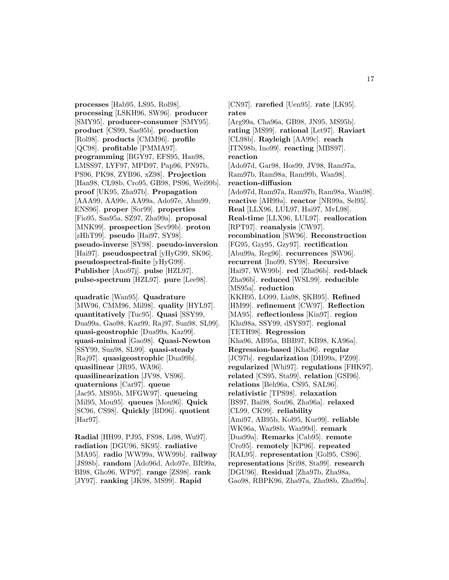**processes** [Hab95, LS95, Rol98]. **processing** [LSKH96, SW96]. **producer** [SMY95]. **producer-consumer** [SMY95]. **product** [CS99, Sas95b]. **production** [Rol98]. **products** [CMM96]. **profile** [QC98]. **profitable** [PMMA97]. **programming** [BGY97, EFS95, Han98, LMSS97, LYF97, MPD97, Pap96, PN97b, PS96, PK98, ZYB96, xZ98]. **Projection** [Han98, CL98b, Cro95, GB98, PS96, Wei99b]. **proof** [UK95, Zha97b]. **Propagation** [AAA99, AA99c, AA99a, Ado97e, Ahm99, ENS96]. **proper** [Sor99]. **properties** [Fio95, Sas95a, SZ97, Zha99a]. **proposal** [MNK99]. **prospection** [Sev99b]. **proton** [zHhT99]. **pseudo** [Hai97, SY98]. **pseudo-inverse** [SY98]. **pseudo-inversion** [Hai97]. **pseudospectral** [yHyG99, SK96]. **pseudospectral-finite** [yHyG99]. **Publisher** [Ano97j]. **pulse** [HZL97]. **pulse-spectrum** [HZL97]. **pure** [Lee98].

**quadratic** [Wan95]. **Quadrature** [MW96, CMM96, Mil98]. **quality** [HYL97]. **quantitatively** [Tuc95]. **Quasi** [SSY99, Dua99a, Gao98, Kaz99, Raj97, Sun98, SL99]. **quasi-geostrophic** [Dua99a, Kaz99]. **quasi-minimal** [Gao98]. **Quasi-Newton** [SSY99, Sun98, SL99]. **quasi-steady** [Raj97]. **quasigeostrophic** [Dua99b]. **quasilinear** [JR95, WA96]. **quasilinearization** [JV98, VS96]. **quaternions** [Car97]. **queue** [Jac95, MS95b, MFGW97]. **queueing** [Mil95, Mou95]. **queues** [Mou96]. **Quick** [SC96, CS98]. **Quickly** [BD96]. **quotient** [Har97].

**Radial** [HH99, PJ95, FS98, Li98, Wu97]. **radiation** [DGU96, SK95]. **radiative** [MA95]. **radio** [WW99a, WW99b]. **railway** [JS98b]. **random** [Ado96d, Ado97e, BR99a, BI98, Gho96, WP97]. **range** [ZS98]. **rank** [JY97]. **ranking** [JK98, MS99]. **Rapid**

[CN97]. **rarefied** [Uen95]. **rate** [LK95]. **rates** [Arg99a, Cha96a, GB98, JN95, MS95b]. **rating** [MS99]. **rational** [Let97]. **Raviart** [CL98b]. **Rayleigh** [AA99c]. **reach** [ITN98b, Ino99]. **reacting** [MBS97]. **reaction** [Ado97d, Gar98, Hos99, JV98, Ram97a, Ram97b, Ram98a, Ram99b, Wan98]. **reaction-diffusion** [Ado97d, Ram97a, Ram97b, Ram98a, Wan98]. **reactive** [AH99a]. **reactor** [NR99a, Sel95]. **Real** [LLX96, LUL97, Hai97, MvL98]. **Real-time** [LLX96, LUL97]. **reallocation** [RPT97]. **reanalysis** [CW97]. **recombination** [SW96]. **Reconstruction** [FG95, Gzy95, Gzy97]. **rectification** [Abu99a, Reg96]. **recurrences** [SW96]. **recurrent** [Ino99, SY98]. **Recursive** [Hai97, WW99b]. **red** [Zha96b]. **red-black** [Zha96b]. **reduced** [WSL99]. **reducible** [MS95a]. **reduction** [KKH95, LO99, Lia98, SKB95]. **Refined** [HM99]. **refinement** [CW97]. **Reflection** [MA95]. **reflectionless** [Kin97]. **region** [Khu98a, SSY99, dSYS97]. **regional** [TETH98]. **Regression** [Kha96, AB95a, BBB97, KB98, KA96a]. **Regression-based** [Kha96]. **regular** [JC97b]. **regularization** [DH99a, PZ99]. **regularized** [Whi97]. **regulations** [FHK97]. **related** [CS95, Sta99]. **relation** [GSI96]. **relations** [Beh96a, CS95, SAL96]. **relativistic** [TPS98]. **relaxation** [BS97, Bai98, Son96, Zha96a]. **relaxed** [CL99, CK99]. **reliability** [Ami97, AB95b, Koł95, Kur99]. **reliable** [WK96a, Waz98b, Waz99d]. **remark** [Dua99a]. **Remarks** [Cab95]. **remote** [Cro95]. **remotely** [KP96]. **repeated** [RAL95]. **representation** [Gol95, CS96]. **representations** [Sri98, Sta99]. **research** [DGU96]. **Residual** [Zha97b, Zha98a, Gao98, RBPK96, Zha97a, Zha98b, Zha99a].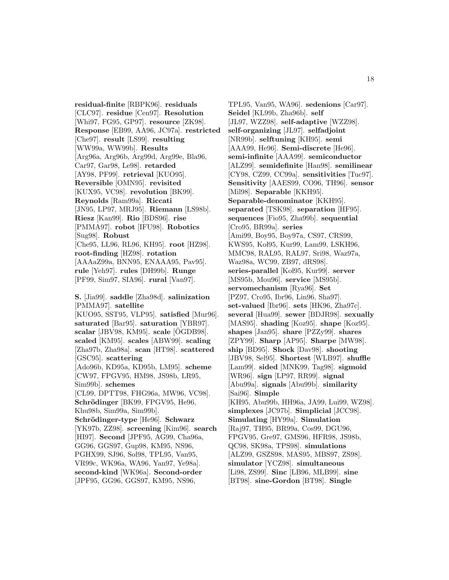**residual-finite** [RBPK96]. **residuals** [CLC97]. **residue** [Cen97]. **Resolution** [Whi97, FG95, GP97]. **resource** [ZK98]. **Response** [EB99, AA96, JC97a]. **restricted** [Che97]. **result** [LS99]. **resulting** [WW99a, WW99b]. **Results** [Arg96a, Arg96b, Arg99d, Arg99e, Bla96, Car97, Gar98, Le98]. **retarded** [AY98, PF99]. **retrieval** [KUO95]. **Reversible** [OMN95]. **revisited** [KUX95, VC98]. **revolution** [BK99]. **Reynolds** [Ram99a]. **Riccati** [JN95, LP97, MRJ95]. **Riemann** [LS98b]. **Riesz** [Kan99]. **Rio** [BDS96]. **rise** [PMMA97]. **robot** [IFU98]. **Robotics** [Sug98]. **Robust** [Che95, LL96, RL96, KH95]. **root** [HZ98]. **root-finding** [HZ98]. **rotation** [AAAaZ99a, BNN95, ENAAA95, Pav95]. **rule** [Yeh97]. **rules** [DH99b]. **Runge** [PF99, Sim97, SIA96]. **rural** [Van97].

**S.** [Jia99]. **saddle** [Zha98d]. **salinization** [PMMA97]. **satellite** [KUO95, SST95, VLP95]. **satisfied** [Mur96]. **saturated** [Bar95]. **saturation** [YBR97]. **scalar** [JBV98, KM95]. **scale** [OGDB98]. ¨ **scaled** [KM95]. **scales** [ABW99]. **scaling** [Zha97b, Zha98a]. **scan** [HT98]. **scattered** [GSC95]. **scattering** [Ado96b, KD95a, KD95b, LM95]. **scheme** [CW97, FPGV95, HM98, JS98b, LR95, Sim99b]. **schemes** [CL99, DPTT98, FHG96a, MW96, VC98]. **Schrödinger** [BK99, FPGV95, He96, Khu98b, Sim99a, Sim99b]. **Schrödinger-type** [He96]. **Schwarz** [YK97b, ZZ98]. **screening** [Kim96]. **search** [HI97]. **Second** [JPF95, AG99, Cha96a, GG96, GGS97, Gup98, KM95, NS96, PGHX99, SJ96, Sol98, TPL95, Van95, VR99c, WK96a, WA96, Yan97, Ye98a]. **second-kind** [WK96a]. **Second-order** [JPF95, GG96, GGS97, KM95, NS96,

TPL95, Van95, WA96]. **sedenions** [Car97]. **Seidel** [KL99b, Zha96b]. **self** [JL97, WZZ98]. **self-adaptive** [WZZ98]. **self-organizing** [JL97]. **selfadjoint** [NR99b]. **selftuning** [KH95]. **semi** [AAA99, He96]. **Semi-discrete** [He96]. **semi-infinite** [AAA99]. **semiconductor** [ALZ99]. **semidefinite** [Han98]. **semilinear** [CY98, CZ99, CC99a]. **sensitivities** [Tuc97]. **Sensitivity** [AAES99, CO96, TH96]. **sensor** [Mil98]. **Separable** [KKH95]. **Separable-denominator** [KKH95]. **separated** [TSK98]. **separation** [HF95]. **sequences** [Fio95, Zha99b]. **sequential** [Cro95, BR99a]. **series** [Ami99, Boy95, Boy97a, CS97, CRS99, KWS95, Koł95, Kur99, Lam99, LSKH96, MMC98, RAL95, RAL97, Sri98, Waz97a, Waz98a, WC99, ZB97, dRS98]. series-parallel [Kol95, Kur99]. **server** [MS95b, Mou96]. **service** [MS95b]. **servomechanism** [Rya96]. **Set** [PZ97, Cro95, Ibr96, Lin96, Sha97]. **set-valued** [Ibr96]. **sets** [HK96, Zha97c]. **several** [Hua99]. **sewer** [BDJR98]. **sexually** [MAS95]. **shading** [Koz95]. **shape** [Koz95]. **shapes** [Jan95]. **share** [PZZy99]. **shares** [ZPY99]. **Sharp** [AP95]. **Sharpe** [MW98]. **ship** [BD95]. **Shock** [Dav98]. **shooting** [JBV98, Sel95]. **Shortest** [WLB97]. **shuffle** [Lam99]. **sided** [MNK99, Tag98]. **sigmoid** [WR96]. **sign** [LP97, RR99]. **signal** [Abu99a]. **signals** [Abu99b]. **similarity** [Sai96]. **Simple** [KH95, Abu99b, HH96a, JA99, Lui99, WZ98]. **simplexes** [JC97b]. **Simplicial** [JCC98]. **Simulating** [HY99a]. **Simulation** [Raj97, TH95, BR99a, Cos99, DGU96, FPGV95, Gre97, GMS96, HFR98, JS98b, QC98, SK98a, TPS98]. **simulations** [ALZ99, GSZS98, MAS95, MBS97, ZS98]. **simulator** [YCZ98]. **simultaneous** [Li98, ZS99]. **Sinc** [LB96, MLB99]. **sine** [BT98]. **sine-Gordon** [BT98]. **Single**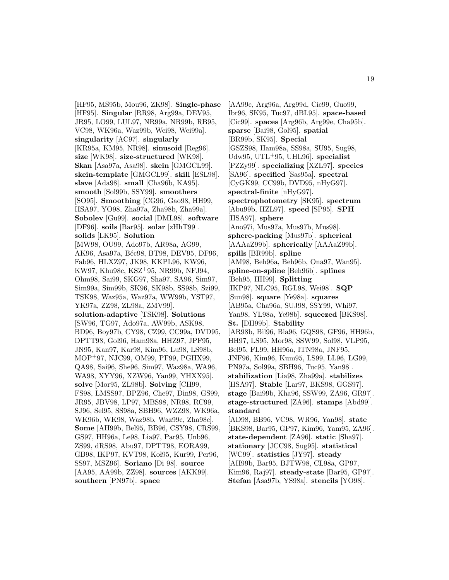[HF95, MS95b, Mou96, ZK98]. **Single-phase** [HF95]. **Singular** [RR98, Arg99a, DEV95, JR95, LO99, LUL97, NR99a, NR99b, RB95, VC98, WK96a, Waz99b, Wei98, Wei99a]. **singularity** [AC97]. **singularly** [KR95a, KM95, NR98]. **sinusoid** [Reg96]. **size** [WK98]. **size-structured** [WK98]. **Skan** [Asa97a, Asa98]. **skein** [GMGCL99]. **skein-template** [GMGCL99]. **skill** [ESL98]. **slave** [Ada98]. **small** [Cha96b, KA95]. **smooth** [Sol99b, SSY99]. **smoothers** [SO95]. **Smoothing** [CG96, Gao98, HH99, HSA97, YO98, Zha97a, Zha98b, Zha99a]. **Sobolev** [Gu99]. **social** [DML98]. **software** [DF96]. **soils** [Bar95]. **solar** [zHhT99]. **solids** [LK95]. **Solution** [MW98, OU99, Ado97b, AR98a, AG99, AK96, Asa97a, Béc98, BT98, DEV95, DF96, Fab96, HLXZ97, JK98, KKPL96, KW96, KW97, Khu98c, KSZ<sup>+</sup>95, NR99b, NFJ94, Ohm98, Sai99, SKG97, Sha97, SA96, Sim97, Sim99a, Sim99b, SK96, SK98b, SS98b, Szi99, TSK98, Waz95a, Waz97a, WW99b, YST97, YK97a, ZZ98, ZL98a, ZMV99]. **solution-adaptive** [TSK98]. **Solutions** [SW96, TG97, Ado97a, AW99b, ASK98, BD96, Boy97b, CY98, CZ99, CC99a, DVD95, DPTT98, Gol96, Ham98a, HHZ97, JPF95, JN95, Kan97, Kar98, Kim96, Lu98, LS98b, MOP<sup>+</sup>97, NJC99, OM99, PF99, PGHX99, QA98, Sai96, She96, Sim97, Waz98a, WA96, WA98, XYY96, XZW96, Yan99, YHXX95]. **solve** [Mor95, ZL98b]. **Solving** [CH99, FS98, LMSS97, BPZ96, Che97, Din98, GS99, JR95, JBV98, LP97, MBS98, NR98, RC99, SJ96, Sel95, SS98a, SBH96, WZZ98, WK96a, WK96b, WK98, Waz98b, Waz99c, Zha98c]. **Some** [AH99b, Bel95, BB96, CSY98, CRS99, GS97, HH96a, Le98, Lia97, Par95, Unb96, ZS99, dRS98, Abu97, DPTT98, EORA99, GB98, IKP97, KVT98, Koł95, Kur99, Per96, SS97, MSZ96]. **Soriano** [Di 98]. **source** [AA95, AA99b, ZZ98]. **sources** [AKK99]. **southern** [PN97b]. **space**

[AA99c, Arg96a, Arg99d, Cic99, Guo99, Ibr96, SK95, Tuc97, dBL95]. **space-based** [Cic99]. **spaces** [Arg96b, Arg99e, Cha95b]. **sparse** [Bai98, Gol95]. **spatial** [BR99b, SK95]. **Special** [GSZS98, Ham98a, SS98a, SU95, Sug98, Udw95, UTL<sup>+</sup>95, UHL96]. **specialist** [PZZy99]. **specializing** [XZL97]. **species** [SA96]. **specified** [Sas95a]. **spectral** [CyGK99, CC99b, DVD95, nHyG97]. **spectral-finite** [nHyG97]. **spectrophotometry** [SK95]. **spectrum** [Abu99b, HZL97]. **speed** [SP95]. **SPH** [HSA97]. **sphere** [Ano97i, Mus97a, Mus97b, Mus98]. **sphere-packing** [Mus97b]. **spherical** [AAAaZ99b]. **spherically** [AAAaZ99b]. **spills** [BR99b]. **spline** [AM98, Beh96a, Beh96b, Ona97, Wan95]. **spline-on-spline** [Beh96b]. **splines** [Beh95, HH99]. **Splitting** [IKP97, NLC95, RGL98, Wei98]. **SQP** [Sun98]. **square** [Ye98a]. **squares** [AB95a, Cha96a, SUJ98, SSY99, Whi97, Yan98, YL98a, Ye98b]. **squeezed** [BKS98]. **St.** [DH99b]. **Stability** [AR98b, Bil96, Bla96, GQS98, GF96, HH96b, HH97, LS95, Mor98, SSW99, Sol98, VLP95, Bel95, FL99, HH96a, ITN98a, JNF95, JNF96, Kim96, Kum95, LS99, LL96, LG99, PN97a, Sol99a, SBH96, Tuc95, Yan98]. **stabilization** [Lia98, Zha99a]. **stabilizes** [HSA97]. **Stable** [Lar97, BKS98, GGS97]. **stage** [Bai99b, Kha96, SSW99, ZA96, GR97]. **stage-structured** [ZA96]. **stamps** [Abd99]. **standard** [AD98, BB96, VC98, WR96, Yan98]. **state** [BKS98, Bar95, GP97, Kim96, Yam95, ZA96]. **state-dependent** [ZA96]. **static** [Sha97]. **stationary** [JCC98, Sug95]. **statistical** [WC99]. **statistics** [JY97]. **steady** [AH99b, Bar95, BJTW98, CL98a, GP97, Kim96, Raj97]. **steady-state** [Bar95, GP97].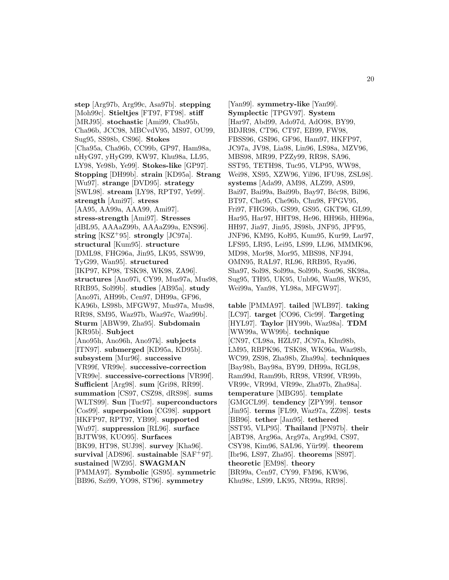**step** [Arg97b, Arg99c, Asa97b]. **stepping** [Moh99c]. **Stieltjes** [FT97, FT98]. **stiff** [MRJ95]. **stochastic** [Ami99, Cha95b, Cha96b, JCC98, MBCvdV95, MS97, OU99, Sug95, SS98b, CS96]. **Stokes** [Cha95a, Cha96b, CC99b, GP97, Ham98a, nHyG97, yHyG99, KW97, Khu98a, LL95, LY98, Ye98b, Ye99]. **Stokes-like** [GP97]. **Stopping** [DH99b]. **strain** [KD95a]. **Strang** [Wu97]. **strange** [DVD95]. **strategy** [SWL98]. **stream** [LY98, RPT97, Ye99]. **strength** [Ami97]. **stress** [AA95, AA99a, AAA99, Ami97]. **stress-strength** [Ami97]. **Stresses** [dBL95, AAAaZ99b, AAAaZ99a, ENS96]. **string** [KSZ<sup>+</sup>95]. **strongly** [JC97a]. **structural** [Kum95]. **structure** [DML98, FHG96a, Jin95, LK95, SSW99, TyG99, Wan95]. **structured** [IKP97, KP98, TSK98, WK98, ZA96]. **structures** [Ano97i, CY99, Mus97a, Mus98, RRB95, Sol99b]. **studies** [AB95a]. **study** [Ano97i, AH99b, Cen97, DH99a, GF96, KA96b, LS98b, MFGW97, Mus97a, Mus98, RR98, SM95, Waz97b, Waz97c, Waz99b]. **Sturm** [ABW99, Zha95]. **Subdomain** [KR95b]. **Subject** [Ano95h, Ano96h, Ano97k]. **subjects** [ITN97]. **submerged** [KD95a, KD95b]. **subsystem** [Mur96]. **successive** [VR99f, VR99e]. **successive-correction** [VR99e]. **successive-corrections** [VR99f]. **Sufficient** [Arg98]. **sum** [Gri98, RR99]. **summation** [CS97, CSZ98, dRS98]. **sums** [WLTS99]. **Sun** [Tuc97]. **superconductors** [Cos99]. **superposition** [CG98]. **support** [HKFP97, RPT97, YB99]. **supported** [Wu97]. **suppression** [RL96]. **surface** [BJTW98, KUO95]. **Surfaces** [BK99, HT98, SUJ98]. **survey** [Kha96]. **survival** [ADS96]. **sustainable** [SAF<sup>+</sup>97]. **sustained** [WZ95]. **SWAGMAN** [PMMA97]. **Symbolic** [GS95]. **symmetric** [BB96, Szi99, YO98, ST96]. **symmetry**

[Yan99]. **symmetry-like** [Yan99]. **Symplectic** [TPGV97]. **System** [Har97, Abd99, Ado97d, AdO98, BY99, BDJR98, CT96, CT97, EB99, FW98, FBSS96, GSI96, GF96, Ham97, HKFP97, JC97a, JV98, Lia98, Lin96, LS98a, MZV96, MBS98, MR99, PZZy99, RR98, SA96, SST95, TETH98, Tuc95, VLP95, WW98, Wei98, XS95, XZW96, Yil96, IFU98, ZSL98]. **systems** [Ada99, AM98, ALZ99, AS99, Bai97, Bai99a, Bai99b, Bay97, Béc98, Bil96, BT97, Che95, Che96b, Chu98, FPGV95, Fri97, FHG96b, GS99, GS95, GKT96, GL99, Har95, Har97, HHT98, He96, HH96b, HH96a, HH97, Jia97, Jin95, JS98b, JNF95, JPF95, JNF96, KM95, Kol95, Kum95, Kur99, Lar97, LFS95, LR95, Lei95, LS99, LL96, MMMK96, MD98, Mor98, Mor95, MBS98, NFJ94, OMN95, RAL97, RL96, RRB95, Rya96, Sha97, Sol98, Sol99a, Sol99b, Son96, SK98a, Sug95, TH95, UK95, Unb96, Wan98, WK95, Wei99a, Yan98, YL98a, MFGW97].

**table** [PMMA97]. **tailed** [WLB97]. **taking** [LC97]. **target** [CO96, Cic99]. **Targeting** [HYL97]. **Taylor** [HY99b, Waz98a]. **TDM** [WW99a, WW99b]. **technique** [CN97, CL98a, HZL97, JC97a, Khu98b, LM95, RBPK96, TSK98, WK96a, Waz98b, WC99, ZS98, Zha98b, Zha99a]. **techniques** [Bay98b, Bay98a, BY99, DH99a, RGL98, Ram99d, Ram99b, RR98, VR99f, VR99b, VR99c, VR99d, VR99e, Zha97b, Zha98a]. **temperature** [MBG95]. **template** [GMGCL99]. **tendency** [ZPY99]. **tensor** [Jin95]. **terms** [FL99, Waz97a, ZZ98]. **tests** [BB96]. **tether** [Jan95]. **tethered** [SST95, VLP95]. **Thailand** [PN97b]. **their** [ABT98, Arg96a, Arg97a, Arg99d, CS97, CSY98, Kim96, SAL96, Y¨ur99]. **theorem** [Ibr96, LS97, Zha95]. **theorems** [SS97]. **theoretic** [EM98]. **theory** [BR99a, Cen97, CY99, FM96, KW96, Khu98c, LS99, LK95, NR99a, RR98].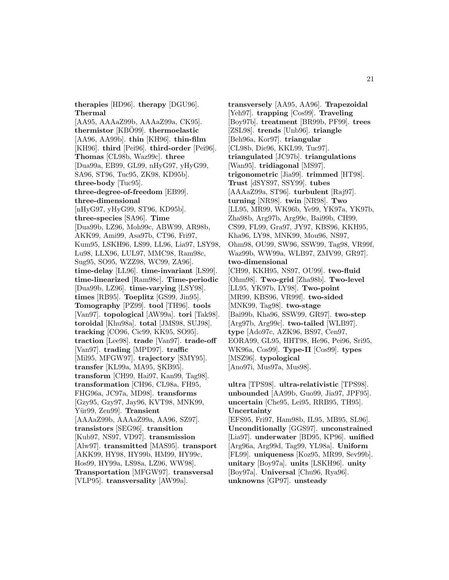**therapies** [HD96]. **therapy** [DGU96]. **Thermal**

[AA95, AAAaZ99b, AAAaZ99a, CK95]. **thermistor** [KBO99]. **thermoelastic** [AA96, AA99b]. **thin** [KH96]. **thin-film** [KH96]. **third** [Pei96]. **third-order** [Pei96]. **Thomas** [CL98b, Waz99c]. **three** [Dua99a, EB99, GL99, nHyG97, yHyG99, SA96, ST96, Tuc95, ZK98, KD95b]. **three-body** [Tuc95]. **three-degree-of-freedom** [EB99]. **three-dimensional** [nHyG97, yHyG99, ST96, KD95b]. **three-species** [SA96]. **Time** [Dua99b, LZ96, Moh99c, ABW99, AR98b, AKK99, Ami99, Asa97b, CT96, Fri97, Kum95, LSKH96, LS99, LL96, Lia97, LSY98, Lu98, LLX96, LUL97, MMC98, Ram98c, Sug95, SO95, WZZ98, WC99, ZA96]. **time-delay** [LL96]. **time-invariant** [LS99]. **time-linearized** [Ram98c]. **Time-periodic** [Dua99b, LZ96]. **time-varying** [LSY98]. **times** [RB95]. **Toeplitz** [GS99, Jin95]. **Tomography** [PZ99]. **tool** [TH96]. **tools** [Van97]. **topological** [AW99a]. **tori** [Tak98]. **toroidal** [Khu98a]. **total** [JMS98, SUJ98]. **tracking** [CO96, Cic99, KK95, SO95]. **traction** [Lee98]. **trade** [Van97]. **trade-off** [Van97]. **trading** [MPD97]. **traffic** [Mil95, MFGW97]. **trajectory** [SMY95]. **transfer** [KL99a, MA95, SKB95]. **transform** [CH99, Hai97, Kan99, Tag98]. **transformation** [CH96, CL98a, FH95, FHG96a, JC97a, MD98]. **transforms** [Gzy95, Gzy97, Jay96, KVT98, MNK99, Y¨ur99, Zen99]. **Transient** [AAAaZ99b, AAAaZ99a, AA96, SZ97]. **transistors** [SEG96]. **transition** [Kub97, NS97, VD97]. **transmission** [Alw97]. **transmitted** [MAS95]. **transport** [AKK99, HY98, HY99b, HM99, HY99c, Hos99, HY99a, LS98a, LZ96, WW98]. **Transportation** [MFGW97]. **transversal**

[VLP95]. **transversality** [AW99a].

**transversely** [AA95, AA96]. **Trapezoidal** [Yeh97]. **trapping** [Cos99]. **Traveling** [Boy97b]. **treatment** [BR99b, PF99]. **trees** [ZSL98]. **trends** [Unb96]. **triangle** [Beh96a, Kor97]. **triangular** [CL98b, Die96, KKL99, Tuc97]. **triangulated** [JC97b]. **triangulations** [Wan95]. **tridiagonal** [MS97]. **trigonometric** [Jia99]. **trimmed** [HT98]. **Trust** [dSYS97, SSY99]. **tubes** [AAAaZ99a, ST96]. **turbulent** [Raj97]. **turning** [NR98]. **twin** [NR98]. **Two** [LL95, MR99, WK96b, Ye99, YK97a, YK97b, Zha98b, Arg97b, Arg99c, Bai99b, CH99, CS99, FL99, Gra97, JY97, KBS96, KKH95, Kha96, LY98, MNK99, Mou96, NS97, Ohm98, OU99, SW96, SSW99, Tag98, VR99f, Waz99b, WW99a, WLB97, ZMV99, GR97]. **two-dimensional** [CH99, KKH95, NS97, OU99]. **two-fluid** [Ohm98]. **Two-grid** [Zha98b]. **Two-level** [LL95, YK97b, LY98]. **Two-point** [MR99, KBS96, VR99f]. **two-sided** [MNK99, Tag98]. **two-stage** [Bai99b, Kha96, SSW99, GR97]. **two-step** [Arg97b, Arg99c]. **two-tailed** [WLB97]. **type** [Ado97c, AZK96, BS97, Cen97, EORA99, GL95, HHT98, He96, Pei96, Sri95, WK96a, Cos99]. **Type-II** [Cos99]. **types** [MSZ96]. **typological** [Ano97i, Mus97a, Mus98].

**ultra** [TPS98]. **ultra-relativistic** [TPS98]. **unbounded** [AA99b, Guo99, Jia97, JPF95]. **uncertain** [Che95, Lei95, RRB95, TH95]. **Uncertainty**

[EFS95, Fri97, Ham98b, IL95, MB95, SL96]. **Unconditionally** [GGS97]. **unconstrained** [Lia97]. **underwater** [BD95, KP96]. **unified** [Arg96a, Arg99d, Tag99, YL98a]. **Uniform** [FL99]. **uniqueness** [Koz95, MR99, Sev99b]. **unitary** [Boy97a]. **units** [LSKH96]. **unity** [Boy97a]. **Universal** [Chu96, Rya96]. **unknowns** [GP97]. **unsteady**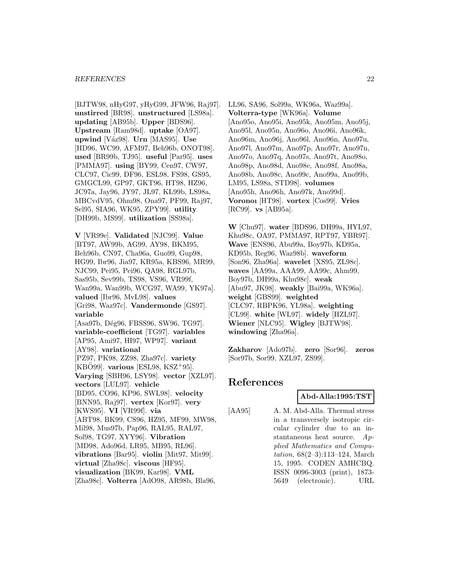[BJTW98, nHyG97, yHyG99, JFW96, Raj97]. **unstirred** [BR98]. **unstructured** [LS98a]. **updating** [AB95b]. **Upper** [BDS96]. **Upstream** [Ram98d]. **uptake** [OA97]. **upwind** [V´az98]. **Urn** [MAS95]. **Use** [HD96, WC99, AFM97, Beh96b, ONOT98]. **used** [BR99b, TJ95]. **useful** [Par95]. **uses** [PMMA97]. **using** [BY99, Cen97, CW97, CLC97, Cic99, DF96, ESL98, FS98, GS95, GMGCL99, GP97, GKT96, HT98, HZ96, JC97a, Jay96, JY97, JL97, KL99b, LS98a, MBCvdV95, Ohm98, Ona97, PF99, Raj97, Sel95, SIA96, WK95, ZPY99]. **utility** [DH99b, MS99]. **utilization** [SS98a].

**V** [VR99e]. **Validated** [NJC99]. **Value** [BT97, AW99b, AG99, AY98, BKM95, Beh96b, CN97, Cha96a, Guo99, Gup98, HG99, Ibr96, Jia97, KR95a, KBS96, MR99, NJC99, Pei95, Pei96, QA98, RGL97b, Sas95b, Sev99b, TS98, VS96, VR99f, Wan99a, Wan99b, WCG97, WA99, YK97a]. **valued** [Ibr96, MvL98]. **values** [Gri98, Waz97c]. **Vandermonde** [GS97]. **variable** [Asa97b, Dég96, FBSS96, SW96, TG97]. **variable-coefficient** [TG97]. **variables** [AP95, Ami97, HI97, WP97]. **variant** [AY98]. **variational** [PZ97, PK98, ZZ98, Zha97c]. **variety** [KBO99]. **various** [ESL98, KSZ<sup>+</sup>95]. **Varying** [SBH96, LSY98]. **vector** [XZL97]. **vectors** [LUL97]. **vehicle** [BD95, CO96, KP96, SWL98]. **velocity** [BNN95, Raj97]. **vertex** [Kor97]. **very** [KWS95]. **VI** [VR99f]. **via** [ABT98, BK99, CS96, HZ95, MF99, MW98, Mil98, Mus97b, Pap96, RAL95, RAL97, Sol98, TG97, XYY96]. **Vibration** [MD98, Ado96d, LR95, MB95, RL96]. **vibrations** [Bar95]. **violin** [Mit97, Mit99]. **virtual** [Zha98c]. **viscous** [HF95]. **visualization** [BK99, Kar98]. **VML** [Zha98c]. **Volterra** [AdO98, AR98b, Bla96,

LL96, SA96, Sol99a, WK96a, Waz99a]. **Volterra-type** [WK96a]. **Volume** [Ano95o, Ano95i, Ano95k, Ano95m, Ano95j, Ano95l, Ano95n, Ano96o, Ano96i, Ano96k, Ano96m, Ano96j, Ano96l, Ano96n, Ano97u, Ano97l, Ano97m, Ano97p, Ano97r, Ano97n, Ano97o, Ano97q, Ano97s, Ano97t, Ano98o, Ano98p, Ano98d, Ano98e, Ano98f, Ano98a, Ano98b, Ano98c, Ano99c, Ano99a, Ano99b, LM95, LS98a, STD98]. **volumes** [Ano95h, Ano96h, Ano97k, Ano99d]. **Voronoı** [HT98]. **vortex** [Cos99]. **Vries** [RC99]. **vs** [AB95a].

**W** [Chu97]. **water** [BDS96, DH99a, HYL97, Khu98c, OA97, PMMA97, RPT97, YBR97]. **Wave** [ENS96, Abu99a, Boy97b, KD95a, KD95b, Reg96, Waz98b]. **waveform** [Son96, Zha96a]. **wavelet** [XS95, ZL98c]. **waves** [AA99a, AAA99, AA99c, Ahm99, Boy97b, DH99a, Khu98c]. **weak** [Abu97, JK98]. **weakly** [Bai99a, WK96a]. **weight** [GBS99]. **weighted** [CLC97, RBPK96, YL98a]. **weighting** [CL99]. **white** [WL97]. **widely** [HZL97]. **Wiener** [NLC95]. **Wigley** [BJTW98]. **windowing** [Zha96a].

**Zakharov** [Ado97b]. **zero** [Sor96]. **zeros** [Sor97b, Sor99, XZL97, ZS99].

# **References**

#### **Abd-Alla:1995:TST**

[AA95] A. M. Abd-Alla. Thermal stress in a transversely isotropic circular cylinder due to an instantaneous heat source. Applied Mathematics and Computation, 68(2–3):113–124, March 15, 1995. CODEN AMHCBQ. ISSN 0096-3003 (print), 1873- 5649 (electronic). URL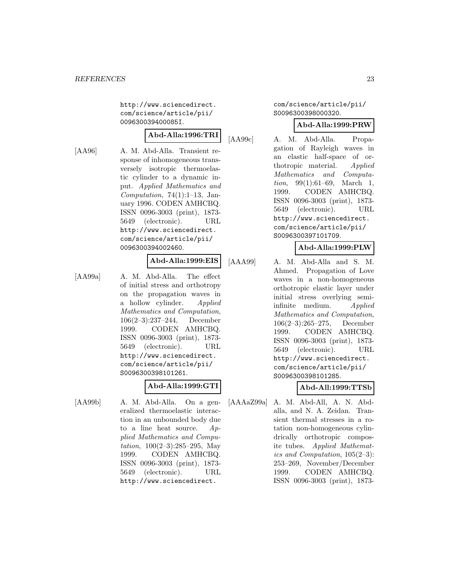http://www.sciencedirect. com/science/article/pii/ 009630039400085I.

# **Abd-Alla:1996:TRI**

[AA96] A. M. Abd-Alla. Transient response of inhomogeneous transversely isotropic thermoelastic cylinder to a dynamic input. Applied Mathematics and Computation, 74(1):1–13, January 1996. CODEN AMHCBQ. ISSN 0096-3003 (print), 1873- 5649 (electronic). URL http://www.sciencedirect. com/science/article/pii/ 0096300394002460.

# **Abd-Alla:1999:EIS**

[AA99a] A. M. Abd-Alla. The effect of initial stress and orthotropy on the propagation waves in a hollow cylinder. Applied Mathematics and Computation, 106(2–3):237–244, December 1999. CODEN AMHCBQ. ISSN 0096-3003 (print), 1873- 5649 (electronic). URL http://www.sciencedirect. com/science/article/pii/ S0096300398101261.

# **Abd-Alla:1999:GTI**

[AA99b] A. M. Abd-Alla. On a generalized thermoelastic interaction in an unbounded body due to a line heat source.  $Ap$ plied Mathematics and Computation, 100(2–3):285–295, May 1999. CODEN AMHCBQ. ISSN 0096-3003 (print), 1873- 5649 (electronic). URL http://www.sciencedirect.

com/science/article/pii/ S0096300398000320.

# **Abd-Alla:1999:PRW**

[AA99c] A. M. Abd-Alla. Propagation of Rayleigh waves in an elastic half-space of orthotropic material. Applied Mathematics and Computation, 99(1):61–69, March 1, 1999. CODEN AMHCBQ. ISSN 0096-3003 (print), 1873- 5649 (electronic). URL http://www.sciencedirect. com/science/article/pii/ S0096300397101709.

#### **Abd-Alla:1999:PLW**

[AAA99] A. M. Abd-Alla and S. M. Ahmed. Propagation of Love waves in a non-homogeneous orthotropic elastic layer under initial stress overlying semiinfinite medium. Applied Mathematics and Computation, 106(2–3):265–275, December 1999. CODEN AMHCBQ. ISSN 0096-3003 (print), 1873- 5649 (electronic). URL http://www.sciencedirect. com/science/article/pii/ S0096300398101285.

# **Abd-All:1999:TTSb**

[AAAaZ99a] A. M. Abd-All, A. N. Abdalla, and N. A. Zeidan. Transient thermal stresses in a rotation non-homogeneous cylindrically orthotropic composite tubes. Applied Mathematics and Computation, 105(2–3): 253–269, November/December 1999. CODEN AMHCBQ. ISSN 0096-3003 (print), 1873-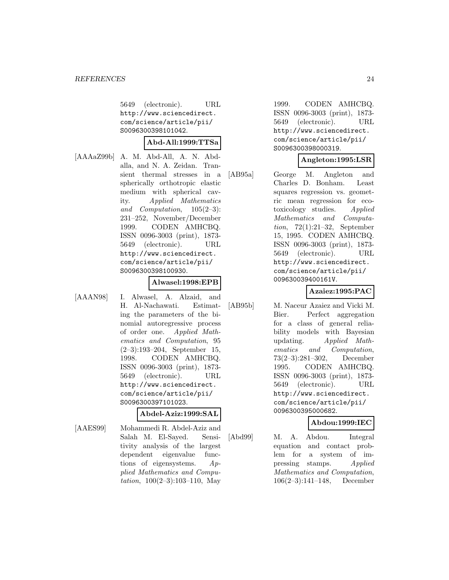5649 (electronic). URL http://www.sciencedirect. com/science/article/pii/ S0096300398101042.

#### **Abd-All:1999:TTSa**

[AAAaZ99b] A. M. Abd-All, A. N. Abdalla, and N. A. Zeidan. Transient thermal stresses in a spherically orthotropic elastic medium with spherical cavity. Applied Mathematics and Computation, 105(2–3): 231–252, November/December 1999. CODEN AMHCBQ. ISSN 0096-3003 (print), 1873- 5649 (electronic). URL http://www.sciencedirect. com/science/article/pii/ S0096300398100930.

#### **Alwasel:1998:EPB**

[AAAN98] I. Alwasel, A. Alzaid, and H. Al-Nachawati. Estimating the parameters of the binomial autoregressive process of order one. Applied Mathematics and Computation, 95 (2–3):193–204, September 15, 1998. CODEN AMHCBQ. ISSN 0096-3003 (print), 1873- 5649 (electronic). URL http://www.sciencedirect. com/science/article/pii/ S0096300397101023.

#### **Abdel-Aziz:1999:SAL**

[AAES99] Mohammedi R. Abdel-Aziz and Salah M. El-Sayed. Sensitivity analysis of the largest dependent eigenvalue functions of eigensystems. Applied Mathematics and Computation,  $100(2-3):103-110$ , May

1999. CODEN AMHCBQ. ISSN 0096-3003 (print), 1873- 5649 (electronic). URL http://www.sciencedirect. com/science/article/pii/ S0096300398000319.

#### **Angleton:1995:LSR**

[AB95a] George M. Angleton and Charles D. Bonham. Least squares regression vs. geometric mean regression for ecotoxicology studies. Applied Mathematics and Computation, 72(1):21–32, September 15, 1995. CODEN AMHCBQ. ISSN 0096-3003 (print), 1873- 5649 (electronic). URL http://www.sciencedirect. com/science/article/pii/ 009630039400161V.

# **Azaiez:1995:PAC**

[AB95b] M. Naceur Azaiez and Vicki M. Bier. Perfect aggregation for a class of general reliability models with Bayesian updating. Applied Mathematics and Computation, 73(2–3):281–302, December 1995. CODEN AMHCBQ. ISSN 0096-3003 (print), 1873- 5649 (electronic). URL http://www.sciencedirect. com/science/article/pii/ 0096300395000682.

# **Abdou:1999:IEC**

[Abd99] M. A. Abdou. Integral equation and contact problem for a system of impressing stamps. Applied Mathematics and Computation, 106(2–3):141–148, December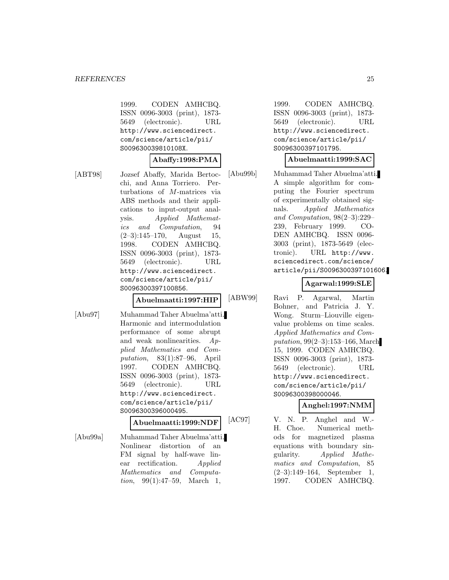1999. CODEN AMHCBQ. ISSN 0096-3003 (print), 1873- 5649 (electronic). URL http://www.sciencedirect. com/science/article/pii/ S009630039810108X.

#### **Abaffy:1998:PMA**

[ABT98] Jozsef Abaffy, Marida Bertocchi, and Anna Torriero. Perturbations of M-matrices via ABS methods and their applications to input-output analysis. Applied Mathemat-

ics and Computation, 94  $(2-3):145-170$ , August 15, 1998. CODEN AMHCBQ. ISSN 0096-3003 (print), 1873- 5649 (electronic). URL http://www.sciencedirect. com/science/article/pii/

**Abuelmaatti:1997:HIP**

[Abu97] Muhammad Taher Abuelma'atti. Harmonic and intermodulation performance of some abrupt and weak nonlinearities. Applied Mathematics and Computation, 83(1):87–96, April 1997. CODEN AMHCBQ. ISSN 0096-3003 (print), 1873- 5649 (electronic). URL http://www.sciencedirect. com/science/article/pii/ S0096300396000495.

S0096300397100856.

# **Abuelmaatti:1999:NDF**

[Abu99a] Muhammad Taher Abuelma'atti. Nonlinear distortion of an FM signal by half-wave linear rectification. Applied Mathematics and Computation, 99(1):47–59, March 1,

1999. CODEN AMHCBQ. ISSN 0096-3003 (print), 1873- 5649 (electronic). URL http://www.sciencedirect. com/science/article/pii/ S0096300397101795.

#### **Abuelmaatti:1999:SAC**

[Abu99b] Muhammad Taher Abuelma'atti. A simple algorithm for computing the Fourier spectrum of experimentally obtained signals. Applied Mathematics and Computation, 98(2–3):229– 239, February 1999. CO-DEN AMHCBQ. ISSN 0096- 3003 (print), 1873-5649 (electronic). URL http://www. sciencedirect.com/science/ article/pii/S0096300397101606.

# **Agarwal:1999:SLE**

[ABW99] Ravi P. Agarwal, Martin Bohner, and Patricia J. Y. Wong. Sturm–Liouville eigenvalue problems on time scales. Applied Mathematics and Computation, 99(2–3):153–166, March 15, 1999. CODEN AMHCBQ. ISSN 0096-3003 (print), 1873- 5649 (electronic). URL http://www.sciencedirect. com/science/article/pii/ S0096300398000046.

# **Anghel:1997:NMM**

[AC97] V. N. P. Anghel and W.- H. Choe. Numerical methods for magnetized plasma equations with boundary singularity. Applied Mathematics and Computation, 85 (2–3):149–164, September 1, 1997. CODEN AMHCBQ.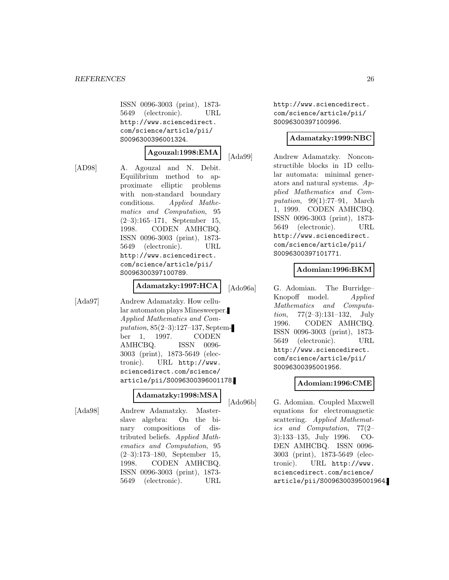ISSN 0096-3003 (print), 1873- 5649 (electronic). URL http://www.sciencedirect. com/science/article/pii/ S0096300396001324.

#### **Agouzal:1998:EMA**

[AD98] A. Agouzal and N. Debit. Equilibrium method to approximate elliptic problems with non-standard boundary conditions. Applied Mathematics and Computation, 95 (2–3):165–171, September 15, 1998. CODEN AMHCBQ. ISSN 0096-3003 (print), 1873- 5649 (electronic). URL http://www.sciencedirect. com/science/article/pii/ S0096300397100789.

# **Adamatzky:1997:HCA**

[Ada97] Andrew Adamatzky. How cellular automaton plays Minesweeper. Applied Mathematics and Computation, 85(2–3):127–137, September 1, 1997. CODEN AMHCBQ. ISSN 0096-3003 (print), 1873-5649 (electronic). URL http://www. sciencedirect.com/science/ article/pii/S0096300396001178.

# **Adamatzky:1998:MSA**

[Ada98] Andrew Adamatzky. Masterslave algebra: On the binary compositions of distributed beliefs. Applied Mathematics and Computation, 95 (2–3):173–180, September 15, 1998. CODEN AMHCBQ. ISSN 0096-3003 (print), 1873- 5649 (electronic). URL http://www.sciencedirect. com/science/article/pii/ S0096300397100996.

#### **Adamatzky:1999:NBC**

[Ada99] Andrew Adamatzky. Nonconstructible blocks in 1D cellular automata: minimal generators and natural systems. Applied Mathematics and Computation, 99(1):77–91, March 1, 1999. CODEN AMHCBQ. ISSN 0096-3003 (print), 1873- 5649 (electronic). URL http://www.sciencedirect. com/science/article/pii/ S0096300397101771.

# **Adomian:1996:BKM**

[Ado96a] G. Adomian. The Burridge– Knopoff model. Applied Mathematics and Computa*tion*,  $77(2-3):131-132$ , July 1996. CODEN AMHCBQ. ISSN 0096-3003 (print), 1873- 5649 (electronic). URL http://www.sciencedirect. com/science/article/pii/ S0096300395001956.

#### **Adomian:1996:CME**

[Ado96b] G. Adomian. Coupled Maxwell equations for electromagnetic scattering. Applied Mathematics and Computation, 77(2– 3):133–135, July 1996. CO-DEN AMHCBQ. ISSN 0096- 3003 (print), 1873-5649 (electronic). URL http://www. sciencedirect.com/science/ article/pii/S0096300395001964.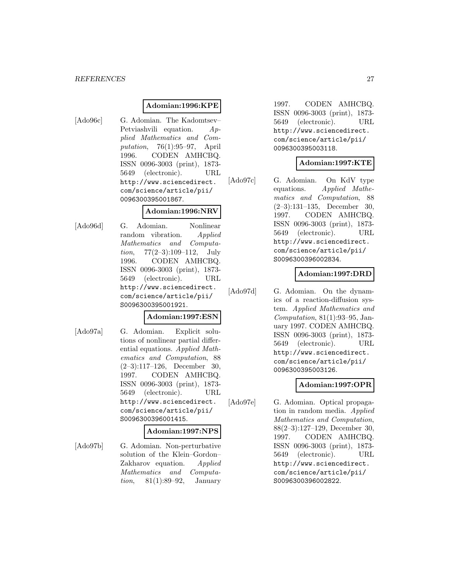# **Adomian:1996:KPE**

[Ado96c] G. Adomian. The Kadomtsev–

| Petviashvili equation. $Ap-$    |     |
|---------------------------------|-----|
| plied Mathematics and Com-      |     |
| putation, $76(1):95-97$ , April |     |
| 1996. CODEN AMHCBQ.             |     |
| ISSN 0096-3003 (print), 1873-   |     |
| 5649 (electronic).              | URL |
| http://www.sciencedirect.       |     |
| com/science/article/pii/        |     |
| 0096300395001867.               |     |
|                                 |     |

#### **Adomian:1996:NRV**

[Ado96d] G. Adomian. Nonlinear random vibration. Applied Mathematics and Computa*tion*,  $77(2-3):109-112$ , July 1996. CODEN AMHCBQ. ISSN 0096-3003 (print), 1873- 5649 (electronic). URL http://www.sciencedirect. com/science/article/pii/ S0096300395001921.

# **Adomian:1997:ESN**

[Ado97a] G. Adomian. Explicit solutions of nonlinear partial differential equations. Applied Mathematics and Computation, 88 (2–3):117–126, December 30, 1997. CODEN AMHCBQ. ISSN 0096-3003 (print), 1873- 5649 (electronic). URL http://www.sciencedirect. com/science/article/pii/ S0096300396001415.

#### **Adomian:1997:NPS**

[Ado97b] G. Adomian. Non-perturbative solution of the Klein–Gordon– Zakharov equation. Applied Mathematics and Computation, 81(1):89–92, January

1997. CODEN AMHCBQ. ISSN 0096-3003 (print), 1873- 5649 (electronic). URL http://www.sciencedirect. com/science/article/pii/ 0096300395003118.

#### **Adomian:1997:KTE**

[Ado97c] G. Adomian. On KdV type equations. Applied Mathematics and Computation, 88 (2–3):131–135, December 30, 1997. CODEN AMHCBQ. ISSN 0096-3003 (print), 1873- 5649 (electronic). URL http://www.sciencedirect. com/science/article/pii/ S0096300396002834.

# **Adomian:1997:DRD**

[Ado97d] G. Adomian. On the dynamics of a reaction-diffusion system. Applied Mathematics and Computation, 81(1):93–95, January 1997. CODEN AMHCBQ. ISSN 0096-3003 (print), 1873- 5649 (electronic). URL http://www.sciencedirect. com/science/article/pii/ 0096300395003126.

# **Adomian:1997:OPR**

[Ado97e] G. Adomian. Optical propagation in random media. Applied Mathematics and Computation, 88(2–3):127–129, December 30, 1997. CODEN AMHCBQ. ISSN 0096-3003 (print), 1873- 5649 (electronic). URL http://www.sciencedirect. com/science/article/pii/ S0096300396002822.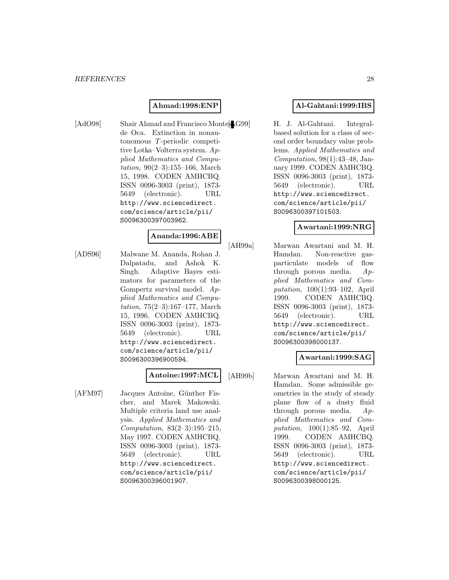#### **Ahmad:1998:ENP**

[AdO98] Shair Ahmad and Francisco Montes G99] de Oca. Extinction in nonautonomous T -periodic competitive Lotka–Volterra system. Applied Mathematics and Computation, 90(2–3):155–166, March 15, 1998. CODEN AMHCBQ. ISSN 0096-3003 (print), 1873- 5649 (electronic). URL http://www.sciencedirect. com/science/article/pii/ S0096300397003962.

#### **Ananda:1996:ABE**

[ADS96] Malwane M. Ananda, Rohan J. Dalpatadu, and Ashok K. Singh. Adaptive Bayes estimators for parameters of the Gompertz survival model. Applied Mathematics and Computation, 75(2–3):167–177, March 15, 1996. CODEN AMHCBQ. ISSN 0096-3003 (print), 1873- 5649 (electronic). URL http://www.sciencedirect. com/science/article/pii/ S0096300396900594.

# **Antoine:1997:MCL**

[AFM97] Jacques Antoine, Günther Fischer, and Marek Makowski. Multiple criteria land use analysis. Applied Mathematics and Computation, 83(2–3):195–215, May 1997. CODEN AMHCBQ. ISSN 0096-3003 (print), 1873- 5649 (electronic). URL http://www.sciencedirect. com/science/article/pii/ S0096300396001907.

# **Al-Gahtani:1999:IBS**

H. J. Al-Gahtani. Integralbased solution for a class of second order boundary value problems. Applied Mathematics and Computation, 98(1):43–48, January 1999. CODEN AMHCBQ. ISSN 0096-3003 (print), 1873- 5649 (electronic). URL http://www.sciencedirect. com/science/article/pii/ S0096300397101503.

#### **Awartani:1999:NRG**

[AH99a] Marwan Awartani and M. H. Hamdan. Non-reactive gasparticulate models of flow through porous media.  $Ap$ plied Mathematics and Computation, 100(1):93–102, April 1999. CODEN AMHCBQ. ISSN 0096-3003 (print), 1873- 5649 (electronic). URL http://www.sciencedirect. com/science/article/pii/ S0096300398000137.

#### **Awartani:1999:SAG**

[AH99b] Marwan Awartani and M. H. Hamdan. Some admissible geometries in the study of steady plane flow of a dusty fluid through porous media. Applied Mathematics and Computation, 100(1):85–92, April 1999. CODEN AMHCBQ. ISSN 0096-3003 (print), 1873- 5649 (electronic). URL http://www.sciencedirect. com/science/article/pii/ S0096300398000125.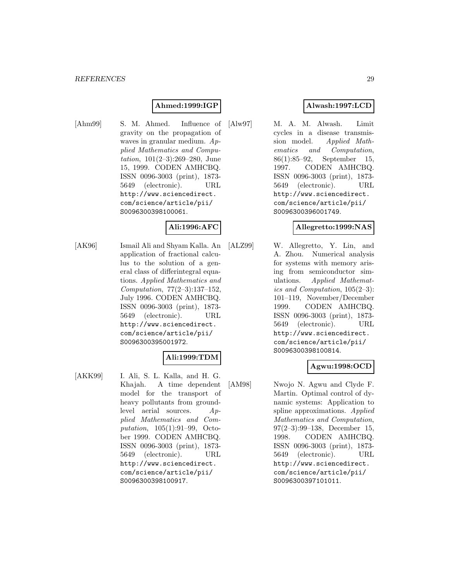# **Ahmed:1999:IGP**

[Ahm99] S. M. Ahmed. Influence of gravity on the propagation of waves in granular medium. Applied Mathematics and Computation, 101(2–3):269–280, June 15, 1999. CODEN AMHCBQ. ISSN 0096-3003 (print), 1873- 5649 (electronic). URL http://www.sciencedirect. com/science/article/pii/ S0096300398100061.

# **Ali:1996:AFC**

[AK96] Ismail Ali and Shyam Kalla. An application of fractional calculus to the solution of a general class of differintegral equations. Applied Mathematics and Computation, 77(2–3):137–152, July 1996. CODEN AMHCBQ. ISSN 0096-3003 (print), 1873- 5649 (electronic). URL http://www.sciencedirect. com/science/article/pii/ S0096300395001972.

# **Ali:1999:TDM**

[AKK99] I. Ali, S. L. Kalla, and H. G. Khajah. A time dependent model for the transport of heavy pollutants from groundlevel aerial sources. Applied Mathematics and Computation, 105(1):91–99, October 1999. CODEN AMHCBQ. ISSN 0096-3003 (print), 1873- 5649 (electronic). URL http://www.sciencedirect. com/science/article/pii/ S0096300398100917.

# **Alwash:1997:LCD**

[Alw97] M. A. M. Alwash. Limit cycles in a disease transmission model. Applied Mathematics and Computation, 86(1):85–92, September 15, 1997. CODEN AMHCBQ. ISSN 0096-3003 (print), 1873- 5649 (electronic). URL http://www.sciencedirect. com/science/article/pii/ S0096300396001749.

# **Allegretto:1999:NAS**

[ALZ99] W. Allegretto, Y. Lin, and A. Zhou. Numerical analysis for systems with memory arising from semiconductor simulations. Applied Mathematics and Computation, 105(2–3): 101–119, November/December 1999. CODEN AMHCBQ. ISSN 0096-3003 (print), 1873- 5649 (electronic). URL http://www.sciencedirect. com/science/article/pii/ S0096300398100814.

# **Agwu:1998:OCD**

[AM98] Nwojo N. Agwu and Clyde F. Martin. Optimal control of dynamic systems: Application to spline approximations. Applied Mathematics and Computation, 97(2–3):99–138, December 15, 1998. CODEN AMHCBQ. ISSN 0096-3003 (print), 1873- 5649 (electronic). URL http://www.sciencedirect. com/science/article/pii/ S0096300397101011.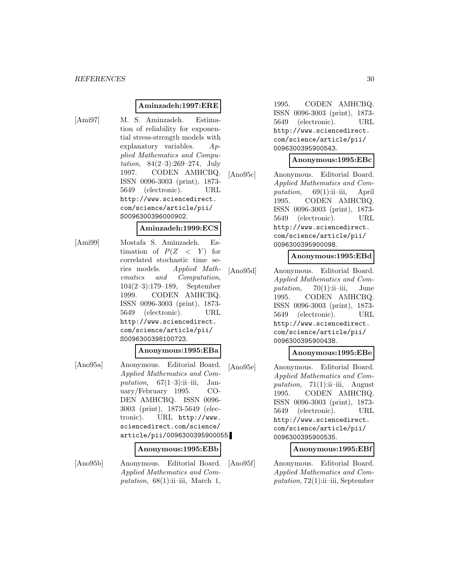#### **Aminzadeh:1997:ERE**

[Ami97] M. S. Aminzadeh. Estimation of reliability for exponential stress-strength models with explanatory variables. Applied Mathematics and Computation, 84(2–3):269–274, July 1997. CODEN AMHCBQ. ISSN 0096-3003 (print), 1873- 5649 (electronic). URL http://www.sciencedirect. com/science/article/pii/ S0096300396000902.

#### **Aminzadeh:1999:ECS**

[Ami99] Mostafa S. Aminzadeh. Estimation of  $P(Z < Y)$  for correlated stochastic time series models. Applied Mathematics and Computation, 104(2–3):179–189, September 1999. CODEN AMHCBQ. ISSN 0096-3003 (print), 1873- 5649 (electronic). URL http://www.sciencedirect. com/science/article/pii/ S0096300398100723.

### **Anonymous:1995:EBa**

[Ano95a] Anonymous. Editorial Board. Applied Mathematics and Computation,  $67(1-3)$ :ii-iii, January/February 1995. CO-DEN AMHCBQ. ISSN 0096- 3003 (print), 1873-5649 (electronic). URL http://www. sciencedirect.com/science/ article/pii/0096300395900055.

#### **Anonymous:1995:EBb**

[Ano95b] Anonymous. Editorial Board. Applied Mathematics and Computation,  $68(1)$ :ii–iii, March 1,

1995. CODEN AMHCBQ. ISSN 0096-3003 (print), 1873- 5649 (electronic). URL http://www.sciencedirect. com/science/article/pii/ 0096300395900543.

#### **Anonymous:1995:EBc**

[Ano95c] Anonymous. Editorial Board. Applied Mathematics and Computation, 69(1):ii–iii, April 1995. CODEN AMHCBQ. ISSN 0096-3003 (print), 1873- 5649 (electronic). URL http://www.sciencedirect. com/science/article/pii/ 0096300395900098.

#### **Anonymous:1995:EBd**

[Ano95d] Anonymous. Editorial Board. Applied Mathematics and Computation,  $70(1)$ :ii–iii, June 1995. CODEN AMHCBQ. ISSN 0096-3003 (print), 1873- 5649 (electronic). URL http://www.sciencedirect. com/science/article/pii/ 0096300395900438.

# **Anonymous:1995:EBe**

[Ano95e] Anonymous. Editorial Board. Applied Mathematics and Computation,  $71(1)$ :ii–iii, August 1995. CODEN AMHCBQ. ISSN 0096-3003 (print), 1873- 5649 (electronic). URL http://www.sciencedirect. com/science/article/pii/ 0096300395900535.

# **Anonymous:1995:EBf**

[Ano95f] Anonymous. Editorial Board. Applied Mathematics and Com $putation, 72(1):ii$ –iii, September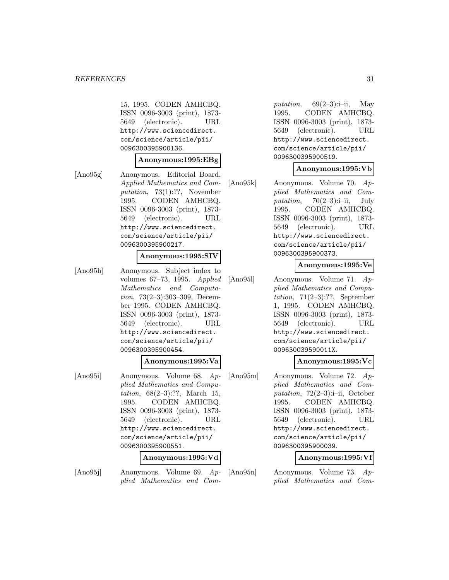15, 1995. CODEN AMHCBQ. ISSN 0096-3003 (print), 1873- 5649 (electronic). URL http://www.sciencedirect. com/science/article/pii/ 0096300395900136.

#### **Anonymous:1995:EBg**

[Ano95g] Anonymous. Editorial Board. Applied Mathematics and Computation, 73(1):??, November 1995. CODEN AMHCBQ. ISSN 0096-3003 (print), 1873- 5649 (electronic). URL http://www.sciencedirect. com/science/article/pii/ 0096300395900217.

#### **Anonymous:1995:SIV**

[Ano95h] Anonymous. Subject index to volumes 67–73, 1995. Applied Mathematics and Computation, 73(2–3):303–309, December 1995. CODEN AMHCBQ. ISSN 0096-3003 (print), 1873- 5649 (electronic). URL http://www.sciencedirect. com/science/article/pii/ 0096300395900454.

#### **Anonymous:1995:Va**

[Ano95i] Anonymous. Volume 68. Applied Mathematics and Computation, 68(2–3):??, March 15, 1995. CODEN AMHCBQ. ISSN 0096-3003 (print), 1873- 5649 (electronic). URL http://www.sciencedirect. com/science/article/pii/ 0096300395900551.

#### **Anonymous:1995:Vd**

[Ano95j] Anonymous. Volume 69. Applied Mathematics and Com-

putation,  $69(2-3):i-ii$ , May 1995. CODEN AMHCBQ. ISSN 0096-3003 (print), 1873- 5649 (electronic). URL http://www.sciencedirect. com/science/article/pii/ 0096300395900519.

#### **Anonymous:1995:Vb**

[Ano95k] Anonymous. Volume 70. Applied Mathematics and Computation,  $70(2-3)$ :i-ii, July 1995. CODEN AMHCBQ. ISSN 0096-3003 (print), 1873- 5649 (electronic). URL http://www.sciencedirect. com/science/article/pii/ 0096300395900373.

# **Anonymous:1995:Ve**

[Ano95l] Anonymous. Volume 71. Applied Mathematics and Computation, 71(2–3):??, September 1, 1995. CODEN AMHCBQ. ISSN 0096-3003 (print), 1873- 5649 (electronic). URL http://www.sciencedirect. com/science/article/pii/ 009630039590011X.

# **Anonymous:1995:Vc**

[Ano95m] Anonymous. Volume 72. Applied Mathematics and Computation,  $72(2-3)$ :i-ii, October 1995. CODEN AMHCBQ. ISSN 0096-3003 (print), 1873- 5649 (electronic). URL http://www.sciencedirect. com/science/article/pii/ 0096300395900039.

#### **Anonymous:1995:Vf**

[Ano95n] Anonymous. Volume 73. Applied Mathematics and Com-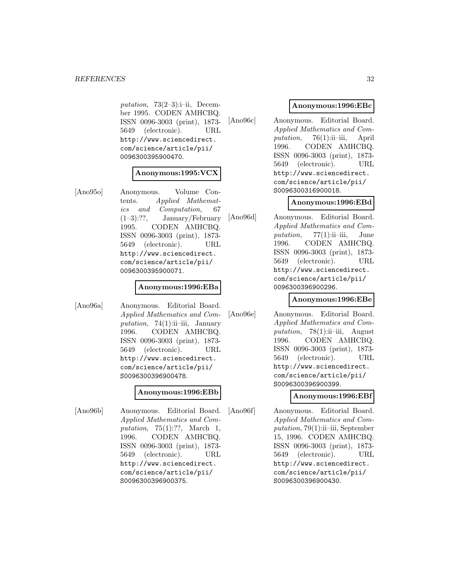putation, 73 $(2-3)$ :i-ii, December 1995. CODEN AMHCBQ. ISSN 0096-3003 (print), 1873- 5649 (electronic). URL http://www.sciencedirect. com/science/article/pii/ 0096300395900470.

#### **Anonymous:1995:VCX**

[Ano95o] Anonymous. Volume Contents. Applied Mathematics and Computation, 67 (1–3):??, January/February 1995. CODEN AMHCBQ. ISSN 0096-3003 (print), 1873- 5649 (electronic). URL http://www.sciencedirect. com/science/article/pii/ 0096300395900071.

# **Anonymous:1996:EBa**

[Ano96a] Anonymous. Editorial Board. Applied Mathematics and Computation, 74 $(1)$ :ii-iii, January 1996. CODEN AMHCBQ. ISSN 0096-3003 (print), 1873- 5649 (electronic). URL http://www.sciencedirect. com/science/article/pii/ S0096300396900478.

#### **Anonymous:1996:EBb**

[Ano96b] Anonymous. Editorial Board. Applied Mathematics and Computation, 75(1):??, March 1, 1996. CODEN AMHCBQ. ISSN 0096-3003 (print), 1873- 5649 (electronic). URL http://www.sciencedirect. com/science/article/pii/ S0096300396900375.

#### **Anonymous:1996:EBc**

[Ano96c] Anonymous. Editorial Board. Applied Mathematics and Computation,  $76(1)$ :ii–iii, April 1996. CODEN AMHCBQ. ISSN 0096-3003 (print), 1873- 5649 (electronic). URL http://www.sciencedirect. com/science/article/pii/ S0096300316900018.

#### **Anonymous:1996:EBd**

[Ano96d] Anonymous. Editorial Board. Applied Mathematics and Computation,  $77(1)$ :ii–iii, June 1996. CODEN AMHCBQ. ISSN 0096-3003 (print), 1873- 5649 (electronic). URL http://www.sciencedirect. com/science/article/pii/ 0096300396900296.

#### **Anonymous:1996:EBe**

[Ano96e] Anonymous. Editorial Board. Applied Mathematics and Computation,  $78(1)$ :ii–iii, August 1996. CODEN AMHCBQ. ISSN 0096-3003 (print), 1873- 5649 (electronic). URL http://www.sciencedirect. com/science/article/pii/ S0096300396900399.

#### **Anonymous:1996:EBf**

[Ano96f] Anonymous. Editorial Board. Applied Mathematics and Com $putation, 79(1):ii$ –iii, September 15, 1996. CODEN AMHCBQ. ISSN 0096-3003 (print), 1873- 5649 (electronic). URL http://www.sciencedirect. com/science/article/pii/ S0096300396900430.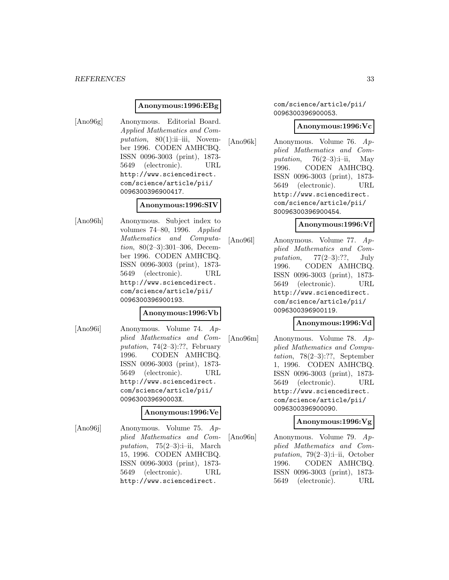#### *REFERENCES* 33

#### **Anonymous:1996:EBg**

[Ano96g] Anonymous. Editorial Board. Applied Mathematics and Computation,  $80(1)$ :ii–iii, November 1996. CODEN AMHCBQ. ISSN 0096-3003 (print), 1873- 5649 (electronic). URL http://www.sciencedirect. com/science/article/pii/ 0096300396900417.

# **Anonymous:1996:SIV**

[Ano96h] Anonymous. Subject index to volumes 74–80, 1996. Applied Mathematics and Computation, 80(2–3):301–306, December 1996. CODEN AMHCBQ. ISSN 0096-3003 (print), 1873- 5649 (electronic). URL http://www.sciencedirect. com/science/article/pii/ 0096300396900193.

### **Anonymous:1996:Vb**

[Ano96i] Anonymous. Volume 74. Applied Mathematics and Computation, 74(2–3):??, February 1996. CODEN AMHCBQ. ISSN 0096-3003 (print), 1873- 5649 (electronic). URL http://www.sciencedirect. com/science/article/pii/ 009630039690003X.

#### **Anonymous:1996:Ve**

[Ano96j] Anonymous. Volume 75. Applied Mathematics and Computation,  $75(2-3)$ :i-ii, March 15, 1996. CODEN AMHCBQ. ISSN 0096-3003 (print), 1873- 5649 (electronic). URL http://www.sciencedirect.

#### com/science/article/pii/ 0096300396900053.

#### **Anonymous:1996:Vc**

[Ano96k] Anonymous. Volume 76. Applied Mathematics and Computation,  $76(2-3):i-ii$ , May 1996. CODEN AMHCBQ. ISSN 0096-3003 (print), 1873- 5649 (electronic). URL http://www.sciencedirect. com/science/article/pii/ S0096300396900454.

# **Anonymous:1996:Vf**

[Ano96l] Anonymous. Volume 77. Applied Mathematics and Computation,  $77(2-3)$ :??, July 1996. CODEN AMHCBQ. ISSN 0096-3003 (print), 1873- 5649 (electronic). URL http://www.sciencedirect. com/science/article/pii/ 0096300396900119.

#### **Anonymous:1996:Vd**

[Ano96m] Anonymous. Volume 78. Applied Mathematics and Computation, 78(2–3):??, September 1, 1996. CODEN AMHCBQ. ISSN 0096-3003 (print), 1873- 5649 (electronic). URL http://www.sciencedirect. com/science/article/pii/ 0096300396900090.

#### **Anonymous:1996:Vg**

[Ano96n] Anonymous. Volume 79. Applied Mathematics and Computation, 79 $(2-3)$ :i-ii, October 1996. CODEN AMHCBQ. ISSN 0096-3003 (print), 1873- 5649 (electronic). URL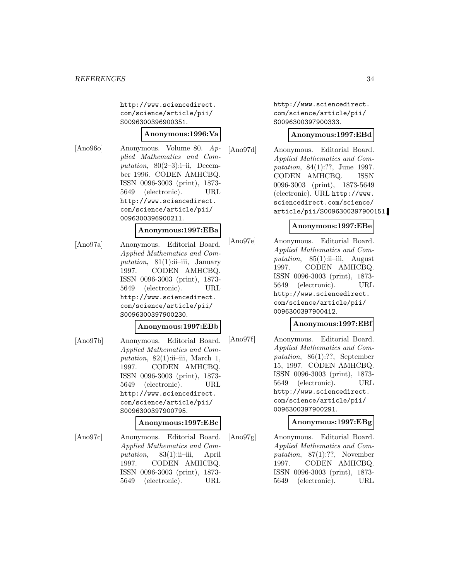http://www.sciencedirect. com/science/article/pii/ S0096300396900351.

#### **Anonymous:1996:Va**

[Ano96o] Anonymous. Volume 80. Applied Mathematics and Computation,  $80(2-3)$ :i-ii, December 1996. CODEN AMHCBQ. ISSN 0096-3003 (print), 1873- 5649 (electronic). URL http://www.sciencedirect. com/science/article/pii/ 0096300396900211.

### **Anonymous:1997:EBa**

[Ano97a] Anonymous. Editorial Board. Applied Mathematics and Computation,  $81(1)$ :ii–iii, January 1997. CODEN AMHCBQ. ISSN 0096-3003 (print), 1873- 5649 (electronic). URL http://www.sciencedirect. com/science/article/pii/ S0096300397900230.

#### **Anonymous:1997:EBb**

[Ano97b] Anonymous. Editorial Board. Applied Mathematics and Computation,  $82(1)$ :ii-iii, March 1, 1997. CODEN AMHCBQ. ISSN 0096-3003 (print), 1873- 5649 (electronic). URL http://www.sciencedirect. com/science/article/pii/ S0096300397900795.

### **Anonymous:1997:EBc**

[Ano97c] Anonymous. Editorial Board. Applied Mathematics and Computation, 83(1):ii–iii, April 1997. CODEN AMHCBQ. ISSN 0096-3003 (print), 1873- 5649 (electronic). URL

http://www.sciencedirect. com/science/article/pii/ S0096300397900333.

#### **Anonymous:1997:EBd**

[Ano97d] Anonymous. Editorial Board. Applied Mathematics and Computation, 84(1):??, June 1997. CODEN AMHCBQ. ISSN 0096-3003 (print), 1873-5649 (electronic). URL http://www. sciencedirect.com/science/ article/pii/S0096300397900151.

# **Anonymous:1997:EBe**

[Ano97e] Anonymous. Editorial Board. Applied Mathematics and Computation,  $85(1)$ :ii–iii, August 1997. CODEN AMHCBQ. ISSN 0096-3003 (print), 1873- 5649 (electronic). URL http://www.sciencedirect. com/science/article/pii/ 0096300397900412.

#### **Anonymous:1997:EBf**

[Ano97f] Anonymous. Editorial Board. Applied Mathematics and Computation, 86(1):??, September 15, 1997. CODEN AMHCBQ. ISSN 0096-3003 (print), 1873- 5649 (electronic). URL http://www.sciencedirect. com/science/article/pii/ 0096300397900291.

# **Anonymous:1997:EBg**

[Ano97g] Anonymous. Editorial Board. Applied Mathematics and Computation, 87(1):??, November 1997. CODEN AMHCBQ. ISSN 0096-3003 (print), 1873- 5649 (electronic). URL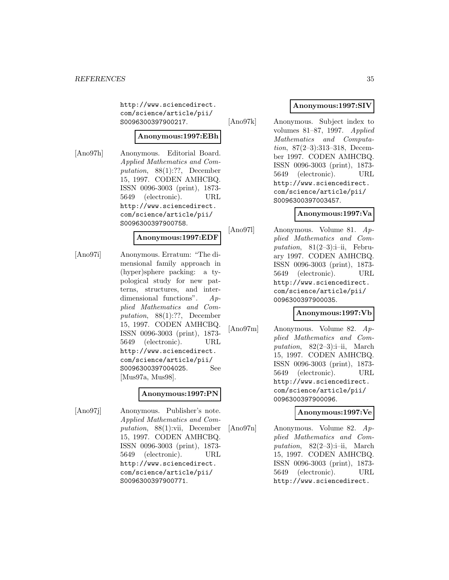http://www.sciencedirect. com/science/article/pii/ S0096300397900217.

# **Anonymous:1997:EBh**

[Ano97h] Anonymous. Editorial Board. Applied Mathematics and Computation, 88(1):??, December 15, 1997. CODEN AMHCBQ. ISSN 0096-3003 (print), 1873- 5649 (electronic). URL http://www.sciencedirect. com/science/article/pii/ S0096300397900758.

#### **Anonymous:1997:EDF**

[Ano97i] Anonymous. Erratum: "The dimensional family approach in (hyper)sphere packing: a typological study for new patterns, structures, and interdimensional functions". Applied Mathematics and Computation, 88(1):??, December 15, 1997. CODEN AMHCBQ. ISSN 0096-3003 (print), 1873- 5649 (electronic). URL http://www.sciencedirect. com/science/article/pii/ S0096300397004025. See [Mus97a, Mus98].

#### **Anonymous:1997:PN**

[Ano97j] Anonymous. Publisher's note. Applied Mathematics and Computation, 88(1):vii, December 15, 1997. CODEN AMHCBQ. ISSN 0096-3003 (print), 1873- 5649 (electronic). URL http://www.sciencedirect. com/science/article/pii/ S0096300397900771.

# **Anonymous:1997:SIV**

[Ano97k] Anonymous. Subject index to volumes 81–87, 1997. Applied Mathematics and Computation, 87(2–3):313–318, December 1997. CODEN AMHCBQ. ISSN 0096-3003 (print), 1873- 5649 (electronic). URL http://www.sciencedirect. com/science/article/pii/ S0096300397003457.

# **Anonymous:1997:Va**

[Ano97l] Anonymous. Volume 81. Applied Mathematics and Computation,  $81(2-3):i-ii$ , February 1997. CODEN AMHCBQ. ISSN 0096-3003 (print), 1873- 5649 (electronic). URL http://www.sciencedirect. com/science/article/pii/ 0096300397900035.

# **Anonymous:1997:Vb**

[Ano97m] Anonymous. Volume 82. Applied Mathematics and Computation,  $82(2-3)$ :i-ii, March 15, 1997. CODEN AMHCBQ. ISSN 0096-3003 (print), 1873- 5649 (electronic). URL http://www.sciencedirect. com/science/article/pii/ 0096300397900096.

#### **Anonymous:1997:Ve**

[Ano97n] Anonymous. Volume 82. Applied Mathematics and Computation,  $82(2-3)$ :i-ii, March 15, 1997. CODEN AMHCBQ. ISSN 0096-3003 (print), 1873- 5649 (electronic). URL http://www.sciencedirect.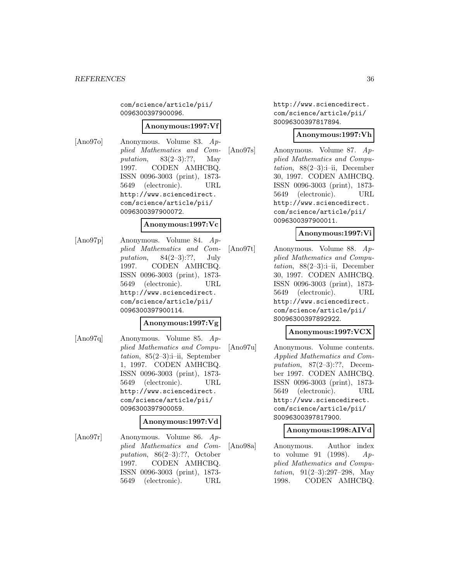com/science/article/pii/ 0096300397900096.

#### **Anonymous:1997:Vf**

- 
- [Ano97o] Anonymous. Volume 83. Applied Mathematics and Computation, 83(2–3):??, May 1997. CODEN AMHCBQ. ISSN 0096-3003 (print), 1873- 5649 (electronic). URL http://www.sciencedirect. com/science/article/pii/ 0096300397900072.

#### **Anonymous:1997:Vc**

[Ano97p] Anonymous. Volume 84. Applied Mathematics and Computation,  $84(2-3)$ :??, July 1997. CODEN AMHCBQ. ISSN 0096-3003 (print), 1873- 5649 (electronic). URL http://www.sciencedirect. com/science/article/pii/ 0096300397900114.

#### **Anonymous:1997:Vg**

[Ano97q] Anonymous. Volume 85. Applied Mathematics and Computation,  $85(2-3)$ :i-ii, September 1, 1997. CODEN AMHCBQ. ISSN 0096-3003 (print), 1873- 5649 (electronic). URL http://www.sciencedirect. com/science/article/pii/ 0096300397900059.

### **Anonymous:1997:Vd**

[Ano97r] Anonymous. Volume 86. Applied Mathematics and Computation, 86(2–3):??, October 1997. CODEN AMHCBQ. ISSN 0096-3003 (print), 1873- 5649 (electronic). URL

http://www.sciencedirect. com/science/article/pii/ S0096300397817894.

### **Anonymous:1997:Vh**

[Ano97s] Anonymous. Volume 87. Applied Mathematics and Computation,  $88(2-3):i-ii$ , December 30, 1997. CODEN AMHCBQ. ISSN 0096-3003 (print), 1873- 5649 (electronic). URL http://www.sciencedirect. com/science/article/pii/ 0096300397900011.

# **Anonymous:1997:Vi**

[Ano97t] Anonymous. Volume 88. Applied Mathematics and Computation,  $88(2-3):i-ii$ , December 30, 1997. CODEN AMHCBQ. ISSN 0096-3003 (print), 1873- 5649 (electronic). URL http://www.sciencedirect. com/science/article/pii/ S0096300397892922.

# **Anonymous:1997:VCX**

[Ano97u] Anonymous. Volume contents. Applied Mathematics and Computation,  $87(2-3)$ :??, December 1997. CODEN AMHCBQ. ISSN 0096-3003 (print), 1873- 5649 (electronic). URL http://www.sciencedirect. com/science/article/pii/ S0096300397817900.

#### **Anonymous:1998:AIVd**

[Ano98a] Anonymous. Author index to volume 91 (1998).  $Ap$ plied Mathematics and Computation, 91(2–3):297–298, May 1998. CODEN AMHCBQ.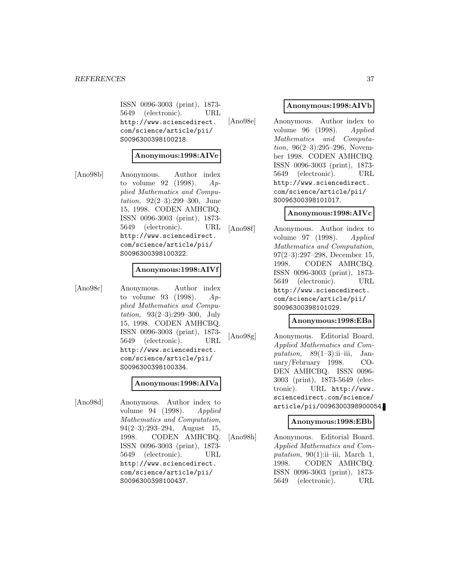ISSN 0096-3003 (print), 1873- 5649 (electronic). URL http://www.sciencedirect. com/science/article/pii/ S0096300398100218.

#### **Anonymous:1998:AIVe**

[Ano98b] Anonymous. Author index to volume 92 (1998).  $Ap$ plied Mathematics and Computation, 92(2–3):299–300, June 15, 1998. CODEN AMHCBQ. ISSN 0096-3003 (print), 1873- 5649 (electronic). URL http://www.sciencedirect. com/science/article/pii/ S0096300398100322.

#### **Anonymous:1998:AIVf**

[Ano98c] Anonymous. Author index to volume 93 (1998).  $Ap$ plied Mathematics and Computation, 93(2–3):299–300, July 15, 1998. CODEN AMHCBQ. ISSN 0096-3003 (print), 1873- 5649 (electronic). URL http://www.sciencedirect. com/science/article/pii/ S0096300398100334.

#### **Anonymous:1998:AIVa**

[Ano98d] Anonymous. Author index to volume 94 (1998). Applied Mathematics and Computation, 94(2–3):293–294, August 15, 1998. CODEN AMHCBQ. ISSN 0096-3003 (print), 1873- 5649 (electronic). URL http://www.sciencedirect. com/science/article/pii/ S0096300398100437.

#### **Anonymous:1998:AIVb**

[Ano98e] Anonymous. Author index to volume 96 (1998). Applied Mathematics and Computation, 96(2–3):295–296, November 1998. CODEN AMHCBQ. ISSN 0096-3003 (print), 1873- 5649 (electronic). URL http://www.sciencedirect. com/science/article/pii/ S0096300398101017.

#### **Anonymous:1998:AIVc**

[Ano98f] Anonymous. Author index to volume 97 (1998). Applied Mathematics and Computation, 97(2–3):297–298, December 15, 1998. CODEN AMHCBQ. ISSN 0096-3003 (print), 1873- 5649 (electronic). URL http://www.sciencedirect. com/science/article/pii/ S0096300398101029.

#### **Anonymous:1998:EBa**

[Ano98g] Anonymous. Editorial Board. Applied Mathematics and Computation,  $89(1-3)$ :ii-iii, January/February 1998. CO-DEN AMHCBQ. ISSN 0096- 3003 (print), 1873-5649 (electronic). URL http://www. sciencedirect.com/science/ article/pii/0096300398900054.

#### **Anonymous:1998:EBb**

[Ano98h] Anonymous. Editorial Board. Applied Mathematics and Computation,  $90(1)$ :ii-iii, March 1, 1998. CODEN AMHCBQ. ISSN 0096-3003 (print), 1873- 5649 (electronic). URL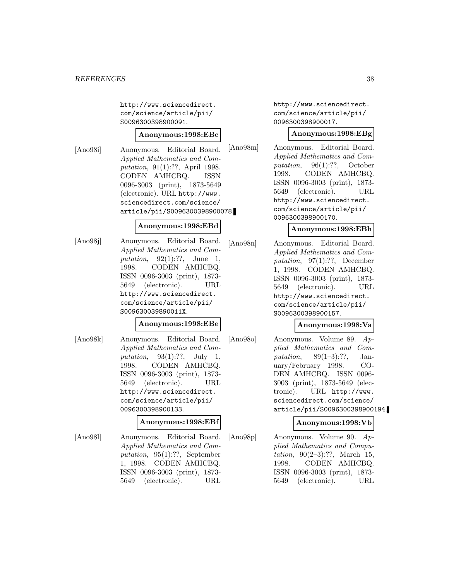http://www.sciencedirect. com/science/article/pii/ S0096300398900091.

#### **Anonymous:1998:EBc**

[Ano98i] Anonymous. Editorial Board. Applied Mathematics and Computation, 91(1):??, April 1998. CODEN AMHCBQ. ISSN 0096-3003 (print), 1873-5649 (electronic). URL http://www. sciencedirect.com/science/ article/pii/S0096300398900078.

# **Anonymous:1998:EBd**

[Ano98j] Anonymous. Editorial Board. Applied Mathematics and Computation,  $92(1):??$ , June 1, 1998. CODEN AMHCBQ. ISSN 0096-3003 (print), 1873- 5649 (electronic). URL http://www.sciencedirect. com/science/article/pii/ S009630039890011X.

#### **Anonymous:1998:EBe**

[Ano98k] Anonymous. Editorial Board. Applied Mathematics and Computation,  $93(1):??$ , July 1, 1998. CODEN AMHCBQ. ISSN 0096-3003 (print), 1873- 5649 (electronic). URL http://www.sciencedirect. com/science/article/pii/ 0096300398900133.

#### **Anonymous:1998:EBf**

[Ano98l] Anonymous. Editorial Board. Applied Mathematics and Computation, 95(1):??, September 1, 1998. CODEN AMHCBQ. ISSN 0096-3003 (print), 1873- 5649 (electronic). URL

http://www.sciencedirect. com/science/article/pii/ 0096300398900017.

#### **Anonymous:1998:EBg**

[Ano98m] Anonymous. Editorial Board. Applied Mathematics and Computation, 96(1):??, October 1998. CODEN AMHCBQ. ISSN 0096-3003 (print), 1873- 5649 (electronic). URL http://www.sciencedirect. com/science/article/pii/ 0096300398900170.

#### **Anonymous:1998:EBh**

[Ano98n] Anonymous. Editorial Board. Applied Mathematics and Computation, 97(1):??, December 1, 1998. CODEN AMHCBQ. ISSN 0096-3003 (print), 1873- 5649 (electronic). URL http://www.sciencedirect. com/science/article/pii/ S0096300398900157.

#### **Anonymous:1998:Va**

[Ano98o] Anonymous. Volume 89. Applied Mathematics and Computation,  $89(1-3)$ :??, January/February 1998. CO-DEN AMHCBQ. ISSN 0096- 3003 (print), 1873-5649 (electronic). URL http://www. sciencedirect.com/science/ article/pii/S0096300398900194.

## **Anonymous:1998:Vb**

[Ano98p] Anonymous. Volume 90. Applied Mathematics and Computation, 90(2–3):??, March 15, 1998. CODEN AMHCBQ. ISSN 0096-3003 (print), 1873- 5649 (electronic). URL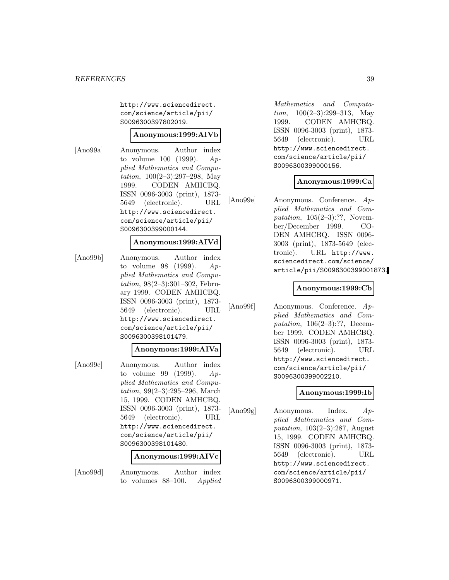http://www.sciencedirect. com/science/article/pii/ S0096300397802019.

#### **Anonymous:1999:AIVb**

[Ano99a] Anonymous. Author index to volume 100 (1999).  $Ap$ plied Mathematics and Computation, 100(2–3):297–298, May 1999. CODEN AMHCBQ. ISSN 0096-3003 (print), 1873- 5649 (electronic). URL http://www.sciencedirect. com/science/article/pii/ S0096300399000144.

# **Anonymous:1999:AIVd**

[Ano99b] Anonymous. Author index to volume 98 (1999).  $Ap$ plied Mathematics and Computation, 98(2–3):301–302, February 1999. CODEN AMHCBQ. ISSN 0096-3003 (print), 1873- 5649 (electronic). URL http://www.sciencedirect. com/science/article/pii/ S0096300398101479.

#### **Anonymous:1999:AIVa**

[Ano99c] Anonymous. Author index to volume 99 (1999).  $Ap$ plied Mathematics and Computation, 99(2–3):295–296, March 15, 1999. CODEN AMHCBQ. ISSN 0096-3003 (print), 1873- 5649 (electronic). URL http://www.sciencedirect. com/science/article/pii/ S0096300398101480.

#### **Anonymous:1999:AIVc**

[Ano99d] Anonymous. Author index to volumes 88–100. Applied

Mathematics and Computation,  $100(2-3):299-313$ , May 1999. CODEN AMHCBQ. ISSN 0096-3003 (print), 1873- 5649 (electronic). URL http://www.sciencedirect. com/science/article/pii/ S0096300399000156.

#### **Anonymous:1999:Ca**

[Ano99e] Anonymous. Conference. Applied Mathematics and Computation,  $105(2-3)$ :??, November/December 1999. CO-DEN AMHCBQ. ISSN 0096- 3003 (print), 1873-5649 (electronic). URL http://www. sciencedirect.com/science/ article/pii/S0096300399001873.

#### **Anonymous:1999:Cb**

[Ano99f] Anonymous. Conference. Applied Mathematics and Computation, 106(2–3):??, December 1999. CODEN AMHCBQ. ISSN 0096-3003 (print), 1873- 5649 (electronic). URL http://www.sciencedirect. com/science/article/pii/ S0096300399002210.

#### **Anonymous:1999:Ib**

[Ano99g] Anonymous. Index. Applied Mathematics and Computation, 103(2–3):287, August 15, 1999. CODEN AMHCBQ. ISSN 0096-3003 (print), 1873- 5649 (electronic). URL http://www.sciencedirect. com/science/article/pii/ S0096300399000971.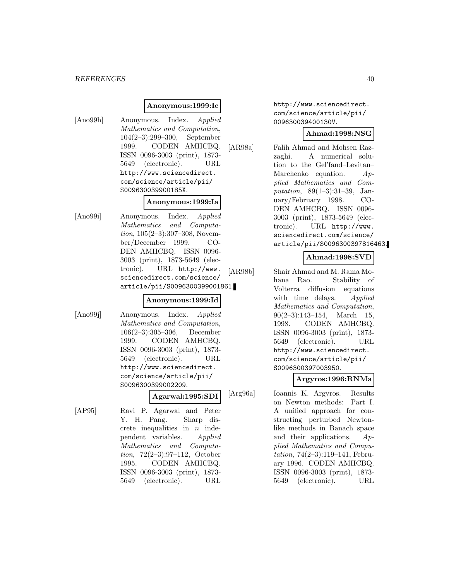#### **Anonymous:1999:Ic**

[Ano99h] Anonymous. Index. Applied Mathematics and Computation, 104(2–3):299–300, September 1999. CODEN AMHCBQ. ISSN 0096-3003 (print), 1873- 5649 (electronic). URL http://www.sciencedirect. com/science/article/pii/ S009630039900185X.

#### **Anonymous:1999:Ia**

[Ano99i] Anonymous. Index. Applied Mathematics and Computation, 105(2–3):307–308, November/December 1999. CO-DEN AMHCBQ. ISSN 0096- 3003 (print), 1873-5649 (electronic). URL http://www. sciencedirect.com/science/ article/pii/S0096300399001861.

#### **Anonymous:1999:Id**

[Ano99j] Anonymous. Index. Applied Mathematics and Computation, 106(2–3):305–306, December 1999. CODEN AMHCBQ. ISSN 0096-3003 (print), 1873- 5649 (electronic). URL http://www.sciencedirect. com/science/article/pii/ S0096300399002209.

**Agarwal:1995:SDI**

[AP95] Ravi P. Agarwal and Peter Y. H. Pang. Sharp discrete inequalities in  $n$  independent variables. Applied Mathematics and Computation, 72(2–3):97–112, October 1995. CODEN AMHCBQ. ISSN 0096-3003 (print), 1873- 5649 (electronic). URL

http://www.sciencedirect. com/science/article/pii/ 009630039400130V.

#### **Ahmad:1998:NSG**

[AR98a] Falih Ahmad and Mohsen Razzaghi. A numerical solution to the Gel'fand–Levitan– Marchenko equation.  $Ap$ plied Mathematics and Computation, 89(1–3):31–39, January/February 1998. CO-DEN AMHCBQ. ISSN 0096- 3003 (print), 1873-5649 (electronic). URL http://www. sciencedirect.com/science/ article/pii/S0096300397816463.

# **Ahmad:1998:SVD**

[AR98b] Shair Ahmad and M. Rama Mohana Rao. Stability of Volterra diffusion equations with time delays. Applied Mathematics and Computation, 90(2–3):143–154, March 15, 1998. CODEN AMHCBQ. ISSN 0096-3003 (print), 1873- 5649 (electronic). URL http://www.sciencedirect. com/science/article/pii/ S0096300397003950.

#### **Argyros:1996:RNMa**

[Arg96a] Ioannis K. Argyros. Results on Newton methods: Part I. A unified approach for constructing perturbed Newtonlike methods in Banach space and their applications.  $Ap$ plied Mathematics and Computation, 74(2–3):119–141, February 1996. CODEN AMHCBQ. ISSN 0096-3003 (print), 1873- 5649 (electronic). URL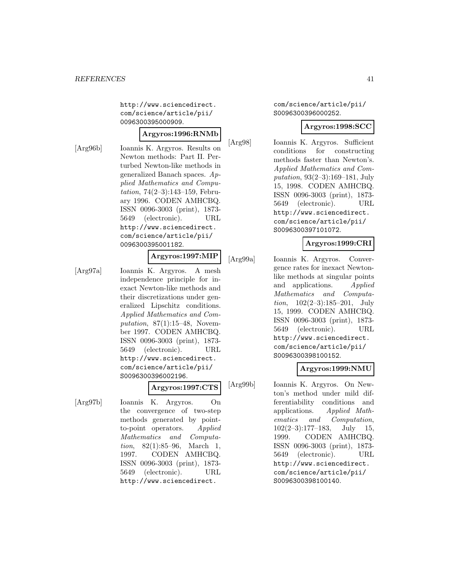http://www.sciencedirect. com/science/article/pii/ 0096300395000909.

# **Argyros:1996:RNMb**

[Arg96b] Ioannis K. Argyros. Results on Newton methods: Part II. Perturbed Newton-like methods in generalized Banach spaces. Applied Mathematics and Computation, 74(2–3):143–159, February 1996. CODEN AMHCBQ. ISSN 0096-3003 (print), 1873- 5649 (electronic). URL http://www.sciencedirect. com/science/article/pii/ 0096300395001182.

# **Argyros:1997:MIP**

[Arg97a] Ioannis K. Argyros. A mesh independence principle for inexact Newton-like methods and their discretizations under generalized Lipschitz conditions. Applied Mathematics and Computation,  $87(1):15-48$ , November 1997. CODEN AMHCBQ. ISSN 0096-3003 (print), 1873- 5649 (electronic). URL http://www.sciencedirect. com/science/article/pii/ S0096300396002196.

#### **Argyros:1997:CTS**

[Arg97b] Ioannis K. Argyros. On the convergence of two-step methods generated by pointto-point operators. Applied Mathematics and Computation, 82(1):85–96, March 1, 1997. CODEN AMHCBQ. ISSN 0096-3003 (print), 1873- 5649 (electronic). URL http://www.sciencedirect.

#### com/science/article/pii/ S0096300396000252.

#### **Argyros:1998:SCC**

[Arg98] Ioannis K. Argyros. Sufficient conditions for constructing methods faster than Newton's. Applied Mathematics and Computation, 93(2–3):169–181, July 15, 1998. CODEN AMHCBQ. ISSN 0096-3003 (print), 1873- 5649 (electronic). URL http://www.sciencedirect. com/science/article/pii/ S0096300397101072.

# **Argyros:1999:CRI**

[Arg99a] Ioannis K. Argyros. Convergence rates for inexact Newtonlike methods at singular points and applications. Applied Mathematics and Computa*tion*,  $102(2-3):185-201$ , July 15, 1999. CODEN AMHCBQ. ISSN 0096-3003 (print), 1873- 5649 (electronic). URL http://www.sciencedirect. com/science/article/pii/ S0096300398100152.

## **Argyros:1999:NMU**

[Arg99b] Ioannis K. Argyros. On Newton's method under mild differentiability conditions and applications. Applied Mathematics and Computation,  $102(2-3):177-183$ , July 15, 1999. CODEN AMHCBQ. ISSN 0096-3003 (print), 1873- 5649 (electronic). URL http://www.sciencedirect. com/science/article/pii/ S0096300398100140.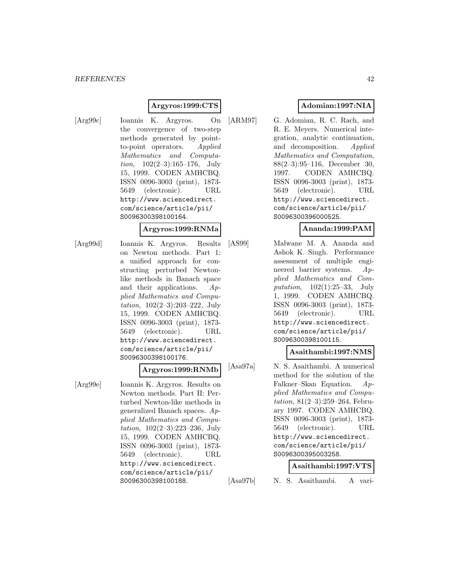## **Argyros:1999:CTS**

[Arg99c] Ioannis K. Argyros. On the convergence of two-step methods generated by pointto-point operators. Applied Mathematics and Computation, 102(2–3):165–176, July 15, 1999. CODEN AMHCBQ. ISSN 0096-3003 (print), 1873- 5649 (electronic). URL http://www.sciencedirect. com/science/article/pii/ S0096300398100164.

# **Argyros:1999:RNMa**

[Arg99d] Ioannis K. Argyros. Results on Newton methods. Part 1: a unified approach for constructing perturbed Newtonlike methods in Banach space and their applications. Applied Mathematics and Computation, 102(2–3):203–222, July 15, 1999. CODEN AMHCBQ. ISSN 0096-3003 (print), 1873- 5649 (electronic). URL http://www.sciencedirect. com/science/article/pii/ S0096300398100176.

#### **Argyros:1999:RNMb**

[Arg99e] Ioannis K. Argyros. Results on Newton methods. Part II: Perturbed Newton-like methods in generalized Banach spaces. Applied Mathematics and Computation, 102(2–3):223–236, July 15, 1999. CODEN AMHCBQ. ISSN 0096-3003 (print), 1873- 5649 (electronic). URL http://www.sciencedirect. com/science/article/pii/ S0096300398100188.

# **Adomian:1997:NIA**

[ARM97] G. Adomian, R. C. Rach, and R. E. Meyers. Numerical integration, analytic continuation, and decomposition. Applied Mathematics and Computation, 88(2–3):95–116, December 30, 1997. CODEN AMHCBQ. ISSN 0096-3003 (print), 1873- 5649 (electronic). URL http://www.sciencedirect. com/science/article/pii/ S0096300396000525.

# **Ananda:1999:PAM**

[AS99] Malwane M. A. Ananda and Ashok K. Singh. Performance assessment of multiple engineered barrier systems. Applied Mathematics and Computation, 102(1):25–33, July 1, 1999. CODEN AMHCBQ. ISSN 0096-3003 (print), 1873- 5649 (electronic). URL http://www.sciencedirect. com/science/article/pii/ S0096300398100115.

#### **Asaithambi:1997:NMS**

[Asa97a] N. S. Asaithambi. A numerical method for the solution of the Falkner–Skan Equation. Applied Mathematics and Computation, 81(2–3):259–264, February 1997. CODEN AMHCBQ. ISSN 0096-3003 (print), 1873- 5649 (electronic). URL http://www.sciencedirect. com/science/article/pii/ S0096300395003258.

#### **Asaithambi:1997:VTS**

[Asa97b] N. S. Asaithambi. A vari-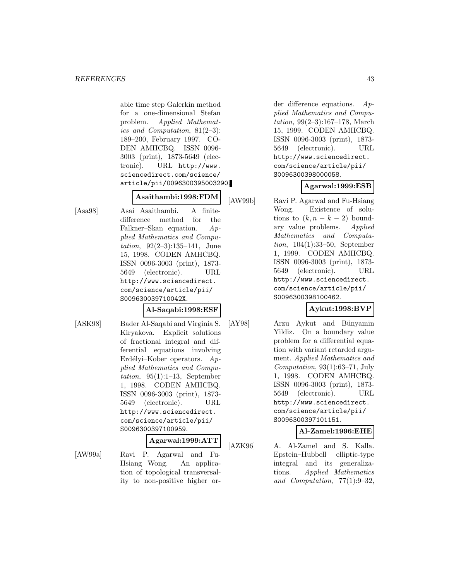able time step Galerkin method for a one-dimensional Stefan problem. Applied Mathematics and Computation, 81(2–3): 189–200, February 1997. CO-DEN AMHCBQ. ISSN 0096- 3003 (print), 1873-5649 (electronic). URL http://www. sciencedirect.com/science/ article/pii/0096300395003290.

## **Asaithambi:1998:FDM**

[Asa98] Asai Asaithambi. A finitedifference method for the Falkner–Skan equation. Applied Mathematics and Computation, 92(2–3):135–141, June 15, 1998. CODEN AMHCBQ. ISSN 0096-3003 (print), 1873- 5649 (electronic). URL http://www.sciencedirect. com/science/article/pii/ S009630039710042X.

## **Al-Saqabi:1998:ESF**

- 
- [ASK98] Bader Al-Saqabi and Virginia S. Kiryakova. Explicit solutions of fractional integral and differential equations involving Erdélyi–Kober operators.  $Ap$ plied Mathematics and Computation, 95(1):1–13, September 1, 1998. CODEN AMHCBQ. ISSN 0096-3003 (print), 1873- 5649 (electronic). URL http://www.sciencedirect. com/science/article/pii/ S0096300397100959.

#### **Agarwal:1999:ATT**

[AW99a] Ravi P. Agarwal and Fu-Hsiang Wong. An application of topological transversality to non-positive higher or-

der difference equations.  $Ap$ plied Mathematics and Computation, 99(2–3):167–178, March 15, 1999. CODEN AMHCBQ. ISSN 0096-3003 (print), 1873- 5649 (electronic). URL http://www.sciencedirect. com/science/article/pii/ S0096300398000058.

## **Agarwal:1999:ESB**

[AW99b] Ravi P. Agarwal and Fu-Hsiang Wong. Existence of solutions to  $(k, n - k - 2)$  bound-<br>ary value problems. Applied ary value problems. Mathematics and Computation, 104(1):33–50, September 1, 1999. CODEN AMHCBQ. ISSN 0096-3003 (print), 1873- 5649 (electronic). URL http://www.sciencedirect. com/science/article/pii/ S0096300398100462.

## **Aykut:1998:BVP**

[AY98] Arzu Aykut and Bünyamin Yildiz. On a boundary value problem for a differential equation with variant retarded argument. Applied Mathematics and Computation,  $93(1):63-71$ , July 1, 1998. CODEN AMHCBQ. ISSN 0096-3003 (print), 1873- 5649 (electronic). URL http://www.sciencedirect. com/science/article/pii/ S0096300397101151.

## **Al-Zamel:1996:EHE**

[AZK96] A. Al-Zamel and S. Kalla. Epstein–Hubbell elliptic-type integral and its generalizations. Applied Mathematics and Computation, 77(1):9–32,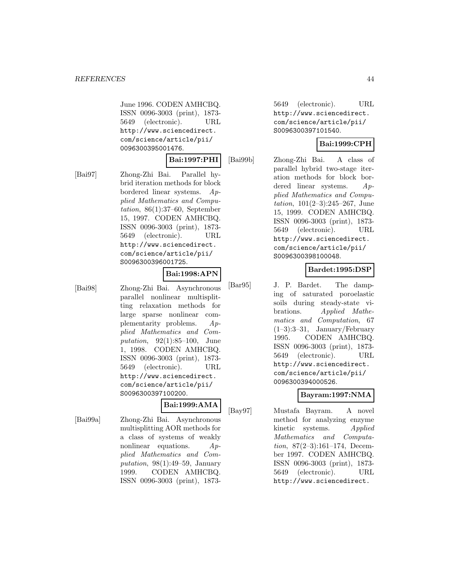June 1996. CODEN AMHCBQ. ISSN 0096-3003 (print), 1873- 5649 (electronic). URL http://www.sciencedirect. com/science/article/pii/ 0096300395001476.

#### **Bai:1997:PHI**

[Bai97] Zhong-Zhi Bai. Parallel hybrid iteration methods for block bordered linear systems. Applied Mathematics and Computation, 86(1):37–60, September 15, 1997. CODEN AMHCBQ. ISSN 0096-3003 (print), 1873- 5649 (electronic). URL http://www.sciencedirect. com/science/article/pii/ S0096300396001725.

#### **Bai:1998:APN**

[Bai98] Zhong-Zhi Bai. Asynchronous parallel nonlinear multisplitting relaxation methods for large sparse nonlinear complementarity problems. Applied Mathematics and Computation, 92(1):85–100, June 1, 1998. CODEN AMHCBQ. ISSN 0096-3003 (print), 1873- 5649 (electronic). URL http://www.sciencedirect. com/science/article/pii/ S0096300397100200.

# **Bai:1999:AMA**

[Bai99a] Zhong-Zhi Bai. Asynchronous multisplitting AOR methods for a class of systems of weakly nonlinear equations. Applied Mathematics and Computation,  $98(1):49-59$ , January 1999. CODEN AMHCBQ. ISSN 0096-3003 (print), 1873-

5649 (electronic). URL http://www.sciencedirect. com/science/article/pii/ S0096300397101540.

# **Bai:1999:CPH**

[Bai99b] Zhong-Zhi Bai. A class of parallel hybrid two-stage iteration methods for block bordered linear systems. Applied Mathematics and Computation, 101(2–3):245–267, June 15, 1999. CODEN AMHCBQ. ISSN 0096-3003 (print), 1873- 5649 (electronic). URL http://www.sciencedirect. com/science/article/pii/ S0096300398100048.

# **Bardet:1995:DSP**

[Bar95] J. P. Bardet. The damping of saturated poroelastic soils during steady-state vibrations. Applied Mathematics and Computation, 67 (1–3):3–31, January/February 1995. CODEN AMHCBQ. ISSN 0096-3003 (print), 1873- 5649 (electronic). URL http://www.sciencedirect. com/science/article/pii/ 0096300394000526.

## **Bayram:1997:NMA**

[Bay97] Mustafa Bayram. A novel method for analyzing enzyme kinetic systems. Applied Mathematics and Computation, 87(2–3):161–174, December 1997. CODEN AMHCBQ. ISSN 0096-3003 (print), 1873- 5649 (electronic). URL http://www.sciencedirect.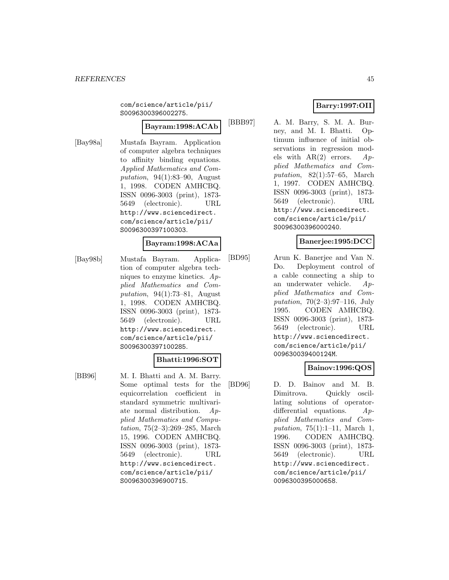com/science/article/pii/ S0096300396002275.

#### **Bayram:1998:ACAb**

[Bay98a] Mustafa Bayram. Application of computer algebra techniques to affinity binding equations. Applied Mathematics and Computation, 94(1):83–90, August 1, 1998. CODEN AMHCBQ. ISSN 0096-3003 (print), 1873- 5649 (electronic). URL http://www.sciencedirect. com/science/article/pii/ S0096300397100303.

## **Bayram:1998:ACAa**

[Bay98b] Mustafa Bayram. Application of computer algebra techniques to enzyme kinetics. Applied Mathematics and Computation, 94(1):73–81, August 1, 1998. CODEN AMHCBQ. ISSN 0096-3003 (print), 1873- 5649 (electronic). URL http://www.sciencedirect. com/science/article/pii/ S0096300397100285.

## **Bhatti:1996:SOT**

[BB96] M. I. Bhatti and A. M. Barry. Some optimal tests for the equicorrelation coefficient in standard symmetric multivariate normal distribution. Applied Mathematics and Computation, 75(2–3):269–285, March 15, 1996. CODEN AMHCBQ. ISSN 0096-3003 (print), 1873- 5649 (electronic). URL http://www.sciencedirect. com/science/article/pii/ S0096300396900715.

# **Barry:1997:OII**

[BBB97] A. M. Barry, S. M. A. Burney, and M. I. Bhatti. Optimum influence of initial observations in regression models with  $AR(2)$  errors.  $Ap$ plied Mathematics and Computation, 82(1):57–65, March 1, 1997. CODEN AMHCBQ. ISSN 0096-3003 (print), 1873- 5649 (electronic). URL http://www.sciencedirect. com/science/article/pii/ S0096300396000240.

# **Banerjee:1995:DCC**

[BD95] Arun K. Banerjee and Van N. Do. Deployment control of a cable connecting a ship to an underwater vehicle. Applied Mathematics and Computation, 70(2–3):97–116, July 1995. CODEN AMHCBQ. ISSN 0096-3003 (print), 1873- 5649 (electronic). URL http://www.sciencedirect. com/science/article/pii/ 009630039400124M.

## **Bainov:1996:QOS**

[BD96] D. D. Bainov and M. B. Dimitrova. Quickly oscillating solutions of operatordifferential equations. Applied Mathematics and Computation, 75(1):1–11, March 1, 1996. CODEN AMHCBQ. ISSN 0096-3003 (print), 1873- 5649 (electronic). URL http://www.sciencedirect. com/science/article/pii/ 0096300395000658.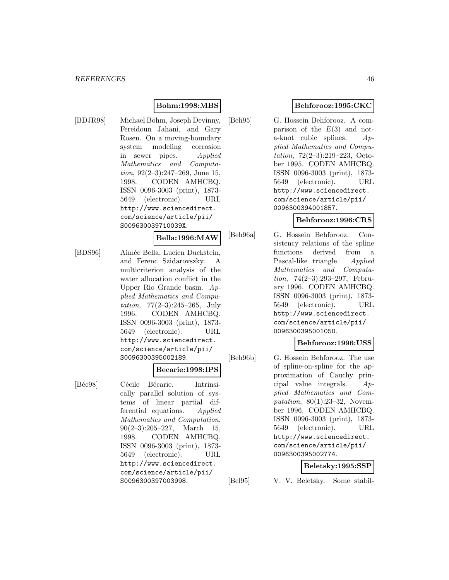# **Bohm:1998:MBS**

[BDJR98] Michael Böhm, Joseph Devinny, Fereidoun Jahani, and Gary Rosen. On a moving-boundary system modeling corrosion in sewer pipes. Applied Mathematics and Computation, 92(2–3):247–269, June 15, 1998. CODEN AMHCBQ. ISSN 0096-3003 (print), 1873- 5649 (electronic). URL http://www.sciencedirect. com/science/article/pii/ S009630039710039X.

#### **Bella:1996:MAW**

[BDS96] Aimée Bella, Lucien Duckstein, and Ferenc Szidarovszky. A multicriterion analysis of the water allocation conflict in the Upper Rio Grande basin. Applied Mathematics and Computation, 77(2–3):245–265, July 1996. CODEN AMHCBQ. ISSN 0096-3003 (print), 1873- 5649 (electronic). URL http://www.sciencedirect. com/science/article/pii/ S0096300395002189.

#### **Becarie:1998:IPS**

[Béc98] Cécile Bécarie. Intrinsically parallel solution of systems of linear partial differential equations. Applied Mathematics and Computation,  $90(2-3):205-227$ , March 15, 1998. CODEN AMHCBQ. ISSN 0096-3003 (print), 1873- 5649 (electronic). URL http://www.sciencedirect. com/science/article/pii/ S0096300397003998.

# **Behforooz:1995:CKC**

[Beh95] G. Hossein Behforooz. A comparison of the  $E(3)$  and nota-knot cubic splines. Applied Mathematics and Computation, 72(2–3):219–223, October 1995. CODEN AMHCBQ. ISSN 0096-3003 (print), 1873- 5649 (electronic). URL http://www.sciencedirect. com/science/article/pii/ 0096300394001857.

## **Behforooz:1996:CRS**

[Beh96a] G. Hossein Behforooz. Consistency relations of the spline functions derived from a Pascal-like triangle. Applied Mathematics and Computation, 74(2–3):293–297, February 1996. CODEN AMHCBQ. ISSN 0096-3003 (print), 1873- 5649 (electronic). URL http://www.sciencedirect. com/science/article/pii/ 0096300395001050.

## **Behforooz:1996:USS**

[Beh96b] G. Hossein Behforooz. The use of spline-on-spline for the approximation of Cauchy principal value integrals. Applied Mathematics and Computation, 80(1):23–32, November 1996. CODEN AMHCBQ. ISSN 0096-3003 (print), 1873- 5649 (electronic). URL http://www.sciencedirect. com/science/article/pii/ 0096300395002774.

## **Beletsky:1995:SSP**

[Bel95] V. V. Beletsky. Some stabil-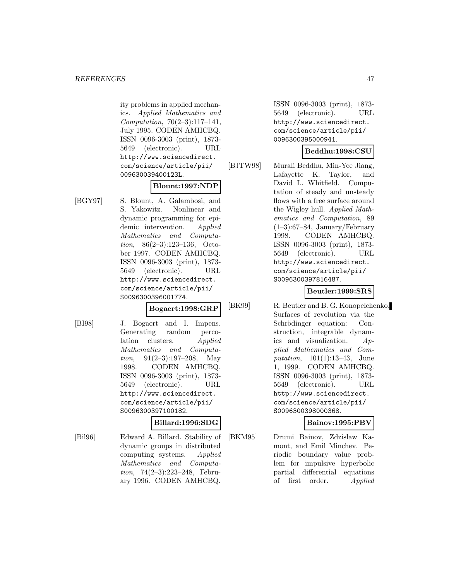ity problems in applied mechanics. Applied Mathematics and Computation, 70(2–3):117–141, July 1995. CODEN AMHCBQ. ISSN 0096-3003 (print), 1873- 5649 (electronic). URL http://www.sciencedirect. com/science/article/pii/ 009630039400123L.

## **Blount:1997:NDP**

[BGY97] S. Blount, A. Galambosi, and S. Yakowitz. Nonlinear and dynamic programming for epidemic intervention. Applied Mathematics and Computation, 86(2–3):123–136, October 1997. CODEN AMHCBQ. ISSN 0096-3003 (print), 1873- 5649 (electronic). URL http://www.sciencedirect. com/science/article/pii/ S0096300396001774.

# **Bogaert:1998:GRP**

[BI98] J. Bogaert and I. Impens. Generating random percolation clusters. Applied Mathematics and Computa*tion*,  $91(2-3):197-208$ , May 1998. CODEN AMHCBQ. ISSN 0096-3003 (print), 1873- 5649 (electronic). URL http://www.sciencedirect. com/science/article/pii/ S0096300397100182.

## **Billard:1996:SDG**

[Bil96] Edward A. Billard. Stability of dynamic groups in distributed computing systems. Applied Mathematics and Computation, 74(2–3):223–248, February 1996. CODEN AMHCBQ.

ISSN 0096-3003 (print), 1873- 5649 (electronic). URL http://www.sciencedirect. com/science/article/pii/ 0096300395000941.

# **Beddhu:1998:CSU**

[BJTW98] Murali Beddhu, Min-Yee Jiang, Lafayette K. Taylor, and David L. Whitfield. Computation of steady and unsteady flows with a free surface around the Wigley hull. Applied Mathematics and Computation, 89  $(1-3):67-84$ , January/February 1998. CODEN AMHCBQ. ISSN 0096-3003 (print), 1873- 5649 (electronic). URL http://www.sciencedirect. com/science/article/pii/ S0096300397816487.

# **Beutler:1999:SRS**

[BK99] R. Beutler and B. G. Konopelchenko. Surfaces of revolution via the Schrödinger equation: Construction, integrable dynamics and visualization. Applied Mathematics and Computation, 101(1):13–43, June 1, 1999. CODEN AMHCBQ. ISSN 0096-3003 (print), 1873- 5649 (electronic). URL http://www.sciencedirect. com/science/article/pii/ S0096300398000368.

## **Bainov:1995:PBV**

[BKM95] Drumi Bainov, Zdzisław Kamont, and Emil Minchev. Periodic boundary value problem for impulsive hyperbolic partial differential equations of first order. Applied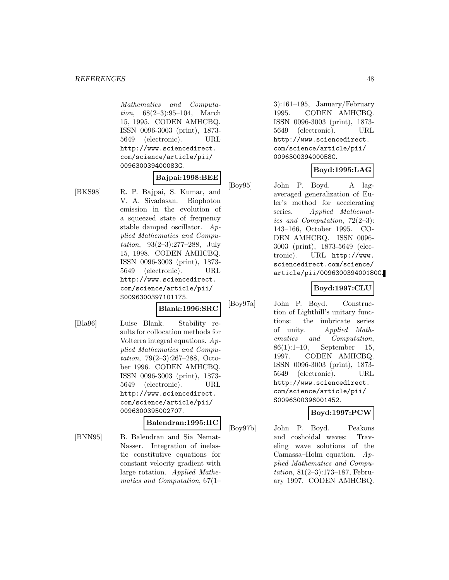Mathematics and Computation, 68(2–3):95–104, March 15, 1995. CODEN AMHCBQ. ISSN 0096-3003 (print), 1873- 5649 (electronic). URL http://www.sciencedirect. com/science/article/pii/ 009630039400083G.

#### **Bajpai:1998:BEE**

[BKS98] R. P. Bajpai, S. Kumar, and V. A. Sivadasan. Biophoton emission in the evolution of a squeezed state of frequency stable damped oscillator. Applied Mathematics and Computation, 93(2–3):277–288, July 15, 1998. CODEN AMHCBQ. ISSN 0096-3003 (print), 1873- 5649 (electronic). URL http://www.sciencedirect. com/science/article/pii/ S0096300397101175.

# **Blank:1996:SRC**

- 
- [Bla96] Luise Blank. Stability results for collocation methods for Volterra integral equations. Applied Mathematics and Computation, 79(2–3):267–288, October 1996. CODEN AMHCBQ. ISSN 0096-3003 (print), 1873- 5649 (electronic). URL http://www.sciencedirect. com/science/article/pii/ 0096300395002707.

#### **Balendran:1995:IIC**

[BNN95] B. Balendran and Sia Nemat-Nasser. Integration of inelastic constitutive equations for constant velocity gradient with large rotation. Applied Mathematics and Computation, 67(1–

3):161–195, January/February 1995. CODEN AMHCBQ. ISSN 0096-3003 (print), 1873- 5649 (electronic). URL http://www.sciencedirect. com/science/article/pii/ 009630039400058C.

# **Boyd:1995:LAG**

[Boy95] John P. Boyd. A lagaveraged generalization of Euler's method for accelerating series. Applied Mathematics and Computation, 72(2–3): 143–166, October 1995. CO-DEN AMHCBQ. ISSN 0096- 3003 (print), 1873-5649 (electronic). URL http://www. sciencedirect.com/science/ article/pii/009630039400180C.

# **Boyd:1997:CLU**

[Boy97a] John P. Boyd. Construction of Lighthill's unitary functions: the imbricate series of unity. Applied Mathematics and Computation, 86(1):1–10, September 15, 1997. CODEN AMHCBQ. ISSN 0096-3003 (print), 1873- 5649 (electronic). URL http://www.sciencedirect. com/science/article/pii/ S0096300396001452.

# **Boyd:1997:PCW**

[Boy97b] John P. Boyd. Peakons and coshoidal waves: Traveling wave solutions of the Camassa–Holm equation.  $Ap$ plied Mathematics and Computation, 81(2–3):173–187, February 1997. CODEN AMHCBQ.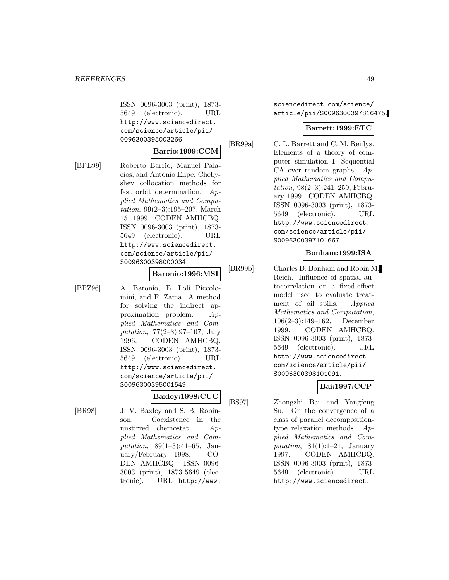ISSN 0096-3003 (print), 1873- 5649 (electronic). URL http://www.sciencedirect. com/science/article/pii/ 0096300395003266.

#### **Barrio:1999:CCM**

[BPE99] Roberto Barrio, Manuel Palacios, and Antonio Elipe. Chebyshev collocation methods for fast orbit determination. Applied Mathematics and Computation, 99(2–3):195–207, March 15, 1999. CODEN AMHCBQ. ISSN 0096-3003 (print), 1873- 5649 (electronic). URL http://www.sciencedirect. com/science/article/pii/ S0096300398000034.

#### **Baronio:1996:MSI**

[BPZ96] A. Baronio, E. Loli Piccolomini, and F. Zama. A method for solving the indirect approximation problem. Applied Mathematics and Computation, 77(2–3):97–107, July 1996. CODEN AMHCBQ. ISSN 0096-3003 (print), 1873- 5649 (electronic). URL http://www.sciencedirect. com/science/article/pii/ S0096300395001549.

#### **Baxley:1998:CUC**

[BR98] J. V. Baxley and S. B. Robinson. Coexistence in the unstirred chemostat. Applied Mathematics and Computation, 89(1–3):41–65, January/February 1998. CO-DEN AMHCBQ. ISSN 0096- 3003 (print), 1873-5649 (electronic). URL http://www.

sciencedirect.com/science/ article/pii/S0096300397816475.

#### **Barrett:1999:ETC**

[BR99a] C. L. Barrett and C. M. Reidys. Elements of a theory of computer simulation I: Sequential CA over random graphs.  $Ap$ plied Mathematics and Computation, 98(2–3):241–259, February 1999. CODEN AMHCBQ. ISSN 0096-3003 (print), 1873- 5649 (electronic). URL http://www.sciencedirect. com/science/article/pii/ S0096300397101667.

#### **Bonham:1999:ISA**

[BR99b] Charles D. Bonham and Robin M. Reich. Influence of spatial autocorrelation on a fixed-effect model used to evaluate treatment of oil spills. Applied Mathematics and Computation, 106(2–3):149–162, December 1999. CODEN AMHCBQ. ISSN 0096-3003 (print), 1873- 5649 (electronic). URL http://www.sciencedirect. com/science/article/pii/ S0096300398101091.

# **Bai:1997:CCP**

[BS97] Zhongzhi Bai and Yangfeng Su. On the convergence of a class of parallel decompositiontype relaxation methods. Applied Mathematics and Computation,  $81(1):1-21$ , January 1997. CODEN AMHCBQ. ISSN 0096-3003 (print), 1873- 5649 (electronic). URL http://www.sciencedirect.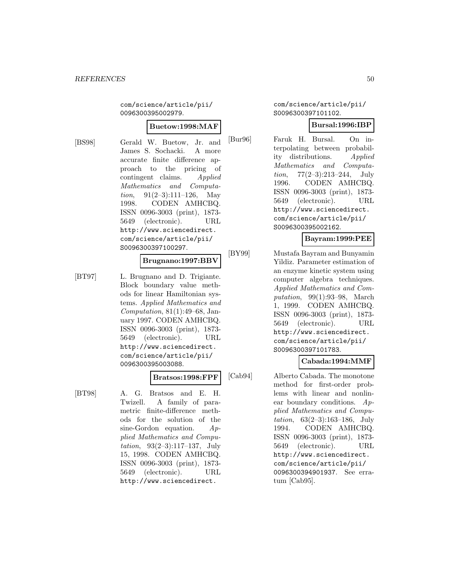com/science/article/pii/ 0096300395002979.

#### **Buetow:1998:MAF**

[BS98] Gerald W. Buetow, Jr. and James S. Sochacki. A more accurate finite difference approach to the pricing of contingent claims. Applied Mathematics and Computa*tion*,  $91(2-3):111-126$ , May 1998. CODEN AMHCBQ. ISSN 0096-3003 (print), 1873- 5649 (electronic). URL http://www.sciencedirect. com/science/article/pii/ S0096300397100297.

#### **Brugnano:1997:BBV**

[BT97] L. Brugnano and D. Trigiante. Block boundary value methods for linear Hamiltonian systems. Applied Mathematics and Computation, 81(1):49–68, January 1997. CODEN AMHCBQ. ISSN 0096-3003 (print), 1873- 5649 (electronic). URL http://www.sciencedirect. com/science/article/pii/ 0096300395003088.

#### **Bratsos:1998:FPF**

[BT98] A. G. Bratsos and E. H. Twizell. A family of parametric finite-difference methods for the solution of the sine-Gordon equation.  $Ap$ plied Mathematics and Computation, 93(2–3):117–137, July 15, 1998. CODEN AMHCBQ. ISSN 0096-3003 (print), 1873- 5649 (electronic). URL http://www.sciencedirect.

#### com/science/article/pii/ S0096300397101102.

## **Bursal:1996:IBP**

[Bur96] Faruk H. Bursal. On interpolating between probability distributions. Applied Mathematics and Computation, 77(2–3):213–244, July 1996. CODEN AMHCBQ. ISSN 0096-3003 (print), 1873- 5649 (electronic). URL http://www.sciencedirect. com/science/article/pii/ S0096300395002162.

# **Bayram:1999:PEE**

[BY99] Mustafa Bayram and Bunyamin Yildiz. Parameter estimation of an enzyme kinetic system using computer algebra techniques. Applied Mathematics and Computation, 99(1):93–98, March 1, 1999. CODEN AMHCBQ. ISSN 0096-3003 (print), 1873- 5649 (electronic). URL http://www.sciencedirect. com/science/article/pii/ S0096300397101783.

# **Cabada:1994:MMF**

[Cab94] Alberto Cabada. The monotone method for first-order problems with linear and nonlinear boundary conditions.  $Ap$ plied Mathematics and Computation, 63(2–3):163–186, July 1994. CODEN AMHCBQ. ISSN 0096-3003 (print), 1873- 5649 (electronic). URL http://www.sciencedirect. com/science/article/pii/ 0096300394901937. See erratum [Cab95].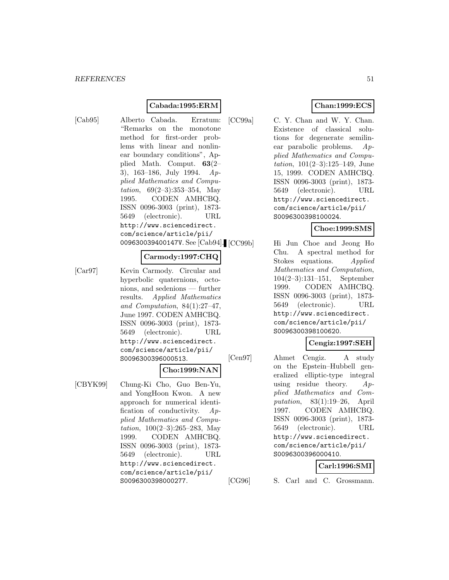# **Cabada:1995:ERM**

[Cab95] Alberto Cabada. Erratum: "Remarks on the monotone method for first-order problems with linear and nonlinear boundary conditions", Applied Math. Comput. **63**(2– 3), 163–186, July 1994. Applied Mathematics and Computation, 69(2–3):353–354, May 1995. CODEN AMHCBQ. ISSN 0096-3003 (print), 1873- 5649 (electronic). URL http://www.sciencedirect. com/science/article/pii/ 009630039400147V. See [Cab94]. [CC99b]

#### **Carmody:1997:CHQ**

[Car97] Kevin Carmody. Circular and hyperbolic quaternions, octonions, and sedenions — further results. Applied Mathematics and Computation, 84(1):27–47, June 1997. CODEN AMHCBQ. ISSN 0096-3003 (print), 1873- 5649 (electronic). URL http://www.sciencedirect. com/science/article/pii/ S0096300396000513.

#### **Cho:1999:NAN**

[CBYK99] Chung-Ki Cho, Guo Ben-Yu, and YongHoon Kwon. A new approach for numerical identification of conductivity. Applied Mathematics and Computation, 100(2–3):265–283, May 1999. CODEN AMHCBQ. ISSN 0096-3003 (print), 1873- 5649 (electronic). URL http://www.sciencedirect. com/science/article/pii/ S0096300398000277.

## **Chan:1999:ECS**

[CC99a] C. Y. Chan and W. Y. Chan. Existence of classical solutions for degenerate semilinear parabolic problems. Applied Mathematics and Computation, 101(2–3):125–149, June 15, 1999. CODEN AMHCBQ. ISSN 0096-3003 (print), 1873- 5649 (electronic). URL http://www.sciencedirect. com/science/article/pii/ S0096300398100024.

# **Choe:1999:SMS**

Hi Jun Choe and Jeong Ho Chu. A spectral method for Stokes equations. Applied Mathematics and Computation, 104(2–3):131–151, September 1999. CODEN AMHCBQ. ISSN 0096-3003 (print), 1873- 5649 (electronic). URL http://www.sciencedirect. com/science/article/pii/ S0096300398100620.

## **Cengiz:1997:SEH**

[Cen97] Ahmet Cengiz. A study on the Epstein–Hubbell generalized elliptic-type integral using residue theory.  $Ap$ plied Mathematics and Computation, 83(1):19–26, April 1997. CODEN AMHCBQ. ISSN 0096-3003 (print), 1873- 5649 (electronic). URL http://www.sciencedirect. com/science/article/pii/ S0096300396000410.

## **Carl:1996:SMI**

[CG96] S. Carl and C. Grossmann.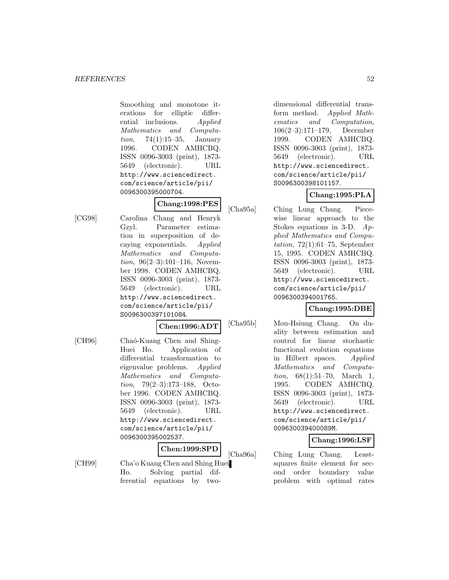Smoothing and monotone iterations for elliptic differential inclusions. Applied Mathematics and Computa*tion*, 74(1):15–35, January 1996. CODEN AMHCBQ. ISSN 0096-3003 (print), 1873- 5649 (electronic). URL http://www.sciencedirect. com/science/article/pii/ 0096300395000704.

# **Chang:1998:PES**

[CG98] Carolina Chang and Henryk Gzyl. Parameter estimation in superposition of decaying exponentials. Applied Mathematics and Computation, 96(2–3):101–116, November 1998. CODEN AMHCBQ. ISSN 0096-3003 (print), 1873- 5649 (electronic). URL http://www.sciencedirect. com/science/article/pii/ S0096300397101084.

#### **Chen:1996:ADT**

[CH96] Chaó-Kuang Chen and Shing-Huei Ho. Application of differential transformation to eigenvalue problems. Applied Mathematics and Computation, 79(2–3):173–188, October 1996. CODEN AMHCBQ. ISSN 0096-3003 (print), 1873- 5649 (electronic). URL http://www.sciencedirect. com/science/article/pii/ 0096300395002537.

# **Chen:1999:SPD**

[CH99] Cha'o Kuang Chen and Shing Huei Ho. Solving partial differential equations by two-

dimensional differential transform method. Applied Mathematics and Computation, 106(2–3):171–179, December 1999. CODEN AMHCBQ. ISSN 0096-3003 (print), 1873- 5649 (electronic). URL http://www.sciencedirect. com/science/article/pii/ S0096300398101157.

# **Chang:1995:PLA**

[Cha95a] Ching Lung Chang. Piecewise linear approach to the Stokes equations in 3-D.  $Ap$ plied Mathematics and Computation,  $72(1):61-75$ , September 15, 1995. CODEN AMHCBQ. ISSN 0096-3003 (print), 1873- 5649 (electronic). URL http://www.sciencedirect. com/science/article/pii/ 0096300394001765.

# **Chang:1995:DBE**

[Cha95b] Mou-Hsiung Chang. On duality between estimation and control for linear stochastic functional evolution equations in Hilbert spaces. Applied Mathematics and Computation, 68(1):51–70, March 1, 1995. CODEN AMHCBQ. ISSN 0096-3003 (print), 1873- 5649 (electronic). URL http://www.sciencedirect. com/science/article/pii/ 009630039400089M.

#### **Chang:1996:LSF**

[Cha96a] Ching Lung Chang. Leastsquares finite element for second order boundary value problem with optimal rates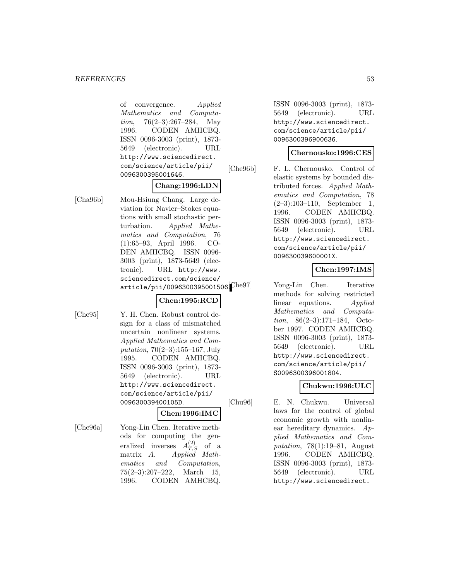of convergence. Applied Mathematics and Computation, 76(2–3):267–284, May 1996. CODEN AMHCBQ. ISSN 0096-3003 (print), 1873- 5649 (electronic). URL http://www.sciencedirect. com/science/article/pii/ 0096300395001646.

#### **Chang:1996:LDN**

[Cha96b] Mou-Hsiung Chang. Large deviation for Navier–Stokes equations with small stochastic perturbation. Applied Mathematics and Computation, 76 (1):65–93, April 1996. CO-DEN AMHCBQ. ISSN 0096- 3003 (print), 1873-5649 (electronic). URL http://www. sciencedirect.com/science/ article/pii/0096300395001506 $[{\rm Che}97]$ 

#### **Chen:1995:RCD**

[Che95] Y. H. Chen. Robust control design for a class of mismatched uncertain nonlinear systems. Applied Mathematics and Computation, 70(2–3):155–167, July 1995. CODEN AMHCBQ. ISSN 0096-3003 (print), 1873- 5649 (electronic). URL http://www.sciencedirect. com/science/article/pii/ 009630039400105D.

#### **Chen:1996:IMC**

[Che96a] Yong-Lin Chen. Iterative methods for computing the generalized inverses  $A_{T,S}^{(2)}$  of a matrix A. Applied Mathematics and Computation, 75(2–3):207–222, March 15, 1996. CODEN AMHCBQ.

ISSN 0096-3003 (print), 1873- 5649 (electronic). URL http://www.sciencedirect. com/science/article/pii/ 0096300396900636.

#### **Chernousko:1996:CES**

[Che96b] F. L. Chernousko. Control of elastic systems by bounded distributed forces. Applied Mathematics and Computation, 78 (2–3):103–110, September 1, 1996. CODEN AMHCBQ. ISSN 0096-3003 (print), 1873- 5649 (electronic). URL http://www.sciencedirect. com/science/article/pii/ 009630039600001X.

## **Chen:1997:IMS**

Yong-Lin Chen. Iterative methods for solving restricted linear equations. Applied Mathematics and Computation, 86(2–3):171–184, October 1997. CODEN AMHCBQ. ISSN 0096-3003 (print), 1873- 5649 (electronic). URL http://www.sciencedirect. com/science/article/pii/ S0096300396001804.

# **Chukwu:1996:ULC**

[Chu96] E. N. Chukwu. Universal laws for the control of global economic growth with nonlinear hereditary dynamics. Applied Mathematics and Computation, 78(1):19–81, August 1996. CODEN AMHCBQ. ISSN 0096-3003 (print), 1873- 5649 (electronic). URL http://www.sciencedirect.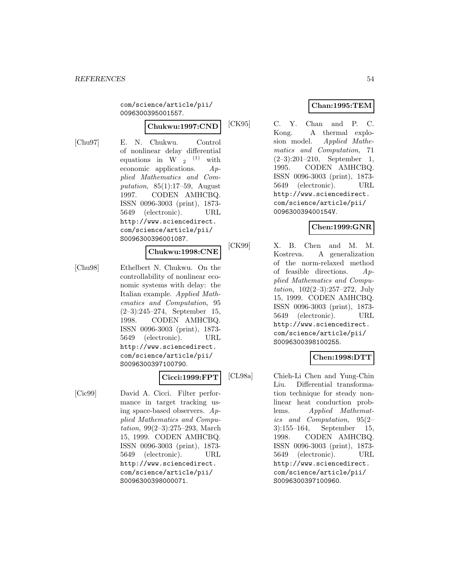com/science/article/pii/ 0096300395001557.

#### **Chukwu:1997:CND**

[Chu97] E. N. Chukwu. Control of nonlinear delay differential equations in W  $_2$  <sup>(1)</sup> with economic applications.  $Ap$ plied Mathematics and Computation,  $85(1):17-59$ , August 1997. CODEN AMHCBQ. ISSN 0096-3003 (print), 1873- 5649 (electronic). URL http://www.sciencedirect. com/science/article/pii/ S0096300396001087.

#### **Chukwu:1998:CNE**

[Chu98] Ethelbert N. Chukwu. On the controllability of nonlinear economic systems with delay: the Italian example. Applied Mathematics and Computation, 95 (2–3):245–274, September 15, 1998. CODEN AMHCBQ. ISSN 0096-3003 (print), 1873- 5649 (electronic). URL http://www.sciencedirect. com/science/article/pii/ S0096300397100790.

## **Cicci:1999:FPT**

[Cic99] David A. Cicci. Filter performance in target tracking using space-based observers. Applied Mathematics and Computation, 99(2–3):275–293, March 15, 1999. CODEN AMHCBQ. ISSN 0096-3003 (print), 1873- 5649 (electronic). URL http://www.sciencedirect. com/science/article/pii/ S0096300398000071.

# **Chan:1995:TEM**

[CK95] C. Y. Chan and P. C. Kong. A thermal explosion model. Applied Mathematics and Computation, 71 (2–3):201–210, September 1, 1995. CODEN AMHCBQ. ISSN 0096-3003 (print), 1873- 5649 (electronic). URL http://www.sciencedirect. com/science/article/pii/ 009630039400154V.

# **Chen:1999:GNR**

[CK99] X. B. Chen and M. M. Kostreva. A generalization of the norm-relaxed method of feasible directions. Applied Mathematics and Computation, 102(2–3):257–272, July 15, 1999. CODEN AMHCBQ. ISSN 0096-3003 (print), 1873- 5649 (electronic). URL http://www.sciencedirect. com/science/article/pii/ S0096300398100255.

# **Chen:1998:DTT**

[CL98a] Chieh-Li Chen and Yung-Chin Liu. Differential transformation technique for steady nonlinear heat conduction problems. Applied Mathematics and Computation, 95(2– 3):155–164, September 15, 1998. CODEN AMHCBQ. ISSN 0096-3003 (print), 1873- 5649 (electronic). URL http://www.sciencedirect. com/science/article/pii/ S0096300397100960.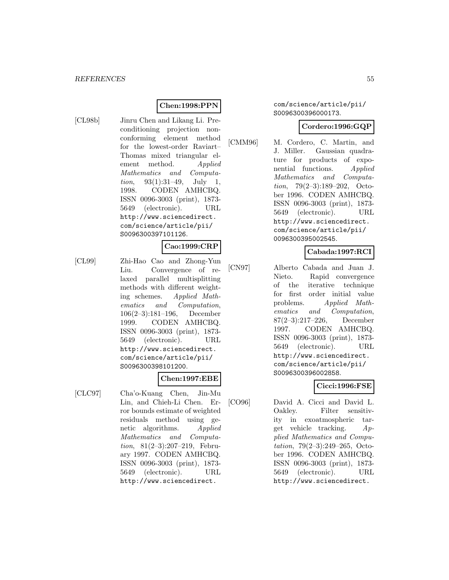## **Chen:1998:PPN**

[CL98b] Jinru Chen and Likang Li. Preconditioning projection nonconforming element method for the lowest-order Raviart– Thomas mixed triangular element method. Applied Mathematics and Computation, 93(1):31–49, July 1, 1998. CODEN AMHCBQ. ISSN 0096-3003 (print), 1873- 5649 (electronic). URL http://www.sciencedirect. com/science/article/pii/ S0096300397101126.

# **Cao:1999:CRP**

[CL99] Zhi-Hao Cao and Zhong-Yun Liu. Convergence of relaxed parallel multisplitting methods with different weighting schemes. Applied Mathematics and Computation, 106(2–3):181–196, December 1999. CODEN AMHCBQ. ISSN 0096-3003 (print), 1873- 5649 (electronic). URL http://www.sciencedirect. com/science/article/pii/ S0096300398101200.

#### **Chen:1997:EBE**

[CLC97] Cha'o-Kuang Chen, Jin-Mu Lin, and Chieh-Li Chen. Error bounds estimate of weighted residuals method using genetic algorithms. Applied Mathematics and Computation, 81(2–3):207–219, February 1997. CODEN AMHCBQ. ISSN 0096-3003 (print), 1873- 5649 (electronic). URL http://www.sciencedirect.

#### com/science/article/pii/ S0096300396000173.

#### **Cordero:1996:GQP**

[CMM96] M. Cordero, C. Martin, and J. Miller. Gaussian quadrature for products of exponential functions. Applied Mathematics and Computation, 79(2–3):189–202, October 1996. CODEN AMHCBQ. ISSN 0096-3003 (print), 1873- 5649 (electronic). URL http://www.sciencedirect. com/science/article/pii/ 0096300395002545.

# **Cabada:1997:RCI**

[CN97] Alberto Cabada and Juan J. Nieto. Rapid convergence of the iterative technique for first order initial value problems. Applied Mathematics and Computation, 87(2–3):217–226, December 1997. CODEN AMHCBQ. ISSN 0096-3003 (print), 1873- 5649 (electronic). URL http://www.sciencedirect. com/science/article/pii/ S0096300396002858.

# **Cicci:1996:FSE**

[CO96] David A. Cicci and David L. Oakley. Filter sensitivity in exoatmospheric target vehicle tracking.  $Ap$ plied Mathematics and Computation, 79(2–3):249–265, October 1996. CODEN AMHCBQ. ISSN 0096-3003 (print), 1873- 5649 (electronic). URL http://www.sciencedirect.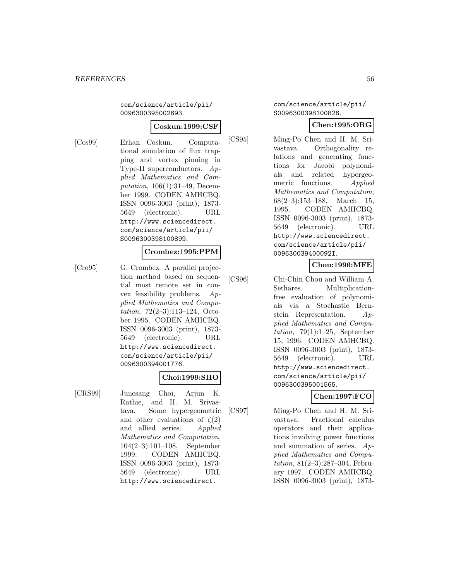com/science/article/pii/ 0096300395002693.

## **Coskun:1999:CSF**

[Cos99] Erhan Coskun. Computational simulation of flux trapping and vortex pinning in Type-II superconductors. Applied Mathematics and Computation, 106(1):31–49, December 1999. CODEN AMHCBQ. ISSN 0096-3003 (print), 1873- 5649 (electronic). URL http://www.sciencedirect. com/science/article/pii/ S0096300398100899.

#### **Crombez:1995:PPM**

[Cro95] G. Crombez. A parallel projection method based on sequential most remote set in convex feasibility problems. Applied Mathematics and Computation, 72(2–3):113–124, October 1995. CODEN AMHCBQ. ISSN 0096-3003 (print), 1873- 5649 (electronic). URL http://www.sciencedirect. com/science/article/pii/ 0096300394001776.

## **Choi:1999:SHO**

[CRS99] Junesang Choi, Arjun K. Rathie, and H. M. Srivastava. Some hypergeometric and other evaluations of  $\zeta(2)$ and allied series. Applied Mathematics and Computation, 104(2–3):101–108, September 1999. CODEN AMHCBQ. ISSN 0096-3003 (print), 1873- 5649 (electronic). URL http://www.sciencedirect.

#### com/science/article/pii/ S0096300398100826.

# **Chen:1995:ORG**

[CS95] Ming-Po Chen and H. M. Srivastava. Orthogonality relations and generating functions for Jacobi polynomials and related hypergeometric functions. Applied Mathematics and Computation, 68(2–3):153–188, March 15, 1995. CODEN AMHCBQ. ISSN 0096-3003 (print), 1873- 5649 (electronic). URL http://www.sciencedirect. com/science/article/pii/ 009630039400092I.

# **Chou:1996:MFE**

[CS96] Chi-Chin Chou and William A. Sethares. Multiplicationfree evaluation of polynomials via a Stochastic Bernstein Representation. Applied Mathematics and Computation,  $79(1):1-25$ , September 15, 1996. CODEN AMHCBQ. ISSN 0096-3003 (print), 1873- 5649 (electronic). URL http://www.sciencedirect. com/science/article/pii/ 0096300395001565.

# **Chen:1997:FCO**

[CS97] Ming-Po Chen and H. M. Srivastava. Fractional calculus operators and their applications involving power functions and summation of series. Applied Mathematics and Computation, 81(2–3):287–304, February 1997. CODEN AMHCBQ. ISSN 0096-3003 (print), 1873-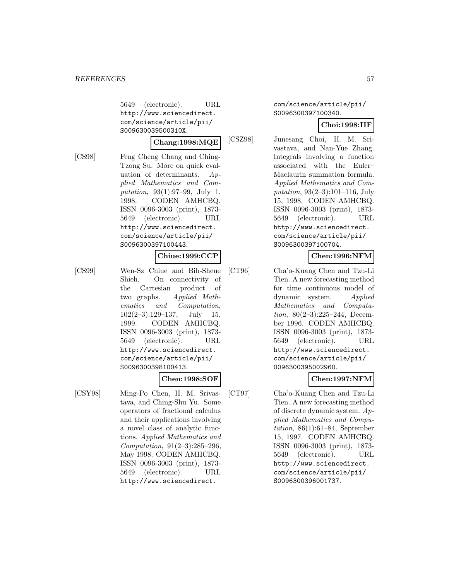5649 (electronic). URL http://www.sciencedirect. com/science/article/pii/ S009630039500310X.

#### **Chang:1998:MQE**

[CS98] Feng Cheng Chang and Ching-Tzong Su. More on quick evaluation of determinants. Applied Mathematics and Computation, 93(1):97–99, July 1, 1998. CODEN AMHCBQ. ISSN 0096-3003 (print), 1873- 5649 (electronic). URL http://www.sciencedirect. com/science/article/pii/ S0096300397100443.

# **Chiue:1999:CCP**

[CS99] Wen-Sz Chiue and Bih-Sheue Shieh. On connectivity of the Cartesian product of two graphs. Applied Mathematics and Computation,  $102(2-3):129-137$ , July 15, 1999. CODEN AMHCBQ. ISSN 0096-3003 (print), 1873- 5649 (electronic). URL http://www.sciencedirect. com/science/article/pii/ S0096300398100413.

## **Chen:1998:SOF**

[CSY98] Ming-Po Chen, H. M. Srivastava, and Ching-Shu Yu. Some operators of fractional calculus and their applications involving a novel class of analytic functions. Applied Mathematics and Computation, 91(2–3):285–296, May 1998. CODEN AMHCBQ. ISSN 0096-3003 (print), 1873- 5649 (electronic). URL http://www.sciencedirect.

com/science/article/pii/ S0096300397100340.

#### **Choi:1998:IIF**

[CSZ98] Junesang Choi, H. M. Srivastava, and Nan-Yue Zhang. Integrals involving a function associated with the Euler– Maclaurin summation formula. Applied Mathematics and Computation, 93(2–3):101–116, July 15, 1998. CODEN AMHCBQ. ISSN 0096-3003 (print), 1873- 5649 (electronic). URL http://www.sciencedirect. com/science/article/pii/ S0096300397100704.

## **Chen:1996:NFM**

[CT96] Cha'o-Kuang Chen and Tzu-Li Tien. A new forecasting method for time continuous model of dynamic system. Applied Mathematics and Computation, 80(2–3):225–244, December 1996. CODEN AMHCBQ. ISSN 0096-3003 (print), 1873- 5649 (electronic). URL http://www.sciencedirect. com/science/article/pii/ 0096300395002960.

## **Chen:1997:NFM**

[CT97] Cha'o-Kuang Chen and Tzu-Li Tien. A new forecasting method of discrete dynamic system. Applied Mathematics and Computation,  $86(1):61-84$ , September 15, 1997. CODEN AMHCBQ. ISSN 0096-3003 (print), 1873- 5649 (electronic). URL http://www.sciencedirect. com/science/article/pii/ S0096300396001737.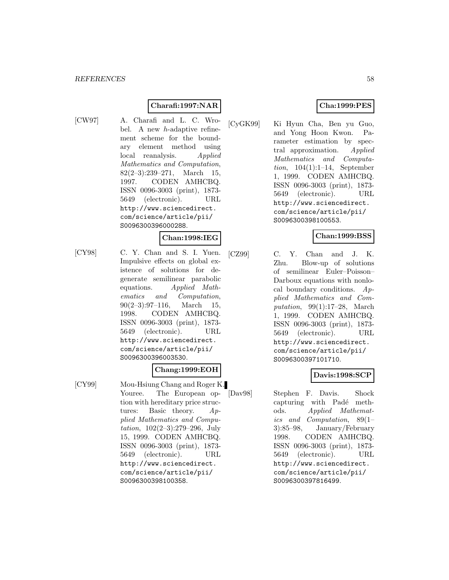## **Charafi:1997:NAR**

[CW97] A. Charafi and L. C. Wrobel. A new h-adaptive refinement scheme for the boundary element method using local reanalysis. Applied Mathematics and Computation, 82(2–3):239–271, March 15, 1997. CODEN AMHCBQ. ISSN 0096-3003 (print), 1873- 5649 (electronic). URL http://www.sciencedirect. com/science/article/pii/ S0096300396000288.

#### **Chan:1998:IEG**

[CY98] C. Y. Chan and S. I. Yuen. Impulsive effects on global existence of solutions for degenerate semilinear parabolic equations. Applied Mathematics and Computation,  $90(2-3):97-116$ , March 15, 1998. CODEN AMHCBQ. ISSN 0096-3003 (print), 1873- 5649 (electronic). URL http://www.sciencedirect. com/science/article/pii/ S0096300396003530.

#### **Chang:1999:EOH**

[CY99] Mou-Hsiung Chang and Roger K. Youree. The European option with hereditary price structures: Basic theory. Applied Mathematics and Computation, 102(2–3):279–296, July 15, 1999. CODEN AMHCBQ. ISSN 0096-3003 (print), 1873- 5649 (electronic). URL http://www.sciencedirect. com/science/article/pii/ S0096300398100358.

## **Cha:1999:PES**

[CyGK99] Ki Hyun Cha, Ben yu Guo, and Yong Hoon Kwon. Parameter estimation by spectral approximation. Applied Mathematics and Computation, 104(1):1–14, September 1, 1999. CODEN AMHCBQ. ISSN 0096-3003 (print), 1873- 5649 (electronic). URL http://www.sciencedirect. com/science/article/pii/ S0096300398100553.

## **Chan:1999:BSS**

[CZ99] C. Y. Chan and J. K. Zhu. Blow-up of solutions of semilinear Euler–Poisson– Darboux equations with nonlocal boundary conditions.  $Ap$ plied Mathematics and Computation, 99(1):17–28, March 1, 1999. CODEN AMHCBQ. ISSN 0096-3003 (print), 1873- 5649 (electronic). URL http://www.sciencedirect. com/science/article/pii/ S0096300397101710.

## **Davis:1998:SCP**

[Dav98] Stephen F. Davis. Shock capturing with Padé methods. Applied Mathematics and Computation, 89(1– 3):85–98, January/February 1998. CODEN AMHCBQ. ISSN 0096-3003 (print), 1873- 5649 (electronic). URL http://www.sciencedirect. com/science/article/pii/ S0096300397816499.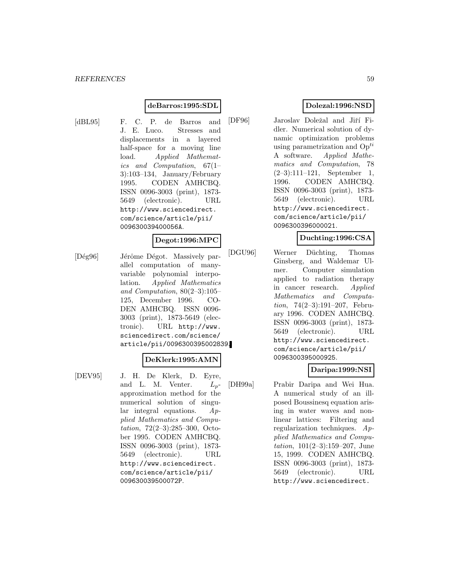#### **deBarros:1995:SDL**

[dBL95] F. C. P. de Barros and J. E. Luco. Stresses and displacements in a layered half-space for a moving line load. Applied Mathematics and Computation, 67(1– 3):103–134, January/February 1995. CODEN AMHCBQ. ISSN 0096-3003 (print), 1873- 5649 (electronic). URL http://www.sciencedirect. com/science/article/pii/ 009630039400056A.

#### **Degot:1996:MPC**

[Dég96] Jérôme Dégot. Massively parallel computation of manyvariable polynomial interpolation. Applied Mathematics and Computation, 80(2–3):105– 125, December 1996. CO-DEN AMHCBQ. ISSN 0096- 3003 (print), 1873-5649 (electronic). URL http://www. sciencedirect.com/science/ article/pii/0096300395002839.

#### **DeKlerk:1995:AMN**

[DEV95] J. H. De Klerk, D. Eyre, and L. M. Venter.  $L_p$ approximation method for the numerical solution of singular integral equations. Applied Mathematics and Computation, 72(2–3):285–300, October 1995. CODEN AMHCBQ. ISSN 0096-3003 (print), 1873- 5649 (electronic). URL http://www.sciencedirect. com/science/article/pii/ 009630039500072P.

# **Dolezal:1996:NSD**

[DF96] Jaroslav Doležal and Jiří Fidler. Numerical solution of dynamic optimization problems using parametrization and  $Op^{ti}$ A software. Applied Mathematics and Computation, 78 (2–3):111–121, September 1, 1996. CODEN AMHCBQ. ISSN 0096-3003 (print), 1873- 5649 (electronic). URL http://www.sciencedirect. com/science/article/pii/ 0096300396000021.

#### **Duchting:1996:CSA**

[DGU96] Werner Düchting, Thomas Ginsberg, and Waldemar Ulmer. Computer simulation applied to radiation therapy in cancer research. Applied Mathematics and Computation, 74(2–3):191–207, February 1996. CODEN AMHCBQ. ISSN 0096-3003 (print), 1873- 5649 (electronic). URL http://www.sciencedirect. com/science/article/pii/ 0096300395000925.

## **Daripa:1999:NSI**

[DH99a] Prabir Daripa and Wei Hua. A numerical study of an illposed Boussinesq equation arising in water waves and nonlinear lattices: Filtering and regularization techniques. Applied Mathematics and Computation, 101(2–3):159–207, June 15, 1999. CODEN AMHCBQ. ISSN 0096-3003 (print), 1873- 5649 (electronic). URL http://www.sciencedirect.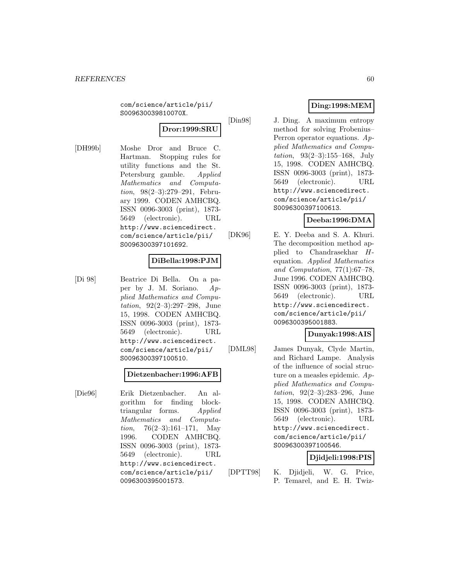com/science/article/pii/ S009630039810070X.

# **Dror:1999:SRU**

[DH99b] Moshe Dror and Bruce C. Hartman. Stopping rules for utility functions and the St. Petersburg gamble. Applied Mathematics and Computation, 98(2–3):279–291, February 1999. CODEN AMHCBQ. ISSN 0096-3003 (print), 1873- 5649 (electronic). URL http://www.sciencedirect. com/science/article/pii/ S0096300397101692.

#### **DiBella:1998:PJM**

[Di 98] Beatrice Di Bella. On a paper by J. M. Soriano. Applied Mathematics and Computation, 92(2–3):297–298, June 15, 1998. CODEN AMHCBQ. ISSN 0096-3003 (print), 1873- 5649 (electronic). URL http://www.sciencedirect. com/science/article/pii/ S0096300397100510.

#### **Dietzenbacher:1996:AFB**

[Die96] Erik Dietzenbacher. An algorithm for finding blocktriangular forms. Applied Mathematics and Computation,  $76(2-3):161-171$ , May 1996. CODEN AMHCBQ. ISSN 0096-3003 (print), 1873- 5649 (electronic). URL http://www.sciencedirect. com/science/article/pii/ 0096300395001573.

# **Ding:1998:MEM**

[Din98] J. Ding. A maximum entropy method for solving Frobenius– Perron operator equations. Applied Mathematics and Computation, 93(2–3):155–168, July 15, 1998. CODEN AMHCBQ. ISSN 0096-3003 (print), 1873- 5649 (electronic). URL http://www.sciencedirect. com/science/article/pii/ S0096300397100613.

## **Deeba:1996:DMA**

[DK96] E. Y. Deeba and S. A. Khuri. The decomposition method applied to Chandrasekhar Hequation. Applied Mathematics and Computation, 77(1):67–78, June 1996. CODEN AMHCBQ. ISSN 0096-3003 (print), 1873- 5649 (electronic). URL http://www.sciencedirect. com/science/article/pii/ 0096300395001883.

# **Dunyak:1998:AIS**

[DML98] James Dunyak, Clyde Martin, and Richard Lampe. Analysis of the influence of social structure on a measles epidemic. Applied Mathematics and Computation, 92(2–3):283–296, June 15, 1998. CODEN AMHCBQ. ISSN 0096-3003 (print), 1873- 5649 (electronic). URL http://www.sciencedirect. com/science/article/pii/ S0096300397100546.

# **Djidjeli:1998:PIS**

[DPTT98] K. Djidjeli, W. G. Price, P. Temarel, and E. H. Twiz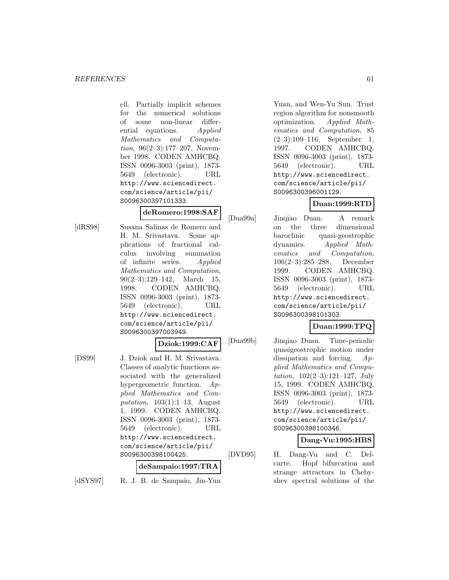ell. Partially implicit schemes for the numerical solutions of some non-linear differential equations. Applied Mathematics and Computation, 96(2–3):177–207, November 1998. CODEN AMHCBQ. ISSN 0096-3003 (print), 1873- 5649 (electronic). URL http://www.sciencedirect. com/science/article/pii/ S0096300397101333.

#### **deRomero:1998:SAF**

[dRS98] Susana Salinas de Romero and H. M. Srivastava. Some applications of fractional calculus involving summation of infinite series. Applied Mathematics and Computation, 90(2–3):129–142, March 15, 1998. CODEN AMHCBQ. ISSN 0096-3003 (print), 1873- 5649 (electronic). URL http://www.sciencedirect. com/science/article/pii/ S0096300397003949.

**Dziok:1999:CAF**

[DS99] J. Dziok and H. M. Srivastava. Classes of analytic functions associated with the generalized hypergeometric function. Applied Mathematics and Computation,  $103(1):1-13$ , August 1, 1999. CODEN AMHCBQ. ISSN 0096-3003 (print), 1873- 5649 (electronic). URL http://www.sciencedirect. com/science/article/pii/ S0096300398100425.

## **deSampaio:1997:TRA**

[dSYS97] R. J. B. de Sampaio, Jin-Yun

Yuan, and Wen-Yu Sun. Trust region algorithm for nonsmooth optimization. Applied Mathematics and Computation, 85 (2–3):109–116, September 1, 1997. CODEN AMHCBQ. ISSN 0096-3003 (print), 1873- 5649 (electronic). URL http://www.sciencedirect. com/science/article/pii/ S0096300396001129.

# **Duan:1999:RTD**

[Dua99a] Jinqiao Duan. A remark on the three dimensional baroclinic quasi-geostrophic dynamics. Applied Mathematics and Computation, 106(2–3):285–288, December 1999. CODEN AMHCBQ. ISSN 0096-3003 (print), 1873- 5649 (electronic). URL http://www.sciencedirect. com/science/article/pii/ S0096300398101303.

# **Duan:1999:TPQ**

[Dua99b] Jinqiao Duan. Time-periodic quasigeostrophic motion under dissipation and forcing. Applied Mathematics and Computation, 102(2–3):121–127, July 15, 1999. CODEN AMHCBQ. ISSN 0096-3003 (print), 1873- 5649 (electronic). URL http://www.sciencedirect. com/science/article/pii/ S0096300398100346.

## **Dang-Vu:1995:HBS**

[DVD95] H. Dang-Vu and C. Delcarte. Hopf bifurcation and strange attractors in Chebyshev spectral solutions of the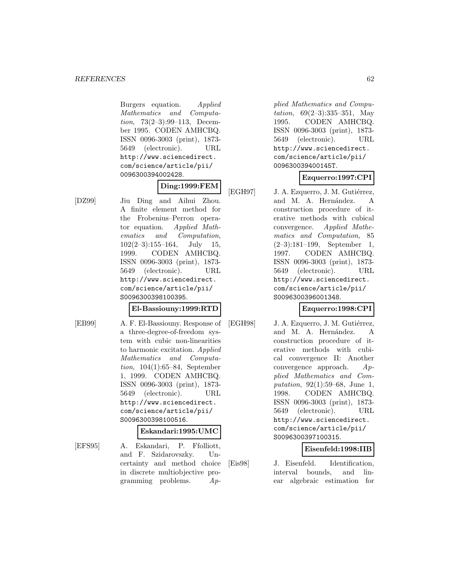Burgers equation. Applied Mathematics and Computation, 73(2–3):99–113, December 1995. CODEN AMHCBQ. ISSN 0096-3003 (print), 1873- 5649 (electronic). URL http://www.sciencedirect. com/science/article/pii/ 0096300394002428.

# **Ding:1999:FEM**

[DZ99] Jiu Ding and Aihui Zhou. A finite element method for the Frobenius–Perron operator equation. Applied Mathematics and Computation,  $102(2-3):155-164$ , July 15, 1999. CODEN AMHCBQ. ISSN 0096-3003 (print), 1873- 5649 (electronic). URL http://www.sciencedirect. com/science/article/pii/ S0096300398100395.

## **El-Bassiouny:1999:RTD**

[EB99] A. F. El-Bassiouny. Response of a three-degree-of-freedom system with cubic non-linearities to harmonic excitation. Applied Mathematics and Computation, 104(1):65–84, September 1, 1999. CODEN AMHCBQ. ISSN 0096-3003 (print), 1873- 5649 (electronic). URL http://www.sciencedirect. com/science/article/pii/ S0096300398100516.

## **Eskandari:1995:UMC**

[EFS95] A. Eskandari, P. Ffolliott, and F. Szidarovszky. Uncertainty and method choice in discrete multiobjective programming problems. Ap-

plied Mathematics and Computation, 69(2–3):335–351, May 1995. CODEN AMHCBQ. ISSN 0096-3003 (print), 1873- 5649 (electronic). URL http://www.sciencedirect. com/science/article/pii/ 009630039400145T.

# **Ezquerro:1997:CPI**

[EGH97] J. A. Ezquerro, J. M. Gutiérrez, and M. A. Hernández. A construction procedure of iterative methods with cubical convergence. Applied Mathematics and Computation, 85 (2–3):181–199, September 1, 1997. CODEN AMHCBQ. ISSN 0096-3003 (print), 1873- 5649 (electronic). URL http://www.sciencedirect. com/science/article/pii/ S0096300396001348.

# **Ezquerro:1998:CPI**

[EGH98] J. A. Ezquerro, J. M. Gutiérrez, and M. A. Hernández. A construction procedure of iterative methods with cubical convergence II: Another convergence approach. Applied Mathematics and Computation, 92(1):59–68, June 1, 1998. CODEN AMHCBQ. ISSN 0096-3003 (print), 1873- 5649 (electronic). URL http://www.sciencedirect. com/science/article/pii/ S0096300397100315.

# **Eisenfeld:1998:IIB**

[Eis98] J. Eisenfeld. Identification, interval bounds, and linear algebraic estimation for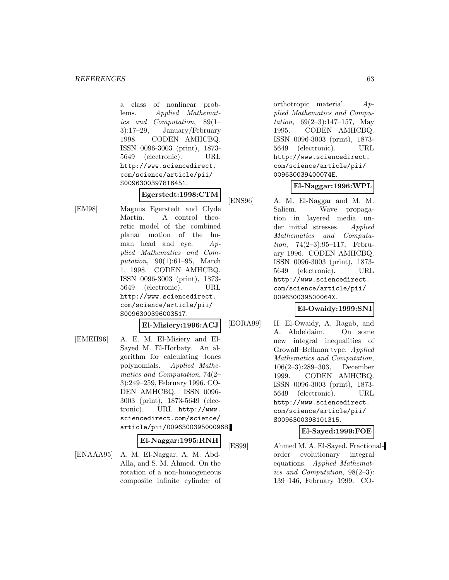a class of nonlinear problems. Applied Mathematics and Computation, 89(1– 3):17–29, January/February 1998. CODEN AMHCBQ. ISSN 0096-3003 (print), 1873- 5649 (electronic). URL http://www.sciencedirect. com/science/article/pii/ S0096300397816451.

# **Egerstedt:1998:CTM**

[EM98] Magnus Egerstedt and Clyde Martin. A control theoretic model of the combined planar motion of the human head and eye. Applied Mathematics and Computation, 90(1):61–95, March 1, 1998. CODEN AMHCBQ. ISSN 0096-3003 (print), 1873- 5649 (electronic). URL http://www.sciencedirect. com/science/article/pii/ S0096300396003517.

#### **El-Misiery:1996:ACJ**

[EMEH96] A. E. M. El-Misiery and El-Sayed M. El-Horbaty. An algorithm for calculating Jones polynomials. Applied Mathematics and Computation, 74(2– 3):249–259, February 1996. CO-DEN AMHCBQ. ISSN 0096- 3003 (print), 1873-5649 (electronic). URL http://www. sciencedirect.com/science/ article/pii/0096300395000968.

#### **El-Naggar:1995:RNH**

[ENAAA95] A. M. El-Naggar, A. M. Abd-Alla, and S. M. Ahmed. On the rotation of a non-homogeneous composite infinite cylinder of

orthotropic material. Applied Mathematics and Computation, 69(2–3):147–157, May 1995. CODEN AMHCBQ. ISSN 0096-3003 (print), 1873- 5649 (electronic). URL http://www.sciencedirect. com/science/article/pii/ 009630039400074E.

# **El-Naggar:1996:WPL**

[ENS96] A. M. El-Naggar and M. M. Saliem. Wave propagation in layered media under initial stresses. Applied Mathematics and Computation, 74(2–3):95–117, February 1996. CODEN AMHCBQ. ISSN 0096-3003 (print), 1873- 5649 (electronic). URL http://www.sciencedirect. com/science/article/pii/ 009630039500064X.

## **El-Owaidy:1999:SNI**

[EORA99] H. El-Owaidy, A. Ragab, and A. Abdeldaim. On some new integral inequalities of Growall–Bellman type. Applied Mathematics and Computation, 106(2–3):289–303, December 1999. CODEN AMHCBQ. ISSN 0096-3003 (print), 1873- 5649 (electronic). URL http://www.sciencedirect. com/science/article/pii/ S0096300398101315.

## **El-Sayed:1999:FOE**

[ES99] Ahmed M. A. El-Sayed. Fractionalorder evolutionary integral equations. Applied Mathematics and Computation, 98(2–3): 139–146, February 1999. CO-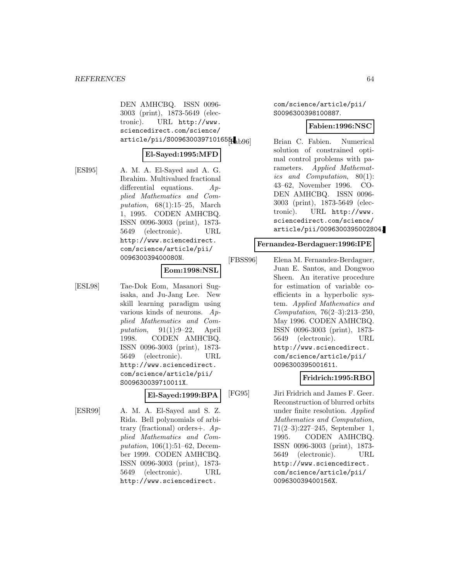DEN AMHCBQ. ISSN 0096- 3003 (print), 1873-5649 (electronic). URL http://www. sciencedirect.com/science/ article/pii/S0096300397101655.

#### **El-Sayed:1995:MFD**

[ESI95] A. M. A. El-Sayed and A. G. Ibrahim. Multivalued fractional differential equations. Applied Mathematics and Computation,  $68(1):15-25$ , March 1, 1995. CODEN AMHCBQ. ISSN 0096-3003 (print), 1873- 5649 (electronic). URL http://www.sciencedirect. com/science/article/pii/ 009630039400080N.

#### **Eom:1998:NSL**

[ESL98] Tae-Dok Eom, Masanori Sugisaka, and Ju-Jang Lee. New skill learning paradigm using various kinds of neurons. Applied Mathematics and Computation, 91(1):9–22, April 1998. CODEN AMHCBQ. ISSN 0096-3003 (print), 1873- 5649 (electronic). URL http://www.sciencedirect. com/science/article/pii/ S009630039710011X.

# **El-Sayed:1999:BPA**

[ESR99] A. M. A. El-Sayed and S. Z. Rida. Bell polynomials of arbitrary (fractional) orders+. Applied Mathematics and Computation, 106(1):51–62, December 1999. CODEN AMHCBQ. ISSN 0096-3003 (print), 1873- 5649 (electronic). URL http://www.sciencedirect.

com/science/article/pii/ S0096300398100887.

#### **Fabien:1996:NSC**

Brian C. Fabien. Numerical solution of constrained optimal control problems with parameters. Applied Mathematics and Computation, 80(1): 43–62, November 1996. CO-DEN AMHCBQ. ISSN 0096- 3003 (print), 1873-5649 (electronic). URL http://www. sciencedirect.com/science/ article/pii/0096300395002804.

#### **Fernandez-Berdaguer:1996:IPE**

[FBSS96] Elena M. Fernandez-Berdaguer, Juan E. Santos, and Dongwoo Sheen. An iterative procedure for estimation of variable coefficients in a hyperbolic system. Applied Mathematics and Computation, 76(2–3):213–250, May 1996. CODEN AMHCBQ. ISSN 0096-3003 (print), 1873- 5649 (electronic). URL http://www.sciencedirect. com/science/article/pii/ 0096300395001611.

## **Fridrich:1995:RBO**

[FG95] Jiri Fridrich and James F. Geer. Reconstruction of blurred orbits under finite resolution. Applied Mathematics and Computation, 71(2–3):227–245, September 1, 1995. CODEN AMHCBQ. ISSN 0096-3003 (print), 1873- 5649 (electronic). URL http://www.sciencedirect. com/science/article/pii/ 009630039400156X.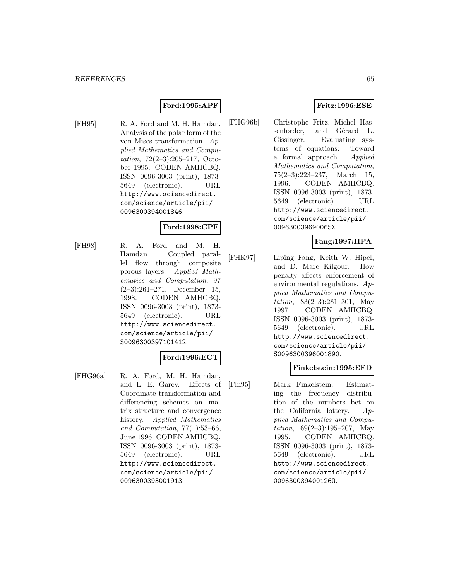## **Ford:1995:APF**

[FH95] R. A. Ford and M. H. Hamdan. Analysis of the polar form of the von Mises transformation. Applied Mathematics and Computation, 72(2–3):205–217, October 1995. CODEN AMHCBQ. ISSN 0096-3003 (print), 1873- 5649 (electronic). URL http://www.sciencedirect. com/science/article/pii/ 0096300394001846.

#### **Ford:1998:CPF**

[FH98] R. A. Ford and M. H. Hamdan. Coupled parallel flow through composite porous layers. Applied Mathematics and Computation, 97 (2–3):261–271, December 15, 1998. CODEN AMHCBQ. ISSN 0096-3003 (print), 1873- 5649 (electronic). URL http://www.sciencedirect. com/science/article/pii/ S0096300397101412.

#### **Ford:1996:ECT**

[FHG96a] R. A. Ford, M. H. Hamdan, and L. E. Garey. Effects of Coordinate transformation and differencing schemes on matrix structure and convergence history. Applied Mathematics and Computation, 77(1):53–66, June 1996. CODEN AMHCBQ. ISSN 0096-3003 (print), 1873- 5649 (electronic). URL http://www.sciencedirect. com/science/article/pii/ 0096300395001913.

# **Fritz:1996:ESE**

[FHG96b] Christophe Fritz, Michel Hassenforder, and Gérard L. Gissinger. Evaluating systems of equations: Toward a formal approach. Applied Mathematics and Computation, 75(2–3):223–237, March 15, 1996. CODEN AMHCBQ. ISSN 0096-3003 (print), 1873- 5649 (electronic). URL http://www.sciencedirect. com/science/article/pii/ 009630039690065X.

# **Fang:1997:HPA**

[FHK97] Liping Fang, Keith W. Hipel, and D. Marc Kilgour. How penalty affects enforcement of environmental regulations. Applied Mathematics and Computation, 83(2–3):281–301, May 1997. CODEN AMHCBQ. ISSN 0096-3003 (print), 1873- 5649 (electronic). URL http://www.sciencedirect. com/science/article/pii/ S0096300396001890.

#### **Finkelstein:1995:EFD**

[Fin95] Mark Finkelstein. Estimating the frequency distribution of the numbers bet on the California lottery.  $Ap$ plied Mathematics and Computation,  $69(2-3):195-207$ , May 1995. CODEN AMHCBQ. ISSN 0096-3003 (print), 1873- 5649 (electronic). URL http://www.sciencedirect. com/science/article/pii/ 009630039400126O.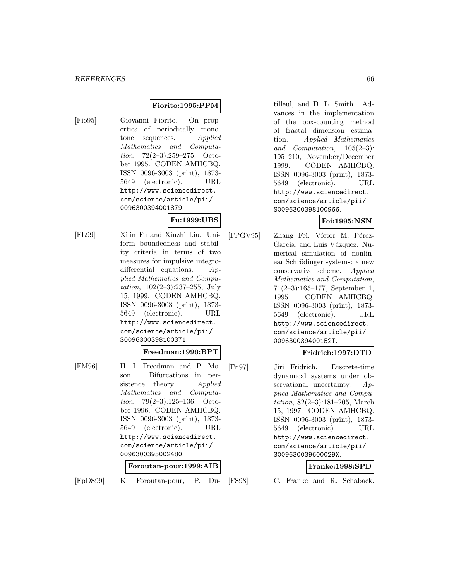# **Fiorito:1995:PPM**

[Fio95] Giovanni Fiorito. On properties of periodically monotone sequences. Applied Mathematics and Computation, 72(2–3):259–275, October 1995. CODEN AMHCBQ. ISSN 0096-3003 (print), 1873- 5649 (electronic). URL http://www.sciencedirect. com/science/article/pii/ 0096300394001879.

## **Fu:1999:UBS**

[FL99] Xilin Fu and Xinzhi Liu. Uniform boundedness and stability criteria in terms of two measures for impulsive integrodifferential equations. Applied Mathematics and Computation, 102(2–3):237–255, July 15, 1999. CODEN AMHCBQ. ISSN 0096-3003 (print), 1873- 5649 (electronic). URL http://www.sciencedirect. com/science/article/pii/ S0096300398100371.

# **Freedman:1996:BPT**

[FM96] H. I. Freedman and P. Moson. Bifurcations in persistence theory. Applied Mathematics and Computation, 79(2–3):125–136, October 1996. CODEN AMHCBQ. ISSN 0096-3003 (print), 1873- 5649 (electronic). URL http://www.sciencedirect. com/science/article/pii/ 0096300395002480.

#### **Foroutan-pour:1999:AIB**

[FpDS99] K. Foroutan-pour, P. Du-

tilleul, and D. L. Smith. Advances in the implementation of the box-counting method of fractal dimension estimation. Applied Mathematics and Computation, 105(2–3): 195–210, November/December 1999. CODEN AMHCBQ. ISSN 0096-3003 (print), 1873- 5649 (electronic). URL http://www.sciencedirect. com/science/article/pii/ S0096300398100966.

## **Fei:1995:NSN**

[FPGV95] Zhang Fei, Víctor M. Pérez-García, and Luis Vázquez. Numerical simulation of nonlinear Schrödinger systems: a new conservative scheme. Applied Mathematics and Computation, 71(2–3):165–177, September 1, 1995. CODEN AMHCBQ. ISSN 0096-3003 (print), 1873- 5649 (electronic). URL http://www.sciencedirect. com/science/article/pii/ 009630039400152T.

## **Fridrich:1997:DTD**

[Fri97] Jiri Fridrich. Discrete-time dynamical systems under observational uncertainty. Applied Mathematics and Computation, 82(2–3):181–205, March 15, 1997. CODEN AMHCBQ. ISSN 0096-3003 (print), 1873- 5649 (electronic). URL http://www.sciencedirect. com/science/article/pii/ S009630039600029X.

#### **Franke:1998:SPD**

[FS98] C. Franke and R. Schaback.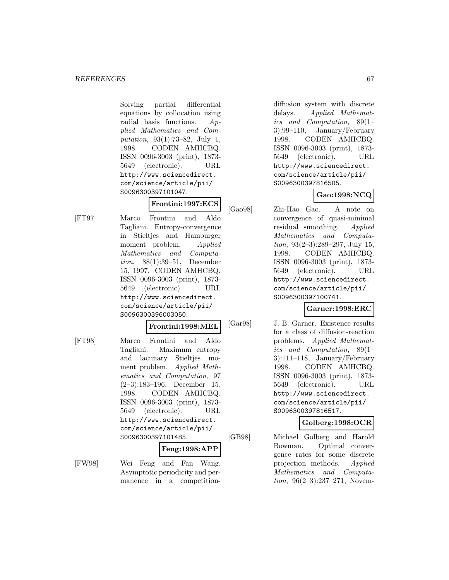Solving partial differential equations by collocation using radial basis functions. Applied Mathematics and Computation, 93(1):73–82, July 1, 1998. CODEN AMHCBQ. ISSN 0096-3003 (print), 1873- 5649 (electronic). URL http://www.sciencedirect. com/science/article/pii/ S0096300397101047.

# **Frontini:1997:ECS**

[FT97] Marco Frontini and Aldo Tagliani. Entropy-convergence in Stieltjes and Hamburger moment problem. Applied Mathematics and Computation, 88(1):39–51, December 15, 1997. CODEN AMHCBQ. ISSN 0096-3003 (print), 1873- 5649 (electronic). URL http://www.sciencedirect. com/science/article/pii/ S0096300396003050.

#### **Frontini:1998:MEL**

[FT98] Marco Frontini and Aldo Tagliani. Maximum entropy and lacunary Stieltjes moment problem. Applied Mathematics and Computation, 97 (2–3):183–196, December 15, 1998. CODEN AMHCBQ. ISSN 0096-3003 (print), 1873- 5649 (electronic). URL http://www.sciencedirect. com/science/article/pii/ S0096300397101485.

## **Feng:1998:APP**

[FW98] Wei Feng and Fan Wang. Asymptotic periodicity and permanence in a competition-

diffusion system with discrete delays. Applied Mathematics and Computation, 89(1– 3):99–110, January/February 1998. CODEN AMHCBQ. ISSN 0096-3003 (print), 1873- 5649 (electronic). URL http://www.sciencedirect. com/science/article/pii/ S0096300397816505.

# **Gao:1998:NCQ**

[Gao98] Zhi-Hao Gao. A note on convergence of quasi-minimal residual smoothing. Applied Mathematics and Computation,  $93(2-3):289-297$ , July 15, 1998. CODEN AMHCBQ. ISSN 0096-3003 (print), 1873- 5649 (electronic). URL http://www.sciencedirect. com/science/article/pii/ S0096300397100741.

## **Garner:1998:ERC**

[Gar98] J. B. Garner. Existence results for a class of diffusion-reaction problems. Applied Mathematics and Computation, 89(1– 3):111–118, January/February 1998. CODEN AMHCBQ. ISSN 0096-3003 (print), 1873- 5649 (electronic). URL http://www.sciencedirect. com/science/article/pii/ S0096300397816517.

## **Golberg:1998:OCR**

[GB98] Michael Golberg and Harold Bowman. Optimal convergence rates for some discrete projection methods. Applied Mathematics and Computation, 96(2–3):237–271, Novem-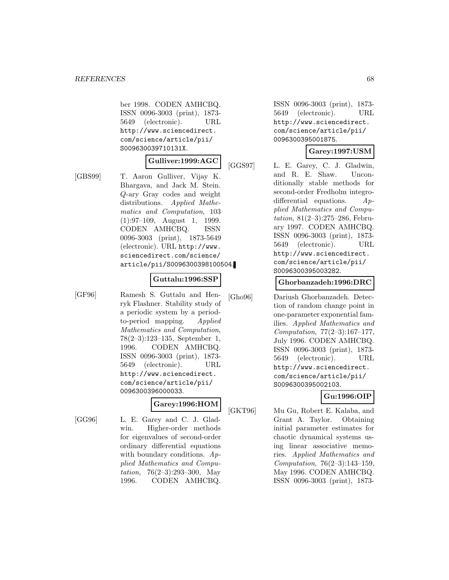ber 1998. CODEN AMHCBQ. ISSN 0096-3003 (print), 1873- 5649 (electronic). URL http://www.sciencedirect. com/science/article/pii/ S009630039710131X.

# **Gulliver:1999:AGC**

[GBS99] T. Aaron Gulliver, Vijay K. Bhargava, and Jack M. Stein. Q-ary Gray codes and weight distributions. Applied Mathematics and Computation, 103 (1):97–109, August 1, 1999. CODEN AMHCBQ. ISSN 0096-3003 (print), 1873-5649 (electronic). URL http://www. sciencedirect.com/science/ article/pii/S0096300398100504.

#### **Guttalu:1996:SSP**

[GF96] Ramesh S. Guttalu and Henryk Flashner. Stability study of a periodic system by a periodto-period mapping. Applied Mathematics and Computation, 78(2–3):123–135, September 1, 1996. CODEN AMHCBQ. ISSN 0096-3003 (print), 1873- 5649 (electronic). URL http://www.sciencedirect. com/science/article/pii/ 0096300396000033.

# **Garey:1996:HOM**

[GG96] L. E. Garey and C. J. Gladwin. Higher-order methods for eigenvalues of second-order ordinary differential equations with boundary conditions.  $Ap$ plied Mathematics and Computation, 76(2–3):293–300, May 1996. CODEN AMHCBQ.

ISSN 0096-3003 (print), 1873- 5649 (electronic). URL http://www.sciencedirect. com/science/article/pii/ 0096300395001875.

#### **Garey:1997:USM**

[GGS97] L. E. Garey, C. J. Gladwin, and R. E. Shaw. Unconditionally stable methods for second-order Fredholm integrodifferential equations. Applied Mathematics and Computation, 81(2–3):275–286, February 1997. CODEN AMHCBQ. ISSN 0096-3003 (print), 1873- 5649 (electronic). URL http://www.sciencedirect. com/science/article/pii/ S0096300395003282.

#### **Ghorbanzadeh:1996:DRC**

[Gho96] Dariush Ghorbanzadeh. Detection of random change point in one-parameter exponential families. Applied Mathematics and Computation, 77(2–3):167–177, July 1996. CODEN AMHCBQ. ISSN 0096-3003 (print), 1873- 5649 (electronic). URL http://www.sciencedirect. com/science/article/pii/ S0096300395002103.

# **Gu:1996:OIP**

[GKT96] Mu Gu, Robert E. Kalaba, and Grant A. Taylor. Obtaining initial parameter estimates for chaotic dynamical systems using linear associative memories. Applied Mathematics and Computation, 76(2–3):143–159, May 1996. CODEN AMHCBQ. ISSN 0096-3003 (print), 1873-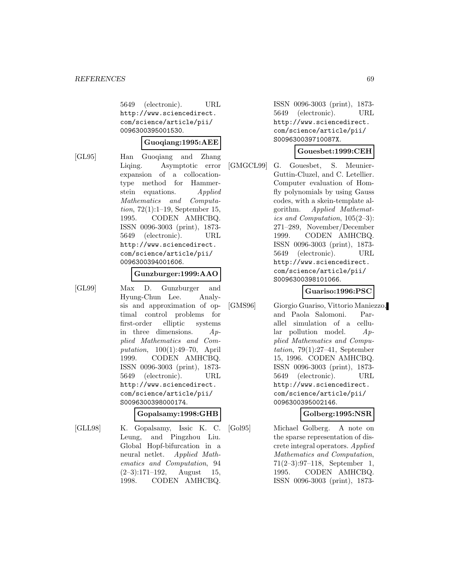5649 (electronic). URL http://www.sciencedirect. com/science/article/pii/ 0096300395001530.

#### **Guoqiang:1995:AEE**

[GL95] Han Guoqiang and Zhang Liqing. Asymptotic error expansion of a collocationtype method for Hammerstein equations. Applied Mathematics and Computation, 72(1):1–19, September 15, 1995. CODEN AMHCBQ. ISSN 0096-3003 (print), 1873- 5649 (electronic). URL http://www.sciencedirect. com/science/article/pii/ 0096300394001606.

#### **Gunzburger:1999:AAO**

[GL99] Max D. Gunzburger and Hyung-Chun Lee. Analysis and approximation of optimal control problems for first-order elliptic systems in three dimensions. Applied Mathematics and Computation, 100(1):49–70, April 1999. CODEN AMHCBQ. ISSN 0096-3003 (print), 1873- 5649 (electronic). URL http://www.sciencedirect. com/science/article/pii/ S0096300398000174.

#### **Gopalsamy:1998:GHB**

[GLL98] K. Gopalsamy, Issic K. C. Leung, and Pingzhou Liu. Global Hopf-bifurcation in a neural netlet. Applied Mathematics and Computation, 94  $(2-3):171-192$ , August 15, 1998. CODEN AMHCBQ.

ISSN 0096-3003 (print), 1873- 5649 (electronic). URL http://www.sciencedirect. com/science/article/pii/ S009630039710087X.

#### **Gouesbet:1999:CEH**

[GMGCL99] G. Gouesbet, S. Meunier-Guttin-Cluzel, and C. Letellier. Computer evaluation of Homfly polynomials by using Gauss codes, with a skein-template algorithm. Applied Mathematics and Computation, 105(2–3): 271–289, November/December 1999. CODEN AMHCBQ. ISSN 0096-3003 (print), 1873- 5649 (electronic). URL http://www.sciencedirect. com/science/article/pii/ S0096300398101066.

## **Guariso:1996:PSC**

[GMS96] Giorgio Guariso, Vittorio Maniezzo, and Paola Salomoni. Parallel simulation of a cellular pollution model. Applied Mathematics and Computation,  $79(1):27-41$ , September 15, 1996. CODEN AMHCBQ. ISSN 0096-3003 (print), 1873- 5649 (electronic). URL http://www.sciencedirect. com/science/article/pii/ 0096300395002146.

#### **Golberg:1995:NSR**

[Gol95] Michael Golberg. A note on the sparse representation of discrete integral operators. Applied Mathematics and Computation, 71(2–3):97–118, September 1, 1995. CODEN AMHCBQ. ISSN 0096-3003 (print), 1873-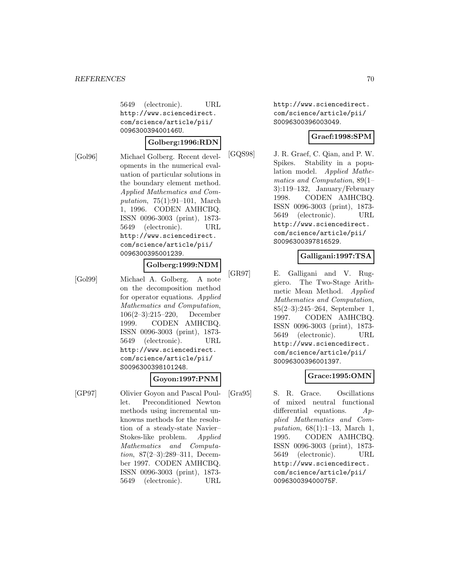5649 (electronic). URL http://www.sciencedirect. com/science/article/pii/ 009630039400146U.

#### **Golberg:1996:RDN**

[Gol96] Michael Golberg. Recent developments in the numerical evaluation of particular solutions in the boundary element method. Applied Mathematics and Computation, 75(1):91–101, March 1, 1996. CODEN AMHCBQ. ISSN 0096-3003 (print), 1873- 5649 (electronic). URL http://www.sciencedirect. com/science/article/pii/ 0096300395001239.

### **Golberg:1999:NDM**

[Gol99] Michael A. Golberg. A note on the decomposition method for operator equations. Applied Mathematics and Computation, 106(2–3):215–220, December 1999. CODEN AMHCBQ. ISSN 0096-3003 (print), 1873- 5649 (electronic). URL http://www.sciencedirect. com/science/article/pii/ S0096300398101248.

## **Goyon:1997:PNM**

[GP97] Olivier Goyon and Pascal Poullet. Preconditioned Newton methods using incremental unknowns methods for the resolution of a steady-state Navier– Stokes-like problem. Applied Mathematics and Computation, 87(2–3):289–311, December 1997. CODEN AMHCBQ. ISSN 0096-3003 (print), 1873- 5649 (electronic). URL

http://www.sciencedirect. com/science/article/pii/ S0096300396003049.

#### **Graef:1998:SPM**

[GQS98] J. R. Graef, C. Qian, and P. W. Spikes. Stability in a population model. Applied Mathematics and Computation, 89(1– 3):119–132, January/February 1998. CODEN AMHCBQ. ISSN 0096-3003 (print), 1873- 5649 (electronic). URL http://www.sciencedirect. com/science/article/pii/ S0096300397816529.

## **Galligani:1997:TSA**

[GR97] E. Galligani and V. Ruggiero. The Two-Stage Arithmetic Mean Method. Applied Mathematics and Computation, 85(2–3):245–264, September 1, 1997. CODEN AMHCBQ. ISSN 0096-3003 (print), 1873- 5649 (electronic). URL http://www.sciencedirect. com/science/article/pii/ S0096300396001397.

## **Grace:1995:OMN**

[Gra95] S. R. Grace. Oscillations of mixed neutral functional differential equations. Applied Mathematics and Computation, 68(1):1–13, March 1, 1995. CODEN AMHCBQ. ISSN 0096-3003 (print), 1873- 5649 (electronic). URL http://www.sciencedirect. com/science/article/pii/ 009630039400075F.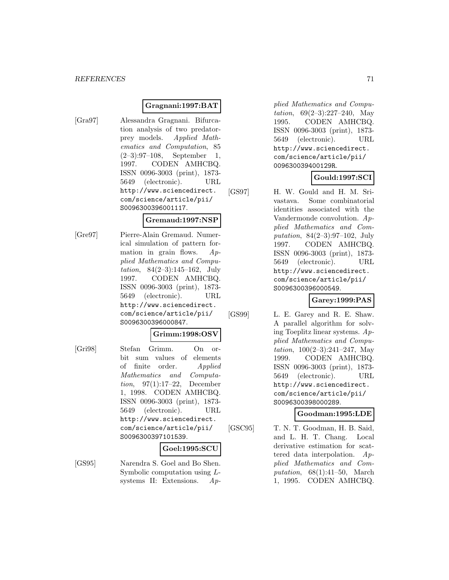## **Gragnani:1997:BAT**

[Gra97] Alessandra Gragnani. Bifurcation analysis of two predatorprey models. Applied Mathematics and Computation, 85 (2–3):97–108, September 1, 1997. CODEN AMHCBQ. ISSN 0096-3003 (print), 1873- 5649 (electronic). URL http://www.sciencedirect. com/science/article/pii/ S0096300396001117.

#### **Gremaud:1997:NSP**

[Gre97] Pierre-Alain Gremaud. Numerical simulation of pattern formation in grain flows.  $Ap$ plied Mathematics and Computation, 84(2–3):145–162, July 1997. CODEN AMHCBQ. ISSN 0096-3003 (print), 1873- 5649 (electronic). URL http://www.sciencedirect. com/science/article/pii/ S0096300396000847.

#### **Grimm:1998:OSV**

[Gri98] Stefan Grimm. On orbit sum values of elements of finite order. Applied Mathematics and Computation, 97(1):17–22, December 1, 1998. CODEN AMHCBQ. ISSN 0096-3003 (print), 1873- 5649 (electronic). URL http://www.sciencedirect. com/science/article/pii/ S0096300397101539.

#### **Goel:1995:SCU**

[GS95] Narendra S. Goel and Bo Shen. Symbolic computation using Lsystems II: Extensions. Ap-

plied Mathematics and Computation, 69(2–3):227–240, May 1995. CODEN AMHCBQ. ISSN 0096-3003 (print), 1873- 5649 (electronic). URL http://www.sciencedirect. com/science/article/pii/ 009630039400129R.

## **Gould:1997:SCI**

[GS97] H. W. Gould and H. M. Srivastava. Some combinatorial identities associated with the Vandermonde convolution. Applied Mathematics and Computation, 84(2–3):97–102, July 1997. CODEN AMHCBQ. ISSN 0096-3003 (print), 1873- 5649 (electronic). URL http://www.sciencedirect. com/science/article/pii/ S0096300396000549.

**Garey:1999:PAS**

[GS99] L. E. Garey and R. E. Shaw. A parallel algorithm for solving Toeplitz linear systems. Applied Mathematics and Computation,  $100(2-3):241-247$ , May 1999. CODEN AMHCBQ. ISSN 0096-3003 (print), 1873- 5649 (electronic). URL http://www.sciencedirect. com/science/article/pii/ S0096300398000289.

#### **Goodman:1995:LDE**

[GSC95] T. N. T. Goodman, H. B. Said, and L. H. T. Chang. Local derivative estimation for scattered data interpolation. Applied Mathematics and Computation, 68(1):41–50, March 1, 1995. CODEN AMHCBQ.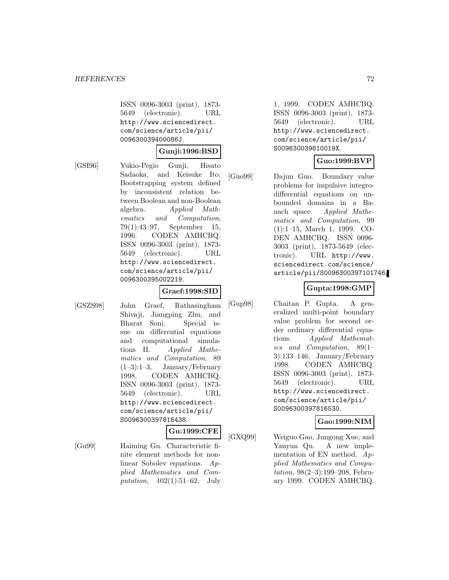ISSN 0096-3003 (print), 1873- 5649 (electronic). URL http://www.sciencedirect. com/science/article/pii/ 009630039400086J.

#### **Gunji:1996:BSD**

[GSI96] Yukio-Pegio Gunji, Hisato Sadaoka, and Keisuke Ito. Bootstrapping system defined by inconsistent relation between Boolean and non-Boolean algebra. Applied Mathematics and Computation, 79(1):43–97, September 15, 1996. CODEN AMHCBQ. ISSN 0096-3003 (print), 1873- 5649 (electronic). URL http://www.sciencedirect. com/science/article/pii/ 0096300395002219.

#### **Graef:1998:SID**

[GSZS98] John Graef, Rathasingham Shivaji, Jiangping Zhu, and Bharat Soni. Special issue on differential equations and computational simulations II. Applied Mathematics and Computation, 89 (1–3):1–3, January/February 1998. CODEN AMHCBQ. ISSN 0096-3003 (print), 1873- 5649 (electronic). URL http://www.sciencedirect. com/science/article/pii/ S0096300397816438.

## **Gu:1999:CFE**

[Gu99] Haiming Gu. Characteristic finite element methods for nonlinear Sobolev equations. Applied Mathematics and Com*putation*,  $102(1):51-62$ , July

1, 1999. CODEN AMHCBQ. ISSN 0096-3003 (print), 1873- 5649 (electronic). URL http://www.sciencedirect. com/science/article/pii/ S009630039810019X.

## **Guo:1999:BVP**

[Guo99] Dajun Guo. Boundary value problems for impulsive integrodifferential equations on unbounded domains in a Banach space. Applied Mathematics and Computation, 99 (1):1–15, March 1, 1999. CO-DEN AMHCBQ. ISSN 0096- 3003 (print), 1873-5649 (electronic). URL http://www. sciencedirect.com/science/ article/pii/S0096300397101746.

# **Gupta:1998:GMP**

[Gup98] Chaitan P. Gupta. A generalized multi-point boundary value problem for second order ordinary differential equations. Applied Mathematics and Computation, 89(1– 3):133–146, January/February 1998. CODEN AMHCBQ. ISSN 0096-3003 (print), 1873- 5649 (electronic). URL http://www.sciencedirect. com/science/article/pii/ S0096300397816530.

## **Gao:1999:NIM**

[GXQ99] Weiguo Gao, Jungong Xue, and Yanyun Qu. A new implementation of EN method. Applied Mathematics and Computation, 98(2–3):199–208, February 1999. CODEN AMHCBQ.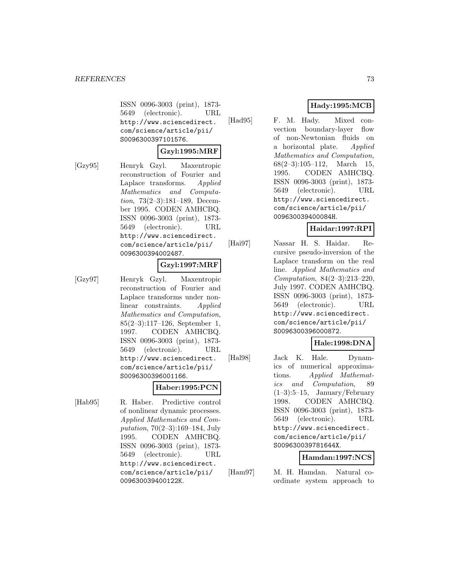ISSN 0096-3003 (print), 1873- 5649 (electronic). URL http://www.sciencedirect. com/science/article/pii/ S0096300397101576.

#### **Gzyl:1995:MRF**

[Gzy95] Henryk Gzyl. Maxentropic reconstruction of Fourier and Laplace transforms. Applied Mathematics and Computation, 73(2–3):181–189, December 1995. CODEN AMHCBQ. ISSN 0096-3003 (print), 1873- 5649 (electronic). URL http://www.sciencedirect. com/science/article/pii/ 0096300394002487.

## **Gzyl:1997:MRF**

[Gzy97] Henryk Gzyl. Maxentropic reconstruction of Fourier and Laplace transforms under nonlinear constraints. Applied Mathematics and Computation, 85(2–3):117–126, September 1, 1997. CODEN AMHCBQ. ISSN 0096-3003 (print), 1873- 5649 (electronic). URL http://www.sciencedirect. com/science/article/pii/ S0096300396001166.

#### **Haber:1995:PCN**

[Hab95] R. Haber. Predictive control of nonlinear dynamic processes. Applied Mathematics and Computation, 70(2–3):169–184, July 1995. CODEN AMHCBQ. ISSN 0096-3003 (print), 1873- 5649 (electronic). URL http://www.sciencedirect. com/science/article/pii/ 009630039400122K.

## **Hady:1995:MCB**

[Had95] F. M. Hady. Mixed convection boundary-layer flow of non-Newtonian fluids on a horizontal plate. Applied Mathematics and Computation,  $68(2-3):105-112$ , March 15, 1995. CODEN AMHCBQ. ISSN 0096-3003 (print), 1873- 5649 (electronic). URL http://www.sciencedirect. com/science/article/pii/ 009630039400084H.

# **Haidar:1997:RPI**

[Hai97] Nassar H. S. Haidar. Recursive pseudo-inversion of the Laplace transform on the real line. Applied Mathematics and Computation, 84(2–3):213–220, July 1997. CODEN AMHCBQ. ISSN 0096-3003 (print), 1873- 5649 (electronic). URL http://www.sciencedirect. com/science/article/pii/ S0096300396000872.

# **Hale:1998:DNA**

[Hal98] Jack K. Hale. Dynamics of numerical approximations. Applied Mathematics and Computation, 89  $(1-3):5-15$ , January/February 1998. CODEN AMHCBQ. ISSN 0096-3003 (print), 1873- 5649 (electronic). URL http://www.sciencedirect. com/science/article/pii/ S009630039781644X.

# **Hamdan:1997:NCS**

[Ham97] M. H. Hamdan. Natural coordinate system approach to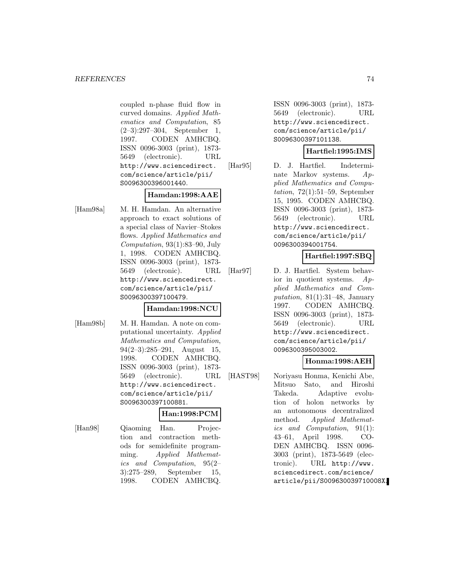coupled n-phase fluid flow in curved domains. Applied Mathematics and Computation, 85 (2–3):297–304, September 1, 1997. CODEN AMHCBQ. ISSN 0096-3003 (print), 1873- 5649 (electronic). URL http://www.sciencedirect. com/science/article/pii/ S0096300396001440.

## **Hamdan:1998:AAE**

[Ham98a] M. H. Hamdan. An alternative approach to exact solutions of a special class of Navier–Stokes flows. Applied Mathematics and Computation, 93(1):83–90, July 1, 1998. CODEN AMHCBQ. ISSN 0096-3003 (print), 1873- 5649 (electronic). URL http://www.sciencedirect. com/science/article/pii/ S0096300397100479.

### **Hamdan:1998:NCU**

[Ham98b] M. H. Hamdan. A note on computational uncertainty. Applied Mathematics and Computation, 94(2–3):285–291, August 15, 1998. CODEN AMHCBQ. ISSN 0096-3003 (print), 1873- 5649 (electronic). URL http://www.sciencedirect. com/science/article/pii/ S0096300397100881.

### **Han:1998:PCM**

[Han98] Qiaoming Han. Projection and contraction methods for semidefinite programming. Applied Mathematics and Computation, 95(2– 3):275–289, September 15, 1998. CODEN AMHCBQ.

ISSN 0096-3003 (print), 1873- 5649 (electronic). URL http://www.sciencedirect. com/science/article/pii/ S0096300397101138.

## **Hartfiel:1995:IMS**

[Har95] D. J. Hartfiel. Indeterminate Markov systems. Applied Mathematics and Computation,  $72(1):51-59$ , September 15, 1995. CODEN AMHCBQ. ISSN 0096-3003 (print), 1873- 5649 (electronic). URL http://www.sciencedirect. com/science/article/pii/ 0096300394001754.

# **Hartfiel:1997:SBQ**

[Har97] D. J. Hartfiel. System behavior in quotient systems. Applied Mathematics and Computation,  $81(1):31-48$ , January 1997. CODEN AMHCBQ. ISSN 0096-3003 (print), 1873- 5649 (electronic). URL http://www.sciencedirect. com/science/article/pii/ 0096300395003002.

# **Honma:1998:AEH**

[HAST98] Noriyasu Honma, Kenichi Abe, Mitsuo Sato, and Hiroshi Takeda. Adaptive evolution of holon networks by an autonomous decentralized method. Applied Mathematics and Computation, 91(1): 43–61, April 1998. CO-DEN AMHCBQ. ISSN 0096- 3003 (print), 1873-5649 (electronic). URL http://www. sciencedirect.com/science/ article/pii/S009630039710008X.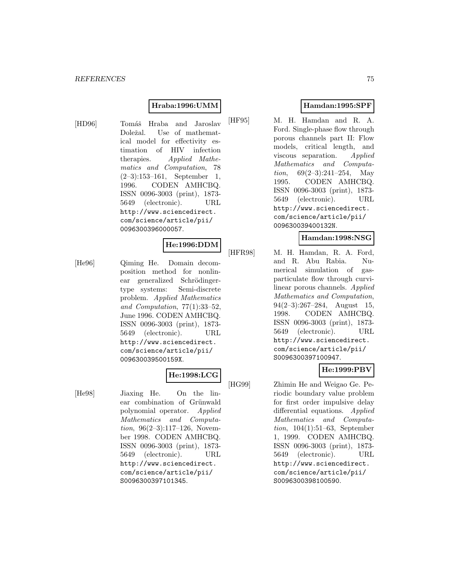#### **Hraba:1996:UMM**

[HD96] Tomáš Hraba and Jaroslav Doležal. Use of mathematical model for effectivity estimation of HIV infection therapies. Applied Mathematics and Computation, 78 (2–3):153–161, September 1, 1996. CODEN AMHCBQ. ISSN 0096-3003 (print), 1873- 5649 (electronic). URL http://www.sciencedirect. com/science/article/pii/ 0096300396000057.

### **He:1996:DDM**

[He96] Qiming He. Domain decomposition method for nonlinear generalized Schrödingertype systems: Semi-discrete problem. Applied Mathematics and Computation, 77(1):33–52, June 1996. CODEN AMHCBQ. ISSN 0096-3003 (print), 1873- 5649 (electronic). URL http://www.sciencedirect. com/science/article/pii/ 009630039500159X.

# **He:1998:LCG**

[He98] Jiaxing He. On the linear combination of Grünwald polynomial operator. Applied Mathematics and Computation, 96(2–3):117–126, November 1998. CODEN AMHCBQ. ISSN 0096-3003 (print), 1873- 5649 (electronic). URL http://www.sciencedirect. com/science/article/pii/ S0096300397101345.

## **Hamdan:1995:SPF**

[HF95] M. H. Hamdan and R. A. Ford. Single-phase flow through porous channels part II: Flow models, critical length, and viscous separation. Applied Mathematics and Computation,  $69(2-3):241-254$ , May 1995. CODEN AMHCBQ. ISSN 0096-3003 (print), 1873- 5649 (electronic). URL http://www.sciencedirect. com/science/article/pii/ 009630039400132N.

### **Hamdan:1998:NSG**

[HFR98] M. H. Hamdan, R. A. Ford, and R. Abu Rabia. Numerical simulation of gasparticulate flow through curvilinear porous channels. Applied Mathematics and Computation, 94(2–3):267–284, August 15, 1998. CODEN AMHCBQ. ISSN 0096-3003 (print), 1873- 5649 (electronic). URL http://www.sciencedirect. com/science/article/pii/ S0096300397100947.

# **He:1999:PBV**

[HG99] Zhimin He and Weigao Ge. Periodic boundary value problem for first order impulsive delay differential equations. Applied Mathematics and Computation, 104(1):51–63, September 1, 1999. CODEN AMHCBQ. ISSN 0096-3003 (print), 1873- 5649 (electronic). URL http://www.sciencedirect. com/science/article/pii/ S0096300398100590.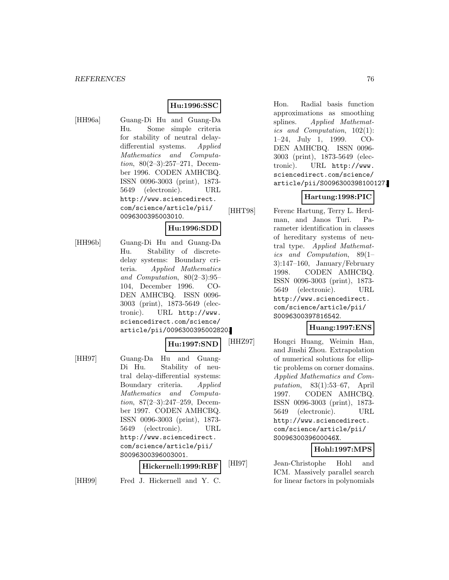#### **Hu:1996:SSC**

[HH96a] Guang-Di Hu and Guang-Da Hu. Some simple criteria for stability of neutral delaydifferential systems. Applied Mathematics and Computation, 80(2–3):257–271, December 1996. CODEN AMHCBQ. ISSN 0096-3003 (print), 1873- 5649 (electronic). URL http://www.sciencedirect. com/science/article/pii/ 0096300395003010.

## **Hu:1996:SDD**

[HH96b] Guang-Di Hu and Guang-Da Hu. Stability of discretedelay systems: Boundary criteria. Applied Mathematics and Computation, 80(2–3):95– 104, December 1996. CO-DEN AMHCBQ. ISSN 0096- 3003 (print), 1873-5649 (electronic). URL http://www. sciencedirect.com/science/ article/pii/0096300395002820.

#### **Hu:1997:SND**

[HH97] Guang-Da Hu and Guang-Di Hu. Stability of neutral delay-differential systems: Boundary criteria. Applied Mathematics and Computation, 87(2–3):247–259, December 1997. CODEN AMHCBQ. ISSN 0096-3003 (print), 1873- 5649 (electronic). URL http://www.sciencedirect. com/science/article/pii/ S0096300396003001.

#### **Hickernell:1999:RBF**

[HH99] Fred J. Hickernell and Y. C.

Hon. Radial basis function approximations as smoothing splines. Applied Mathematics and Computation, 102(1): 1–24, July 1, 1999. CO-DEN AMHCBQ. ISSN 0096- 3003 (print), 1873-5649 (electronic). URL http://www. sciencedirect.com/science/ article/pii/S0096300398100127.

## **Hartung:1998:PIC**

[HHT98] Ferenc Hartung, Terry L. Herd-

man, and Janos Turi. Parameter identification in classes of hereditary systems of neutral type. Applied Mathematics and Computation, 89(1– 3):147–160, January/February 1998. CODEN AMHCBQ. ISSN 0096-3003 (print), 1873- 5649 (electronic). URL http://www.sciencedirect. com/science/article/pii/ S0096300397816542.

#### **Huang:1997:ENS**

[HHZ97] Hongci Huang, Weimin Han, and Jinshi Zhou. Extrapolation of numerical solutions for elliptic problems on corner domains. Applied Mathematics and Computation, 83(1):53–67, April 1997. CODEN AMHCBQ. ISSN 0096-3003 (print), 1873- 5649 (electronic). URL http://www.sciencedirect. com/science/article/pii/ S009630039600046X.

### **Hohl:1997:MPS**

[HI97] Jean-Christophe Hohl and ICM. Massively parallel search for linear factors in polynomials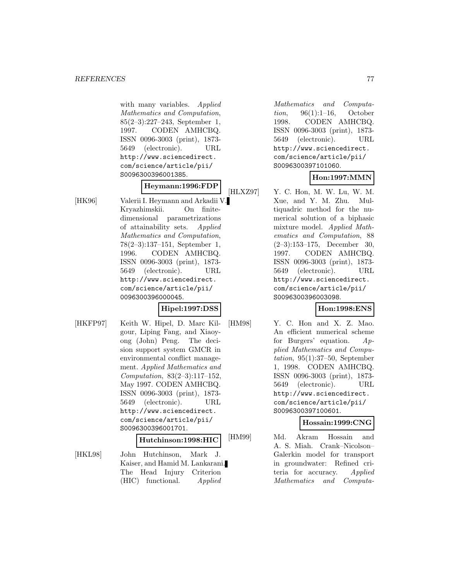with many variables. Applied Mathematics and Computation, 85(2–3):227–243, September 1, 1997. CODEN AMHCBQ. ISSN 0096-3003 (print), 1873- 5649 (electronic). URL http://www.sciencedirect. com/science/article/pii/ S0096300396001385.

# **Heymann:1996:FDP**

[HK96] Valerii I. Heymann and Arkadii V. Kryazhimskii. On finitedimensional parametrizations of attainability sets. Applied Mathematics and Computation, 78(2–3):137–151, September 1, 1996. CODEN AMHCBQ. ISSN 0096-3003 (print), 1873- 5649 (electronic). URL http://www.sciencedirect. com/science/article/pii/ 0096300396000045.

# **Hipel:1997:DSS**

[HKFP97] Keith W. Hipel, D. Marc Kilgour, Liping Fang, and Xiaoyong (John) Peng. The decision support system GMCR in environmental conflict management. Applied Mathematics and Computation, 83(2–3):117–152, May 1997. CODEN AMHCBQ. ISSN 0096-3003 (print), 1873- 5649 (electronic). URL http://www.sciencedirect. com/science/article/pii/ S0096300396001701.

#### **Hutchinson:1998:HIC**

[HKL98] John Hutchinson, Mark J. Kaiser, and Hamid M. Lankarani. The Head Injury Criterion (HIC) functional. Applied

Mathematics and Computation, 96(1):1–16, October 1998. CODEN AMHCBQ. ISSN 0096-3003 (print), 1873- 5649 (electronic). URL http://www.sciencedirect. com/science/article/pii/ S0096300397101060.

# **Hon:1997:MMN**

[HLXZ97] Y. C. Hon, M. W. Lu, W. M. Xue, and Y. M. Zhu. Multiquadric method for the numerical solution of a biphasic mixture model. Applied Mathematics and Computation, 88 (2–3):153–175, December 30, 1997. CODEN AMHCBQ. ISSN 0096-3003 (print), 1873- 5649 (electronic). URL http://www.sciencedirect. com/science/article/pii/ S0096300396003098.

### **Hon:1998:ENS**

[HM98] Y. C. Hon and X. Z. Mao. An efficient numerical scheme for Burgers' equation. Applied Mathematics and Computation, 95(1):37–50, September 1, 1998. CODEN AMHCBQ. ISSN 0096-3003 (print), 1873- 5649 (electronic). URL http://www.sciencedirect. com/science/article/pii/ S0096300397100601.

### **Hossain:1999:CNG**

[HM99] Md. Akram Hossain and A. S. Miah. Crank–Nicolson– Galerkin model for transport in groundwater: Refined criteria for accuracy. Applied Mathematics and Computa-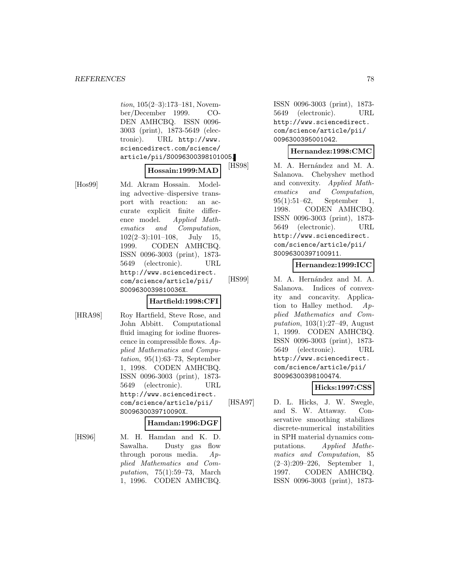tion, 105(2–3):173–181, November/December 1999. CO-DEN AMHCBQ. ISSN 0096- 3003 (print), 1873-5649 (electronic). URL http://www. sciencedirect.com/science/ article/pii/S0096300398101005.

## **Hossain:1999:MAD**

[Hos99] Md. Akram Hossain. Modeling advective–dispersive transport with reaction: an accurate explicit finite difference model. Applied Mathematics and Computation,  $102(2-3):101-108$ , July 15, 1999. CODEN AMHCBQ. ISSN 0096-3003 (print), 1873- 5649 (electronic). URL http://www.sciencedirect. com/science/article/pii/ S009630039810036X.

#### **Hartfield:1998:CFI**

[HRA98] Roy Hartfield, Steve Rose, and John Abbitt. Computational fluid imaging for iodine fluorescence in compressible flows.  $Ap$ plied Mathematics and Computation,  $95(1):63-73$ , September 1, 1998. CODEN AMHCBQ. ISSN 0096-3003 (print), 1873- 5649 (electronic). URL http://www.sciencedirect. com/science/article/pii/ S009630039710090X.

#### **Hamdan:1996:DGF**

[HS96] M. H. Hamdan and K. D. Sawalha. Dusty gas flow through porous media. Applied Mathematics and Computation, 75(1):59–73, March 1, 1996. CODEN AMHCBQ.

ISSN 0096-3003 (print), 1873- 5649 (electronic). URL http://www.sciencedirect. com/science/article/pii/ 0096300395001042.

## **Hernandez:1998:CMC**

[HS98] M. A. Hernández and M. A. Salanova. Chebyshev method and convexity. Applied Mathematics and Computation, 95(1):51–62, September 1, 1998. CODEN AMHCBQ. ISSN 0096-3003 (print), 1873- 5649 (electronic). URL http://www.sciencedirect. com/science/article/pii/ S0096300397100911.

## **Hernandez:1999:ICC**

[HS99] M. A. Hernández and M. A. Salanova. Indices of convexity and concavity. Application to Halley method.  $Ap$ plied Mathematics and Computation, 103(1):27–49, August 1, 1999. CODEN AMHCBQ. ISSN 0096-3003 (print), 1873- 5649 (electronic). URL http://www.sciencedirect. com/science/article/pii/ S0096300398100474.

# **Hicks:1997:CSS**

[HSA97] D. L. Hicks, J. W. Swegle, and S. W. Attaway. Conservative smoothing stabilizes discrete-numerical instabilities in SPH material dynamics computations. Applied Mathematics and Computation, 85 (2–3):209–226, September 1, 1997. CODEN AMHCBQ. ISSN 0096-3003 (print), 1873-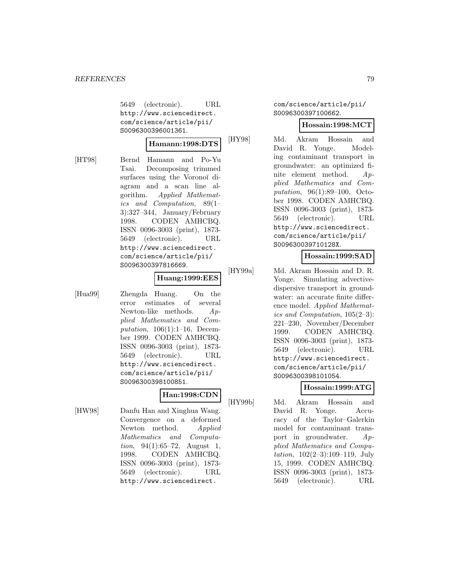5649 (electronic). URL http://www.sciencedirect. com/science/article/pii/ S0096300396001361.

#### **Hamann:1998:DTS**

[HT98] Bernd Hamann and Po-Yu Tsai. Decomposing trimmed surfaces using the Voronoï diagram and a scan line algorithm. Applied Mathematics and Computation, 89(1– 3):327–344, January/February 1998. CODEN AMHCBQ. ISSN 0096-3003 (print), 1873- 5649 (electronic). URL http://www.sciencedirect. com/science/article/pii/ S0096300397816669.

# **Huang:1999:EES**

[Hua99] Zhengda Huang. On the error estimates of several Newton-like methods. Applied Mathematics and Computation,  $106(1):1-16$ , December 1999. CODEN AMHCBQ. ISSN 0096-3003 (print), 1873- 5649 (electronic). URL http://www.sciencedirect. com/science/article/pii/ S0096300398100851.

## **Han:1998:CDN**

[HW98] Danfu Han and Xinghua Wang. Convergence on a deformed Newton method. Applied Mathematics and Computation, 94(1):65–72, August 1, 1998. CODEN AMHCBQ. ISSN 0096-3003 (print), 1873- 5649 (electronic). URL http://www.sciencedirect.

com/science/article/pii/ S0096300397100662.

#### **Hossain:1998:MCT**

[HY98] Md. Akram Hossain and David R. Yonge. Modeling contaminant transport in groundwater: an optimized finite element method. Applied Mathematics and Computation, 96(1):89–100, October 1998. CODEN AMHCBQ. ISSN 0096-3003 (print), 1873- 5649 (electronic). URL http://www.sciencedirect. com/science/article/pii/ S009630039710128X.

### **Hossain:1999:SAD**

[HY99a] Md. Akram Hossain and D. R. Yonge. Simulating advectivedispersive transport in groundwater: an accurate finite difference model. Applied Mathematics and Computation, 105(2–3): 221–230, November/December 1999. CODEN AMHCBQ. ISSN 0096-3003 (print), 1873- 5649 (electronic). URL http://www.sciencedirect. com/science/article/pii/ S0096300398101054.

# **Hossain:1999:ATG**

[HY99b] Md. Akram Hossain and David R. Yonge. Accuracy of the Taylor–Galerkin model for contaminant transport in groundwater.  $Ap$ plied Mathematics and Computation, 102(2–3):109–119, July 15, 1999. CODEN AMHCBQ. ISSN 0096-3003 (print), 1873- 5649 (electronic). URL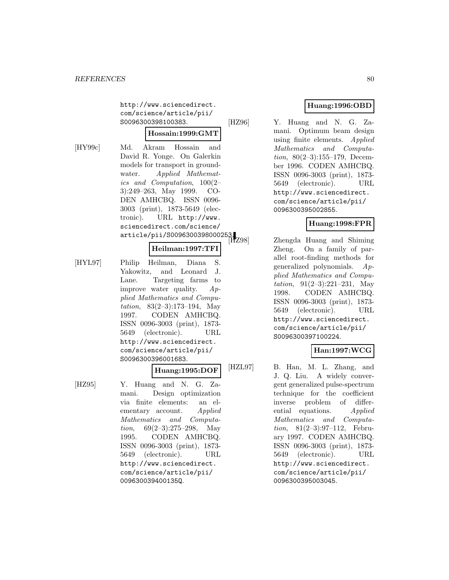http://www.sciencedirect. com/science/article/pii/ S0096300398100383.

# **Hossain:1999:GMT**

[HY99c] Md. Akram Hossain and David R. Yonge. On Galerkin models for transport in groundwater. Applied Mathematics and Computation, 100(2– 3):249–263, May 1999. CO-DEN AMHCBQ. ISSN 0096- 3003 (print), 1873-5649 (electronic). URL http://www. sciencedirect.com/science/ science.......<br>article/pii/S0096300398000253.<br>|HZ98|

#### **Heilman:1997:TFI**

[HYL97] Philip Heilman, Diana S. Yakowitz, and Leonard J. Lane. Targeting farms to improve water quality. Applied Mathematics and Computation, 83(2–3):173–194, May 1997. CODEN AMHCBQ. ISSN 0096-3003 (print), 1873- 5649 (electronic). URL http://www.sciencedirect. com/science/article/pii/ S0096300396001683.

# **Huang:1995:DOF**

[HZ95] Y. Huang and N. G. Zamani. Design optimization via finite elements: an elementary account. Applied Mathematics and Computation,  $69(2-3):275-298$ , May 1995. CODEN AMHCBQ. ISSN 0096-3003 (print), 1873- 5649 (electronic). URL http://www.sciencedirect. com/science/article/pii/ 009630039400135Q.

# **Huang:1996:OBD**

[HZ96] Y. Huang and N. G. Zamani. Optimum beam design using finite elements. Applied Mathematics and Computation, 80(2–3):155–179, December 1996. CODEN AMHCBQ. ISSN 0096-3003 (print), 1873- 5649 (electronic). URL http://www.sciencedirect. com/science/article/pii/ 0096300395002855.

# **Huang:1998:FPR**

Zhengda Huang and Shiming Zheng. On a family of parallel root-finding methods for generalized polynomials. Applied Mathematics and Computation,  $91(2-3):221-231$ , May 1998. CODEN AMHCBQ. ISSN 0096-3003 (print), 1873- 5649 (electronic). URL http://www.sciencedirect. com/science/article/pii/ S0096300397100224.

# **Han:1997:WCG**

[HZL97] B. Han, M. L. Zhang, and J. Q. Liu. A widely convergent generalized pulse-spectrum technique for the coefficient inverse problem of differential equations. Applied Mathematics and Computation, 81(2–3):97–112, February 1997. CODEN AMHCBQ. ISSN 0096-3003 (print), 1873- 5649 (electronic). URL http://www.sciencedirect. com/science/article/pii/ 0096300395003045.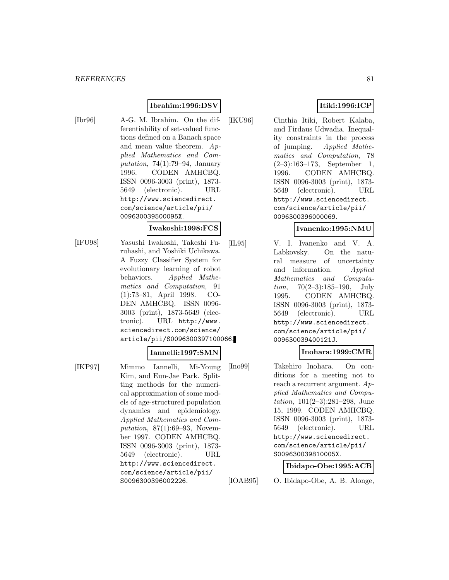## **Ibrahim:1996:DSV**

[Ibr96] A-G. M. Ibrahim. On the differentiability of set-valued functions defined on a Banach space and mean value theorem. Applied Mathematics and Computation,  $74(1):79-94$ , January 1996. CODEN AMHCBQ. ISSN 0096-3003 (print), 1873- 5649 (electronic). URL http://www.sciencedirect. com/science/article/pii/ 009630039500095X.

#### **Iwakoshi:1998:FCS**

[IFU98] Yasushi Iwakoshi, Takeshi Furuhashi, and Yoshiki Uchikawa. A Fuzzy Classifier System for evolutionary learning of robot behaviors. Applied Mathematics and Computation, 91 (1):73–81, April 1998. CO-DEN AMHCBQ. ISSN 0096- 3003 (print), 1873-5649 (electronic). URL http://www. sciencedirect.com/science/ article/pii/S0096300397100066.

### **Iannelli:1997:SMN**

[IKP97] Mimmo Iannelli, Mi-Young Kim, and Eun-Jae Park. Splitting methods for the numerical approximation of some models of age-structured population dynamics and epidemiology. Applied Mathematics and Computation,  $87(1):69-93$ , November 1997. CODEN AMHCBQ. ISSN 0096-3003 (print), 1873- 5649 (electronic). URL http://www.sciencedirect. com/science/article/pii/ S0096300396002226.

# **Itiki:1996:ICP**

[IKU96] Cinthia Itiki, Robert Kalaba, and Firdaus Udwadia. Inequality constraints in the process of jumping. Applied Mathematics and Computation, 78 (2–3):163–173, September 1, 1996. CODEN AMHCBQ. ISSN 0096-3003 (print), 1873- 5649 (electronic). URL http://www.sciencedirect. com/science/article/pii/ 0096300396000069.

#### **Ivanenko:1995:NMU**

[IL95] V. I. Ivanenko and V. A. Labkovsky. On the natural measure of uncertainty and information. Applied Mathematics and Computa*tion*,  $70(2-3):185-190$ , July 1995. CODEN AMHCBQ. ISSN 0096-3003 (print), 1873- 5649 (electronic). URL http://www.sciencedirect. com/science/article/pii/ 009630039400121J.

### **Inohara:1999:CMR**

[Ino99] Takehiro Inohara. On conditions for a meeting not to reach a recurrent argument. Applied Mathematics and Computation, 101(2–3):281–298, June 15, 1999. CODEN AMHCBQ. ISSN 0096-3003 (print), 1873- 5649 (electronic). URL http://www.sciencedirect. com/science/article/pii/ S009630039810005X.

#### **Ibidapo-Obe:1995:ACB**

[IOAB95] O. Ibidapo-Obe, A. B. Alonge,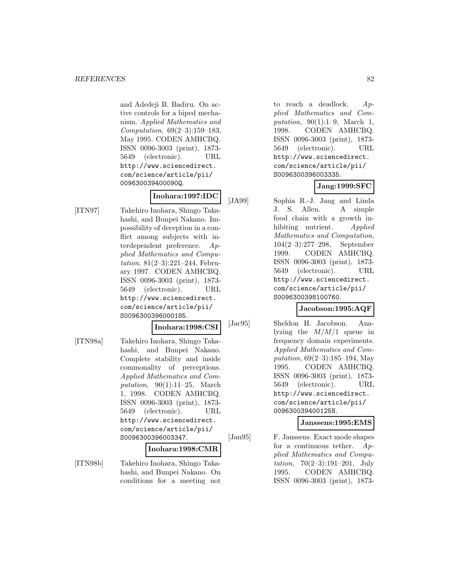and Adedeji B. Badiru. On active controls for a biped mechanism. Applied Mathematics and Computation, 69(2–3):159–183, May 1995. CODEN AMHCBQ. ISSN 0096-3003 (print), 1873- 5649 (electronic). URL http://www.sciencedirect. com/science/article/pii/ 009630039400090Q.

# **Inohara:1997:IDC**

[ITN97] Takehiro Inohara, Shingo Takahashi, and Bunpei Nakano. Impossibility of deception in a conflict among subjects with interdependent preference. Applied Mathematics and Computation, 81(2–3):221–244, February 1997. CODEN AMHCBQ. ISSN 0096-3003 (print), 1873- 5649 (electronic). URL http://www.sciencedirect. com/science/article/pii/ S0096300396000185.

#### **Inohara:1998:CSI**

[ITN98a] Takehiro Inohara, Shingo Takahashi, and Bunpei Nakano. Complete stability and inside commonality of perceptions. Applied Mathematics and Computation,  $90(1):11-25$ , March 1, 1998. CODEN AMHCBQ. ISSN 0096-3003 (print), 1873- 5649 (electronic). URL http://www.sciencedirect. com/science/article/pii/ S0096300396003347.

#### **Inohara:1998:CMR**

[ITN98b] Takehiro Inohara, Shingo Takahashi, and Bunpei Nakano. On conditions for a meeting not

to reach a deadlock.  $Ap$ plied Mathematics and Computation, 90(1):1–9, March 1, 1998. CODEN AMHCBQ. ISSN 0096-3003 (print), 1873- 5649 (electronic). URL http://www.sciencedirect. com/science/article/pii/ S0096300396003335.

## **Jang:1999:SFC**

[JA99] Sophia R.-J. Jang and Linda J. S. Allen. A simple food chain with a growth inhibiting nutrient. Applied Mathematics and Computation, 104(2–3):277–298, September 1999. CODEN AMHCBQ. ISSN 0096-3003 (print), 1873- 5649 (electronic). URL http://www.sciencedirect. com/science/article/pii/ S0096300398100760.

### **Jacobson:1995:AQF**

[Jac95] Sheldon H. Jacobson. Analyzing the  $M/M/1$  queue in frequency domain experiments. Applied Mathematics and Computation, 69(2–3):185–194, May 1995. CODEN AMHCBQ. ISSN 0096-3003 (print), 1873- 5649 (electronic). URL http://www.sciencedirect. com/science/article/pii/ 009630039400125N.

#### **Janssens:1995:EMS**

[Jan95] F. Janssens. Exact mode shapes for a continuous tether.  $Ap$ plied Mathematics and Computation, 70(2–3):191–201, July 1995. CODEN AMHCBQ. ISSN 0096-3003 (print), 1873-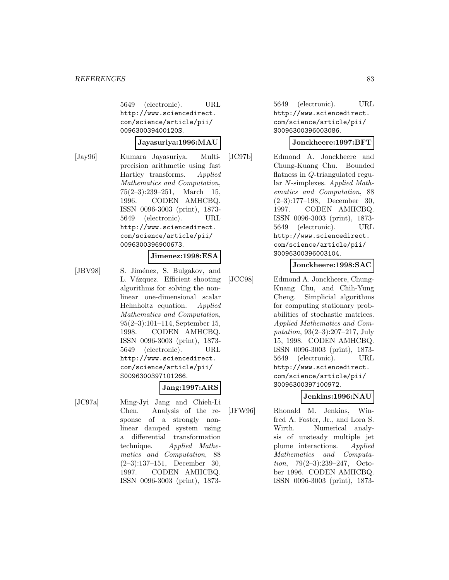5649 (electronic). URL http://www.sciencedirect. com/science/article/pii/ 009630039400120S.

#### **Jayasuriya:1996:MAU**

[Jay96] Kumara Jayasuriya. Multiprecision arithmetic using fast Hartley transforms. Applied Mathematics and Computation, 75(2–3):239–251, March 15, 1996. CODEN AMHCBQ. ISSN 0096-3003 (print), 1873- 5649 (electronic). URL http://www.sciencedirect. com/science/article/pii/ 0096300396900673.

## **Jimenez:1998:ESA**

[JBV98] S. Jiménez, S. Bulgakov, and L. Vázquez. Efficient shooting algorithms for solving the nonlinear one-dimensional scalar Helmholtz equation. Applied Mathematics and Computation, 95(2–3):101–114, September 15, 1998. CODEN AMHCBQ. ISSN 0096-3003 (print), 1873- 5649 (electronic). URL http://www.sciencedirect. com/science/article/pii/ S0096300397101266.

### **Jang:1997:ARS**

[JC97a] Ming-Jyi Jang and Chieh-Li Chen. Analysis of the response of a strongly nonlinear damped system using a differential transformation technique. Applied Mathematics and Computation, 88 (2–3):137–151, December 30, 1997. CODEN AMHCBQ. ISSN 0096-3003 (print), 1873-

5649 (electronic). URL http://www.sciencedirect. com/science/article/pii/ S0096300396003086.

#### **Jonckheere:1997:BFT**

[JC97b] Edmond A. Jonckheere and Chung-Kuang Chu. Bounded flatness in Q-triangulated regular N-simplexes. Applied Mathematics and Computation, 88 (2–3):177–198, December 30, 1997. CODEN AMHCBQ. ISSN 0096-3003 (print), 1873- 5649 (electronic). URL http://www.sciencedirect. com/science/article/pii/ S0096300396003104.

## **Jonckheere:1998:SAC**

[JCC98] Edmond A. Jonckheere, Chung-Kuang Chu, and Chih-Yung Cheng. Simplicial algorithms for computing stationary probabilities of stochastic matrices. Applied Mathematics and Computation, 93(2–3):207–217, July 15, 1998. CODEN AMHCBQ. ISSN 0096-3003 (print), 1873- 5649 (electronic). URL http://www.sciencedirect. com/science/article/pii/ S0096300397100972.

### **Jenkins:1996:NAU**

[JFW96] Rhonald M. Jenkins, Winfred A. Foster, Jr., and Lora S. Wirth. Numerical analysis of unsteady multiple jet plume interactions. Applied Mathematics and Computation, 79(2–3):239–247, October 1996. CODEN AMHCBQ. ISSN 0096-3003 (print), 1873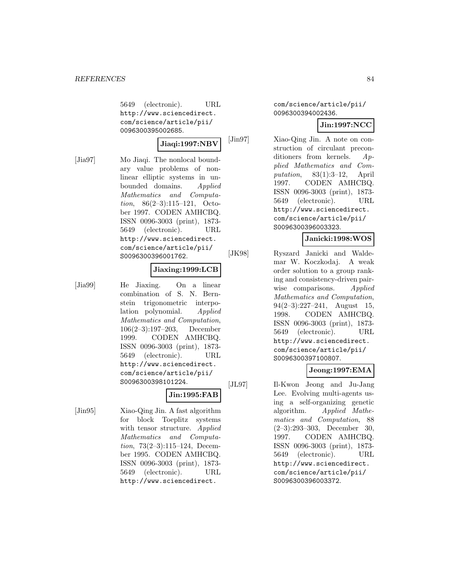5649 (electronic). URL http://www.sciencedirect. com/science/article/pii/ 0096300395002685.

#### **Jiaqi:1997:NBV**

[Jia97] Mo Jiaqi. The nonlocal boundary value problems of nonlinear elliptic systems in unbounded domains. Applied Mathematics and Computation, 86(2–3):115–121, October 1997. CODEN AMHCBQ. ISSN 0096-3003 (print), 1873- 5649 (electronic). URL http://www.sciencedirect. com/science/article/pii/ S0096300396001762.

#### **Jiaxing:1999:LCB**

[Jia99] He Jiaxing. On a linear combination of S. N. Bernstein trigonometric interpolation polynomial. Applied Mathematics and Computation, 106(2–3):197–203, December 1999. CODEN AMHCBQ. ISSN 0096-3003 (print), 1873- 5649 (electronic). URL http://www.sciencedirect. com/science/article/pii/ S0096300398101224.

### **Jin:1995:FAB**

[Jin95] Xiao-Qing Jin. A fast algorithm for block Toeplitz systems with tensor structure. Applied Mathematics and Computation, 73(2–3):115–124, December 1995. CODEN AMHCBQ. ISSN 0096-3003 (print), 1873- 5649 (electronic). URL http://www.sciencedirect.

com/science/article/pii/ 0096300394002436.

### **Jin:1997:NCC**

[Jin97] Xiao-Qing Jin. A note on construction of circulant preconditioners from kernels. Applied Mathematics and Computation, 83(1):3–12, April 1997. CODEN AMHCBQ. ISSN 0096-3003 (print), 1873- 5649 (electronic). URL http://www.sciencedirect. com/science/article/pii/ S0096300396003323.

### **Janicki:1998:WOS**

[JK98] Ryszard Janicki and Waldemar W. Koczkodaj. A weak order solution to a group ranking and consistency-driven pairwise comparisons. Applied Mathematics and Computation, 94(2–3):227–241, August 15, 1998. CODEN AMHCBQ. ISSN 0096-3003 (print), 1873- 5649 (electronic). URL http://www.sciencedirect. com/science/article/pii/ S0096300397100807.

### **Jeong:1997:EMA**

[JL97] Il-Kwon Jeong and Ju-Jang Lee. Evolving multi-agents using a self-organizing genetic algorithm. Applied Mathematics and Computation, 88 (2–3):293–303, December 30, 1997. CODEN AMHCBQ. ISSN 0096-3003 (print), 1873- 5649 (electronic). URL http://www.sciencedirect. com/science/article/pii/ S0096300396003372.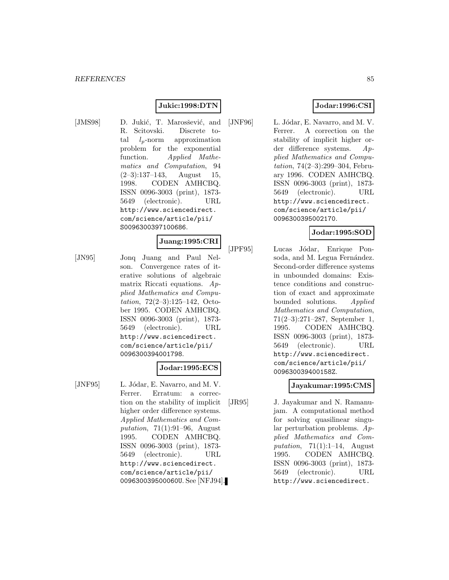## **Jukic:1998:DTN**

- 
- [JMS98] D. Jukić, T. Marosšević, and R. Scitovski. Discrete total  $l_p$ -norm approximation problem for the exponential function. Applied Mathematics and Computation, 94  $(2-3):137-143$ , August 15, 1998. CODEN AMHCBQ. ISSN 0096-3003 (print), 1873- 5649 (electronic). URL http://www.sciencedirect. com/science/article/pii/ S0096300397100686.

#### **Juang:1995:CRI**

[JN95] Jonq Juang and Paul Nelson. Convergence rates of iterative solutions of algebraic matrix Riccati equations. Applied Mathematics and Computation, 72(2–3):125–142, October 1995. CODEN AMHCBQ. ISSN 0096-3003 (print), 1873- 5649 (electronic). URL http://www.sciencedirect. com/science/article/pii/ 0096300394001798.

## **Jodar:1995:ECS**

[JNF95] L. Jódar, E. Navarro, and M. V. Ferrer. Erratum: a correction on the stability of implicit higher order difference systems. Applied Mathematics and Computation, 71(1):91–96, August 1995. CODEN AMHCBQ. ISSN 0096-3003 (print), 1873- 5649 (electronic). URL http://www.sciencedirect. com/science/article/pii/ 009630039500060U. See [NFJ94].

# **Jodar:1996:CSI**

[JNF96] L. Jódar, E. Navarro, and M. V. Ferrer. A correction on the stability of implicit higher order difference systems. Applied Mathematics and Computation, 74(2–3):299–304, February 1996. CODEN AMHCBQ. ISSN 0096-3003 (print), 1873- 5649 (electronic). URL http://www.sciencedirect. com/science/article/pii/ 0096300395002170.

### **Jodar:1995:SOD**

[JPF95] Lucas Jódar, Enrique Ponsoda, and M. Legua Fernández. Second-order difference systems in unbounded domains: Existence conditions and construction of exact and approximate bounded solutions. Applied Mathematics and Computation, 71(2–3):271–287, September 1, 1995. CODEN AMHCBQ. ISSN 0096-3003 (print), 1873- 5649 (electronic). URL http://www.sciencedirect. com/science/article/pii/ 009630039400158Z.

### **Jayakumar:1995:CMS**

[JR95] J. Jayakumar and N. Ramanujam. A computational method for solving quasilinear singular perturbation problems. Applied Mathematics and Computation,  $71(1):1-14$ , August 1995. CODEN AMHCBQ. ISSN 0096-3003 (print), 1873- 5649 (electronic). URL http://www.sciencedirect.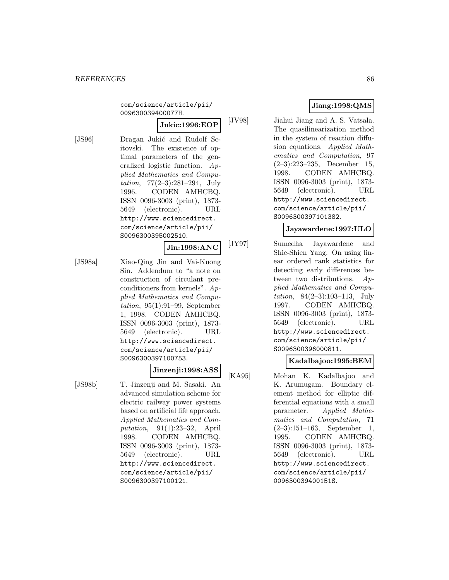com/science/article/pii/ 009630039400077H.

**Jukic:1996:EOP**

- [JS96] Dragan Jukić and Rudolf Scitovski. The existence of optimal parameters of the generalized logistic function. Applied Mathematics and Computation,  $77(2-3):281-294$ , July 1996. CODEN AMHCBQ. ISSN 0096-3003 (print), 1873- 5649 (electronic). URL http://www.sciencedirect. com/science/article/pii/ S0096300395002510. **Jin:1998:ANC**
- [JS98a] Xiao-Qing Jin and Vai-Kuong Sin. Addendum to "a note on construction of circulant preconditioners from kernels". Applied Mathematics and Computation, 95(1):91–99, September 1, 1998. CODEN AMHCBQ. ISSN 0096-3003 (print), 1873- 5649 (electronic). URL http://www.sciencedirect. com/science/article/pii/ S0096300397100753.

# **Jinzenji:1998:ASS**

[JS98b] T. Jinzenji and M. Sasaki. An advanced simulation scheme for electric railway power systems based on artificial life approach. Applied Mathematics and Computation, 91(1):23–32, April 1998. CODEN AMHCBQ. ISSN 0096-3003 (print), 1873- 5649 (electronic). URL http://www.sciencedirect. com/science/article/pii/ S0096300397100121.

# **Jiang:1998:QMS**

[JV98] Jiahui Jiang and A. S. Vatsala. The quasilinearization method in the system of reaction diffusion equations. Applied Mathematics and Computation, 97 (2–3):223–235, December 15, 1998. CODEN AMHCBQ. ISSN 0096-3003 (print), 1873- 5649 (electronic). URL http://www.sciencedirect. com/science/article/pii/ S0096300397101382.

# **Jayawardene:1997:ULO**

[JY97] Sumedha Jayawardene and Shie-Shien Yang. On using linear ordered rank statistics for detecting early differences between two distributions. Applied Mathematics and Computation, 84(2–3):103–113, July 1997. CODEN AMHCBQ. ISSN 0096-3003 (print), 1873- 5649 (electronic). URL http://www.sciencedirect. com/science/article/pii/ S0096300396000811.

# **Kadalbajoo:1995:BEM**

[KA95] Mohan K. Kadalbajoo and K. Arumugam. Boundary element method for elliptic differential equations with a small parameter. Applied Mathematics and Computation, 71 (2–3):151–163, September 1, 1995. CODEN AMHCBQ. ISSN 0096-3003 (print), 1873- 5649 (electronic). URL http://www.sciencedirect. com/science/article/pii/ 009630039400151S.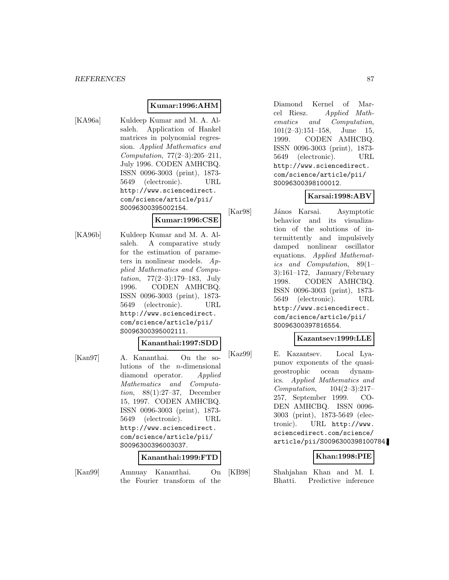## **Kumar:1996:AHM**

[KA96a] Kuldeep Kumar and M. A. Alsaleh. Application of Hankel matrices in polynomial regression. Applied Mathematics and Computation, 77(2–3):205–211, July 1996. CODEN AMHCBQ. ISSN 0096-3003 (print), 1873- 5649 (electronic). URL http://www.sciencedirect. com/science/article/pii/ S0096300395002154.

## **Kumar:1996:CSE**

[KA96b] Kuldeep Kumar and M. A. Alsaleh. A comparative study for the estimation of parameters in nonlinear models. Applied Mathematics and Computation, 77(2–3):179–183, July 1996. CODEN AMHCBQ. ISSN 0096-3003 (print), 1873- 5649 (electronic). URL http://www.sciencedirect. com/science/article/pii/ S0096300395002111.

### **Kananthai:1997:SDD**

[Kan97] A. Kananthai. On the solutions of the n-dimensional diamond operator. Applied Mathematics and Computation, 88(1):27–37, December 15, 1997. CODEN AMHCBQ. ISSN 0096-3003 (print), 1873- 5649 (electronic). URL http://www.sciencedirect. com/science/article/pii/ S0096300396003037.

### **Kananthai:1999:FTD**

[Kan99] Amnuay Kananthai. On the Fourier transform of the

Diamond Kernel of Marcel Riesz. Applied Mathematics and Computation,  $101(2-3):151-158$ , June 15, 1999. CODEN AMHCBQ. ISSN 0096-3003 (print), 1873- 5649 (electronic). URL http://www.sciencedirect. com/science/article/pii/ S0096300398100012.

# **Karsai:1998:ABV**

[Kar98] János Karsai. Asymptotic behavior and its visualization of the solutions of intermittently and impulsively damped nonlinear oscillator equations. Applied Mathematics and Computation, 89(1– 3):161–172, January/February 1998. CODEN AMHCBQ. ISSN 0096-3003 (print), 1873- 5649 (electronic). URL http://www.sciencedirect. com/science/article/pii/ S0096300397816554.

# **Kazantsev:1999:LLE**

[Kaz99] E. Kazantsev. Local Lyapunov exponents of the quasigeostrophic ocean dynamics. Applied Mathematics and Computation, 104(2–3):217– 257, September 1999. CO-DEN AMHCBQ. ISSN 0096- 3003 (print), 1873-5649 (electronic). URL http://www. sciencedirect.com/science/ article/pii/S0096300398100784.

# **Khan:1998:PIE**

[KB98] Shahjahan Khan and M. I. Bhatti. Predictive inference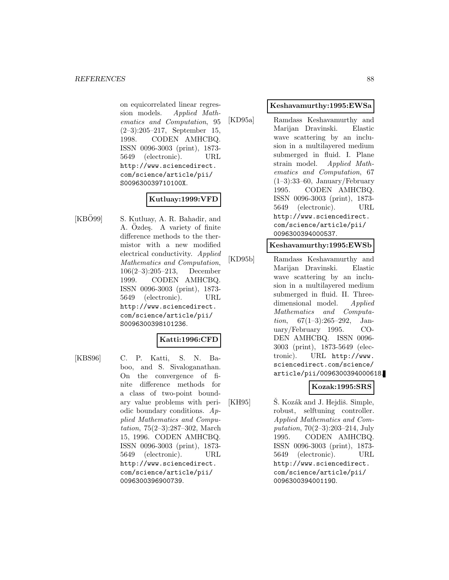on equicorrelated linear regression models. Applied Mathematics and Computation, 95 (2–3):205–217, September 15, 1998. CODEN AMHCBQ. ISSN 0096-3003 (print), 1873- 5649 (electronic). URL http://www.sciencedirect. com/science/article/pii/ S009630039710100X.

## **Kutluay:1999:VFD**

 $[KB\ddot{O}99]$  S. Kutluay, A. R. Bahadir, and A. Ozdes. A variety of finite difference methods to the thermistor with a new modified electrical conductivity. Applied Mathematics and Computation, 106(2–3):205–213, December 1999. CODEN AMHCBQ. ISSN 0096-3003 (print), 1873- 5649 (electronic). URL http://www.sciencedirect. com/science/article/pii/ S0096300398101236.

### **Katti:1996:CFD**

[KBS96] C. P. Katti, S. N. Baboo, and S. Sivaloganathan. On the convergence of finite difference methods for a class of two-point boundary value problems with periodic boundary conditions.  $Ap$ plied Mathematics and Computation, 75(2–3):287–302, March 15, 1996. CODEN AMHCBQ. ISSN 0096-3003 (print), 1873- 5649 (electronic). URL http://www.sciencedirect. com/science/article/pii/ 0096300396900739.

#### **Keshavamurthy:1995:EWSa**

[KD95a] Ramdass Keshavamurthy and Marijan Dravinski. Elastic wave scattering by an inclusion in a multilayered medium submerged in fluid. I. Plane strain model. Applied Mathematics and Computation, 67  $(1-3):33-60$ , January/February 1995. CODEN AMHCBQ. ISSN 0096-3003 (print), 1873- 5649 (electronic). URL http://www.sciencedirect. com/science/article/pii/ 0096300394000537.

#### **Keshavamurthy:1995:EWSb**

[KD95b] Ramdass Keshavamurthy and Marijan Dravinski. Elastic wave scattering by an inclusion in a multilayered medium submerged in fluid. II. Threedimensional model. Applied Mathematics and Computa*tion*,  $67(1-3):265-292$ , January/February 1995. CO-DEN AMHCBQ. ISSN 0096- 3003 (print), 1873-5649 (electronic). URL http://www. sciencedirect.com/science/ article/pii/0096300394000618.

# **Kozak:1995:SRS**

[KH95]  $\dot{S}$ . Kozák and J. Hejdiš. Simple, robust, selftuning controller. Applied Mathematics and Computation, 70(2–3):203–214, July 1995. CODEN AMHCBQ. ISSN 0096-3003 (print), 1873- 5649 (electronic). URL http://www.sciencedirect. com/science/article/pii/ 009630039400119O.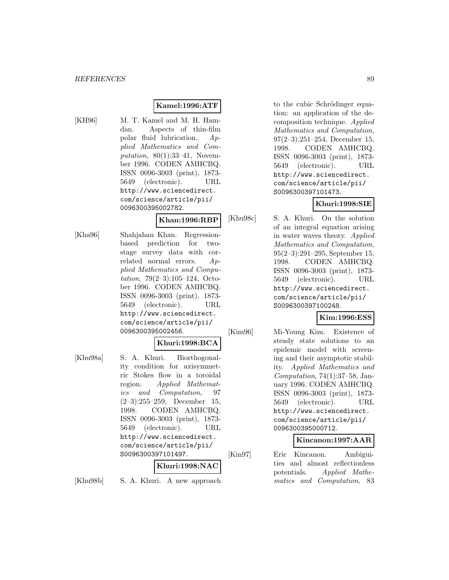# **Kamel:1996:ATF**

[KH96] M. T. Kamel and M. H. Hamdan. Aspects of thin-film polar fluid lubrication. Applied Mathematics and Computation,  $80(1):33-41$ , November 1996. CODEN AMHCBQ. ISSN 0096-3003 (print), 1873- 5649 (electronic). URL http://www.sciencedirect. com/science/article/pii/ 0096300395002782.

#### **Khan:1996:RBP**

[Kha96] Shahjahan Khan. Regressionbased prediction for twostage survey data with correlated normal errors. Applied Mathematics and Computation, 79(2–3):105–124, October 1996. CODEN AMHCBQ. ISSN 0096-3003 (print), 1873- 5649 (electronic). URL http://www.sciencedirect. com/science/article/pii/ 0096300395002456.

#### **Khuri:1998:BCA**

[Khu98a] S. A. Khuri. Biorthogonality condition for axisymmetric Stokes flow in a toroidal region. Applied Mathematics and Computation, 97 (2–3):255–259, December 15, 1998. CODEN AMHCBQ. ISSN 0096-3003 (print), 1873- 5649 (electronic). URL http://www.sciencedirect. com/science/article/pii/ S0096300397101497.

#### **Khuri:1998:NAC**

[Khu98b] S. A. Khuri. A new approach

to the cubic Schrödinger equation: an application of the decomposition technique. Applied Mathematics and Computation, 97(2–3):251–254, December 15, 1998. CODEN AMHCBQ. ISSN 0096-3003 (print), 1873- 5649 (electronic). URL http://www.sciencedirect. com/science/article/pii/ S0096300397101473.

# **Khuri:1998:SIE**

[Khu98c] S. A. Khuri. On the solution of an integral equation arising in water waves theory. Applied Mathematics and Computation, 95(2–3):291–295, September 15, 1998. CODEN AMHCBQ. ISSN 0096-3003 (print), 1873- 5649 (electronic). URL http://www.sciencedirect. com/science/article/pii/ S0096300397100248.

#### **Kim:1996:ESS**

[Kim96] Mi-Young Kim. Existence of steady state solutions to an epidemic model with screening and their asymptotic stability. Applied Mathematics and Computation, 74(1):37–58, January 1996. CODEN AMHCBQ. ISSN 0096-3003 (print), 1873- 5649 (electronic). URL http://www.sciencedirect. com/science/article/pii/ 0096300395000712.

#### **Kincanon:1997:AAR**

[Kin97] Eric Kincanon. Ambiguities and almost reflectionless potentials. Applied Mathematics and Computation, 83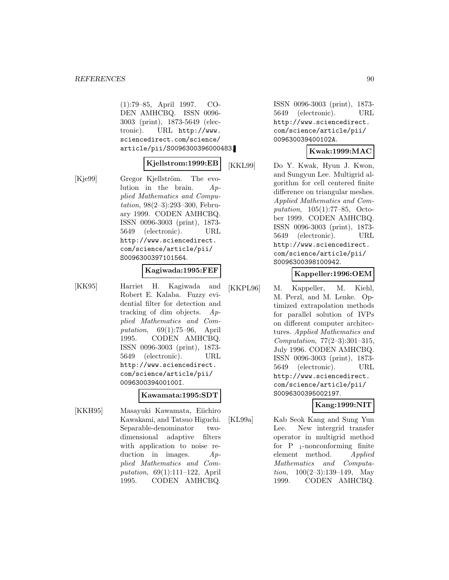(1):79–85, April 1997. CO-DEN AMHCBQ. ISSN 0096- 3003 (print), 1873-5649 (electronic). URL http://www. sciencedirect.com/science/ article/pii/S0096300396000483.

## **Kjellstrom:1999:EB**

[Kje99] Gregor Kjellström. The evolution in the brain. Applied Mathematics and Computation, 98(2–3):293–300, February 1999. CODEN AMHCBQ. ISSN 0096-3003 (print), 1873- 5649 (electronic). URL http://www.sciencedirect. com/science/article/pii/ S0096300397101564.

#### **Kagiwada:1995:FEF**

[KK95] Harriet H. Kagiwada and Robert E. Kalaba. Fuzzy evidential filter for detection and tracking of dim objects. Applied Mathematics and Computation, 69(1):75–96, April 1995. CODEN AMHCBQ. ISSN 0096-3003 (print), 1873- 5649 (electronic). URL http://www.sciencedirect. com/science/article/pii/ 009630039400100I.

#### **Kawamata:1995:SDT**

[KKH95] Masayuki Kawamata, Eiichiro Kawakami, and Tatsuo Higuchi. Separable-denominator twodimensional adaptive filters with application to noise reduction in images.  $Ap$ plied Mathematics and Computation, 69(1):111–122, April 1995. CODEN AMHCBQ.

ISSN 0096-3003 (print), 1873- 5649 (electronic). URL http://www.sciencedirect. com/science/article/pii/ 009630039400102A.

#### **Kwak:1999:MAC**

[KKL99] Do Y. Kwak, Hyun J. Kwon, and Sungyun Lee. Multigrid algorithm for cell centered finite difference on triangular meshes. Applied Mathematics and Computation, 105(1):77–85, October 1999. CODEN AMHCBQ. ISSN 0096-3003 (print), 1873- 5649 (electronic). URL http://www.sciencedirect. com/science/article/pii/ S0096300398100942.

#### **Kappeller:1996:OEM**

[KKPL96] M. Kappeller, M. Kiehl, M. Perzl, and M. Lenke. Optimized extrapolation methods for parallel solution of IVPs on different computer architectures. Applied Mathematics and Computation, 77(2–3):301–315, July 1996. CODEN AMHCBQ. ISSN 0096-3003 (print), 1873- 5649 (electronic). URL http://www.sciencedirect. com/science/article/pii/ S0096300395002197.

### **Kang:1999:NIT**

[KL99a] Kab Seok Kang and Sung Yun Lee. New intergrid transfer operator in multigrid method for  $P_{1}$ -nonconforming finite element method. Applied Mathematics and Computation,  $100(2-3):139-149$ , May 1999. CODEN AMHCBQ.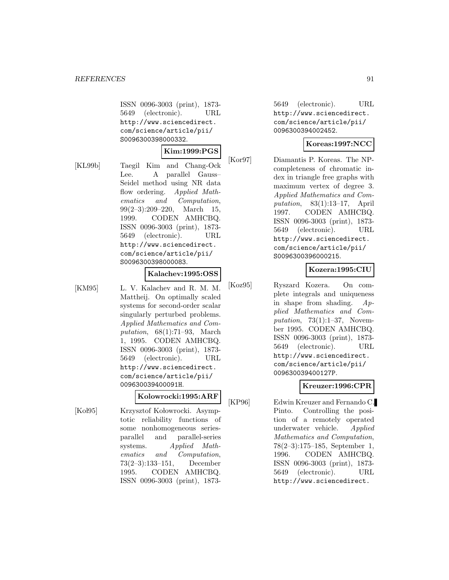ISSN 0096-3003 (print), 1873- 5649 (electronic). URL http://www.sciencedirect. com/science/article/pii/ S0096300398000332.

#### **Kim:1999:PGS**

[KL99b] Taegil Kim and Chang-Ock Lee. A parallel Gauss– Seidel method using NR data flow ordering. Applied Mathematics and Computation, 99(2–3):209–220, March 15, 1999. CODEN AMHCBQ. ISSN 0096-3003 (print), 1873- 5649 (electronic). URL http://www.sciencedirect. com/science/article/pii/ S0096300398000083.

#### **Kalachev:1995:OSS**

[KM95] L. V. Kalachev and R. M. M. Mattheij. On optimally scaled systems for second-order scalar singularly perturbed problems. Applied Mathematics and Computation, 68(1):71–93, March 1, 1995. CODEN AMHCBQ. ISSN 0096-3003 (print), 1873- 5649 (electronic). URL http://www.sciencedirect. com/science/article/pii/ 009630039400091H.

## **Kolowrocki:1995:ARF**

[Koł95] Krzysztof Kołowrocki. Asymptotic reliability functions of some nonhomogeneous seriesparallel and parallel-series systems. Applied Mathematics and Computation, 73(2–3):133–151, December 1995. CODEN AMHCBQ. ISSN 0096-3003 (print), 1873-

5649 (electronic). URL http://www.sciencedirect. com/science/article/pii/ 0096300394002452.

# **Koreas:1997:NCC**

[Kor97] Diamantis P. Koreas. The NPcompleteness of chromatic index in triangle free graphs with maximum vertex of degree 3. Applied Mathematics and Computation, 83(1):13–17, April 1997. CODEN AMHCBQ. ISSN 0096-3003 (print), 1873- 5649 (electronic). URL http://www.sciencedirect. com/science/article/pii/ S0096300396000215.

#### **Kozera:1995:CIU**

[Koz95] Ryszard Kozera. On complete integrals and uniqueness in shape from shading.  $Ap$ plied Mathematics and Computation,  $73(1):1-37$ , November 1995. CODEN AMHCBQ. ISSN 0096-3003 (print), 1873- 5649 (electronic). URL http://www.sciencedirect. com/science/article/pii/ 009630039400127P.

# **Kreuzer:1996:CPR**

[KP96] Edwin Kreuzer and Fernando C. Pinto. Controlling the position of a remotely operated underwater vehicle. Applied Mathematics and Computation, 78(2–3):175–185, September 1, 1996. CODEN AMHCBQ. ISSN 0096-3003 (print), 1873- 5649 (electronic). URL http://www.sciencedirect.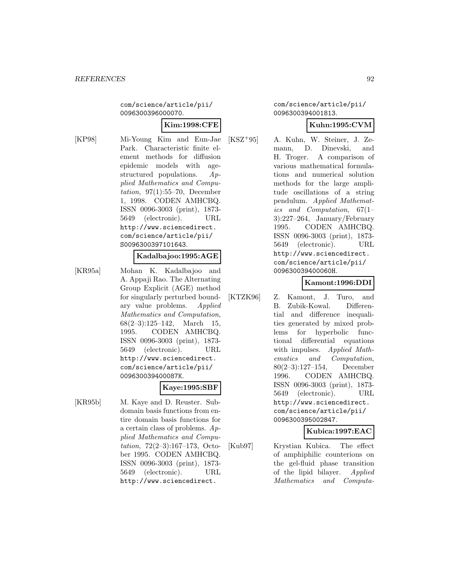com/science/article/pii/ 0096300396000070.

## **Kim:1998:CFE**

[KP98] Mi-Young Kim and Eun-Jae Park. Characteristic finite element methods for diffusion epidemic models with agestructured populations. Applied Mathematics and Computation, 97(1):55–70, December 1, 1998. CODEN AMHCBQ. ISSN 0096-3003 (print), 1873- 5649 (electronic). URL http://www.sciencedirect. com/science/article/pii/ S0096300397101643.

# **Kadalbajoo:1995:AGE**

[KR95a] Mohan K. Kadalbajoo and A. Appaji Rao. The Alternating Group Explicit (AGE) method for singularly perturbed boundary value problems. Applied Mathematics and Computation,  $68(2-3):125-142$ , March 15, 1995. CODEN AMHCBQ. ISSN 0096-3003 (print), 1873- 5649 (electronic). URL http://www.sciencedirect. com/science/article/pii/ 009630039400087K.

#### **Kaye:1995:SBF**

[KR95b] M. Kaye and D. Reuster. Subdomain basis functions from entire domain basis functions for a certain class of problems. Applied Mathematics and Computation, 72(2–3):167–173, October 1995. CODEN AMHCBQ. ISSN 0096-3003 (print), 1873- 5649 (electronic). URL http://www.sciencedirect.

com/science/article/pii/ 0096300394001813.

## **Kuhn:1995:CVM**

[KSZ<sup>+</sup>95] A. Kuhn, W. Steiner, J. Zemann, D. Dinevski, and H. Troger. A comparison of various mathematical formulations and numerical solution methods for the large amplitude oscillations of a string pendulum. Applied Mathematics and Computation, 67(1– 3):227–264, January/February 1995. CODEN AMHCBQ. ISSN 0096-3003 (print), 1873- 5649 (electronic). URL http://www.sciencedirect. com/science/article/pii/ 009630039400060H.

### **Kamont:1996:DDI**

[KTZK96] Z. Kamont, J. Turo, and B. Zubik-Kowal. Differential and difference inequalities generated by mixed problems for hyperbolic functional differential equations with impulses. Applied Mathematics and Computation, 80(2–3):127–154, December 1996. CODEN AMHCBQ. ISSN 0096-3003 (print), 1873- 5649 (electronic). URL http://www.sciencedirect. com/science/article/pii/ 0096300395002847.

### **Kubica:1997:EAC**

[Kub97] Krystian Kubica. The effect of amphiphilic counterions on the gel-fluid phase transition of the lipid bilayer. Applied Mathematics and Computa-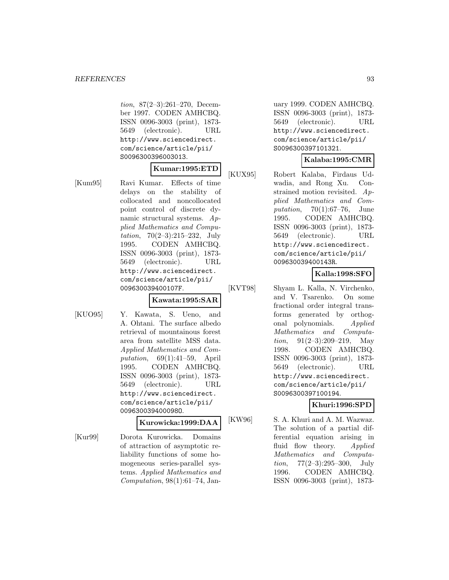tion, 87(2–3):261–270, December 1997. CODEN AMHCBQ. ISSN 0096-3003 (print), 1873- 5649 (electronic). URL http://www.sciencedirect. com/science/article/pii/ S0096300396003013.

#### **Kumar:1995:ETD**

[Kum95] Ravi Kumar. Effects of time delays on the stability of collocated and noncollocated point control of discrete dynamic structural systems. Applied Mathematics and Computation,  $70(2-3):215-232$ , July 1995. CODEN AMHCBQ. ISSN 0096-3003 (print), 1873- 5649 (electronic). URL http://www.sciencedirect. com/science/article/pii/ 009630039400107F.

#### **Kawata:1995:SAR**

[KUO95] Y. Kawata, S. Ueno, and A. Ohtani. The surface albedo retrieval of mountainous forest area from satellite MSS data. Applied Mathematics and Computation, 69(1):41–59, April 1995. CODEN AMHCBQ. ISSN 0096-3003 (print), 1873- 5649 (electronic). URL http://www.sciencedirect. com/science/article/pii/ 009630039400098O.

#### **Kurowicka:1999:DAA**

[Kur99] Dorota Kurowicka. Domains of attraction of asymptotic reliability functions of some homogeneous series-parallel systems. Applied Mathematics and Computation,  $98(1):61-74$ , Jan-

uary 1999. CODEN AMHCBQ. ISSN 0096-3003 (print), 1873- 5649 (electronic). URL http://www.sciencedirect. com/science/article/pii/ S0096300397101321.

## **Kalaba:1995:CMR**

[KUX95] Robert Kalaba, Firdaus Udwadia, and Rong Xu. Constrained motion revisited. Applied Mathematics and Computation, 70(1):67–76, June 1995. CODEN AMHCBQ. ISSN 0096-3003 (print), 1873- 5649 (electronic). URL http://www.sciencedirect. com/science/article/pii/ 009630039400143R.

# **Kalla:1998:SFO**

[KVT98] Shyam L. Kalla, N. Virchenko, and V. Tsarenko. On some fractional order integral transforms generated by orthogonal polynomials. Applied Mathematics and Computation, 91(2–3):209–219, May 1998. CODEN AMHCBQ. ISSN 0096-3003 (print), 1873- 5649 (electronic). URL http://www.sciencedirect. com/science/article/pii/ S0096300397100194.

### **Khuri:1996:SPD**

[KW96] S. A. Khuri and A. M. Wazwaz. The solution of a partial differential equation arising in fluid flow theory. Applied Mathematics and Computa*tion*,  $77(2-3):295-300$ , July 1996. CODEN AMHCBQ. ISSN 0096-3003 (print), 1873-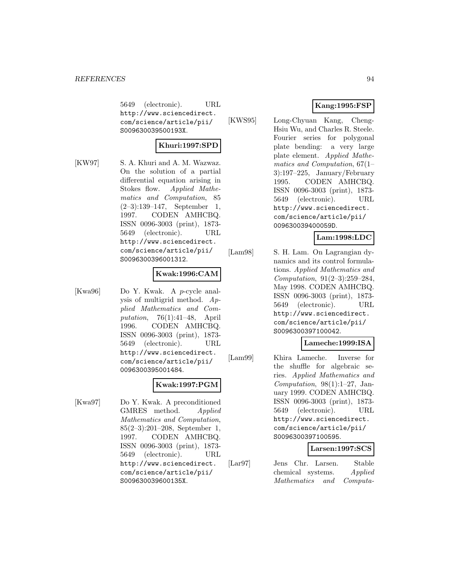5649 (electronic). URL http://www.sciencedirect. com/science/article/pii/ S009630039500193X.

## **Khuri:1997:SPD**

[KW97] S. A. Khuri and A. M. Wazwaz. On the solution of a partial differential equation arising in Stokes flow. Applied Mathematics and Computation, 85 (2–3):139–147, September 1, 1997. CODEN AMHCBQ. ISSN 0096-3003 (print), 1873- 5649 (electronic). URL http://www.sciencedirect. com/science/article/pii/ S0096300396001312.

### **Kwak:1996:CAM**

[Kwa96] Do Y. Kwak. A p-cycle analysis of multigrid method. Applied Mathematics and Computation, 76(1):41–48, April 1996. CODEN AMHCBQ. ISSN 0096-3003 (print), 1873- 5649 (electronic). URL http://www.sciencedirect. com/science/article/pii/ 0096300395001484.

### **Kwak:1997:PGM**

[Kwa97] Do Y. Kwak. A preconditioned GMRES method. Applied Mathematics and Computation, 85(2–3):201–208, September 1, 1997. CODEN AMHCBQ. ISSN 0096-3003 (print), 1873- 5649 (electronic). URL http://www.sciencedirect. com/science/article/pii/ S009630039600135X.

# **Kang:1995:FSP**

[KWS95] Long-Chyuan Kang, Cheng-Hsiu Wu, and Charles R. Steele. Fourier series for polygonal plate bending: a very large plate element. Applied Mathematics and Computation, 67(1– 3):197–225, January/February 1995. CODEN AMHCBQ. ISSN 0096-3003 (print), 1873- 5649 (electronic). URL http://www.sciencedirect. com/science/article/pii/ 009630039400059D.

# **Lam:1998:LDC**

[Lam98] S. H. Lam. On Lagrangian dynamics and its control formulations. Applied Mathematics and Computation, 91(2–3):259–284, May 1998. CODEN AMHCBQ. ISSN 0096-3003 (print), 1873- 5649 (electronic). URL http://www.sciencedirect. com/science/article/pii/ S0096300397100042.

### **Lameche:1999:ISA**

[Lam99] Khira Lameche. Inverse for the shuffle for algebraic series. Applied Mathematics and Computation,  $98(1):1-27$ , January 1999. CODEN AMHCBQ. ISSN 0096-3003 (print), 1873- 5649 (electronic). URL http://www.sciencedirect. com/science/article/pii/ S0096300397100595.

### **Larsen:1997:SCS**

[Lar97] Jens Chr. Larsen. Stable chemical systems. Applied Mathematics and Computa-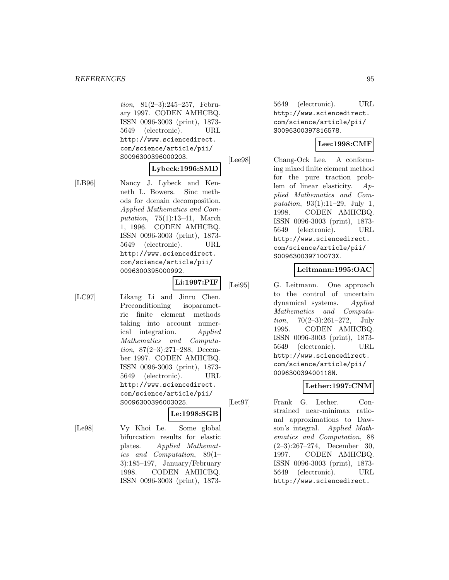tion, 81(2–3):245–257, February 1997. CODEN AMHCBQ. ISSN 0096-3003 (print), 1873- 5649 (electronic). URL http://www.sciencedirect. com/science/article/pii/ S0096300396000203.

#### **Lybeck:1996:SMD**

[LB96] Nancy J. Lybeck and Kenneth L. Bowers. Sinc methods for domain decomposition. Applied Mathematics and Computation,  $75(1):13-41$ , March 1, 1996. CODEN AMHCBQ. ISSN 0096-3003 (print), 1873- 5649 (electronic). URL http://www.sciencedirect. com/science/article/pii/ 0096300395000992.

# **Li:1997:PIF**

[LC97] Likang Li and Jinru Chen. Preconditioning isoparametric finite element methods taking into account numerical integration. Applied Mathematics and Computation, 87(2–3):271–288, December 1997. CODEN AMHCBQ. ISSN 0096-3003 (print), 1873- 5649 (electronic). URL http://www.sciencedirect. com/science/article/pii/ S0096300396003025.

### **Le:1998:SGB**

[Le98] Vy Khoi Le. Some global bifurcation results for elastic plates. Applied Mathematics and Computation, 89(1– 3):185–197, January/February 1998. CODEN AMHCBQ. ISSN 0096-3003 (print), 1873-

5649 (electronic). URL http://www.sciencedirect. com/science/article/pii/ S0096300397816578.

# **Lee:1998:CMF**

[Lee98] Chang-Ock Lee. A conforming mixed finite element method for the pure traction problem of linear elasticity. Applied Mathematics and Computation, 93(1):11–29, July 1, 1998. CODEN AMHCBQ. ISSN 0096-3003 (print), 1873- 5649 (electronic). URL http://www.sciencedirect. com/science/article/pii/ S009630039710073X.

### **Leitmann:1995:OAC**

[Lei95] G. Leitmann. One approach to the control of uncertain dynamical systems. Applied Mathematics and Computation, 70(2–3):261–272, July 1995. CODEN AMHCBQ. ISSN 0096-3003 (print), 1873- 5649 (electronic). URL http://www.sciencedirect. com/science/article/pii/ 009630039400118N.

# **Lether:1997:CNM**

[Let97] Frank G. Lether. Constrained near-minimax rational approximations to Dawson's integral. Applied Mathematics and Computation, 88 (2–3):267–274, December 30, 1997. CODEN AMHCBQ. ISSN 0096-3003 (print), 1873- 5649 (electronic). URL http://www.sciencedirect.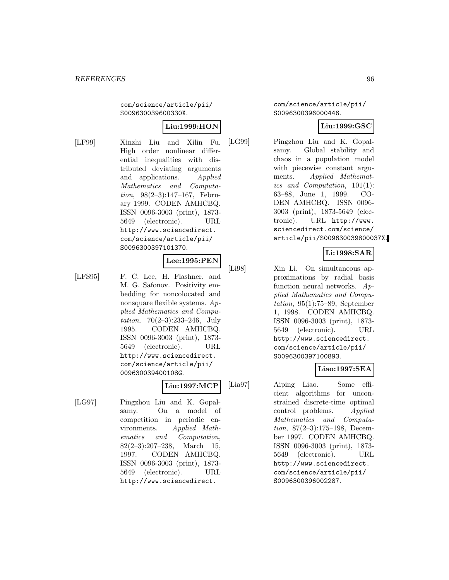com/science/article/pii/ S009630039600330X.

# **Liu:1999:HON**

[LF99] Xinzhi Liu and Xilin Fu. High order nonlinear differential inequalities with distributed deviating arguments and applications. Applied Mathematics and Computation, 98(2–3):147–167, February 1999. CODEN AMHCBQ. ISSN 0096-3003 (print), 1873- 5649 (electronic). URL http://www.sciencedirect. com/science/article/pii/ S0096300397101370.

## **Lee:1995:PEN**

[LFS95] F. C. Lee, H. Flashner, and M. G. Safonov. Positivity embedding for noncolocated and nonsquare flexible systems. Applied Mathematics and Computation,  $70(2-3):233-246$ , July 1995. CODEN AMHCBQ. ISSN 0096-3003 (print), 1873- 5649 (electronic). URL http://www.sciencedirect. com/science/article/pii/ 009630039400108G.

### **Liu:1997:MCP**

[LG97] Pingzhou Liu and K. Gopalsamy. On a model of competition in periodic environments. Applied Mathematics and Computation,  $82(2-3):207-238$ , March 15, 1997. CODEN AMHCBQ. ISSN 0096-3003 (print), 1873- 5649 (electronic). URL http://www.sciencedirect.

com/science/article/pii/ S0096300396000446.

## **Liu:1999:GSC**

[LG99] Pingzhou Liu and K. Gopalsamy. Global stability and chaos in a population model with piecewise constant arguments. Applied Mathematics and Computation, 101(1): 63–88, June 1, 1999. CO-DEN AMHCBQ. ISSN 0096- 3003 (print), 1873-5649 (electronic). URL http://www. sciencedirect.com/science/ article/pii/S009630039800037X.

# **Li:1998:SAR**

[Li98] Xin Li. On simultaneous approximations by radial basis function neural networks. Applied Mathematics and Computation,  $95(1)$ :75–89, September 1, 1998. CODEN AMHCBQ. ISSN 0096-3003 (print), 1873- 5649 (electronic). URL http://www.sciencedirect. com/science/article/pii/ S0096300397100893.

### **Liao:1997:SEA**

[Lia97] Aiping Liao. Some efficient algorithms for unconstrained discrete-time optimal control problems. Applied Mathematics and Computation, 87(2–3):175–198, December 1997. CODEN AMHCBQ. ISSN 0096-3003 (print), 1873- 5649 (electronic). URL http://www.sciencedirect. com/science/article/pii/ S0096300396002287.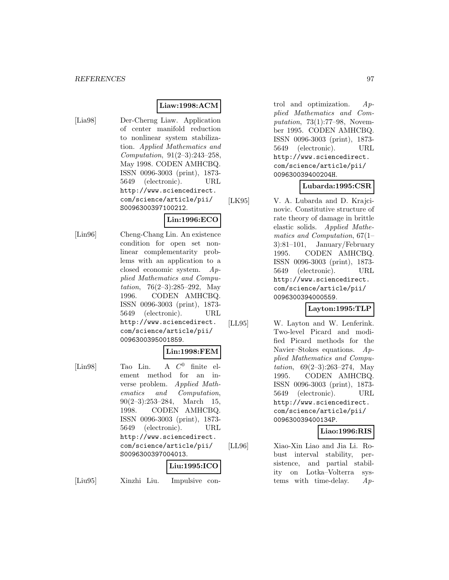#### **Liaw:1998:ACM**

[Lia98] Der-Cherng Liaw. Application of center manifold reduction to nonlinear system stabilization. Applied Mathematics and Computation, 91(2–3):243–258, May 1998. CODEN AMHCBQ. ISSN 0096-3003 (print), 1873- 5649 (electronic). URL http://www.sciencedirect. com/science/article/pii/ S0096300397100212.

# **Lin:1996:ECO**

[Lin96] Cheng-Chang Lin. An existence condition for open set nonlinear complementarity problems with an application to a closed economic system. Applied Mathematics and Computation, 76(2–3):285–292, May 1996. CODEN AMHCBQ. ISSN 0096-3003 (print), 1873- 5649 (electronic). URL http://www.sciencedirect. com/science/article/pii/ 0096300395001859.

## **Lin:1998:FEM**

[Lin98] Tao Lin. A  $C^0$  finite element method for an inverse problem. Applied Mathematics and Computation,  $90(2-3):253-284$ , March 15, 1998. CODEN AMHCBQ. ISSN 0096-3003 (print), 1873- 5649 (electronic). URL http://www.sciencedirect. com/science/article/pii/ S0096300397004013.

# **Liu:1995:ICO**

[Liu95] Xinzhi Liu. Impulsive con-

trol and optimization.  $Ap$ plied Mathematics and Computation, 73(1):77–98, November 1995. CODEN AMHCBQ. ISSN 0096-3003 (print), 1873- 5649 (electronic). URL http://www.sciencedirect. com/science/article/pii/ 009630039400204H.

### **Lubarda:1995:CSR**

[LK95] V. A. Lubarda and D. Krajcinovic. Constitutive structure of rate theory of damage in brittle elastic solids. Applied Mathematics and Computation, 67(1– 3):81–101, January/February 1995. CODEN AMHCBQ. ISSN 0096-3003 (print), 1873- 5649 (electronic). URL http://www.sciencedirect. com/science/article/pii/ 0096300394000559.

### **Layton:1995:TLP**

[LL95] W. Layton and W. Lenferink. Two-level Picard and modified Picard methods for the Navier–Stokes equations. Applied Mathematics and Computation,  $69(2-3):263-274$ , May 1995. CODEN AMHCBQ. ISSN 0096-3003 (print), 1873- 5649 (electronic). URL http://www.sciencedirect. com/science/article/pii/ 009630039400134P.

### **Liao:1996:RIS**

[LL96] Xiao-Xin Liao and Jia Li. Robust interval stability, persistence, and partial stability on Lotka–Volterra systems with time-delay.  $Ap$ -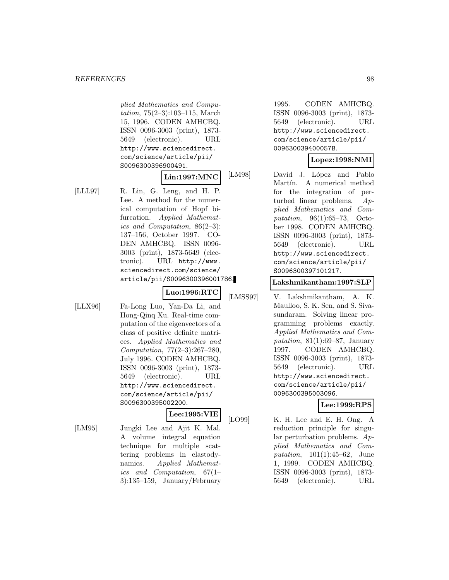plied Mathematics and Computation, 75(2–3):103–115, March 15, 1996. CODEN AMHCBQ. ISSN 0096-3003 (print), 1873- 5649 (electronic). URL http://www.sciencedirect. com/science/article/pii/ S0096300396900491.

## **Lin:1997:MNC**

[LLL97] R. Lin, G. Leng, and H. P. Lee. A method for the numerical computation of Hopf bifurcation. Applied Mathematics and Computation, 86(2–3): 137–156, October 1997. CO-DEN AMHCBQ. ISSN 0096- 3003 (print), 1873-5649 (electronic). URL http://www. sciencedirect.com/science/ article/pii/S0096300396001786.

# **Luo:1996:RTC**

[LLX96] Fa-Long Luo, Yan-Da Li, and Hong-Qinq Xu. Real-time computation of the eigenvectors of a class of positive definite matrices. Applied Mathematics and Computation, 77(2–3):267–280, July 1996. CODEN AMHCBQ. ISSN 0096-3003 (print), 1873- 5649 (electronic). URL http://www.sciencedirect. com/science/article/pii/ S0096300395002200.

# **Lee:1995:VIE**

[LM95] Jungki Lee and Ajit K. Mal. A volume integral equation technique for multiple scattering problems in elastodynamics. Applied Mathematics and Computation, 67(1– 3):135–159, January/February

1995. CODEN AMHCBQ. ISSN 0096-3003 (print), 1873- 5649 (electronic). URL http://www.sciencedirect. com/science/article/pii/ 009630039400057B.

## **Lopez:1998:NMI**

[LM98] David J. López and Pablo Martín. A numerical method for the integration of perturbed linear problems. Applied Mathematics and Computation, 96(1):65–73, October 1998. CODEN AMHCBQ. ISSN 0096-3003 (print), 1873- 5649 (electronic). URL http://www.sciencedirect. com/science/article/pii/ S0096300397101217.

#### **Lakshmikantham:1997:SLP**

[LMSS97] V. Lakshmikantham, A. K. Maulloo, S. K. Sen, and S. Sivasundaram. Solving linear programming problems exactly. Applied Mathematics and Computation,  $81(1):69-87$ , January 1997. CODEN AMHCBQ. ISSN 0096-3003 (print), 1873- 5649 (electronic). URL http://www.sciencedirect. com/science/article/pii/ 0096300395003096.

# **Lee:1999:RPS**

[LO99] K. H. Lee and E. H. Ong. A reduction principle for singular perturbation problems. Applied Mathematics and Computation, 101(1):45–62, June 1, 1999. CODEN AMHCBQ. ISSN 0096-3003 (print), 1873- 5649 (electronic). URL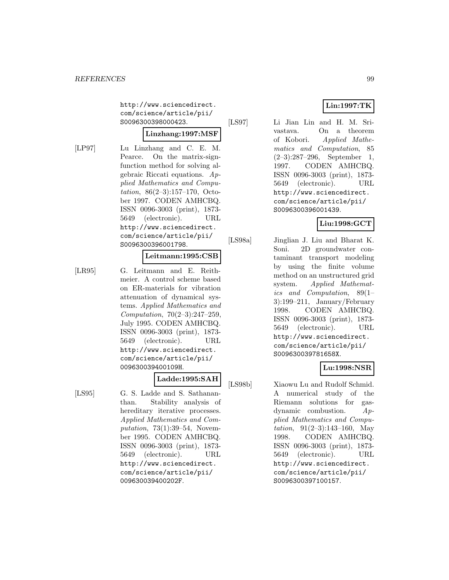http://www.sciencedirect. com/science/article/pii/ S0096300398000423.

#### **Linzhang:1997:MSF**

[LP97] Lu Linzhang and C. E. M. Pearce. On the matrix-signfunction method for solving algebraic Riccati equations. Applied Mathematics and Computation, 86(2–3):157–170, October 1997. CODEN AMHCBQ. ISSN 0096-3003 (print), 1873- 5649 (electronic). URL http://www.sciencedirect. com/science/article/pii/ S0096300396001798.

#### **Leitmann:1995:CSB**

[LR95] G. Leitmann and E. Reithmeier. A control scheme based on ER-materials for vibration attenuation of dynamical systems. Applied Mathematics and Computation, 70(2–3):247–259, July 1995. CODEN AMHCBQ. ISSN 0096-3003 (print), 1873- 5649 (electronic). URL http://www.sciencedirect. com/science/article/pii/ 009630039400109H.

# **Ladde:1995:SAH**

[LS95] G. S. Ladde and S. Sathananthan. Stability analysis of hereditary iterative processes. Applied Mathematics and Computation, 73(1):39–54, November 1995. CODEN AMHCBQ. ISSN 0096-3003 (print), 1873- 5649 (electronic). URL http://www.sciencedirect. com/science/article/pii/ 009630039400202F.

# **Lin:1997:TK**

[LS97] Li Jian Lin and H. M. Srivastava. On a theorem of Kobori. Applied Mathematics and Computation, 85 (2–3):287–296, September 1, 1997. CODEN AMHCBQ. ISSN 0096-3003 (print), 1873- 5649 (electronic). URL http://www.sciencedirect. com/science/article/pii/ S0096300396001439.

## **Liu:1998:GCT**

[LS98a] Jinglian J. Liu and Bharat K. Soni. 2D groundwater contaminant transport modeling by using the finite volume method on an unstructured grid system. Applied Mathematics and Computation, 89(1– 3):199–211, January/February 1998. CODEN AMHCBQ. ISSN 0096-3003 (print), 1873- 5649 (electronic). URL http://www.sciencedirect. com/science/article/pii/ S009630039781658X.

### **Lu:1998:NSR**

[LS98b] Xiaowu Lu and Rudolf Schmid. A numerical study of the Riemann solutions for gasdynamic combustion.  $Ap$ plied Mathematics and Computation,  $91(2-3):143-160$ , May 1998. CODEN AMHCBQ. ISSN 0096-3003 (print), 1873- 5649 (electronic). URL http://www.sciencedirect. com/science/article/pii/ S0096300397100157.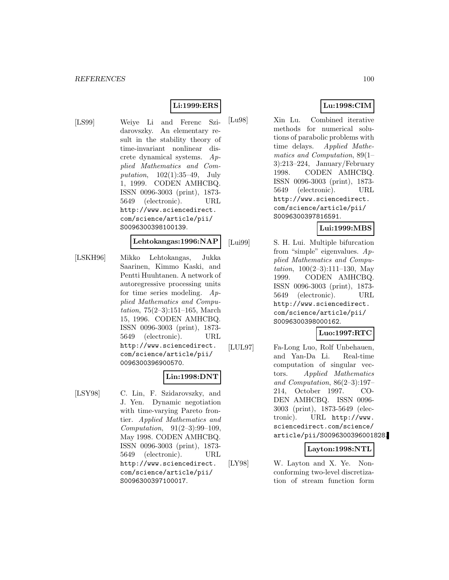# **Li:1999:ERS**

[LS99] Weiye Li and Ferenc Szidarovszky. An elementary result in the stability theory of time-invariant nonlinear discrete dynamical systems. Applied Mathematics and Computation, 102(1):35–49, July 1, 1999. CODEN AMHCBQ. ISSN 0096-3003 (print), 1873- 5649 (electronic). URL http://www.sciencedirect. com/science/article/pii/ S0096300398100139.

## **Lehtokangas:1996:NAP**

[LSKH96] Mikko Lehtokangas, Jukka Saarinen, Kimmo Kaski, and Pentti Huuhtanen. A network of autoregressive processing units for time series modeling. Applied Mathematics and Computation, 75(2–3):151–165, March 15, 1996. CODEN AMHCBQ. ISSN 0096-3003 (print), 1873- 5649 (electronic). URL http://www.sciencedirect. com/science/article/pii/ 0096300396900570.

#### **Lin:1998:DNT**

[LSY98] C. Lin, F. Szidarovszky, and J. Yen. Dynamic negotiation with time-varying Pareto frontier. Applied Mathematics and Computation, 91(2–3):99–109, May 1998. CODEN AMHCBQ. ISSN 0096-3003 (print), 1873- 5649 (electronic). URL http://www.sciencedirect. com/science/article/pii/ S0096300397100017.

# **Lu:1998:CIM**

[Lu98] Xin Lu. Combined iterative methods for numerical solutions of parabolic problems with time delays. Applied Mathematics and Computation, 89(1– 3):213–224, January/February 1998. CODEN AMHCBQ. ISSN 0096-3003 (print), 1873- 5649 (electronic). URL http://www.sciencedirect. com/science/article/pii/ S0096300397816591.

## **Lui:1999:MBS**

[Lui99] S. H. Lui. Multiple bifurcation from "simple" eigenvalues. Applied Mathematics and Computation,  $100(2-3):111-130$ , May 1999. CODEN AMHCBQ. ISSN 0096-3003 (print), 1873- 5649 (electronic). URL http://www.sciencedirect. com/science/article/pii/ S0096300398000162.

### **Luo:1997:RTC**

[LUL97] Fa-Long Luo, Rolf Unbehauen, and Yan-Da Li. Real-time computation of singular vectors. Applied Mathematics and Computation, 86(2–3):197– 214, October 1997. CO-DEN AMHCBQ. ISSN 0096- 3003 (print), 1873-5649 (electronic). URL http://www. sciencedirect.com/science/ article/pii/S0096300396001828.

# **Layton:1998:NTL**

[LY98] W. Layton and X. Ye. Nonconforming two-level discretization of stream function form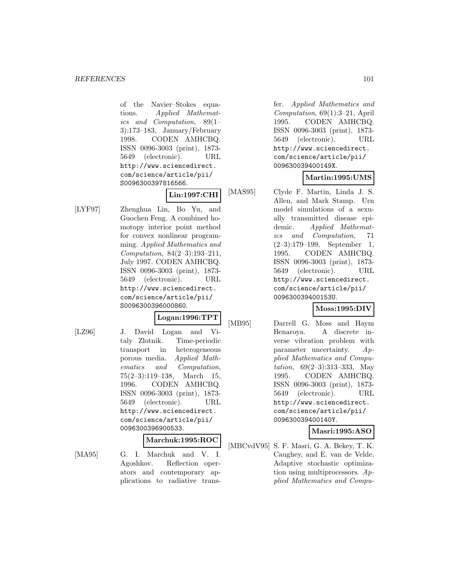of the Navier–Stokes equations. Applied Mathematics and Computation, 89(1– 3):173–183, January/February 1998. CODEN AMHCBQ. ISSN 0096-3003 (print), 1873- 5649 (electronic). URL http://www.sciencedirect. com/science/article/pii/ S0096300397816566.

## **Lin:1997:CHI**

[LYF97] Zhenghua Lin, Bo Yu, and Guochen Feng. A combined homotopy interior point method for convex nonlinear programming. Applied Mathematics and Computation, 84(2–3):193–211, July 1997. CODEN AMHCBQ. ISSN 0096-3003 (print), 1873- 5649 (electronic). URL http://www.sciencedirect. com/science/article/pii/ S0096300396000860.

## **Logan:1996:TPT**

[LZ96] J. David Logan and Vitaly Zlotnik. Time-periodic transport in heterogeneous porous media. Applied Mathematics and Computation, 75(2–3):119–138, March 15, 1996. CODEN AMHCBQ. ISSN 0096-3003 (print), 1873- 5649 (electronic). URL http://www.sciencedirect. com/science/article/pii/ 0096300396900533.

### **Marchuk:1995:ROC**

[MA95] G. I. Marchuk and V. I. Agoshkov. Reflection operators and contemporary applications to radiative trans-

fer. Applied Mathematics and Computation, 69(1):3–21, April 1995. CODEN AMHCBQ. ISSN 0096-3003 (print), 1873- 5649 (electronic). URL http://www.sciencedirect. com/science/article/pii/ 009630039400149X.

# **Martin:1995:UMS**

[MAS95] Clyde F. Martin, Linda J. S. Allen, and Mark Stamp. Urn model simulations of a sexually transmitted disease epidemic. Applied Mathematics and Computation, 71 (2–3):179–199, September 1, 1995. CODEN AMHCBQ. ISSN 0096-3003 (print), 1873- 5649 (electronic). URL http://www.sciencedirect. com/science/article/pii/ 009630039400153U.

# **Moss:1995:DIV**

[MB95] Darrell G. Moss and Haym Benaroya. A discrete inverse vibration problem with parameter uncertainty. Applied Mathematics and Computation, 69(2–3):313–333, May 1995. CODEN AMHCBQ. ISSN 0096-3003 (print), 1873- 5649 (electronic). URL http://www.sciencedirect. com/science/article/pii/ 009630039400140Y.

**Masri:1995:ASO**

[MBCvdV95] S. F. Masri, G. A. Bekey, T. K. Caughey, and E. van de Velde. Adaptive stochastic optimization using multiprocessors. Applied Mathematics and Compu-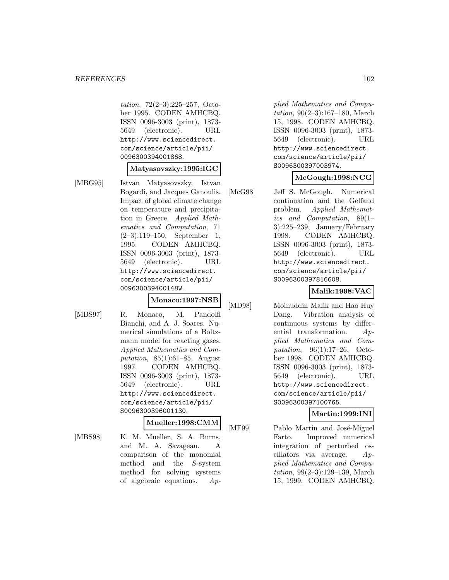tation, 72(2–3):225–257, October 1995. CODEN AMHCBQ. ISSN 0096-3003 (print), 1873- 5649 (electronic). URL http://www.sciencedirect. com/science/article/pii/ 0096300394001868.

#### **Matyasovszky:1995:IGC**

[MBG95] Istvan Matyasovszky, Istvan Bogardi, and Jacques Ganoulis. Impact of global climate change on temperature and precipitation in Greece. Applied Mathematics and Computation, 71 (2–3):119–150, September 1, 1995. CODEN AMHCBQ. ISSN 0096-3003 (print), 1873- 5649 (electronic). URL http://www.sciencedirect. com/science/article/pii/ 009630039400148W.

#### **Monaco:1997:NSB**

[MBS97] R. Monaco, M. Pandolfi Bianchi, and A. J. Soares. Numerical simulations of a Boltzmann model for reacting gases. Applied Mathematics and Computation, 85(1):61–85, August 1997. CODEN AMHCBQ. ISSN 0096-3003 (print), 1873- 5649 (electronic). URL http://www.sciencedirect. com/science/article/pii/ S0096300396001130.

# **Mueller:1998:CMM**

[MBS98] K. M. Mueller, S. A. Burns, and M. A. Savageau. A comparison of the monomial method and the S-system method for solving systems of algebraic equations. Ap-

plied Mathematics and Computation, 90(2–3):167–180, March 15, 1998. CODEN AMHCBQ. ISSN 0096-3003 (print), 1873- 5649 (electronic). URL http://www.sciencedirect. com/science/article/pii/ S0096300397003974.

### **McGough:1998:NCG**

[McG98] Jeff S. McGough. Numerical continuation and the Gelfand problem. Applied Mathematics and Computation, 89(1– 3):225–239, January/February 1998. CODEN AMHCBQ. ISSN 0096-3003 (print), 1873- 5649 (electronic). URL http://www.sciencedirect. com/science/article/pii/ S0096300397816608.

### **Malik:1998:VAC**

[MD98] Moinuddin Malik and Hao Huy Dang. Vibration analysis of continuous systems by differential transformation. Applied Mathematics and Computation, 96(1):17–26, October 1998. CODEN AMHCBQ. ISSN 0096-3003 (print), 1873- 5649 (electronic). URL http://www.sciencedirect. com/science/article/pii/ S0096300397100765.

#### **Martin:1999:INI**

[MF99] Pablo Martin and José-Miguel Farto. Improved numerical integration of perturbed oscillators via average. Applied Mathematics and Computation, 99(2–3):129–139, March 15, 1999. CODEN AMHCBQ.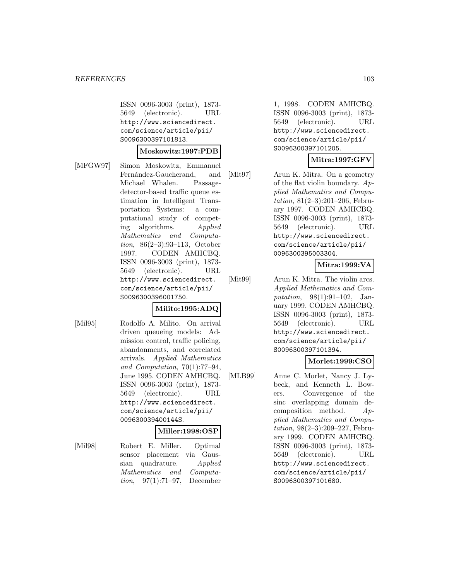ISSN 0096-3003 (print), 1873- 5649 (electronic). URL http://www.sciencedirect. com/science/article/pii/ S0096300397101813.

#### **Moskowitz:1997:PDB**

[MFGW97] Simon Moskowitz, Emmanuel Fernández-Gaucherand, and Michael Whalen. Passagedetector-based traffic queue estimation in Intelligent Transportation Systems: a computational study of competing algorithms. Applied Mathematics and Computation, 86(2–3):93–113, October 1997. CODEN AMHCBQ. ISSN 0096-3003 (print), 1873- 5649 (electronic). URL http://www.sciencedirect. com/science/article/pii/ S0096300396001750.

### **Milito:1995:ADQ**

[Mil95] Rodolfo A. Milito. On arrival driven queueing models: Admission control, traffic policing, abandonments, and correlated arrivals. Applied Mathematics and Computation, 70(1):77–94, June 1995. CODEN AMHCBQ. ISSN 0096-3003 (print), 1873- 5649 (electronic). URL http://www.sciencedirect. com/science/article/pii/ 009630039400144S.

#### **Miller:1998:OSP**

[Mil98] Robert E. Miller. Optimal sensor placement via Gaussian quadrature. Applied Mathematics and Computation, 97(1):71–97, December

1, 1998. CODEN AMHCBQ. ISSN 0096-3003 (print), 1873- 5649 (electronic). URL http://www.sciencedirect. com/science/article/pii/ S0096300397101205.

## **Mitra:1997:GFV**

[Mit97] Arun K. Mitra. On a geometry of the flat violin boundary. Applied Mathematics and Computation, 81(2–3):201–206, February 1997. CODEN AMHCBQ. ISSN 0096-3003 (print), 1873- 5649 (electronic). URL http://www.sciencedirect. com/science/article/pii/ 0096300395003304.

# **Mitra:1999:VA**

[Mit99] Arun K. Mitra. The violin arcs. Applied Mathematics and Computation, 98(1):91–102, January 1999. CODEN AMHCBQ. ISSN 0096-3003 (print), 1873- 5649 (electronic). URL http://www.sciencedirect. com/science/article/pii/ S0096300397101394.

# **Morlet:1999:CSO**

[MLB99] Anne C. Morlet, Nancy J. Lybeck, and Kenneth L. Bowers. Convergence of the sinc overlapping domain decomposition method. Applied Mathematics and Computation, 98(2–3):209–227, February 1999. CODEN AMHCBQ. ISSN 0096-3003 (print), 1873- 5649 (electronic). URL http://www.sciencedirect. com/science/article/pii/ S0096300397101680.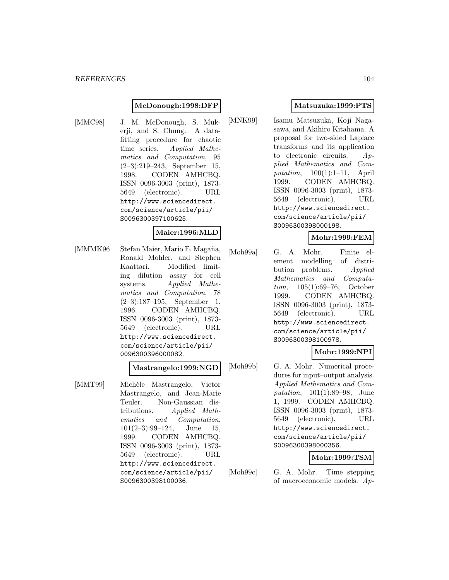#### **McDonough:1998:DFP**

[MMC98] J. M. McDonough, S. Mukerji, and S. Chung. A datafitting procedure for chaotic time series. Applied Mathematics and Computation, 95 (2–3):219–243, September 15, 1998. CODEN AMHCBQ. ISSN 0096-3003 (print), 1873- 5649 (electronic). URL http://www.sciencedirect. com/science/article/pii/ S0096300397100625.

#### **Maier:1996:MLD**

[MMMK96] Stefan Maier, Mario E. Magaña, Ronald Mohler, and Stephen Kaattari. Modified limiting dilution assay for cell systems. Applied Mathematics and Computation, 78 (2–3):187–195, September 1, 1996. CODEN AMHCBQ. ISSN 0096-3003 (print), 1873- 5649 (electronic). URL http://www.sciencedirect. com/science/article/pii/ 0096300396000082.

#### **Mastrangelo:1999:NGD**

[MMT99] Michèle Mastrangelo, Victor Mastrangelo, and Jean-Marie Teuler. Non-Gaussian distributions. Applied Mathematics and Computation,  $101(2-3):99-124$ , June 15, 1999. CODEN AMHCBQ. ISSN 0096-3003 (print), 1873- 5649 (electronic). URL http://www.sciencedirect. com/science/article/pii/ S0096300398100036.

## **Matsuzuka:1999:PTS**

[MNK99] Isamu Matsuzuka, Koji Nagasawa, and Akihiro Kitahama. A proposal for two-sided Laplace transforms and its application to electronic circuits.  $Ap$ plied Mathematics and Computation, 100(1):1–11, April 1999. CODEN AMHCBQ. ISSN 0096-3003 (print), 1873- 5649 (electronic). URL http://www.sciencedirect. com/science/article/pii/ S0096300398000198.

#### **Mohr:1999:FEM**

[Moh99a] G. A. Mohr. Finite element modelling of distribution problems. Applied Mathematics and Computation, 105(1):69–76, October 1999. CODEN AMHCBQ. ISSN 0096-3003 (print), 1873- 5649 (electronic). URL http://www.sciencedirect. com/science/article/pii/ S0096300398100978.

### **Mohr:1999:NPI**

[Moh99b] G. A. Mohr. Numerical procedures for input–output analysis. Applied Mathematics and Computation, 101(1):89–98, June 1, 1999. CODEN AMHCBQ. ISSN 0096-3003 (print), 1873- 5649 (electronic). URL http://www.sciencedirect. com/science/article/pii/ S0096300398000356.

# **Mohr:1999:TSM**

[Moh99c] G. A. Mohr. Time stepping of macroeconomic models. Ap-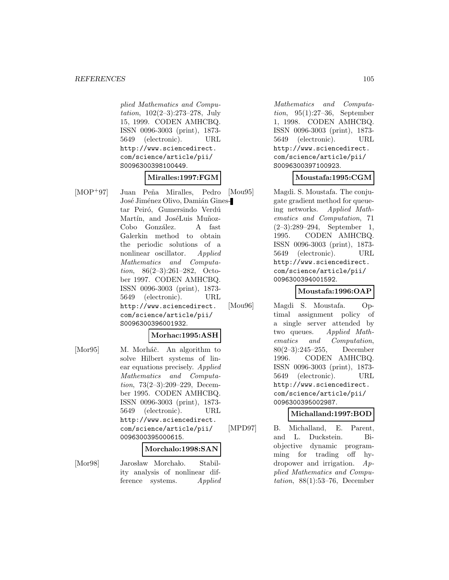plied Mathematics and Computation, 102(2–3):273–278, July 15, 1999. CODEN AMHCBQ. ISSN 0096-3003 (print), 1873- 5649 (electronic). URL http://www.sciencedirect. com/science/article/pii/ S0096300398100449.

#### **Miralles:1997:FGM**

[MOP+97] Juan Peña Miralles, Pedro José Jiménez Olivo, Damián Ginestar Peiró, Gumersindo Verdú Martín, and JoséLuis Muñoz-Cobo González. A fast Galerkin method to obtain the periodic solutions of a nonlinear oscillator. Applied Mathematics and Computation, 86(2–3):261–282, October 1997. CODEN AMHCBQ. ISSN 0096-3003 (print), 1873- 5649 (electronic). URL http://www.sciencedirect. com/science/article/pii/ S0096300396001932.

#### **Morhac:1995:ASH**

[Mor95] M. Morháč. An algorithm to solve Hilbert systems of linear equations precisely. Applied Mathematics and Computation, 73(2–3):209–229, December 1995. CODEN AMHCBQ. ISSN 0096-3003 (print), 1873- 5649 (electronic). URL http://www.sciencedirect. com/science/article/pii/ 0096300395000615.

#### **Morchalo:1998:SAN**

[Mor98] Jarosław Morchało. Stability analysis of nonlinear difference systems. Applied

Mathematics and Computation, 95(1):27–36, September 1, 1998. CODEN AMHCBQ. ISSN 0096-3003 (print), 1873- 5649 (electronic). URL http://www.sciencedirect. com/science/article/pii/ S0096300397100923.

### **Moustafa:1995:CGM**

[Mou95] Magdi. S. Moustafa. The conjugate gradient method for queueing networks. Applied Mathematics and Computation, 71 (2–3):289–294, September 1, 1995. CODEN AMHCBQ. ISSN 0096-3003 (print), 1873- 5649 (electronic). URL http://www.sciencedirect. com/science/article/pii/ 0096300394001592.

## **Moustafa:1996:OAP**

[Mou96] Magdi S. Moustafa. Optimal assignment policy of a single server attended by two queues. Applied Mathematics and Computation, 80(2–3):245–255, December 1996. CODEN AMHCBQ. ISSN 0096-3003 (print), 1873- 5649 (electronic). URL http://www.sciencedirect. com/science/article/pii/ 0096300395002987.

#### **Michalland:1997:BOD**

[MPD97] B. Michalland, E. Parent, and L. Duckstein. Biobjective dynamic programming for trading off hydropower and irrigation. Applied Mathematics and Computation, 88(1):53–76, December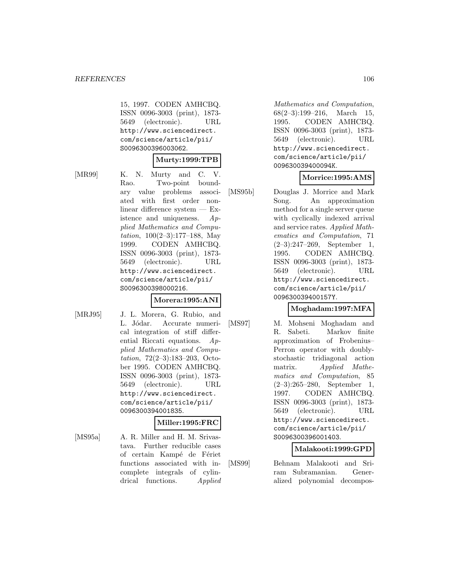15, 1997. CODEN AMHCBQ. ISSN 0096-3003 (print), 1873- 5649 (electronic). URL http://www.sciencedirect. com/science/article/pii/ S0096300396003062.

#### **Murty:1999:TPB**

[MR99] K. N. Murty and C. V. Rao. Two-point boundary value problems associated with first order nonlinear difference system — Existence and uniqueness. Applied Mathematics and Computation, 100(2–3):177–188, May 1999. CODEN AMHCBQ. ISSN 0096-3003 (print), 1873- 5649 (electronic). URL http://www.sciencedirect. com/science/article/pii/ S0096300398000216.

#### **Morera:1995:ANI**

[MRJ95] J. L. Morera, G. Rubio, and L. Jódar. Accurate numerical integration of stiff differential Riccati equations. Applied Mathematics and Computation, 72(2–3):183–203, October 1995. CODEN AMHCBQ. ISSN 0096-3003 (print), 1873- 5649 (electronic). URL http://www.sciencedirect. com/science/article/pii/ 0096300394001835.

#### **Miller:1995:FRC**

[MS95a] A. R. Miller and H. M. Srivastava. Further reducible cases of certain Kampé de Fériet functions associated with incomplete integrals of cylindrical functions. Applied

Mathematics and Computation, 68(2–3):199–216, March 15, 1995. CODEN AMHCBQ. ISSN 0096-3003 (print), 1873- 5649 (electronic). URL http://www.sciencedirect. com/science/article/pii/ 009630039400094K.

## **Morrice:1995:AMS**

[MS95b] Douglas J. Morrice and Mark Song. An approximation method for a single server queue with cyclically indexed arrival and service rates. Applied Mathematics and Computation, 71 (2–3):247–269, September 1, 1995. CODEN AMHCBQ. ISSN 0096-3003 (print), 1873- 5649 (electronic). URL http://www.sciencedirect. com/science/article/pii/ 009630039400157Y.

### **Moghadam:1997:MFA**

[MS97] M. Mohseni Moghadam and R. Sabeti. Markov finite approximation of Frobenius– Perron operator with doublystochastic tridiagonal action matrix. Applied Mathematics and Computation, 85 (2–3):265–280, September 1, 1997. CODEN AMHCBQ. ISSN 0096-3003 (print), 1873- 5649 (electronic). URL http://www.sciencedirect. com/science/article/pii/ S0096300396001403.

### **Malakooti:1999:GPD**

[MS99] Behnam Malakooti and Sriram Subramanian. Generalized polynomial decompos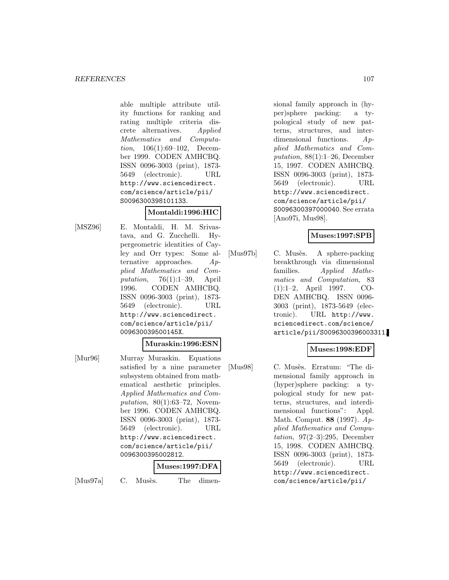able multiple attribute utility functions for ranking and rating multiple criteria discrete alternatives. Applied Mathematics and Computation, 106(1):69–102, December 1999. CODEN AMHCBQ. ISSN 0096-3003 (print), 1873- 5649 (electronic). URL http://www.sciencedirect. com/science/article/pii/ S0096300398101133.

### **Montaldi:1996:HIC**

[MSZ96] E. Montaldi, H. M. Srivastava, and G. Zucchelli. Hypergeometric identities of Cayley and Orr types: Some alternative approaches. Applied Mathematics and Computation,  $76(1):1-39$ , April 1996. CODEN AMHCBQ. ISSN 0096-3003 (print), 1873- 5649 (electronic). URL http://www.sciencedirect. com/science/article/pii/ 009630039500145X.

#### **Muraskin:1996:ESN**

[Mur96] Murray Muraskin. Equations satisfied by a nine parameter subsystem obtained from mathematical aesthetic principles. Applied Mathematics and Computation, 80(1):63–72, November 1996. CODEN AMHCBQ. ISSN 0096-3003 (print), 1873- 5649 (electronic). URL http://www.sciencedirect. com/science/article/pii/ 0096300395002812.

#### **Muses:1997:DFA**

[Mus97a] C. Musès. The dimen-

sional family approach in (hyper)sphere packing: a typological study of new patterns, structures, and interdimensional functions. Applied Mathematics and Computation, 88(1):1–26, December 15, 1997. CODEN AMHCBQ. ISSN 0096-3003 (print), 1873- 5649 (electronic). URL http://www.sciencedirect. com/science/article/pii/ S0096300397000040. See errata [Ano97i, Mus98].

### **Muses:1997:SPB**

[Mus97b] C. Musès. A sphere-packing breakthrough via dimensional families. Applied Mathematics and Computation, 83 (1):1–2, April 1997. CO-DEN AMHCBQ. ISSN 0096- 3003 (print), 1873-5649 (electronic). URL http://www. sciencedirect.com/science/ article/pii/S0096300396003311.

## **Muses:1998:EDF**

[Mus98] C. Musès. Erratum: "The dimensional family approach in (hyper)sphere packing: a typological study for new patterns, structures, and interdimensional functions": Appl. Math. Comput. **88** (1997). Applied Mathematics and Computation,  $97(2-3):295$ , December 15, 1998. CODEN AMHCBQ. ISSN 0096-3003 (print), 1873- 5649 (electronic). URL http://www.sciencedirect. com/science/article/pii/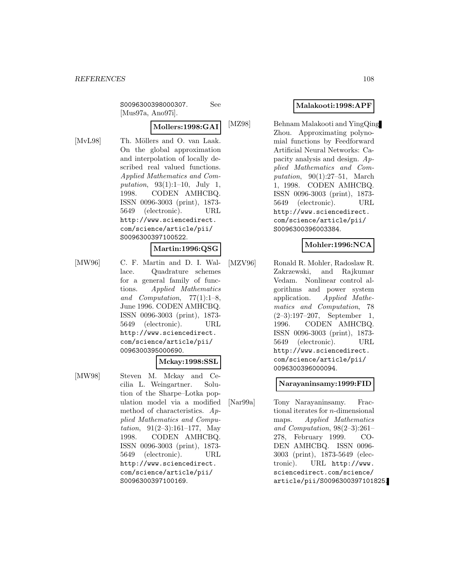S0096300398000307. See [Mus97a, Ano97i].

## **Mollers:1998:GAI**

[MvL98] Th. Möllers and O. van Laak. On the global approximation and interpolation of locally described real valued functions. Applied Mathematics and Computation, 93(1):1–10, July 1, 1998. CODEN AMHCBQ. ISSN 0096-3003 (print), 1873- 5649 (electronic). URL http://www.sciencedirect. com/science/article/pii/ S0096300397100522.

#### **Martin:1996:QSG**

[MW96] C. F. Martin and D. I. Wallace. Quadrature schemes for a general family of functions. Applied Mathematics and Computation, 77(1):1–8, June 1996. CODEN AMHCBQ. ISSN 0096-3003 (print), 1873- 5649 (electronic). URL http://www.sciencedirect. com/science/article/pii/ 0096300395000690.

#### **Mckay:1998:SSL**

[MW98] Steven M. Mckay and Cecilia L. Weingartner. Solution of the Sharpe–Lotka population model via a modified method of characteristics. Applied Mathematics and Computation,  $91(2-3):161-177$ , May 1998. CODEN AMHCBQ. ISSN 0096-3003 (print), 1873- 5649 (electronic). URL http://www.sciencedirect. com/science/article/pii/ S0096300397100169.

## **Malakooti:1998:APF**

[MZ98] Behnam Malakooti and YingQing Zhou. Approximating polynomial functions by Feedforward Artificial Neural Networks: Capacity analysis and design. Applied Mathematics and Computation, 90(1):27–51, March 1, 1998. CODEN AMHCBQ. ISSN 0096-3003 (print), 1873- 5649 (electronic). URL http://www.sciencedirect. com/science/article/pii/ S0096300396003384.

## **Mohler:1996:NCA**

[MZV96] Ronald R. Mohler, Radoslaw R. Zakrzewski, and Rajkumar Vedam. Nonlinear control algorithms and power system application. Applied Mathematics and Computation, 78 (2–3):197–207, September 1, 1996. CODEN AMHCBQ. ISSN 0096-3003 (print), 1873- 5649 (electronic). URL http://www.sciencedirect. com/science/article/pii/ 0096300396000094.

### **Narayaninsamy:1999:FID**

[Nar99a] Tony Narayaninsamy. Fractional iterates for n-dimensional maps. Applied Mathematics and Computation, 98(2–3):261– 278, February 1999. CO-DEN AMHCBQ. ISSN 0096- 3003 (print), 1873-5649 (electronic). URL http://www. sciencedirect.com/science/ article/pii/S0096300397101825.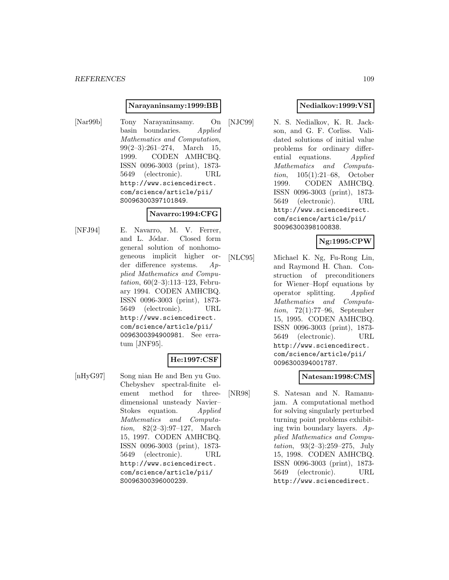#### **Narayaninsamy:1999:BB**

[Nar99b] Tony Narayaninsamy. On basin boundaries. Applied Mathematics and Computation, 99(2–3):261–274, March 15, 1999. CODEN AMHCBQ. ISSN 0096-3003 (print), 1873- 5649 (electronic). URL http://www.sciencedirect. com/science/article/pii/ S0096300397101849.

#### **Navarro:1994:CFG**

[NFJ94] E. Navarro, M. V. Ferrer, and L. Jódar. Closed form general solution of nonhomogeneous implicit higher order difference systems. Applied Mathematics and Computation, 60(2–3):113–123, February 1994. CODEN AMHCBQ. ISSN 0096-3003 (print), 1873- 5649 (electronic). URL http://www.sciencedirect. com/science/article/pii/ 0096300394900981. See erratum [JNF95].

## **He:1997:CSF**

[nHyG97] Song nian He and Ben yu Guo. Chebyshev spectral-finite element method for threedimensional unsteady Navier– Stokes equation. Applied Mathematics and Computation, 82(2–3):97–127, March 15, 1997. CODEN AMHCBQ. ISSN 0096-3003 (print), 1873- 5649 (electronic). URL http://www.sciencedirect. com/science/article/pii/ S0096300396000239.

## **Nedialkov:1999:VSI**

[NJC99] N. S. Nedialkov, K. R. Jackson, and G. F. Corliss. Validated solutions of initial value problems for ordinary differential equations. Applied Mathematics and Computation, 105(1):21–68, October 1999. CODEN AMHCBQ. ISSN 0096-3003 (print), 1873- 5649 (electronic). URL http://www.sciencedirect. com/science/article/pii/ S0096300398100838.

# **Ng:1995:CPW**

[NLC95] Michael K. Ng, Fu-Rong Lin, and Raymond H. Chan. Construction of preconditioners for Wiener–Hopf equations by operator splitting. Applied Mathematics and Computation, 72(1):77–96, September 15, 1995. CODEN AMHCBQ. ISSN 0096-3003 (print), 1873- 5649 (electronic). URL http://www.sciencedirect. com/science/article/pii/ 0096300394001787.

#### **Natesan:1998:CMS**

[NR98] S. Natesan and N. Ramanujam. A computational method for solving singularly perturbed turning point problems exhibiting twin boundary layers.  $Ap$ plied Mathematics and Computation, 93(2–3):259–275, July 15, 1998. CODEN AMHCBQ. ISSN 0096-3003 (print), 1873- 5649 (electronic). URL http://www.sciencedirect.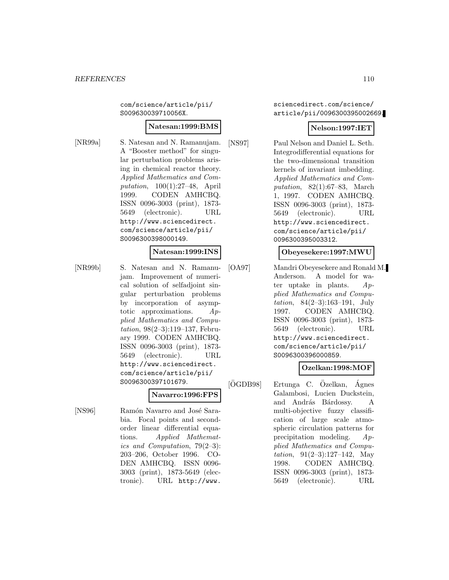com/science/article/pii/ S009630039710056X.

#### **Natesan:1999:BMS**

[NR99a] S. Natesan and N. Ramanujam. A "Booster method" for singular perturbation problems arising in chemical reactor theory. Applied Mathematics and Computation, 100(1):27–48, April 1999. CODEN AMHCBQ. ISSN 0096-3003 (print), 1873- 5649 (electronic). URL http://www.sciencedirect. com/science/article/pii/ S0096300398000149.

## **Natesan:1999:INS**

[NR99b] S. Natesan and N. Ramanujam. Improvement of numerical solution of selfadjoint singular perturbation problems by incorporation of asymptotic approximations. Applied Mathematics and Computation, 98(2–3):119–137, February 1999. CODEN AMHCBQ. ISSN 0096-3003 (print), 1873- 5649 (electronic). URL http://www.sciencedirect. com/science/article/pii/ S0096300397101679.

## **Navarro:1996:FPS**

[NS96] Ramón Navarro and José Sarabia. Focal points and secondorder linear differential equations. Applied Mathematics and Computation, 79(2–3): 203–206, October 1996. CO-DEN AMHCBQ. ISSN 0096- 3003 (print), 1873-5649 (electronic). URL http://www.

sciencedirect.com/science/ article/pii/0096300395002669.

## **Nelson:1997:IET**

[NS97] Paul Nelson and Daniel L. Seth. Integrodifferential equations for the two-dimensional transition kernels of invariant imbedding. Applied Mathematics and Computation,  $82(1):67-83$ , March 1, 1997. CODEN AMHCBQ. ISSN 0096-3003 (print), 1873- 5649 (electronic). URL http://www.sciencedirect. com/science/article/pii/ 0096300395003312.

## **Obeyesekere:1997:MWU**

[OA97] Mandri Obeyesekere and Ronald M. Anderson. A model for water uptake in plants.  $Ap$ plied Mathematics and Computation, 84(2–3):163–191, July 1997. CODEN AMHCBQ. ISSN 0096-3003 (print), 1873- 5649 (electronic). URL http://www.sciencedirect. com/science/article/pii/ S0096300396000859.

#### **Ozelkan:1998:MOF**

 $[OGDB98]$  Ertunga C.  $O$ zelkan, Ágnes Galambosi, Lucien Duckstein, and András Bárdossy. A multi-objective fuzzy classification of large scale atmospheric circulation patterns for precipitation modeling. Applied Mathematics and Computation,  $91(2-3):127-142$ , May 1998. CODEN AMHCBQ. ISSN 0096-3003 (print), 1873- 5649 (electronic). URL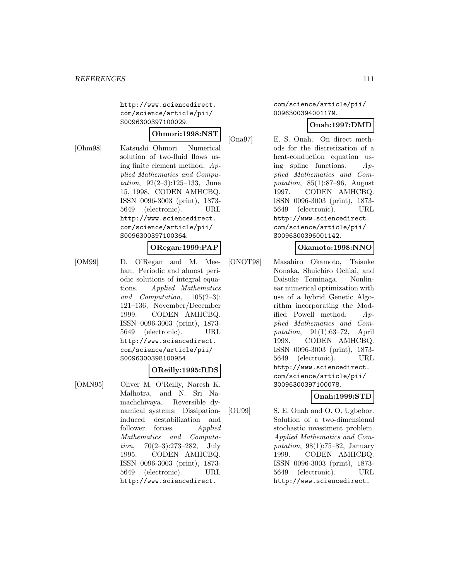http://www.sciencedirect. com/science/article/pii/ S0096300397100029.

## **Ohmori:1998:NST**

[Ohm98] Katsushi Ohmori. Numerical solution of two-fluid flows using finite element method. Applied Mathematics and Computation, 92(2–3):125–133, June 15, 1998. CODEN AMHCBQ. ISSN 0096-3003 (print), 1873- 5649 (electronic). URL http://www.sciencedirect. com/science/article/pii/ S0096300397100364.

#### **ORegan:1999:PAP**

[OM99] D. O'Regan and M. Meehan. Periodic and almost periodic solutions of integral equations. Applied Mathematics and Computation, 105(2–3): 121–136, November/December 1999. CODEN AMHCBQ. ISSN 0096-3003 (print), 1873- 5649 (electronic). URL http://www.sciencedirect. com/science/article/pii/ S0096300398100954.

#### **OReilly:1995:RDS**

[OMN95] Oliver M. O'Reilly, Naresh K. Malhotra, and N. Sri Namachchivaya. Reversible dynamical systems: Dissipationinduced destabilization and follower forces. Applied Mathematics and Computation, 70(2–3):273–282, July 1995. CODEN AMHCBQ. ISSN 0096-3003 (print), 1873- 5649 (electronic). URL http://www.sciencedirect.

com/science/article/pii/ 009630039400117M.

## **Onah:1997:DMD**

[Ona97] E. S. Onah. On direct methods for the discretization of a heat-conduction equation using spline functions. Applied Mathematics and Computation,  $85(1):87-96$ , August 1997. CODEN AMHCBQ. ISSN 0096-3003 (print), 1873- 5649 (electronic). URL http://www.sciencedirect. com/science/article/pii/ S0096300396001142.

## **Okamoto:1998:NNO**

[ONOT98] Masahiro Okamoto, Taisuke Nonaka, Shuichiro Ochiai, and Daisuke Tominaga. Nonlinear numerical optimization with use of a hybrid Genetic Algorithm incorporating the Modified Powell method. Applied Mathematics and Computation, 91(1):63–72, April 1998. CODEN AMHCBQ. ISSN 0096-3003 (print), 1873- 5649 (electronic). URL http://www.sciencedirect. com/science/article/pii/ S0096300397100078.

# **Onah:1999:STD**

[OU99] S. E. Onah and O. O. Ugbebor. Solution of a two-dimensional stochastic investment problem. Applied Mathematics and Computation,  $98(1)$ :75–82, January 1999. CODEN AMHCBQ. ISSN 0096-3003 (print), 1873- 5649 (electronic). URL http://www.sciencedirect.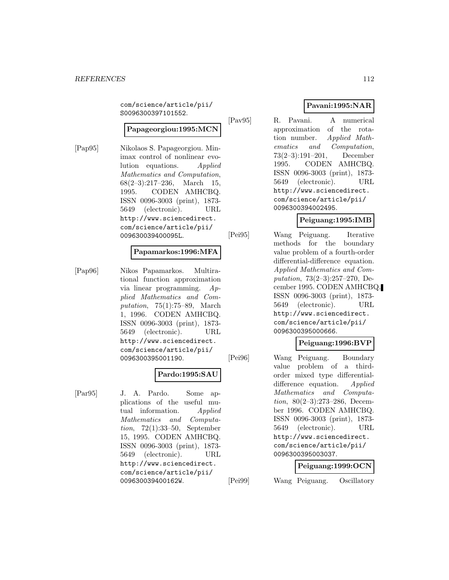com/science/article/pii/ S0096300397101552.

## **Papageorgiou:1995:MCN**

[Pap95] Nikolaos S. Papageorgiou. Minimax control of nonlinear evolution equations. Applied Mathematics and Computation,  $68(2-3):217-236$ , March 15, 1995. CODEN AMHCBQ. ISSN 0096-3003 (print), 1873- 5649 (electronic). URL http://www.sciencedirect. com/science/article/pii/ 009630039400095L.

## **Papamarkos:1996:MFA**

[Pap96] Nikos Papamarkos. Multirational function approximation via linear programming. Applied Mathematics and Computation, 75(1):75–89, March 1, 1996. CODEN AMHCBQ. ISSN 0096-3003 (print), 1873- 5649 (electronic). URL http://www.sciencedirect. com/science/article/pii/ 0096300395001190.

#### **Pardo:1995:SAU**

[Par95] J. A. Pardo. Some applications of the useful mutual information. Applied Mathematics and Computation, 72(1):33–50, September 15, 1995. CODEN AMHCBQ. ISSN 0096-3003 (print), 1873- 5649 (electronic). URL http://www.sciencedirect. com/science/article/pii/ 009630039400162W.

# **Pavani:1995:NAR**

[Pav95] R. Pavani. A numerical approximation of the rotation number. Applied Mathematics and Computation, 73(2–3):191–201, December 1995. CODEN AMHCBQ. ISSN 0096-3003 (print), 1873- 5649 (electronic). URL http://www.sciencedirect. com/science/article/pii/ 0096300394002495.

## **Peiguang:1995:IMB**

[Pei95] Wang Peiguang. Iterative methods for the boundary value problem of a fourth-order differential-difference equation. Applied Mathematics and Computation, 73(2–3):257–270, December 1995. CODEN AMHCBQ. ISSN 0096-3003 (print), 1873- 5649 (electronic). URL http://www.sciencedirect. com/science/article/pii/ 0096300395000666.

## **Peiguang:1996:BVP**

[Pei96] Wang Peiguang. Boundary value problem of a thirdorder mixed type differentialdifference equation. Applied Mathematics and Computation, 80(2–3):273–286, December 1996. CODEN AMHCBQ. ISSN 0096-3003 (print), 1873- 5649 (electronic). URL http://www.sciencedirect. com/science/article/pii/ 0096300395003037.

## **Peiguang:1999:OCN**

[Pei99] Wang Peiguang. Oscillatory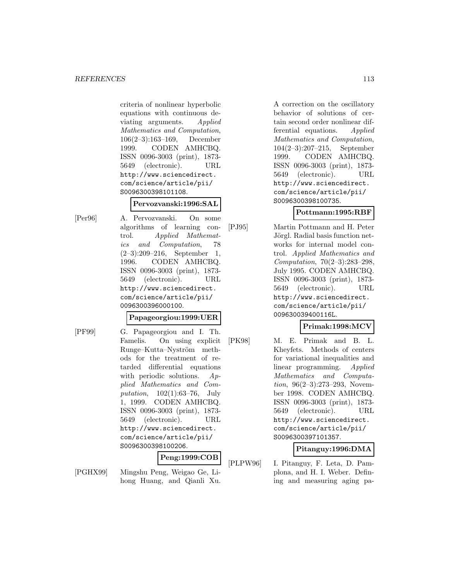criteria of nonlinear hyperbolic equations with continuous deviating arguments. Applied Mathematics and Computation, 106(2–3):163–169, December 1999. CODEN AMHCBQ. ISSN 0096-3003 (print), 1873- 5649 (electronic). URL http://www.sciencedirect. com/science/article/pii/ S0096300398101108.

## **Pervozvanski:1996:SAL**

[Per96] A. Pervozvanski. On some algorithms of learning control. Applied Mathematics and Computation, 78 (2–3):209–216, September 1, 1996. CODEN AMHCBQ. ISSN 0096-3003 (print), 1873- 5649 (electronic). URL http://www.sciencedirect. com/science/article/pii/ 0096300396000100.

## **Papageorgiou:1999:UER**

[PF99] G. Papageorgiou and I. Th. Famelis. On using explicit Runge–Kutta–Nyström methods for the treatment of retarded differential equations with periodic solutions. Applied Mathematics and Computation, 102(1):63–76, July 1, 1999. CODEN AMHCBQ. ISSN 0096-3003 (print), 1873- 5649 (electronic). URL http://www.sciencedirect. com/science/article/pii/ S0096300398100206.

## **Peng:1999:COB**

[PGHX99] Mingshu Peng, Weigao Ge, Lihong Huang, and Qianli Xu.

A correction on the oscillatory behavior of solutions of certain second order nonlinear differential equations. Applied Mathematics and Computation, 104(2–3):207–215, September 1999. CODEN AMHCBQ. ISSN 0096-3003 (print), 1873- 5649 (electronic). URL http://www.sciencedirect. com/science/article/pii/ S0096300398100735.

## **Pottmann:1995:RBF**

[PJ95] Martin Pottmann and H. Peter Jörgl. Radial basis function networks for internal model control. Applied Mathematics and Computation, 70(2–3):283–298, July 1995. CODEN AMHCBQ. ISSN 0096-3003 (print), 1873- 5649 (electronic). URL http://www.sciencedirect. com/science/article/pii/ 009630039400116L.

# **Primak:1998:MCV**

[PK98] M. E. Primak and B. L. Kheyfets. Methods of centers for variational inequalities and linear programming. Applied Mathematics and Computation, 96(2–3):273–293, November 1998. CODEN AMHCBQ. ISSN 0096-3003 (print), 1873- 5649 (electronic). URL http://www.sciencedirect. com/science/article/pii/ S0096300397101357.

## **Pitanguy:1996:DMA**

[PLPW96] I. Pitanguy, F. Leta, D. Pamplona, and H. I. Weber. Defining and measuring aging pa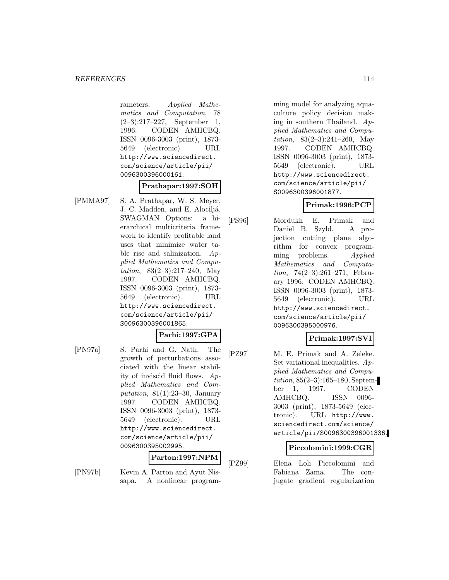rameters. Applied Mathematics and Computation, 78 (2–3):217–227, September 1, 1996. CODEN AMHCBQ. ISSN 0096-3003 (print), 1873- 5649 (electronic). URL http://www.sciencedirect. com/science/article/pii/ 0096300396000161.

#### **Prathapar:1997:SOH**

[PMMA97] S. A. Prathapar, W. S. Meyer, J. C. Madden, and E. Alociljá. SWAGMAN Options: a hierarchical multicriteria framework to identify profitable land uses that minimize water table rise and salinization. Applied Mathematics and Computation, 83(2–3):217–240, May 1997. CODEN AMHCBQ. ISSN 0096-3003 (print), 1873- 5649 (electronic). URL http://www.sciencedirect. com/science/article/pii/ S0096300396001865.

## **Parhi:1997:GPA**

[PN97a] S. Parhi and G. Nath. The growth of perturbations associated with the linear stability of inviscid fluid flows. Applied Mathematics and Computation,  $81(1):23-30$ , January 1997. CODEN AMHCBQ. ISSN 0096-3003 (print), 1873- 5649 (electronic). URL http://www.sciencedirect. com/science/article/pii/ 0096300395002995.

#### **Parton:1997:NPM**

[PN97b] Kevin A. Parton and Ayut Nissapa. A nonlinear program-

ming model for analyzing aquaculture policy decision making in southern Thailand.  $Ap$ plied Mathematics and Computation, 83(2–3):241–260, May 1997. CODEN AMHCBQ. ISSN 0096-3003 (print), 1873- 5649 (electronic). URL http://www.sciencedirect. com/science/article/pii/ S0096300396001877.

## **Primak:1996:PCP**

[PS96] Mordukh E. Primak and Daniel B. Szyld. A projection cutting plane algorithm for convex programming problems. Applied Mathematics and Computation, 74(2–3):261–271, February 1996. CODEN AMHCBQ. ISSN 0096-3003 (print), 1873- 5649 (electronic). URL http://www.sciencedirect. com/science/article/pii/ 0096300395000976.

## **Primak:1997:SVI**

[PZ97] M. E. Primak and A. Zeleke. Set variational inequalities. Applied Mathematics and Computation, 85(2–3):165–180, September 1, 1997. CODEN AMHCBQ. ISSN 0096- 3003 (print), 1873-5649 (electronic). URL http://www. sciencedirect.com/science/ article/pii/S0096300396001336.

#### **Piccolomini:1999:CGR**

[PZ99] Elena Loli Piccolomini and Fabiana Zama. The conjugate gradient regularization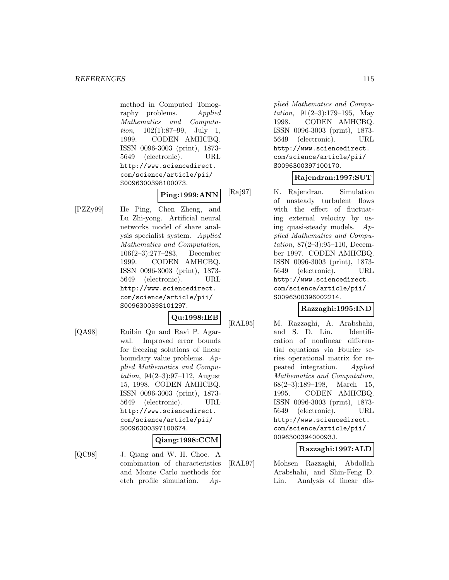method in Computed Tomography problems. Applied Mathematics and Computation, 102(1):87–99, July 1, 1999. CODEN AMHCBQ. ISSN 0096-3003 (print), 1873- 5649 (electronic). URL http://www.sciencedirect. com/science/article/pii/ S0096300398100073.

## **Ping:1999:ANN**

[PZZy99] He Ping, Chen Zheng, and Lu Zhi-yong. Artificial neural networks model of share analysis specialist system. Applied Mathematics and Computation, 106(2–3):277–283, December 1999. CODEN AMHCBQ. ISSN 0096-3003 (print), 1873- 5649 (electronic). URL http://www.sciencedirect. com/science/article/pii/ S0096300398101297.

#### **Qu:1998:IEB**

[QA98] Ruibin Qu and Ravi P. Agarwal. Improved error bounds for freezing solutions of linear boundary value problems. Applied Mathematics and Computation,  $94(2-3):97-112$ , August 15, 1998. CODEN AMHCBQ. ISSN 0096-3003 (print), 1873- 5649 (electronic). URL http://www.sciencedirect. com/science/article/pii/ S0096300397100674.

#### **Qiang:1998:CCM**

[QC98] J. Qiang and W. H. Choe. A combination of characteristics and Monte Carlo methods for etch profile simulation. Ap-

plied Mathematics and Computation, 91(2–3):179–195, May 1998. CODEN AMHCBQ. ISSN 0096-3003 (print), 1873- 5649 (electronic). URL http://www.sciencedirect. com/science/article/pii/ S0096300397100170.

## **Rajendran:1997:SUT**

[Raj97] K. Rajendran. Simulation of unsteady turbulent flows with the effect of fluctuating external velocity by using quasi-steady models. Applied Mathematics and Computation, 87(2–3):95–110, December 1997. CODEN AMHCBQ. ISSN 0096-3003 (print), 1873- 5649 (electronic). URL http://www.sciencedirect. com/science/article/pii/ S0096300396002214.

## **Razzaghi:1995:IND**

[RAL95] M. Razzaghi, A. Arabshahi, and S. D. Lin. Identification of nonlinear differential equations via Fourier series operational matrix for repeated integration. Applied Mathematics and Computation, 68(2–3):189–198, March 15, 1995. CODEN AMHCBQ. ISSN 0096-3003 (print), 1873- 5649 (electronic). URL http://www.sciencedirect. com/science/article/pii/ 009630039400093J.

## **Razzaghi:1997:ALD**

[RAL97] Mohsen Razzaghi, Abdollah Arabshahi, and Shin-Feng D. Lin. Analysis of linear dis-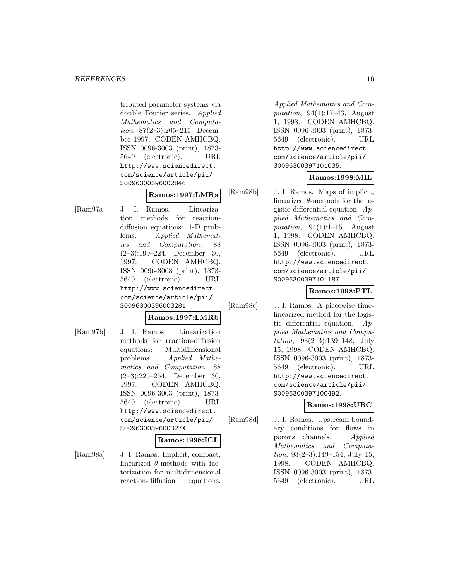tributed parameter systems via double Fourier series. Applied Mathematics and Computation, 87(2–3):205–215, December 1997. CODEN AMHCBQ. ISSN 0096-3003 (print), 1873- 5649 (electronic). URL http://www.sciencedirect. com/science/article/pii/ S0096300396002846.

## **Ramos:1997:LMRa**

[Ram97a] J. I. Ramos. Linearization methods for reactiondiffusion equations: 1-D problems. Applied Mathematics and Computation, 88 (2–3):199–224, December 30, 1997. CODEN AMHCBQ. ISSN 0096-3003 (print), 1873- 5649 (electronic). URL http://www.sciencedirect. com/science/article/pii/ S0096300396003281.

## **Ramos:1997:LMRb**

[Ram97b] J. I. Ramos. Linearization methods for reaction-diffusion equations: Multidimensional problems. Applied Mathematics and Computation, 88 (2–3):225–254, December 30, 1997. CODEN AMHCBQ. ISSN 0096-3003 (print), 1873- 5649 (electronic). URL http://www.sciencedirect. com/science/article/pii/ S009630039600327X.

#### **Ramos:1998:ICL**

[Ram98a] J. I. Ramos. Implicit, compact, linearized  $\theta$ -methods with factorization for multidimensional reaction-diffusion equations.

Applied Mathematics and Computation,  $94(1):17-43$ , August 1, 1998. CODEN AMHCBQ. ISSN 0096-3003 (print), 1873- 5649 (electronic). URL http://www.sciencedirect. com/science/article/pii/ S0096300397101035.

## **Ramos:1998:MIL**

[Ram98b] J. I. Ramos. Maps of implicit, linearized  $\theta$ -methods for the logistic differential equation. Applied Mathematics and Computation,  $94(1):1-15$ , August 1, 1998. CODEN AMHCBQ. ISSN 0096-3003 (print), 1873- 5649 (electronic). URL http://www.sciencedirect. com/science/article/pii/ S0096300397101187.

# **Ramos:1998:PTL**

[Ram98c] J. I. Ramos. A piecewise timelinearized method for the logistic differential equation. Applied Mathematics and Computation, 93(2–3):139–148, July 15, 1998. CODEN AMHCBQ. ISSN 0096-3003 (print), 1873- 5649 (electronic). URL http://www.sciencedirect. com/science/article/pii/ S0096300397100492.

# **Ramos:1998:UBC**

[Ram98d] J. I. Ramos. Upstream boundary conditions for flows in porous channels. Applied Mathematics and Computation,  $93(2-3):149-154$ , July 15, 1998. CODEN AMHCBQ. ISSN 0096-3003 (print), 1873- 5649 (electronic). URL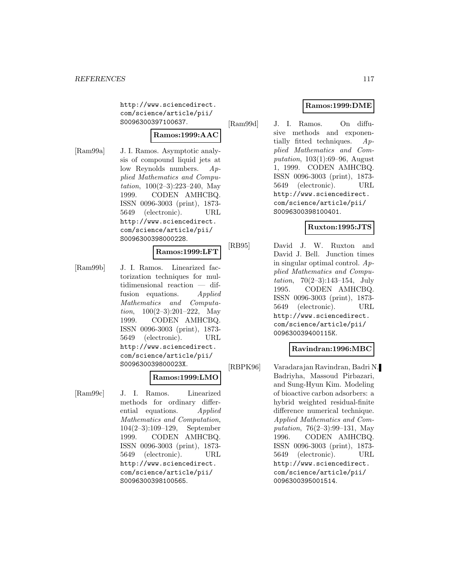http://www.sciencedirect. com/science/article/pii/ S0096300397100637.

# **Ramos:1999:AAC**

[Ram99a] J. I. Ramos. Asymptotic analysis of compound liquid jets at low Reynolds numbers. Applied Mathematics and Computation, 100(2–3):223–240, May 1999. CODEN AMHCBQ. ISSN 0096-3003 (print), 1873- 5649 (electronic). URL http://www.sciencedirect. com/science/article/pii/ S0096300398000228.

## **Ramos:1999:LFT**

[Ram99b] J. I. Ramos. Linearized factorization techniques for multidimensional reaction — diffusion equations. Applied Mathematics and Computa*tion*,  $100(2-3):201-222$ , May 1999. CODEN AMHCBQ. ISSN 0096-3003 (print), 1873- 5649 (electronic). URL http://www.sciencedirect. com/science/article/pii/ S009630039800023X.

# **Ramos:1999:LMO**

[Ram99c] J. I. Ramos. Linearized methods for ordinary differential equations. Applied Mathematics and Computation, 104(2–3):109–129, September 1999. CODEN AMHCBQ. ISSN 0096-3003 (print), 1873- 5649 (electronic). URL http://www.sciencedirect. com/science/article/pii/ S0096300398100565.

# **Ramos:1999:DME**

[Ram99d] J. I. Ramos. On diffusive methods and exponentially fitted techniques.  $Ap$ plied Mathematics and Computation, 103(1):69–96, August 1, 1999. CODEN AMHCBQ. ISSN 0096-3003 (print), 1873- 5649 (electronic). URL http://www.sciencedirect. com/science/article/pii/ S0096300398100401.

## **Ruxton:1995:JTS**

[RB95] David J. W. Ruxton and David J. Bell. Junction times in singular optimal control.  $Ap$ plied Mathematics and Computation, 70(2–3):143–154, July 1995. CODEN AMHCBQ. ISSN 0096-3003 (print), 1873- 5649 (electronic). URL http://www.sciencedirect. com/science/article/pii/ 009630039400115K.

## **Ravindran:1996:MBC**

[RBPK96] Varadarajan Ravindran, Badri N. Badriyha, Massoud Pirbazari, and Sung-Hyun Kim. Modeling of bioactive carbon adsorbers: a hybrid weighted residual-finite difference numerical technique. Applied Mathematics and Computation, 76(2–3):99–131, May 1996. CODEN AMHCBQ. ISSN 0096-3003 (print), 1873- 5649 (electronic). URL http://www.sciencedirect. com/science/article/pii/ 0096300395001514.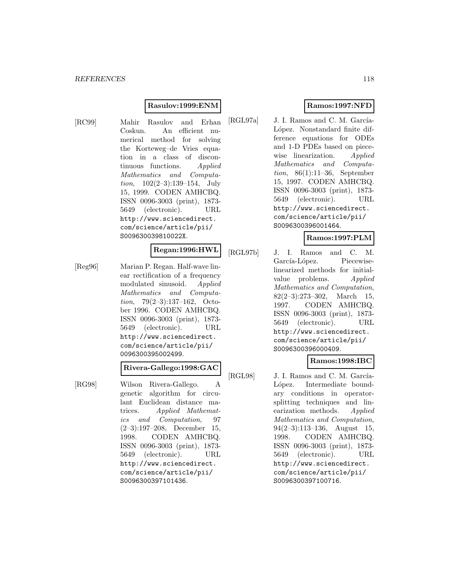## **Rasulov:1999:ENM**

[RC99] Mahir Rasulov and Erhan Coskun. An efficient numerical method for solving the Korteweg–de Vries equation in a class of discontinuous functions. Applied Mathematics and Computation, 102(2–3):139–154, July 15, 1999. CODEN AMHCBQ. ISSN 0096-3003 (print), 1873- 5649 (electronic). URL http://www.sciencedirect. com/science/article/pii/ S009630039810022X.

# **Regan:1996:HWL**

[Reg96] Marian P. Regan. Half-wave linear rectification of a frequency modulated sinusoid. Applied Mathematics and Computation, 79(2–3):137–162, October 1996. CODEN AMHCBQ. ISSN 0096-3003 (print), 1873- 5649 (electronic). URL http://www.sciencedirect. com/science/article/pii/ 0096300395002499.

#### **Rivera-Gallego:1998:GAC**

[RG98] Wilson Rivera-Gallego. A genetic algorithm for circulant Euclidean distance matrices. Applied Mathematics and Computation, 97 (2–3):197–208, December 15, 1998. CODEN AMHCBQ. ISSN 0096-3003 (print), 1873- 5649 (electronic). URL http://www.sciencedirect. com/science/article/pii/ S0096300397101436.

# **Ramos:1997:NFD**

[RGL97a] J. I. Ramos and C. M. García-López. Nonstandard finite difference equations for ODEs and 1-D PDEs based on piecewise linearization. Applied Mathematics and Computation, 86(1):11–36, September 15, 1997. CODEN AMHCBQ. ISSN 0096-3003 (print), 1873- 5649 (electronic). URL http://www.sciencedirect. com/science/article/pii/ S0096300396001464.

## **Ramos:1997:PLM**

[RGL97b] J. I. Ramos and C. M. García-López. Piecewiselinearized methods for initialvalue problems. Applied Mathematics and Computation, 82(2–3):273–302, March 15, 1997. CODEN AMHCBQ. ISSN 0096-3003 (print), 1873- 5649 (electronic). URL http://www.sciencedirect. com/science/article/pii/ S0096300396000409.

## **Ramos:1998:IBC**

[RGL98] J. I. Ramos and C. M. García-López. Intermediate boundary conditions in operatorsplitting techniques and linearization methods. Applied Mathematics and Computation, 94(2–3):113–136, August 15, 1998. CODEN AMHCBQ. ISSN 0096-3003 (print), 1873- 5649 (electronic). URL http://www.sciencedirect. com/science/article/pii/ S0096300397100716.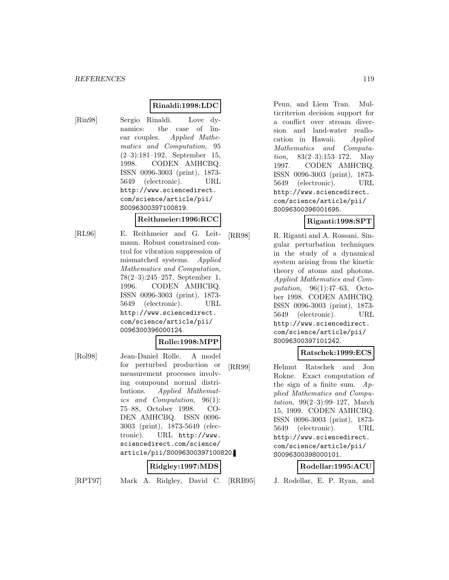# **Rinaldi:1998:LDC**

[Rin98] Sergio Rinaldi. Love dynamics: the case of linear couples. Applied Mathematics and Computation, 95 (2–3):181–192, September 15, 1998. CODEN AMHCBQ. ISSN 0096-3003 (print), 1873- 5649 (electronic). URL http://www.sciencedirect. com/science/article/pii/ S0096300397100819.

## **Reithmeier:1996:RCC**

[RL96] E. Reithmeier and G. Leitmann. Robust constrained control for vibration suppression of mismatched systems. Applied Mathematics and Computation, 78(2–3):245–257, September 1, 1996. CODEN AMHCBQ. ISSN 0096-3003 (print), 1873- 5649 (electronic). URL http://www.sciencedirect. com/science/article/pii/ 0096300396000124.

#### **Rolle:1998:MPP**

[Rol98] Jean-Daniel Rolle. A model for perturbed production or measurement processes involving compound normal distributions. Applied Mathematics and Computation, 96(1): 75–88, October 1998. CO-DEN AMHCBQ. ISSN 0096- 3003 (print), 1873-5649 (electronic). URL http://www. sciencedirect.com/science/ article/pii/S0096300397100820.

#### **Ridgley:1997:MDS**

[RPT97] Mark A. Ridgley, David C.

Penn, and Liem Tran. Multicriterion decision support for a conflict over stream diversion and land-water reallocation in Hawaii. Applied Mathematics and Computation, 83(2–3):153–172, May 1997. CODEN AMHCBQ. ISSN 0096-3003 (print), 1873- 5649 (electronic). URL http://www.sciencedirect. com/science/article/pii/ S0096300396001695.

## **Riganti:1998:SPT**

[RR98] R. Riganti and A. Rossani. Singular perturbation techniques in the study of a dynamical system arising from the kinetic theory of atoms and photons. Applied Mathematics and Computation, 96(1):47–63, October 1998. CODEN AMHCBQ. ISSN 0096-3003 (print), 1873- 5649 (electronic). URL http://www.sciencedirect. com/science/article/pii/ S0096300397101242.

## **Ratschek:1999:ECS**

[RR99] Helmut Ratschek and Jon Rokne. Exact computation of the sign of a finite sum.  $Ap$ plied Mathematics and Computation, 99(2–3):99–127, March 15, 1999. CODEN AMHCBQ. ISSN 0096-3003 (print), 1873- 5649 (electronic). URL http://www.sciencedirect. com/science/article/pii/ S0096300398000101.

#### **Rodellar:1995:ACU**

J. Rodellar, E. P. Ryan, and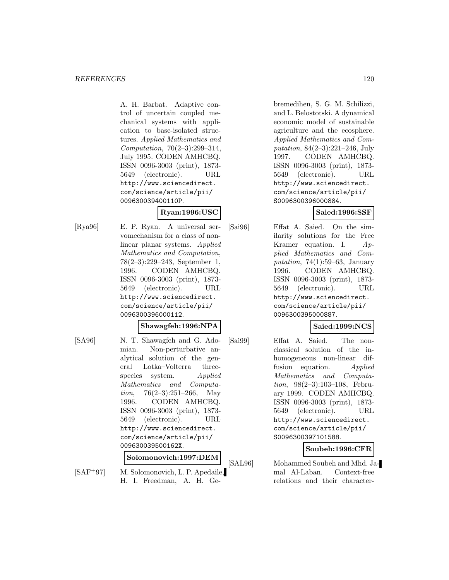A. H. Barbat. Adaptive control of uncertain coupled mechanical systems with application to base-isolated structures. Applied Mathematics and Computation, 70(2–3):299–314, July 1995. CODEN AMHCBQ. ISSN 0096-3003 (print), 1873- 5649 (electronic). URL http://www.sciencedirect. com/science/article/pii/ 009630039400110P.

## **Ryan:1996:USC**

[Rya96] E. P. Ryan. A universal servomechanism for a class of nonlinear planar systems. Applied Mathematics and Computation, 78(2–3):229–243, September 1, 1996. CODEN AMHCBQ. ISSN 0096-3003 (print), 1873- 5649 (electronic). URL http://www.sciencedirect. com/science/article/pii/ 0096300396000112.

# **Shawagfeh:1996:NPA**

[SA96] N. T. Shawagfeh and G. Adomian. Non-perturbative analytical solution of the general Lotka–Volterra threespecies system. Applied Mathematics and Computa*tion*,  $76(2-3):251-266$ , May 1996. CODEN AMHCBQ. ISSN 0096-3003 (print), 1873- 5649 (electronic). URL http://www.sciencedirect. com/science/article/pii/ 009630039500162X.

**Solomonovich:1997:DEM**

[SAF<sup>+</sup>97] M. Solomonovich, L. P. Apedaile, H. I. Freedman, A. H. Ge-

bremedihen, S. G. M. Schilizzi, and L. Belostotski. A dynamical economic model of sustainable agriculture and the ecosphere. Applied Mathematics and Computation, 84(2–3):221–246, July 1997. CODEN AMHCBQ. ISSN 0096-3003 (print), 1873- 5649 (electronic). URL http://www.sciencedirect. com/science/article/pii/ S0096300396000884.

## **Saied:1996:SSF**

[Sai96] Effat A. Saied. On the similarity solutions for the Free Kramer equation. I. Applied Mathematics and Computation,  $74(1):59-63$ , January 1996. CODEN AMHCBQ. ISSN 0096-3003 (print), 1873- 5649 (electronic). URL http://www.sciencedirect. com/science/article/pii/ 0096300395000887.

# **Saied:1999:NCS**

[Sai99] Effat A. Saied. The nonclassical solution of the inhomogeneous non-linear diffusion equation. Applied Mathematics and Computation, 98(2–3):103–108, February 1999. CODEN AMHCBQ. ISSN 0096-3003 (print), 1873- 5649 (electronic). URL http://www.sciencedirect. com/science/article/pii/ S0096300397101588.

# **Soubeh:1996:CFR**

[SAL96] Mohammed Soubeh and Mhd. Jamal Al-Laban. Context-free relations and their character-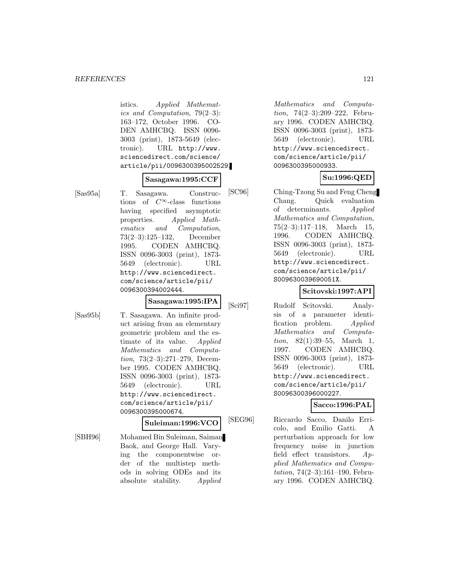#### *REFERENCES* 121

istics. Applied Mathematics and Computation, 79(2–3): 163–172, October 1996. CO-DEN AMHCBQ. ISSN 0096- 3003 (print), 1873-5649 (electronic). URL http://www. sciencedirect.com/science/ article/pii/0096300395002529.

#### **Sasagawa:1995:CCF**

[Sas95a] T. Sasagawa. Constructions of  $C^{\infty}$ -class functions having specified asymptotic properties. Applied Mathematics and Computation, 73(2–3):125–132, December 1995. CODEN AMHCBQ. ISSN 0096-3003 (print), 1873- 5649 (electronic). URL http://www.sciencedirect. com/science/article/pii/ 0096300394002444.

## **Sasagawa:1995:IPA**

[Sas95b] T. Sasagawa. An infinite product arising from an elementary geometric problem and the estimate of its value. Applied Mathematics and Computation, 73(2–3):271–279, December 1995. CODEN AMHCBQ. ISSN 0096-3003 (print), 1873- 5649 (electronic). URL http://www.sciencedirect. com/science/article/pii/ 0096300395000674.

**Suleiman:1996:VCO**

[SBH96] Mohamed Bin Suleiman, Saiman Baok, and George Hall. Varying the componentwise order of the multistep methods in solving ODEs and its absolute stability. Applied

Mathematics and Computation, 74(2–3):209–222, February 1996. CODEN AMHCBQ. ISSN 0096-3003 (print), 1873- 5649 (electronic). URL http://www.sciencedirect. com/science/article/pii/ 0096300395000933.

## **Su:1996:QED**

[SC96] Ching-Tzong Su and Feng Cheng Chang. Quick evaluation of determinants. Applied Mathematics and Computation, 75(2–3):117–118, March 15, 1996. CODEN AMHCBQ. ISSN 0096-3003 (print), 1873- 5649 (electronic). URL http://www.sciencedirect. com/science/article/pii/ S009630039690051X.

# **Scitovski:1997:API**

[Sci97] Rudolf Scitovski. Analysis of a parameter identification problem. Applied Mathematics and Computation, 82(1):39–55, March 1, 1997. CODEN AMHCBQ. ISSN 0096-3003 (print), 1873- 5649 (electronic). URL http://www.sciencedirect. com/science/article/pii/ S0096300396000227.

## **Sacco:1996:PAL**

[SEG96] Riccardo Sacco, Danilo Erricolo, and Emilio Gatti. A perturbation approach for low frequency noise in junction field effect transistors. Applied Mathematics and Computation, 74(2–3):161–190, February 1996. CODEN AMHCBQ.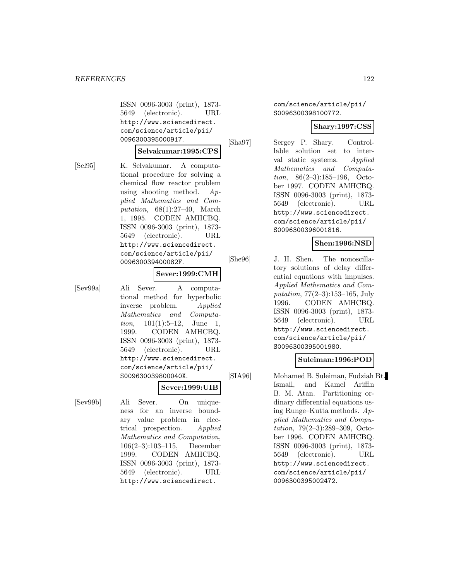ISSN 0096-3003 (print), 1873- 5649 (electronic). URL http://www.sciencedirect. com/science/article/pii/ 0096300395000917.

## **Selvakumar:1995:CPS**

[Sel95] K. Selvakumar. A computational procedure for solving a chemical flow reactor problem using shooting method. Applied Mathematics and Computation, 68(1):27–40, March 1, 1995. CODEN AMHCBQ. ISSN 0096-3003 (print), 1873- 5649 (electronic). URL http://www.sciencedirect. com/science/article/pii/ 009630039400082F.

## **Sever:1999:CMH**

[Sev99a] Ali Sever. A computational method for hyperbolic inverse problem. Applied Mathematics and Computa*tion*,  $101(1):5-12$ , June 1, 1999. CODEN AMHCBQ. ISSN 0096-3003 (print), 1873- 5649 (electronic). URL http://www.sciencedirect. com/science/article/pii/ S009630039800040X.

## **Sever:1999:UIB**

[Sev99b] Ali Sever. On uniqueness for an inverse boundary value problem in electrical prospection. Applied Mathematics and Computation, 106(2–3):103–115, December 1999. CODEN AMHCBQ. ISSN 0096-3003 (print), 1873- 5649 (electronic). URL http://www.sciencedirect.

com/science/article/pii/ S0096300398100772.

#### **Shary:1997:CSS**

[Sha97] Sergey P. Shary. Controllable solution set to interval static systems. Applied Mathematics and Computation, 86(2–3):185–196, October 1997. CODEN AMHCBQ. ISSN 0096-3003 (print), 1873- 5649 (electronic). URL http://www.sciencedirect. com/science/article/pii/ S0096300396001816.

## **Shen:1996:NSD**

[She96] J. H. Shen. The nonoscillatory solutions of delay differential equations with impulses. Applied Mathematics and Computation, 77(2–3):153–165, July 1996. CODEN AMHCBQ. ISSN 0096-3003 (print), 1873- 5649 (electronic). URL http://www.sciencedirect. com/science/article/pii/ S0096300395001980.

## **Suleiman:1996:POD**

[SIA96] Mohamed B. Suleiman, Fudziah Bt. Ismail, and Kamel Ariffin B. M. Atan. Partitioning ordinary differential equations using Runge–Kutta methods. Applied Mathematics and Computation, 79(2–3):289–309, October 1996. CODEN AMHCBQ. ISSN 0096-3003 (print), 1873- 5649 (electronic). URL http://www.sciencedirect. com/science/article/pii/ 0096300395002472.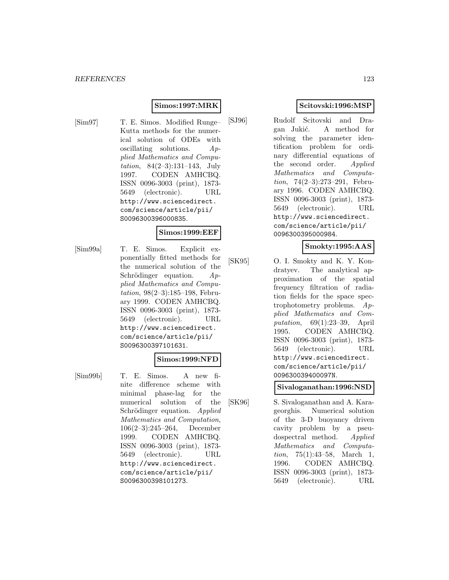## **Simos:1997:MRK**

[Sim97] T. E. Simos. Modified Runge– Kutta methods for the numerical solution of ODEs with oscillating solutions.  $Ap$ plied Mathematics and Computation, 84(2–3):131–143, July 1997. CODEN AMHCBQ. ISSN 0096-3003 (print), 1873- 5649 (electronic). URL http://www.sciencedirect. com/science/article/pii/ S0096300396000835.

## **Simos:1999:EEF**

[Sim99a] T. E. Simos. Explicit exponentially fitted methods for the numerical solution of the Schrödinger equation.  $Ap$ plied Mathematics and Computation, 98(2–3):185–198, February 1999. CODEN AMHCBQ. ISSN 0096-3003 (print), 1873- 5649 (electronic). URL http://www.sciencedirect. com/science/article/pii/ S0096300397101631.

## **Simos:1999:NFD**

ISSN 0096-3003 (print), 1873- 5649 (electronic). URL http://www.sciencedirect. com/science/article/pii/

S0096300398101273.

[Sim99b] T. E. Simos. A new finite difference scheme with minimal phase-lag for the numerical solution of the Schrödinger equation. Applied Mathematics and Computation, 106(2–3):245–264, December 1999. CODEN AMHCBQ.

# **Scitovski:1996:MSP**

[SJ96] Rudolf Scitovski and Dragan Jukić. A method for solving the parameter identification problem for ordinary differential equations of the second order. Applied Mathematics and Computation, 74(2–3):273–291, February 1996. CODEN AMHCBQ. ISSN 0096-3003 (print), 1873- 5649 (electronic). URL http://www.sciencedirect. com/science/article/pii/ 0096300395000984.

## **Smokty:1995:AAS**

[SK95] O. I. Smokty and K. Y. Kondratyev. The analytical approximation of the spatial frequency filtration of radiation fields for the space spectrophotometry problems. Applied Mathematics and Computation, 69(1):23–39, April 1995. CODEN AMHCBQ. ISSN 0096-3003 (print), 1873- 5649 (electronic). URL http://www.sciencedirect. com/science/article/pii/ 009630039400097N.

## **Sivaloganathan:1996:NSD**

[SK96] S. Sivaloganathan and A. Karageorghis. Numerical solution of the 3-D buoyancy driven cavity problem by a pseudospectral method. Applied Mathematics and Computation, 75(1):43–58, March 1, 1996. CODEN AMHCBQ. ISSN 0096-3003 (print), 1873- 5649 (electronic). URL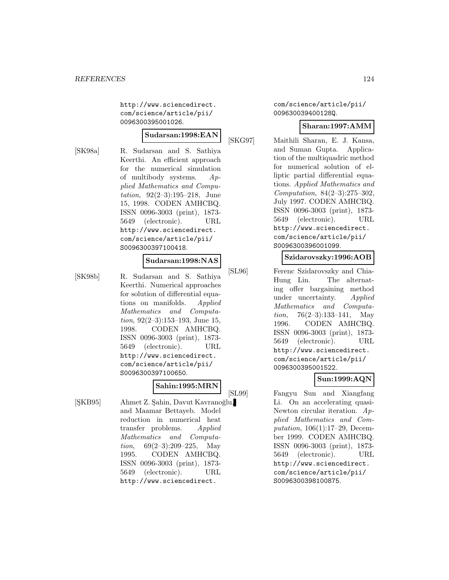http://www.sciencedirect. com/science/article/pii/ 0096300395001026.

# **Sudarsan:1998:EAN**

[SK98a] R. Sudarsan and S. Sathiya Keerthi. An efficient approach for the numerical simulation of multibody systems.  $Ap$ plied Mathematics and Computation, 92(2–3):195–218, June 15, 1998. CODEN AMHCBQ. ISSN 0096-3003 (print), 1873- 5649 (electronic). URL http://www.sciencedirect. com/science/article/pii/ S0096300397100418.

#### **Sudarsan:1998:NAS**

[SK98b] R. Sudarsan and S. Sathiya Keerthi. Numerical approaches for solution of differential equations on manifolds. Applied Mathematics and Computation,  $92(2-3):153-193$ , June 15, 1998. CODEN AMHCBQ. ISSN 0096-3003 (print), 1873- 5649 (electronic). URL http://www.sciencedirect. com/science/article/pii/ S0096300397100650.

# **Sahin:1995:MRN**

[ŞKB95] Ahmet Z. Şahin, Davut Kavranoğlu, and Maamar Bettayeb. Model reduction in numerical heat transfer problems. Applied Mathematics and Computa*tion*,  $69(2-3):209-225$ , May 1995. CODEN AMHCBQ. ISSN 0096-3003 (print), 1873- 5649 (electronic). URL http://www.sciencedirect.

com/science/article/pii/ 009630039400128Q.

#### **Sharan:1997:AMM**

[SKG97] Maithili Sharan, E. J. Kansa, and Suman Gupta. Application of the multiquadric method for numerical solution of elliptic partial differential equations. Applied Mathematics and Computation, 84(2–3):275–302, July 1997. CODEN AMHCBQ. ISSN 0096-3003 (print), 1873- 5649 (electronic). URL http://www.sciencedirect. com/science/article/pii/ S0096300396001099.

#### **Szidarovszky:1996:AOB**

[SL96] Ferenc Szidarovszky and Chia-Hung Lin. The alternating offer bargaining method under uncertainty. Applied Mathematics and Computation,  $76(2-3):133-141$ , May 1996. CODEN AMHCBQ. ISSN 0096-3003 (print), 1873- 5649 (electronic). URL http://www.sciencedirect. com/science/article/pii/ 0096300395001522.

## **Sun:1999:AQN**

[SL99] Fangyu Sun and Xiangfang Li. On an accelerating quasi-Newton circular iteration. Applied Mathematics and Computation, 106(1):17–29, December 1999. CODEN AMHCBQ. ISSN 0096-3003 (print), 1873- 5649 (electronic). URL http://www.sciencedirect. com/science/article/pii/ S0096300398100875.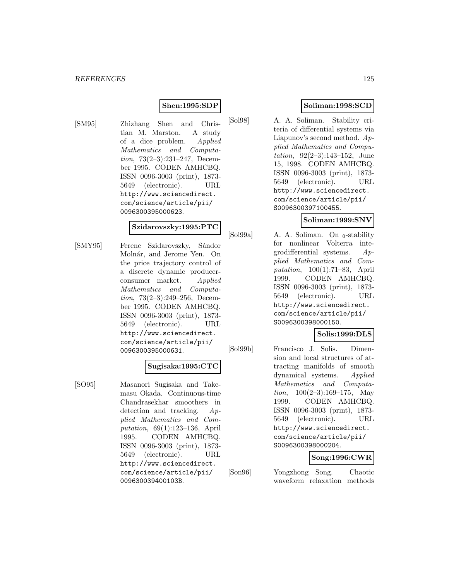## **Shen:1995:SDP**

[SM95] Zhizhang Shen and Christian M. Marston. A study of a dice problem. Applied Mathematics and Computation, 73(2–3):231–247, December 1995. CODEN AMHCBQ. ISSN 0096-3003 (print), 1873- 5649 (electronic). URL http://www.sciencedirect. com/science/article/pii/ 0096300395000623.

## **Szidarovszky:1995:PTC**

[SMY95] Ferenc Szidarovszky, Sándor Molnár, and Jerome Yen. On the price trajectory control of a discrete dynamic producerconsumer market. Applied Mathematics and Computation, 73(2–3):249–256, December 1995. CODEN AMHCBQ. ISSN 0096-3003 (print), 1873- 5649 (electronic). URL http://www.sciencedirect. com/science/article/pii/ 0096300395000631.

## **Sugisaka:1995:CTC**

[SO95] Masanori Sugisaka and Takemasu Okada. Continuous-time Chandrasekhar smoothers in detection and tracking. Applied Mathematics and Computation, 69(1):123–136, April 1995. CODEN AMHCBQ. ISSN 0096-3003 (print), 1873- 5649 (electronic). URL http://www.sciencedirect. com/science/article/pii/ 009630039400103B.

# **Soliman:1998:SCD**

[Sol98] A. A. Soliman. Stability criteria of differential systems via Liapunov's second method. Applied Mathematics and Computation, 92(2–3):143–152, June 15, 1998. CODEN AMHCBQ. ISSN 0096-3003 (print), 1873- 5649 (electronic). URL http://www.sciencedirect. com/science/article/pii/ S0096300397100455.

## **Soliman:1999:SNV**

[Sol99a] A. A. Soliman. On  $_0$ -stability for nonlinear Volterra integrodifferential systems. Applied Mathematics and Computation, 100(1):71–83, April 1999. CODEN AMHCBQ. ISSN 0096-3003 (print), 1873- 5649 (electronic). URL http://www.sciencedirect. com/science/article/pii/ S0096300398000150.

# **Solis:1999:DLS**

[Sol99b] Francisco J. Solis. Dimension and local structures of attracting manifolds of smooth dynamical systems. Applied Mathematics and Computation,  $100(2-3):169-175$ , May 1999. CODEN AMHCBQ. ISSN 0096-3003 (print), 1873- 5649 (electronic). URL http://www.sciencedirect. com/science/article/pii/ S0096300398000204.

# **Song:1996:CWR**

[Son96] Yongzhong Song. Chaotic waveform relaxation methods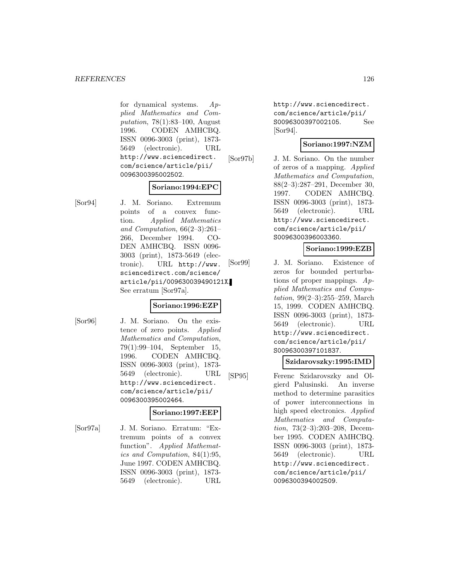#### *REFERENCES* 126

for dynamical systems. Applied Mathematics and Computation, 78(1):83–100, August 1996. CODEN AMHCBQ. ISSN 0096-3003 (print), 1873- 5649 (electronic). URL http://www.sciencedirect. com/science/article/pii/ 0096300395002502.

#### **Soriano:1994:EPC**

[Sor94] J. M. Soriano. Extremum points of a convex function. Applied Mathematics and Computation, 66(2–3):261– 266, December 1994. CO-DEN AMHCBQ. ISSN 0096- 3003 (print), 1873-5649 (electronic). URL http://www. sciencedirect.com/science/ article/pii/009630039490121X. See erratum [Sor97a].

## **Soriano:1996:EZP**

[Sor96] J. M. Soriano. On the existence of zero points. Applied Mathematics and Computation, 79(1):99–104, September 15, 1996. CODEN AMHCBQ. ISSN 0096-3003 (print), 1873- 5649 (electronic). URL http://www.sciencedirect. com/science/article/pii/ 0096300395002464.

#### **Soriano:1997:EEP**

[Sor97a] J. M. Soriano. Erratum: "Extremum points of a convex function". Applied Mathematics and Computation, 84(1):95, June 1997. CODEN AMHCBQ. ISSN 0096-3003 (print), 1873- 5649 (electronic). URL

http://www.sciencedirect. com/science/article/pii/ S0096300397002105. See [Sor94].

## **Soriano:1997:NZM**

[Sor97b] J. M. Soriano. On the number of zeros of a mapping. Applied Mathematics and Computation, 88(2–3):287–291, December 30, 1997. CODEN AMHCBQ. ISSN 0096-3003 (print), 1873- 5649 (electronic). URL http://www.sciencedirect. com/science/article/pii/ S0096300396003360.

## **Soriano:1999:EZB**

[Sor99] J. M. Soriano. Existence of zeros for bounded perturbations of proper mappings. Applied Mathematics and Computation, 99(2–3):255–259, March 15, 1999. CODEN AMHCBQ. ISSN 0096-3003 (print), 1873- 5649 (electronic). URL http://www.sciencedirect. com/science/article/pii/ S0096300397101837.

#### **Szidarovszky:1995:IMD**

[SP95] Ferenc Szidarovszky and Olgierd Palusinski. An inverse method to determine parasitics of power interconnections in high speed electronics. Applied Mathematics and Computation, 73(2–3):203–208, December 1995. CODEN AMHCBQ. ISSN 0096-3003 (print), 1873- 5649 (electronic). URL http://www.sciencedirect. com/science/article/pii/ 0096300394002509.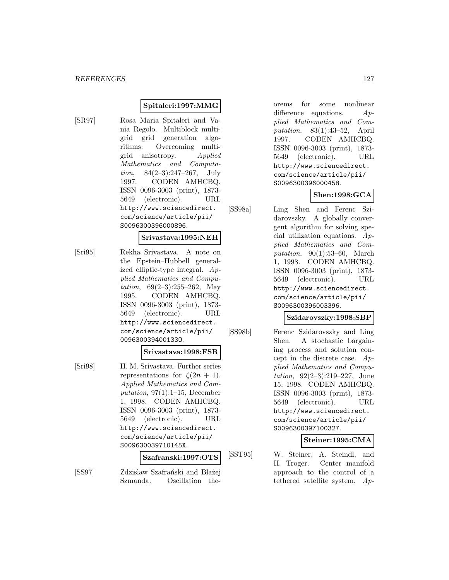## **Spitaleri:1997:MMG**

[SR97] Rosa Maria Spitaleri and Vania Regolo. Multiblock multigrid grid generation algorithms: Overcoming multigrid anisotropy. Applied Mathematics and Computation, 84(2–3):247–267, July 1997. CODEN AMHCBQ. ISSN 0096-3003 (print), 1873- 5649 (electronic). URL http://www.sciencedirect. com/science/article/pii/ S0096300396000896.

#### **Srivastava:1995:NEH**

[Sri95] Rekha Srivastava. A note on the Epstein–Hubbell generalized elliptic-type integral. Applied Mathematics and Computation,  $69(2-3):255-262$ , May 1995. CODEN AMHCBQ. ISSN 0096-3003 (print), 1873- 5649 (electronic). URL http://www.sciencedirect. com/science/article/pii/ 009630039400133O.

## **Srivastava:1998:FSR**

[Sri98] H. M. Srivastava. Further series representations for  $\zeta(2n + 1)$ . Applied Mathematics and Computation,  $97(1):1-15$ , December 1, 1998. CODEN AMHCBQ. ISSN 0096-3003 (print), 1873- 5649 (electronic). URL http://www.sciencedirect. com/science/article/pii/ S009630039710145X.

Szmanda. Oscillation the-

## **Szafranski:1997:OTS**

[SS97] Zdzisław Szafrański and Błażej

orems for some nonlinear difference equations. Applied Mathematics and Computation, 83(1):43–52, April 1997. CODEN AMHCBQ. ISSN 0096-3003 (print), 1873- 5649 (electronic). URL http://www.sciencedirect. com/science/article/pii/ S0096300396000458.

## **Shen:1998:GCA**

[SS98a] Ling Shen and Ferenc Szidarovszky. A globally convergent algorithm for solving special utilization equations. Applied Mathematics and Computation,  $90(1):53-60$ , March 1, 1998. CODEN AMHCBQ. ISSN 0096-3003 (print), 1873- 5649 (electronic). URL http://www.sciencedirect. com/science/article/pii/ S0096300396003396.

## **Szidarovszky:1998:SBP**

[SS98b] Ferenc Szidarovszky and Ling Shen. A stochastic bargaining process and solution concept in the discrete case. Applied Mathematics and Computation, 92(2–3):219–227, June 15, 1998. CODEN AMHCBQ. ISSN 0096-3003 (print), 1873- 5649 (electronic). URL http://www.sciencedirect. com/science/article/pii/ S0096300397100327.

#### **Steiner:1995:CMA**

[SST95] W. Steiner, A. Steindl, and H. Troger. Center manifold approach to the control of a tethered satellite system. Ap-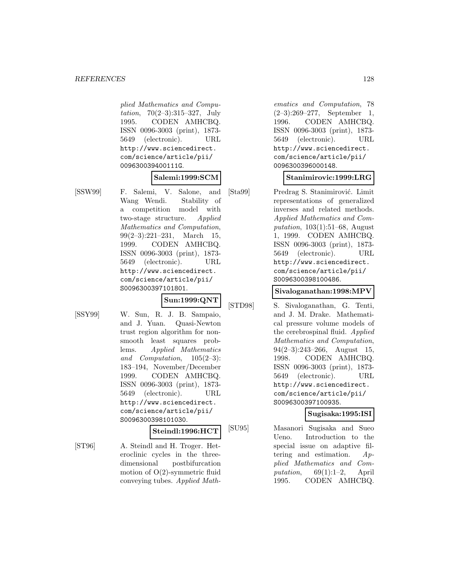plied Mathematics and Computation, 70(2–3):315–327, July 1995. CODEN AMHCBQ. ISSN 0096-3003 (print), 1873- 5649 (electronic). URL http://www.sciencedirect. com/science/article/pii/ 009630039400111G.

## **Salemi:1999:SCM**

[SSW99] F. Salemi, V. Salone, and Wang Wendi. Stability of a competition model with two-stage structure. Applied Mathematics and Computation, 99(2–3):221–231, March 15, 1999. CODEN AMHCBQ. ISSN 0096-3003 (print), 1873- 5649 (electronic). URL http://www.sciencedirect. com/science/article/pii/ S0096300397101801.

**Sun:1999:QNT**

- 
- [SSY99] W. Sun, R. J. B. Sampaio, and J. Yuan. Quasi-Newton trust region algorithm for nonsmooth least squares problems. Applied Mathematics and Computation, 105(2–3): 183–194, November/December 1999. CODEN AMHCBQ. ISSN 0096-3003 (print), 1873- 5649 (electronic). URL http://www.sciencedirect. com/science/article/pii/ S0096300398101030.

**Steindl:1996:HCT**

[ST96] A. Steindl and H. Troger. Heteroclinic cycles in the threedimensional postbifurcation motion of O(2)-symmetric fluid conveying tubes. Applied Math-

ematics and Computation, 78 (2–3):269–277, September 1, 1996. CODEN AMHCBQ. ISSN 0096-3003 (print), 1873- 5649 (electronic). URL http://www.sciencedirect. com/science/article/pii/ 0096300396000148.

## **Stanimirovic:1999:LRG**

[Sta99] Predrag S. Stanimirović. Limit representations of generalized inverses and related methods. Applied Mathematics and Computation, 103(1):51–68, August 1, 1999. CODEN AMHCBQ. ISSN 0096-3003 (print), 1873- 5649 (electronic). URL http://www.sciencedirect. com/science/article/pii/ S0096300398100486.

## **Sivaloganathan:1998:MPV**

[STD98] S. Sivaloganathan, G. Tenti, and J. M. Drake. Mathematical pressure volume models of the cerebrospinal fluid. Applied Mathematics and Computation,  $94(2-3):243-266$ , August 15, 1998. CODEN AMHCBQ. ISSN 0096-3003 (print), 1873- 5649 (electronic). URL http://www.sciencedirect. com/science/article/pii/ S0096300397100935.

#### **Sugisaka:1995:ISI**

[SU95] Masanori Sugisaka and Sueo Ueno. Introduction to the special issue on adaptive filtering and estimation. Applied Mathematics and Computation,  $69(1):1-2$ , April 1995. CODEN AMHCBQ.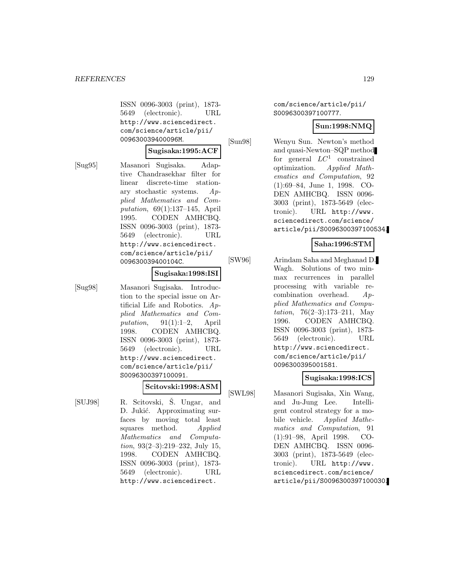ISSN 0096-3003 (print), 1873- 5649 (electronic). URL http://www.sciencedirect. com/science/article/pii/ 009630039400096M.

#### **Sugisaka:1995:ACF**

[Sug95] Masanori Sugisaka. Adaptive Chandrasekhar filter for linear discrete-time stationary stochastic systems. Applied Mathematics and Computation, 69(1):137–145, April 1995. CODEN AMHCBQ. ISSN 0096-3003 (print), 1873- 5649 (electronic). URL http://www.sciencedirect. com/science/article/pii/ 009630039400104C.

#### **Sugisaka:1998:ISI**

[Sug98] Masanori Sugisaka. Introduction to the special issue on Artificial Life and Robotics. Applied Mathematics and Computation,  $91(1):1-2$ , April 1998. CODEN AMHCBQ. ISSN 0096-3003 (print), 1873- 5649 (electronic). URL http://www.sciencedirect. com/science/article/pii/ S0096300397100091.

# **Scitovski:1998:ASM**

[SUJ98] R. Scitovski, Š. Ungar, and D. Jukić. Approximating surfaces by moving total least squares method. Applied Mathematics and Computation, 93(2–3):219–232, July 15, 1998. CODEN AMHCBQ. ISSN 0096-3003 (print), 1873- 5649 (electronic). URL http://www.sciencedirect.

com/science/article/pii/ S0096300397100777.

## **Sun:1998:NMQ**

[Sun98] Wenyu Sun. Newton's method and quasi-Newton–SQP method for general  $LC^1$  constrained optimization. Applied Mathematics and Computation, 92 (1):69–84, June 1, 1998. CO-DEN AMHCBQ. ISSN 0096- 3003 (print), 1873-5649 (electronic). URL http://www. sciencedirect.com/science/ article/pii/S0096300397100534.

## **Saha:1996:STM**

[SW96] Arindam Saha and Meghanad D. Wagh. Solutions of two minmax recurrences in parallel processing with variable recombination overhead. Applied Mathematics and Computation,  $76(2-3):173-211$ , May 1996. CODEN AMHCBQ. ISSN 0096-3003 (print), 1873- 5649 (electronic). URL http://www.sciencedirect. com/science/article/pii/ 0096300395001581.

## **Sugisaka:1998:ICS**

[SWL98] Masanori Sugisaka, Xin Wang, and Ju-Jung Lee. Intelligent control strategy for a mobile vehicle. Applied Mathematics and Computation, 91 (1):91–98, April 1998. CO-DEN AMHCBQ. ISSN 0096- 3003 (print), 1873-5649 (electronic). URL http://www. sciencedirect.com/science/ article/pii/S0096300397100030.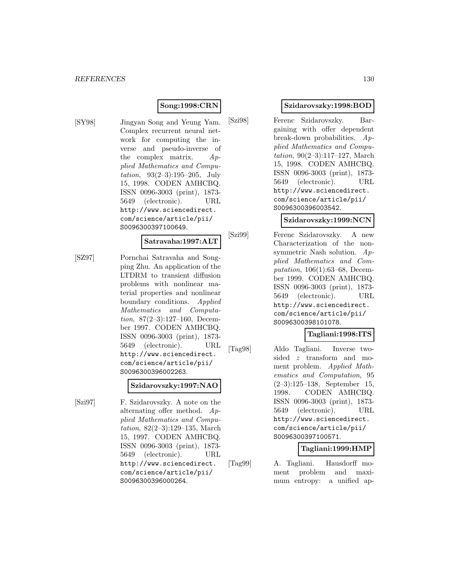## **Song:1998:CRN**

[SY98] Jingyan Song and Yeung Yam. Complex recurrent neural network for computing the inverse and pseudo-inverse of the complex matrix. Applied Mathematics and Computation, 93(2–3):195–205, July 15, 1998. CODEN AMHCBQ. ISSN 0096-3003 (print), 1873- 5649 (electronic). URL http://www.sciencedirect. com/science/article/pii/ S0096300397100649.

#### **Satravaha:1997:ALT**

[SZ97] Pornchai Satravaha and Songping Zhu. An application of the LTDRM to transient diffusion problems with nonlinear material properties and nonlinear boundary conditions. Applied Mathematics and Computation, 87(2–3):127–160, December 1997. CODEN AMHCBQ. ISSN 0096-3003 (print), 1873- 5649 (electronic). URL http://www.sciencedirect. com/science/article/pii/ S0096300396002263.

## **Szidarovszky:1997:NAO**

[Szi97] F. Szidarovszky. A note on the alternating offer method. Applied Mathematics and Computation, 82(2–3):129–135, March 15, 1997. CODEN AMHCBQ. ISSN 0096-3003 (print), 1873- 5649 (electronic). URL http://www.sciencedirect. com/science/article/pii/ S0096300396000264.

## **Szidarovszky:1998:BOD**

[Szi98] Ferenc Szidarovszky. Bargaining with offer dependent break-down probabilities. Applied Mathematics and Computation, 90(2–3):117–127, March 15, 1998. CODEN AMHCBQ. ISSN 0096-3003 (print), 1873- 5649 (electronic). URL http://www.sciencedirect. com/science/article/pii/ S0096300396003542.

## **Szidarovszky:1999:NCN**

[Szi99] Ferenc Szidarovszky. A new Characterization of the nonsymmetric Nash solution. Applied Mathematics and Computation, 106(1):63–68, December 1999. CODEN AMHCBQ. ISSN 0096-3003 (print), 1873- 5649 (electronic). URL http://www.sciencedirect. com/science/article/pii/ S0096300398101078.

## **Tagliani:1998:ITS**

[Tag98] Aldo Tagliani. Inverse twosided z transform and moment problem. Applied Mathematics and Computation, 95 (2–3):125–138, September 15, 1998. CODEN AMHCBQ. ISSN 0096-3003 (print), 1873- 5649 (electronic). URL http://www.sciencedirect. com/science/article/pii/ S0096300397100571.

## **Tagliani:1999:HMP**

[Tag99] A. Tagliani. Hausdorff moment problem and maximum entropy: a unified ap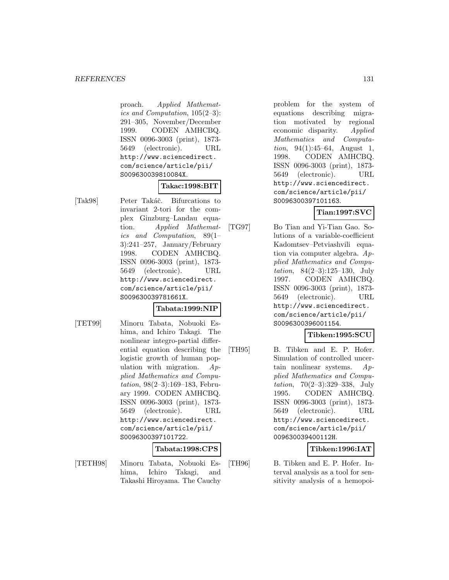proach. Applied Mathematics and Computation, 105(2–3): 291–305, November/December 1999. CODEN AMHCBQ. ISSN 0096-3003 (print), 1873- 5649 (electronic). URL http://www.sciencedirect. com/science/article/pii/ S009630039810084X.

## **Takac:1998:BIT**

[Tak98] Peter Takáč. Bifurcations to invariant 2-tori for the complex Ginzburg–Landau equation. Applied Mathematics and Computation, 89(1– 3):241–257, January/February 1998. CODEN AMHCBQ. ISSN 0096-3003 (print), 1873- 5649 (electronic). URL http://www.sciencedirect. com/science/article/pii/ S009630039781661X.

## **Tabata:1999:NIP**

[TET99] Minoru Tabata, Nobuoki Eshima, and Ichiro Takagi. The nonlinear integro-partial differential equation describing the logistic growth of human population with migration. Applied Mathematics and Computation, 98(2–3):169–183, February 1999. CODEN AMHCBQ. ISSN 0096-3003 (print), 1873- 5649 (electronic). URL http://www.sciencedirect. com/science/article/pii/ S0096300397101722.

## **Tabata:1998:CPS**

- 
- [TETH98] Minoru Tabata, Nobuoki Eshima, Ichiro Takagi, and Takashi Hiroyama. The Cauchy

problem for the system of equations describing migration motivated by regional economic disparity. Applied Mathematics and Computation, 94(1):45–64, August 1, 1998. CODEN AMHCBQ. ISSN 0096-3003 (print), 1873- 5649 (electronic). URL http://www.sciencedirect. com/science/article/pii/ S0096300397101163.

# **Tian:1997:SVC**

[TG97] Bo Tian and Yi-Tian Gao. Solutions of a variable-coefficient Kadomtsev–Petviashvili equation via computer algebra. Applied Mathematics and Computation, 84(2–3):125–130, July 1997. CODEN AMHCBQ. ISSN 0096-3003 (print), 1873- 5649 (electronic). URL http://www.sciencedirect. com/science/article/pii/ S0096300396001154.

## **Tibken:1995:SCU**

[TH95] B. Tibken and E. P. Hofer. Simulation of controlled uncertain nonlinear systems.  $Ap$ plied Mathematics and Computation, 70(2–3):329–338, July 1995. CODEN AMHCBQ. ISSN 0096-3003 (print), 1873- 5649 (electronic). URL http://www.sciencedirect. com/science/article/pii/ 009630039400112H.

## **Tibken:1996:IAT**

[TH96] B. Tibken and E. P. Hofer. Interval analysis as a tool for sensitivity analysis of a hemopoi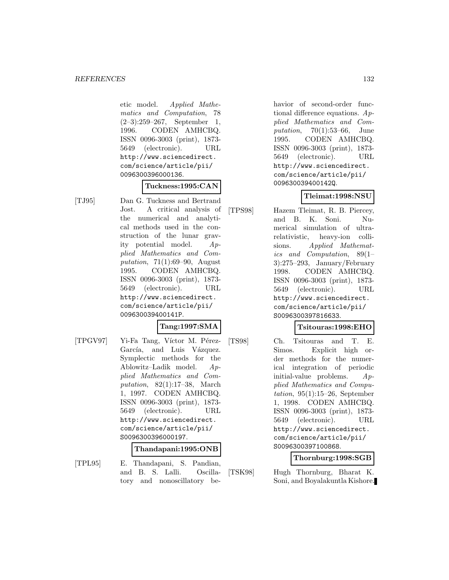etic model. Applied Mathematics and Computation, 78 (2–3):259–267, September 1, 1996. CODEN AMHCBQ. ISSN 0096-3003 (print), 1873- 5649 (electronic). URL http://www.sciencedirect. com/science/article/pii/ 0096300396000136.

## **Tuckness:1995:CAN**

[TJ95] Dan G. Tuckness and Bertrand Jost. A critical analysis of the numerical and analytical methods used in the construction of the lunar gravity potential model. Applied Mathematics and Computation, 71(1):69–90, August 1995. CODEN AMHCBQ. ISSN 0096-3003 (print), 1873- 5649 (electronic). URL http://www.sciencedirect. com/science/article/pii/ 009630039400141P.

# **Tang:1997:SMA**

[TPGV97] Yi-Fa Tang, Víctor M. Pérez-García, and Luis Vázquez. Symplectic methods for the Ablowitz–Ladik model. Applied Mathematics and Computation, 82(1):17–38, March 1, 1997. CODEN AMHCBQ. ISSN 0096-3003 (print), 1873- 5649 (electronic). URL http://www.sciencedirect. com/science/article/pii/ S0096300396000197.

## **Thandapani:1995:ONB**

[TPL95] E. Thandapani, S. Pandian, and B. S. Lalli. Oscillatory and nonoscillatory be-

havior of second-order functional difference equations.  $Ap$ plied Mathematics and Computation,  $70(1):53-66$ , June 1995. CODEN AMHCBQ. ISSN 0096-3003 (print), 1873- 5649 (electronic). URL http://www.sciencedirect. com/science/article/pii/ 009630039400142Q.

## **Tleimat:1998:NSU**

[TPS98] Hazem Tleimat, R. B. Piercey, and B. K. Soni. Numerical simulation of ultrarelativistic, heavy-ion collisions. Applied Mathematics and Computation, 89(1– 3):275–293, January/February 1998. CODEN AMHCBQ. ISSN 0096-3003 (print), 1873- 5649 (electronic). URL http://www.sciencedirect. com/science/article/pii/ S0096300397816633.

## **Tsitouras:1998:EHO**

[TS98] Ch. Tsitouras and T. E. Simos. Explicit high order methods for the numerical integration of periodic initial-value problems. Applied Mathematics and Computation,  $95(1):15-26$ , September 1, 1998. CODEN AMHCBQ. ISSN 0096-3003 (print), 1873- 5649 (electronic). URL http://www.sciencedirect. com/science/article/pii/ S0096300397100868.

**Thornburg:1998:SGB**

[TSK98] Hugh Thornburg, Bharat K. Soni, and Boyalakuntla Kishore.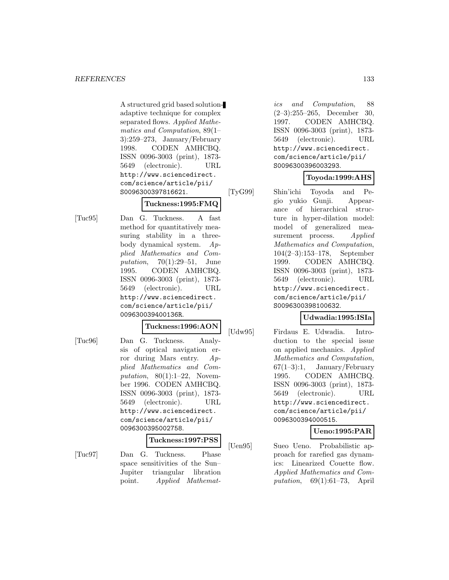A structured grid based solutionadaptive technique for complex separated flows. Applied Mathematics and Computation, 89(1– 3):259–273, January/February 1998. CODEN AMHCBQ. ISSN 0096-3003 (print), 1873- 5649 (electronic). URL http://www.sciencedirect. com/science/article/pii/ S0096300397816621.

#### **Tuckness:1995:FMQ**

[Tuc95] Dan G. Tuckness. A fast method for quantitatively measuring stability in a threebody dynamical system. Applied Mathematics and Computation, 70(1):29–51, June 1995. CODEN AMHCBQ. ISSN 0096-3003 (print), 1873- 5649 (electronic). URL http://www.sciencedirect. com/science/article/pii/ 009630039400136R.

# **Tuckness:1996:AON**

[Tuc96] Dan G. Tuckness. Analysis of optical navigation error during Mars entry. Applied Mathematics and Computation,  $80(1):1-22$ , November 1996. CODEN AMHCBQ. ISSN 0096-3003 (print), 1873- 5649 (electronic). URL http://www.sciencedirect. com/science/article/pii/ 0096300395002758.

#### **Tuckness:1997:PSS**

[Tuc97] Dan G. Tuckness. Phase space sensitivities of the Sun– Jupiter triangular libration point. Applied Mathemat-

ics and Computation, 88 (2–3):255–265, December 30, 1997. CODEN AMHCBQ. ISSN 0096-3003 (print), 1873- 5649 (electronic). URL http://www.sciencedirect. com/science/article/pii/ S0096300396003293.

## **Toyoda:1999:AHS**

[TyG99] Shin'ichi Toyoda and Pegio yukio Gunji. Appearance of hierarchical structure in hyper-dilation model: model of generalized measurement process. Applied Mathematics and Computation, 104(2–3):153–178, September 1999. CODEN AMHCBQ. ISSN 0096-3003 (print), 1873- 5649 (electronic). URL http://www.sciencedirect. com/science/article/pii/ S0096300398100632.

## **Udwadia:1995:ISIa**

[Udw95] Firdaus E. Udwadia. Introduction to the special issue on applied mechanics. Applied Mathematics and Computation, 67(1–3):1, January/February 1995. CODEN AMHCBQ. ISSN 0096-3003 (print), 1873- 5649 (electronic). URL http://www.sciencedirect. com/science/article/pii/ 0096300394000515.

# **Ueno:1995:PAR**

[Uen95] Sueo Ueno. Probabilistic approach for rarefied gas dynamics: Linearized Couette flow. Applied Mathematics and Computation,  $69(1):61-73$ , April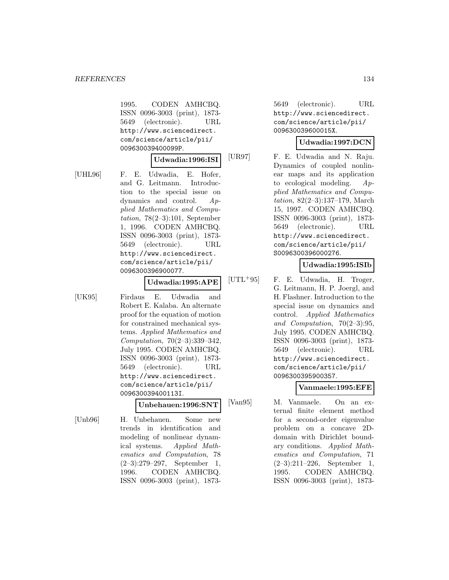1995. CODEN AMHCBQ. ISSN 0096-3003 (print), 1873- 5649 (electronic). URL http://www.sciencedirect. com/science/article/pii/ 009630039400099P.

## **Udwadia:1996:ISI**

[UHL96] F. E. Udwadia, E. Hofer, and G. Leitmann. Introduction to the special issue on dynamics and control. Applied Mathematics and Computation,  $78(2-3):101$ , September 1, 1996. CODEN AMHCBQ. ISSN 0096-3003 (print), 1873- 5649 (electronic). URL http://www.sciencedirect. com/science/article/pii/ 0096300396900077.

## **Udwadia:1995:APE**

[UK95] Firdaus E. Udwadia and Robert E. Kalaba. An alternate proof for the equation of motion for constrained mechanical systems. Applied Mathematics and Computation, 70(2–3):339–342, July 1995. CODEN AMHCBQ. ISSN 0096-3003 (print), 1873- 5649 (electronic). URL http://www.sciencedirect. com/science/article/pii/ 009630039400113I.

## **Unbehauen:1996:SNT**

[Unb96] H. Unbehauen. Some new trends in identification and modeling of nonlinear dynamical systems. Applied Mathematics and Computation, 78 (2–3):279–297, September 1, 1996. CODEN AMHCBQ. ISSN 0096-3003 (print), 1873-

5649 (electronic). URL http://www.sciencedirect. com/science/article/pii/ 009630039600015X.

## **Udwadia:1997:DCN**

[UR97] F. E. Udwadia and N. Raju. Dynamics of coupled nonlinear maps and its application to ecological modeling. Applied Mathematics and Computation, 82(2–3):137–179, March 15, 1997. CODEN AMHCBQ. ISSN 0096-3003 (print), 1873- 5649 (electronic). URL http://www.sciencedirect. com/science/article/pii/ S0096300396000276.

# **Udwadia:1995:ISIb**

[UTL<sup>+</sup>95] F. E. Udwadia, H. Troger, G. Leitmann, H. P. Joergl, and H. Flashner. Introduction to the special issue on dynamics and control. Applied Mathematics and Computation, 70(2–3):95, July 1995. CODEN AMHCBQ. ISSN 0096-3003 (print), 1873- 5649 (electronic). URL http://www.sciencedirect. com/science/article/pii/ 0096300395900357.

# **Vanmaele:1995:EFE**

[Van95] M. Vanmaele. On an external finite element method for a second-order eigenvalue problem on a concave 2Ddomain with Dirichlet boundary conditions. Applied Mathematics and Computation, 71 (2–3):211–226, September 1, 1995. CODEN AMHCBQ. ISSN 0096-3003 (print), 1873-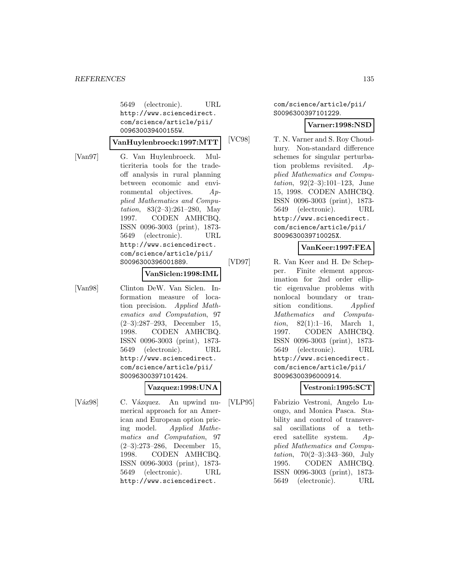5649 (electronic). URL http://www.sciencedirect. com/science/article/pii/ 009630039400155W.

**VanHuylenbroeck:1997:MTT**

[Van97] G. Van Huylenbroeck. Multicriteria tools for the tradeoff analysis in rural planning between economic and environmental objectives. Applied Mathematics and Computation, 83(2–3):261–280, May 1997. CODEN AMHCBQ. ISSN 0096-3003 (print), 1873- 5649 (electronic). URL http://www.sciencedirect. com/science/article/pii/ S0096300396001889.

#### **VanSiclen:1998:IML**

[Van98] Clinton DeW. Van Siclen. Information measure of location precision. Applied Mathematics and Computation, 97 (2–3):287–293, December 15, 1998. CODEN AMHCBQ. ISSN 0096-3003 (print), 1873- 5649 (electronic). URL http://www.sciencedirect. com/science/article/pii/ S0096300397101424.

#### **Vazquez:1998:UNA**

[Váz98] C. Vázquez. An upwind numerical approach for an American and European option pricing model. Applied Mathematics and Computation, 97 (2–3):273–286, December 15, 1998. CODEN AMHCBQ. ISSN 0096-3003 (print), 1873- 5649 (electronic). URL http://www.sciencedirect.

com/science/article/pii/ S0096300397101229.

## **Varner:1998:NSD**

[VC98] T. N. Varner and S. Roy Choudhury. Non-standard difference schemes for singular perturbation problems revisited. Applied Mathematics and Computation, 92(2–3):101–123, June 15, 1998. CODEN AMHCBQ. ISSN 0096-3003 (print), 1873- 5649 (electronic). URL http://www.sciencedirect. com/science/article/pii/ S009630039710025X.

#### **VanKeer:1997:FEA**

[VD97] R. Van Keer and H. De Schepper. Finite element approximation for 2nd order elliptic eigenvalue problems with nonlocal boundary or transition conditions. Applied Mathematics and Computation,  $82(1):1-16$ , March 1, 1997. CODEN AMHCBQ. ISSN 0096-3003 (print), 1873- 5649 (electronic). URL http://www.sciencedirect. com/science/article/pii/ S0096300396000914.

## **Vestroni:1995:SCT**

[VLP95] Fabrizio Vestroni, Angelo Luongo, and Monica Pasca. Stability and control of transversal oscillations of a tethered satellite system. Applied Mathematics and Computation, 70(2–3):343–360, July 1995. CODEN AMHCBQ. ISSN 0096-3003 (print), 1873- 5649 (electronic). URL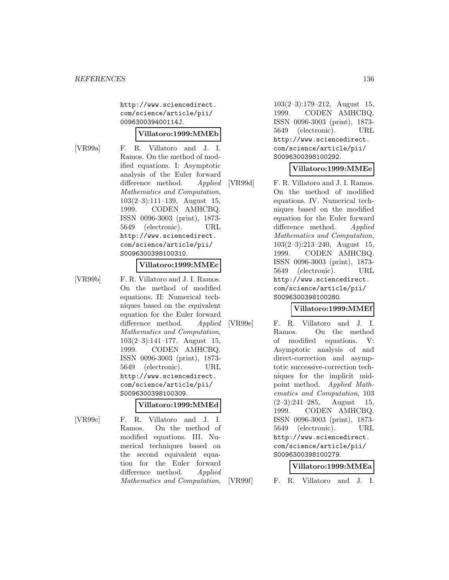http://www.sciencedirect. com/science/article/pii/ 009630039400114J.

## **Villatoro:1999:MMEb**

[VR99a] F. R. Villatoro and J. I. Ramos. On the method of modified equations. I: Asymptotic analysis of the Euler forward difference method. Applied Mathematics and Computation, 103(2–3):111–139, August 15, 1999. CODEN AMHCBQ. ISSN 0096-3003 (print), 1873- 5649 (electronic). URL http://www.sciencedirect. com/science/article/pii/ S0096300398100310.

#### **Villatoro:1999:MMEc**

[VR99b] F. R. Villatoro and J. I. Ramos. On the method of modified equations. II: Numerical techniques based on the equivalent equation for the Euler forward difference method. Applied Mathematics and Computation, 103(2–3):141–177, August 15, 1999. CODEN AMHCBQ. ISSN 0096-3003 (print), 1873- 5649 (electronic). URL http://www.sciencedirect. com/science/article/pii/ S0096300398100309.

#### **Villatoro:1999:MMEd**

- 
- [VR99c] F. R. Villatoro and J. I. Ramos. On the method of modified equations. III. Numerical techniques based on the second equivalent equation for the Euler forward difference method. Applied Mathematics and Computation,

103(2–3):179–212, August 15, 1999. CODEN AMHCBQ. ISSN 0096-3003 (print), 1873- 5649 (electronic). URL http://www.sciencedirect. com/science/article/pii/ S0096300398100292.

## **Villatoro:1999:MMEe**

[VR99d] F. R. Villatoro and J. I. Ramos. On the method of modified equations. IV. Numerical techniques based on the modified equation for the Euler forward difference method. Applied Mathematics and Computation, 103(2–3):213–240, August 15, 1999. CODEN AMHCBQ. ISSN 0096-3003 (print), 1873- 5649 (electronic). URL http://www.sciencedirect. com/science/article/pii/ S0096300398100280.

## **Villatoro:1999:MMEf**

[VR99e] F. R. Villatoro and J. I. Ramos. On the method of modified equations. V: Asymptotic analysis of and direct-correction and asymptotic successive-correction techniques for the implicit midpoint method. Applied Mathematics and Computation, 103  $(2-3):241-285$ , August 15, 1999. CODEN AMHCBQ. ISSN 0096-3003 (print), 1873- 5649 (electronic). URL http://www.sciencedirect. com/science/article/pii/ S0096300398100279.

## **Villatoro:1999:MMEa**

[VR99f] F. R. Villatoro and J. I.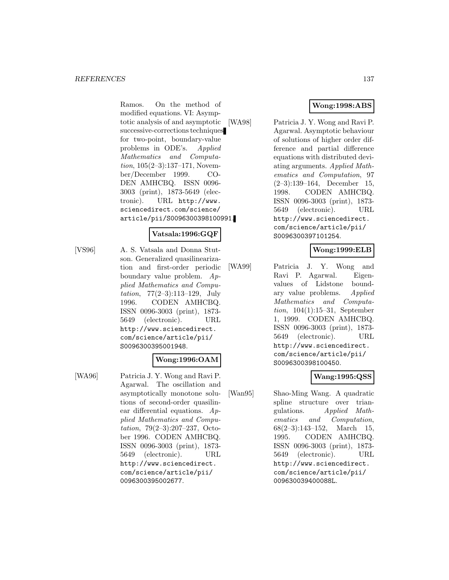Ramos. On the method of modified equations. VI: Asymptotic analysis of and asymptotic successive-corrections techniques for two-point, boundary-value problems in ODE's. Applied Mathematics and Computation, 105(2–3):137–171, November/December 1999. CO-DEN AMHCBQ. ISSN 0096- 3003 (print), 1873-5649 (electronic). URL http://www. sciencedirect.com/science/ article/pii/S0096300398100991.

# **Vatsala:1996:GQF**

[VS96] A. S. Vatsala and Donna Stutson. Generalized quasilinearization and first-order periodic boundary value problem. Applied Mathematics and Computation, 77(2–3):113–129, July 1996. CODEN AMHCBQ. ISSN 0096-3003 (print), 1873- 5649 (electronic). URL http://www.sciencedirect. com/science/article/pii/ S0096300395001948.

# **Wong:1996:OAM**

[WA96] Patricia J. Y. Wong and Ravi P. Agarwal. The oscillation and asymptotically monotone solutions of second-order quasilinear differential equations. Applied Mathematics and Computation, 79(2–3):207–237, October 1996. CODEN AMHCBQ. ISSN 0096-3003 (print), 1873- 5649 (electronic). URL http://www.sciencedirect. com/science/article/pii/ 0096300395002677.

# **Wong:1998:ABS**

[WA98] Patricia J. Y. Wong and Ravi P. Agarwal. Asymptotic behaviour of solutions of higher order difference and partial difference equations with distributed deviating arguments. Applied Mathematics and Computation, 97 (2–3):139–164, December 15, 1998. CODEN AMHCBQ. ISSN 0096-3003 (print), 1873- 5649 (electronic). URL http://www.sciencedirect. com/science/article/pii/ S0096300397101254.

## **Wong:1999:ELB**

[WA99] Patricia J. Y. Wong and Ravi P. Agarwal. Eigenvalues of Lidstone boundary value problems. Applied Mathematics and Computation, 104(1):15–31, September 1, 1999. CODEN AMHCBQ. ISSN 0096-3003 (print), 1873- 5649 (electronic). URL http://www.sciencedirect. com/science/article/pii/ S0096300398100450.

## **Wang:1995:QSS**

[Wan95] Shao-Ming Wang. A quadratic spline structure over triangulations. Applied Mathematics and Computation, 68(2–3):143–152, March 15, 1995. CODEN AMHCBQ. ISSN 0096-3003 (print), 1873- 5649 (electronic). URL http://www.sciencedirect. com/science/article/pii/ 009630039400088L.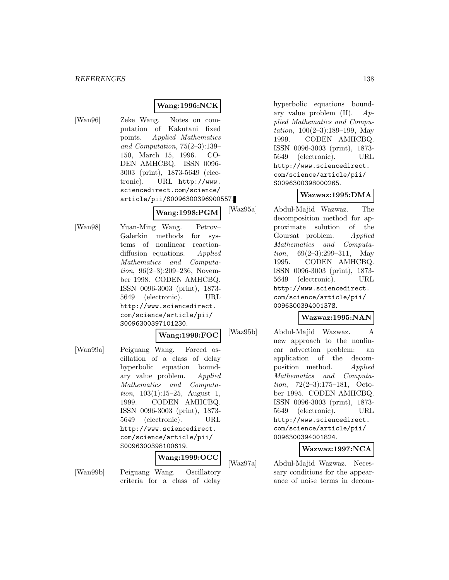# **Wang:1996:NCK**

[Wan96] Zeke Wang. Notes on computation of Kakutani fixed points. Applied Mathematics and Computation, 75(2–3):139– 150, March 15, 1996. CO-DEN AMHCBQ. ISSN 0096- 3003 (print), 1873-5649 (electronic). URL http://www. sciencedirect.com/science/ article/pii/S0096300396900557.

**Wang:1998:PGM**

[Wan98] Yuan-Ming Wang. Petrov– Galerkin methods for systems of nonlinear reactiondiffusion equations. Applied Mathematics and Computation, 96(2–3):209–236, November 1998. CODEN AMHCBQ. ISSN 0096-3003 (print), 1873- 5649 (electronic). URL http://www.sciencedirect. com/science/article/pii/ S0096300397101230.

## **Wang:1999:FOC**

[Wan99a] Peiguang Wang. Forced oscillation of a class of delay hyperbolic equation boundary value problem. Applied Mathematics and Computation, 103(1):15–25, August 1, 1999. CODEN AMHCBQ. ISSN 0096-3003 (print), 1873- 5649 (electronic). URL http://www.sciencedirect. com/science/article/pii/ S0096300398100619.

#### **Wang:1999:OCC**

[Wan99b] Peiguang Wang. Oscillatory criteria for a class of delay

hyperbolic equations boundary value problem  $(II)$ .  $Ap$ plied Mathematics and Computation, 100(2–3):189–199, May 1999. CODEN AMHCBQ. ISSN 0096-3003 (print), 1873- 5649 (electronic). URL http://www.sciencedirect. com/science/article/pii/ S0096300398000265.

# **Wazwaz:1995:DMA**

[Waz95a] Abdul-Majid Wazwaz. The decomposition method for approximate solution of the Goursat problem. Applied Mathematics and Computation, 69(2–3):299–311, May 1995. CODEN AMHCBQ. ISSN 0096-3003 (print), 1873- 5649 (electronic). URL http://www.sciencedirect. com/science/article/pii/ 009630039400137S.

## **Wazwaz:1995:NAN**

[Waz95b] Abdul-Majid Wazwaz. A new approach to the nonlinear advection problem: an application of the decomposition method. Applied Mathematics and Computation, 72(2–3):175–181, October 1995. CODEN AMHCBQ. ISSN 0096-3003 (print), 1873- 5649 (electronic). URL http://www.sciencedirect. com/science/article/pii/ 0096300394001824.

#### **Wazwaz:1997:NCA**

[Waz97a] Abdul-Majid Wazwaz. Necessary conditions for the appearance of noise terms in decom-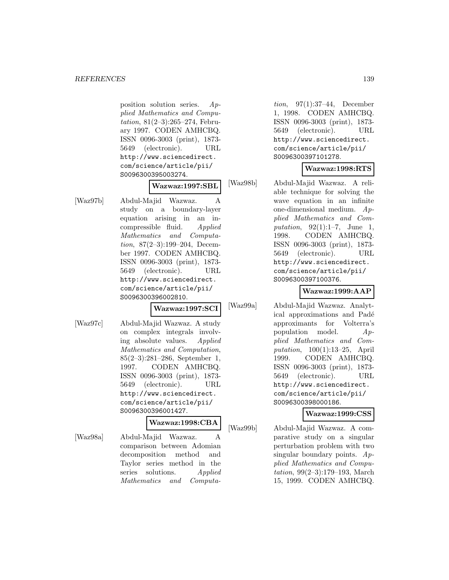#### *REFERENCES* 139

position solution series. Applied Mathematics and Computation, 81(2–3):265–274, February 1997. CODEN AMHCBQ. ISSN 0096-3003 (print), 1873- 5649 (electronic). URL http://www.sciencedirect. com/science/article/pii/ S0096300395003274.

#### **Wazwaz:1997:SBL**

[Waz97b] Abdul-Majid Wazwaz. A study on a boundary-layer equation arising in an incompressible fluid. Applied Mathematics and Computation, 87(2–3):199–204, December 1997. CODEN AMHCBQ. ISSN 0096-3003 (print), 1873- 5649 (electronic). URL http://www.sciencedirect. com/science/article/pii/ S0096300396002810.

**Wazwaz:1997:SCI**

[Waz97c] Abdul-Majid Wazwaz. A study on complex integrals involving absolute values. Applied Mathematics and Computation, 85(2–3):281–286, September 1, 1997. CODEN AMHCBQ. ISSN 0096-3003 (print), 1873- 5649 (electronic). URL http://www.sciencedirect. com/science/article/pii/ S0096300396001427.

## **Wazwaz:1998:CBA**

[Waz98a] Abdul-Majid Wazwaz. A comparison between Adomian decomposition method and Taylor series method in the series solutions. Applied Mathematics and Computa-

tion, 97(1):37–44, December 1, 1998. CODEN AMHCBQ. ISSN 0096-3003 (print), 1873- 5649 (electronic). URL http://www.sciencedirect. com/science/article/pii/ S0096300397101278.

## **Wazwaz:1998:RTS**

[Waz98b] Abdul-Majid Wazwaz. A reliable technique for solving the wave equation in an infinite one-dimensional medium. Applied Mathematics and Computation, 92(1):1–7, June 1, 1998. CODEN AMHCBQ. ISSN 0096-3003 (print), 1873- 5649 (electronic). URL http://www.sciencedirect. com/science/article/pii/ S0096300397100376.

# **Wazwaz:1999:AAP**

[Waz99a] Abdul-Majid Wazwaz. Analytical approximations and Padé approximants for Volterra's population model. Applied Mathematics and Computation, 100(1):13–25, April 1999. CODEN AMHCBQ. ISSN 0096-3003 (print), 1873- 5649 (electronic). URL http://www.sciencedirect. com/science/article/pii/ S0096300398000186.

#### **Wazwaz:1999:CSS**

[Waz99b] Abdul-Majid Wazwaz. A comparative study on a singular perturbation problem with two singular boundary points. Applied Mathematics and Computation, 99(2–3):179–193, March 15, 1999. CODEN AMHCBQ.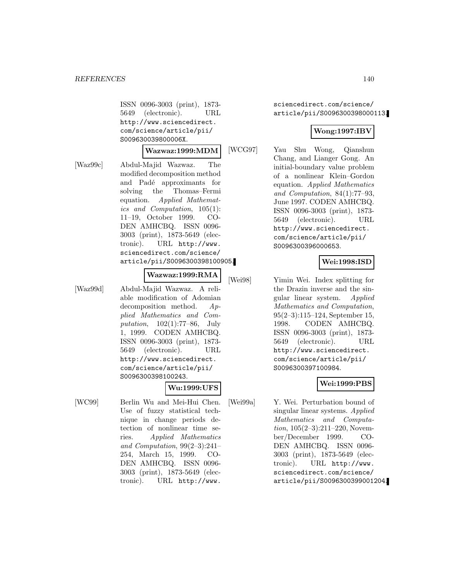ISSN 0096-3003 (print), 1873- 5649 (electronic). URL http://www.sciencedirect. com/science/article/pii/ S009630039800006X.

#### **Wazwaz:1999:MDM**

[Waz99c] Abdul-Majid Wazwaz. The modified decomposition method and Padé approximants for solving the Thomas–Fermi equation. Applied Mathematics and Computation, 105(1): 11–19, October 1999. CO-DEN AMHCBQ. ISSN 0096- 3003 (print), 1873-5649 (electronic). URL http://www. sciencedirect.com/science/ article/pii/S0096300398100905.

#### **Wazwaz:1999:RMA**

[Waz99d] Abdul-Majid Wazwaz. A reliable modification of Adomian decomposition method. Applied Mathematics and Computation, 102(1):77–86, July 1, 1999. CODEN AMHCBQ. ISSN 0096-3003 (print), 1873- 5649 (electronic). URL http://www.sciencedirect. com/science/article/pii/ S0096300398100243.

#### **Wu:1999:UFS**

[WC99] Berlin Wu and Mei-Hui Chen. Use of fuzzy statistical technique in change periods detection of nonlinear time series. Applied Mathematics and Computation, 99(2–3):241– 254, March 15, 1999. CO-DEN AMHCBQ. ISSN 0096- 3003 (print), 1873-5649 (electronic). URL http://www.

sciencedirect.com/science/ article/pii/S0096300398000113.

## **Wong:1997:IBV**

[WCG97] Yau Shu Wong, Qianshun Chang, and Lianger Gong. An initial-boundary value problem of a nonlinear Klein–Gordon equation. Applied Mathematics and Computation, 84(1):77–93, June 1997. CODEN AMHCBQ. ISSN 0096-3003 (print), 1873- 5649 (electronic). URL http://www.sciencedirect. com/science/article/pii/ S0096300396000653.

## **Wei:1998:ISD**

[Wei98] Yimin Wei. Index splitting for the Drazin inverse and the singular linear system. Applied Mathematics and Computation, 95(2–3):115–124, September 15, 1998. CODEN AMHCBQ. ISSN 0096-3003 (print), 1873- 5649 (electronic). URL http://www.sciencedirect. com/science/article/pii/ S0096300397100984.

#### **Wei:1999:PBS**

[Wei99a] Y. Wei. Perturbation bound of singular linear systems. Applied Mathematics and Computation, 105(2–3):211–220, November/December 1999. CO-DEN AMHCBQ. ISSN 0096- 3003 (print), 1873-5649 (electronic). URL http://www. sciencedirect.com/science/ article/pii/S0096300399001204.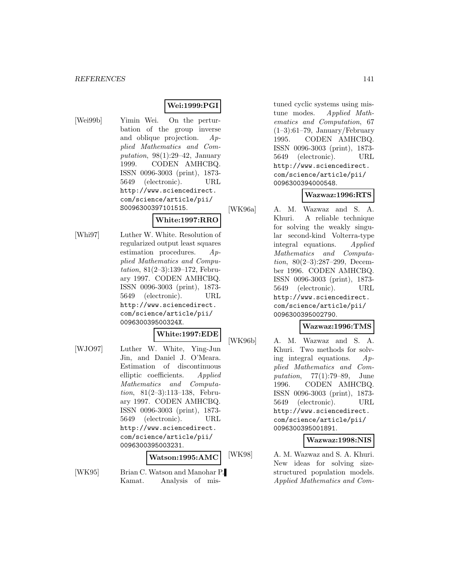## **Wei:1999:PGI**

[Wei99b] Yimin Wei. On the perturbation of the group inverse and oblique projection. Applied Mathematics and Computation,  $98(1):29-42$ , January 1999. CODEN AMHCBQ. ISSN 0096-3003 (print), 1873- 5649 (electronic). URL http://www.sciencedirect. com/science/article/pii/ S0096300397101515.

## **White:1997:RRO**

[Whi97] Luther W. White. Resolution of regularized output least squares estimation procedures. Applied Mathematics and Computation, 81(2–3):139–172, February 1997. CODEN AMHCBQ. ISSN 0096-3003 (print), 1873- 5649 (electronic). URL http://www.sciencedirect. com/science/article/pii/ 009630039500324X.

## **White:1997:EDE**

[WJO97] Luther W. White, Ying-Jun Jin, and Daniel J. O'Meara. Estimation of discontinuous elliptic coefficients. Applied Mathematics and Computation, 81(2–3):113–138, February 1997. CODEN AMHCBQ. ISSN 0096-3003 (print), 1873- 5649 (electronic). URL http://www.sciencedirect. com/science/article/pii/ 0096300395003231.

#### **Watson:1995:AMC**

[WK95] Brian C. Watson and Manohar P. Kamat. Analysis of mis-

tuned cyclic systems using mistune modes. Applied Mathematics and Computation, 67  $(1-3):61-79$ , January/February 1995. CODEN AMHCBQ. ISSN 0096-3003 (print), 1873- 5649 (electronic). URL http://www.sciencedirect. com/science/article/pii/ 0096300394000548.

## **Wazwaz:1996:RTS**

[WK96a] A. M. Wazwaz and S. A. Khuri. A reliable technique for solving the weakly singular second-kind Volterra-type integral equations. Applied Mathematics and Computation, 80(2–3):287–299, December 1996. CODEN AMHCBQ. ISSN 0096-3003 (print), 1873- 5649 (electronic). URL http://www.sciencedirect. com/science/article/pii/ 0096300395002790.

## **Wazwaz:1996:TMS**

[WK96b] A. M. Wazwaz and S. A. Khuri. Two methods for solving integral equations. Applied Mathematics and Computation, 77(1):79–89, June 1996. CODEN AMHCBQ. ISSN 0096-3003 (print), 1873- 5649 (electronic). URL http://www.sciencedirect. com/science/article/pii/ 0096300395001891.

#### **Wazwaz:1998:NIS**

[WK98] A. M. Wazwaz and S. A. Khuri. New ideas for solving sizestructured population models. Applied Mathematics and Com-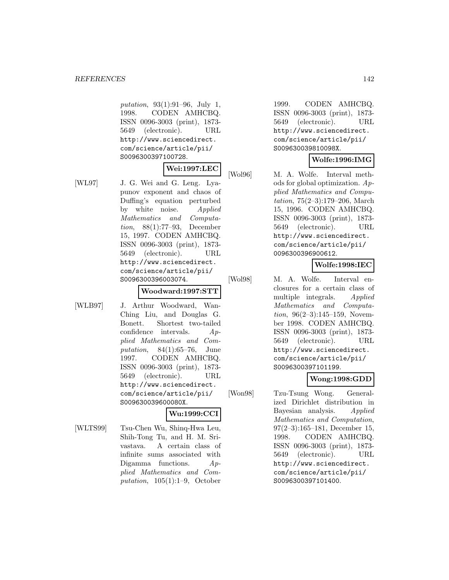putation, 93(1):91–96, July 1, 1998. CODEN AMHCBQ. ISSN 0096-3003 (print), 1873- 5649 (electronic). URL http://www.sciencedirect. com/science/article/pii/ S0096300397100728.

**Wei:1997:LEC**

- 
- [WL97] J. G. Wei and G. Leng. Lyapunov exponent and chaos of Duffing's equation perturbed by white noise. Applied Mathematics and Computation, 88(1):77–93, December 15, 1997. CODEN AMHCBQ. ISSN 0096-3003 (print), 1873- 5649 (electronic). URL http://www.sciencedirect. com/science/article/pii/ S0096300396003074.

# **Woodward:1997:STT**

[WLB97] J. Arthur Woodward, Wan-Ching Liu, and Douglas G. Bonett. Shortest two-tailed confidence intervals. Applied Mathematics and Computation,  $84(1):65-76$ , June 1997. CODEN AMHCBQ. ISSN 0096-3003 (print), 1873- 5649 (electronic). URL http://www.sciencedirect. com/science/article/pii/ S009630039600080X.

## **Wu:1999:CCI**

[WLTS99] Tsu-Chen Wu, Shinq-Hwa Leu, Shih-Tong Tu, and H. M. Srivastava. A certain class of infinite sums associated with Digamma functions. Applied Mathematics and Computation, 105(1):1–9, October

1999. CODEN AMHCBQ. ISSN 0096-3003 (print), 1873- 5649 (electronic). URL http://www.sciencedirect. com/science/article/pii/ S009630039810098X.

## **Wolfe:1996:IMG**

[Wol96] M. A. Wolfe. Interval methods for global optimization. Applied Mathematics and Computation, 75(2–3):179–206, March 15, 1996. CODEN AMHCBQ. ISSN 0096-3003 (print), 1873- 5649 (electronic). URL http://www.sciencedirect. com/science/article/pii/ 0096300396900612.

# **Wolfe:1998:IEC**

[Wol98] M. A. Wolfe. Interval enclosures for a certain class of multiple integrals. Applied Mathematics and Computa*tion*,  $96(2-3):145-159$ , November 1998. CODEN AMHCBQ. ISSN 0096-3003 (print), 1873- 5649 (electronic). URL http://www.sciencedirect. com/science/article/pii/ S0096300397101199.

# **Wong:1998:GDD**

[Won98] Tzu-Tsung Wong. Generalized Dirichlet distribution in Bayesian analysis. Applied Mathematics and Computation, 97(2–3):165–181, December 15, 1998. CODEN AMHCBQ. ISSN 0096-3003 (print), 1873- 5649 (electronic). URL http://www.sciencedirect. com/science/article/pii/ S0096300397101400.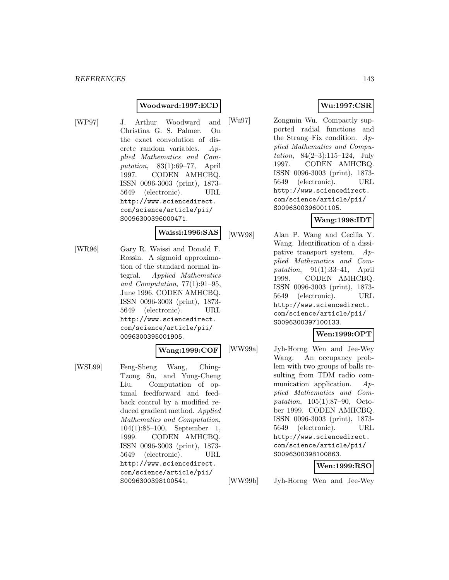## **Woodward:1997:ECD**

[WP97] J. Arthur Woodward and Christina G. S. Palmer. On the exact convolution of discrete random variables. Applied Mathematics and Computation, 83(1):69–77, April 1997. CODEN AMHCBQ. ISSN 0096-3003 (print), 1873- 5649 (electronic). URL http://www.sciencedirect. com/science/article/pii/ S0096300396000471.

# **Waissi:1996:SAS**

[WR96] Gary R. Waissi and Donald F. Rossin. A sigmoid approximation of the standard normal integral. Applied Mathematics and Computation, 77(1):91–95, June 1996. CODEN AMHCBQ. ISSN 0096-3003 (print), 1873- 5649 (electronic). URL http://www.sciencedirect. com/science/article/pii/ 0096300395001905.

## **Wang:1999:COF**

[WSL99] Feng-Sheng Wang, Ching-Tzong Su, and Yung-Cheng Liu. Computation of optimal feedforward and feedback control by a modified reduced gradient method. Applied Mathematics and Computation, 104(1):85–100, September 1, 1999. CODEN AMHCBQ. ISSN 0096-3003 (print), 1873- 5649 (electronic). URL http://www.sciencedirect. com/science/article/pii/ S0096300398100541.

# **Wu:1997:CSR**

[Wu97] Zongmin Wu. Compactly supported radial functions and the Strang–Fix condition.  $Ap$ plied Mathematics and Computation, 84(2–3):115–124, July 1997. CODEN AMHCBQ. ISSN 0096-3003 (print), 1873- 5649 (electronic). URL http://www.sciencedirect. com/science/article/pii/ S0096300396001105.

## **Wang:1998:IDT**

[WW98] Alan P. Wang and Cecilia Y. Wang. Identification of a dissipative transport system. Applied Mathematics and Computation, 91(1):33–41, April 1998. CODEN AMHCBQ. ISSN 0096-3003 (print), 1873- 5649 (electronic). URL http://www.sciencedirect. com/science/article/pii/ S0096300397100133.

# **Wen:1999:OPT**

[WW99a] Jyh-Horng Wen and Jee-Wey Wang. An occupancy problem with two groups of balls resulting from TDM radio communication application. Applied Mathematics and Computation, 105(1):87–90, October 1999. CODEN AMHCBQ. ISSN 0096-3003 (print), 1873- 5649 (electronic). URL http://www.sciencedirect. com/science/article/pii/ S0096300398100863.

## **Wen:1999:RSO**

[WW99b] Jyh-Horng Wen and Jee-Wey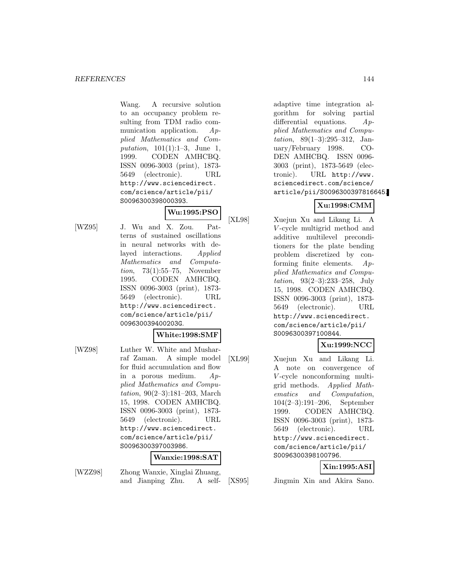Wang. A recursive solution to an occupancy problem resulting from TDM radio communication application. Applied Mathematics and Computation, 101(1):1–3, June 1, 1999. CODEN AMHCBQ. ISSN 0096-3003 (print), 1873- 5649 (electronic). URL http://www.sciencedirect. com/science/article/pii/ S0096300398000393.

# **Wu:1995:PSO**

[WZ95] J. Wu and X. Zou. Patterns of sustained oscillations in neural networks with delayed interactions. Applied Mathematics and Computation, 73(1):55–75, November 1995. CODEN AMHCBQ. ISSN 0096-3003 (print), 1873- 5649 (electronic). URL http://www.sciencedirect. com/science/article/pii/ 009630039400203G.

#### **White:1998:SMF**

[WZ98] Luther W. White and Musharraf Zaman. A simple model for fluid accumulation and flow in a porous medium. Applied Mathematics and Computation, 90(2–3):181–203, March 15, 1998. CODEN AMHCBQ. ISSN 0096-3003 (print), 1873- 5649 (electronic). URL http://www.sciencedirect. com/science/article/pii/ S0096300397003986.

## **Wanxie:1998:SAT**

[WZZ98] Zhong Wanxie, Xinglai Zhuang, and Jianping Zhu. A self-

adaptive time integration algorithm for solving partial differential equations.  $Ap$ plied Mathematics and Computation, 89(1–3):295–312, January/February 1998. CO-DEN AMHCBQ. ISSN 0096- 3003 (print), 1873-5649 (electronic). URL http://www. sciencedirect.com/science/ article/pii/S0096300397816645.

# **Xu:1998:CMM**

[XL98] Xuejun Xu and Likang Li. A V -cycle multigrid method and additive multilevel preconditioners for the plate bending problem discretized by conforming finite elements. Applied Mathematics and Computation, 93(2–3):233–258, July 15, 1998. CODEN AMHCBQ. ISSN 0096-3003 (print), 1873- 5649 (electronic). URL http://www.sciencedirect. com/science/article/pii/ S0096300397100844.

# **Xu:1999:NCC**

[XL99] Xuejun Xu and Likang Li. A note on convergence of V -cycle nonconforming multigrid methods. Applied Mathematics and Computation, 104(2–3):191–206, September 1999. CODEN AMHCBQ. ISSN 0096-3003 (print), 1873- 5649 (electronic). URL http://www.sciencedirect. com/science/article/pii/ S0096300398100796.

## **Xin:1995:ASI**

[XS95] Jingmin Xin and Akira Sano.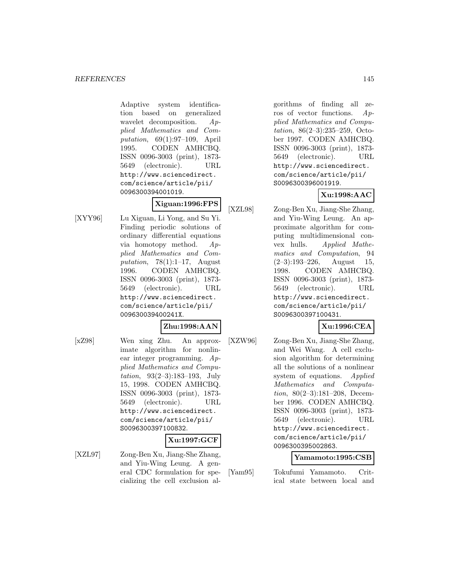Adaptive system identification based on generalized wavelet decomposition. Applied Mathematics and Computation, 69(1):97–109, April 1995. CODEN AMHCBQ. ISSN 0096-3003 (print), 1873- 5649 (electronic). URL http://www.sciencedirect. com/science/article/pii/ 0096300394001019.

**Xiguan:1996:FPS**

[XYY96] Lu Xiguan, Li Yong, and Su Yi. Finding periodic solutions of ordinary differential equations via homotopy method. Applied Mathematics and Computation,  $78(1):1-17$ , August 1996. CODEN AMHCBQ. ISSN 0096-3003 (print), 1873- 5649 (electronic). URL http://www.sciencedirect. com/science/article/pii/ 009630039400241X.

# **Zhu:1998:AAN**

[xZ98] Wen xing Zhu. An approximate algorithm for nonlinear integer programming. Applied Mathematics and Computation, 93(2–3):183–193, July 15, 1998. CODEN AMHCBQ. ISSN 0096-3003 (print), 1873- 5649 (electronic). URL http://www.sciencedirect. com/science/article/pii/ S0096300397100832.

#### **Xu:1997:GCF**

[XZL97] Zong-Ben Xu, Jiang-She Zhang, and Yiu-Wing Leung. A general CDC formulation for specializing the cell exclusion al-

gorithms of finding all zeros of vector functions. Applied Mathematics and Computation, 86(2–3):235–259, October 1997. CODEN AMHCBQ. ISSN 0096-3003 (print), 1873- 5649 (electronic). URL http://www.sciencedirect. com/science/article/pii/ S0096300396001919.

## **Xu:1998:AAC**

[XZL98] Zong-Ben Xu, Jiang-She Zhang,

and Yiu-Wing Leung. An approximate algorithm for computing multidimensional convex hulls. Applied Mathematics and Computation, 94  $(2-3):193-226$ , August 15, 1998. CODEN AMHCBQ. ISSN 0096-3003 (print), 1873- 5649 (electronic). URL http://www.sciencedirect. com/science/article/pii/ S0096300397100431.

## **Xu:1996:CEA**

[XZW96] Zong-Ben Xu, Jiang-She Zhang, and Wei Wang. A cell exclusion algorithm for determining all the solutions of a nonlinear system of equations. Applied Mathematics and Computation, 80(2–3):181–208, December 1996. CODEN AMHCBQ. ISSN 0096-3003 (print), 1873- 5649 (electronic). URL http://www.sciencedirect. com/science/article/pii/ 0096300395002863.

## **Yamamoto:1995:CSB**

[Yam95] Tokufumi Yamamoto. Critical state between local and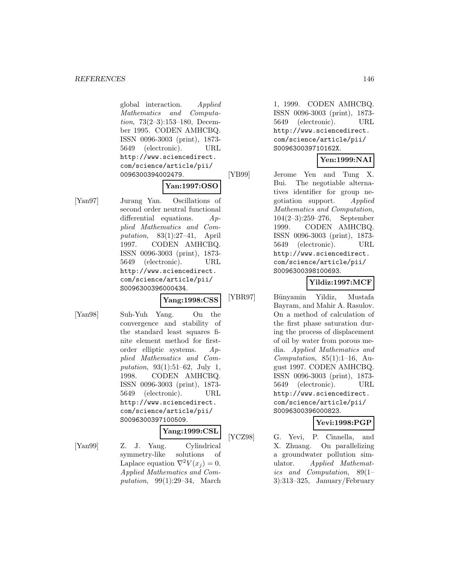global interaction. Applied Mathematics and Computation, 73(2–3):153–180, December 1995. CODEN AMHCBQ. ISSN 0096-3003 (print), 1873- 5649 (electronic). URL http://www.sciencedirect. com/science/article/pii/ 0096300394002479.

## **Yan:1997:OSO**

[Yan97] Jurang Yan. Oscillations of second order neutral functional differential equations. Applied Mathematics and Computation, 83(1):27–41, April 1997. CODEN AMHCBQ. ISSN 0096-3003 (print), 1873- 5649 (electronic). URL http://www.sciencedirect. com/science/article/pii/ S0096300396000434.

### **Yang:1998:CSS**

[Yan98] Suh-Yuh Yang. On the convergence and stability of the standard least squares finite element method for firstorder elliptic systems. Applied Mathematics and Computation, 93(1):51–62, July 1, 1998. CODEN AMHCBQ. ISSN 0096-3003 (print), 1873- 5649 (electronic). URL http://www.sciencedirect. com/science/article/pii/ S0096300397100509.

#### **Yang:1999:CSL**

[Yan99] Z. J. Yang. Cylindrical symmetry-like solutions of Laplace equation  $\nabla^2 V(x_i) = 0$ . Applied Mathematics and Computation, 99(1):29–34, March

1, 1999. CODEN AMHCBQ. ISSN 0096-3003 (print), 1873- 5649 (electronic). URL http://www.sciencedirect. com/science/article/pii/ S009630039710162X.

#### **Yen:1999:NAI**

[YB99] Jerome Yen and Tung X. Bui. The negotiable alternatives identifier for group negotiation support. Applied Mathematics and Computation, 104(2–3):259–276, September 1999. CODEN AMHCBQ. ISSN 0096-3003 (print), 1873- 5649 (electronic). URL http://www.sciencedirect. com/science/article/pii/ S0096300398100693.

#### **Yildiz:1997:MCF**

[YBR97] Bünyamin Yildiz, Mustafa Bayram, and Mahir A. Rasulov. On a method of calculation of the first phase saturation during the process of displacement of oil by water from porous media. Applied Mathematics and Computation,  $85(1):1-16$ , August 1997. CODEN AMHCBQ. ISSN 0096-3003 (print), 1873- 5649 (electronic). URL http://www.sciencedirect. com/science/article/pii/ S0096300396000823.

## **Yevi:1998:PGP**

[YCZ98] G. Yevi, P. Cinnella, and X. Zhuang. On parallelizing a groundwater pollution simulator. Applied Mathematics and Computation, 89(1– 3):313–325, January/February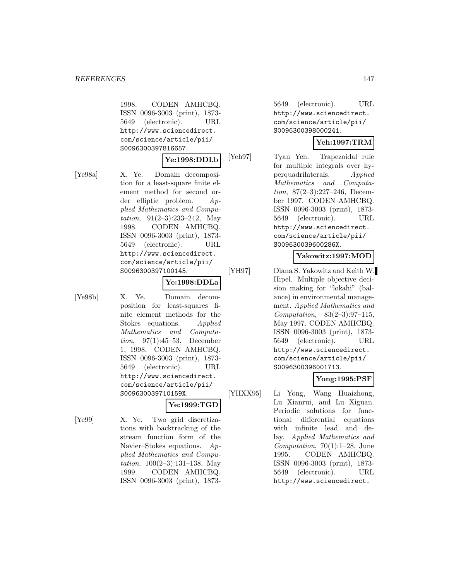1998. CODEN AMHCBQ. ISSN 0096-3003 (print), 1873- 5649 (electronic). URL http://www.sciencedirect. com/science/article/pii/ S0096300397816657.

## **Ye:1998:DDLb**

[Ye98a] X. Ye. Domain decomposition for a least-square finite element method for second order elliptic problem. Applied Mathematics and Computation,  $91(2-3):233-242$ , May 1998. CODEN AMHCBQ. ISSN 0096-3003 (print), 1873- 5649 (electronic). URL http://www.sciencedirect. com/science/article/pii/ S0096300397100145.

#### **Ye:1998:DDLa**

[Ye98b] X. Ye. Domain decomposition for least-squares finite element methods for the Stokes equations. Applied Mathematics and Computation, 97(1):45–53, December 1, 1998. CODEN AMHCBQ. ISSN 0096-3003 (print), 1873- 5649 (electronic). URL http://www.sciencedirect. com/science/article/pii/ S009630039710159X.

## **Ye:1999:TGD**

[Ye99] X. Ye. Two grid discretizations with backtracking of the stream function form of the Navier–Stokes equations. Applied Mathematics and Computation,  $100(2-3):131-138$ , May 1999. CODEN AMHCBQ. ISSN 0096-3003 (print), 1873-

5649 (electronic). URL http://www.sciencedirect. com/science/article/pii/ S0096300398000241.

## **Yeh:1997:TRM**

[Yeh97] Tyan Yeh. Trapezoidal rule for multiple integrals over hyperquadrilaterals. Applied Mathematics and Computation, 87(2–3):227–246, December 1997. CODEN AMHCBQ. ISSN 0096-3003 (print), 1873- 5649 (electronic). URL http://www.sciencedirect. com/science/article/pii/ S009630039600286X.

#### **Yakowitz:1997:MOD**

[YH97] Diana S. Yakowitz and Keith W. Hipel. Multiple objective decision making for "lokahi" (balance) in environmental management. Applied Mathematics and Computation, 83(2–3):97–115, May 1997. CODEN AMHCBQ. ISSN 0096-3003 (print), 1873- 5649 (electronic). URL http://www.sciencedirect. com/science/article/pii/ S0096300396001713.

## **Yong:1995:PSF**

[YHXX95] Li Yong, Wang Huaizhong, Lu Xianrui, and Lu Xiguan. Periodic solutions for functional differential equations with infinite lead and delay. Applied Mathematics and Computation,  $70(1):1-28$ , June 1995. CODEN AMHCBQ. ISSN 0096-3003 (print), 1873- 5649 (electronic). URL http://www.sciencedirect.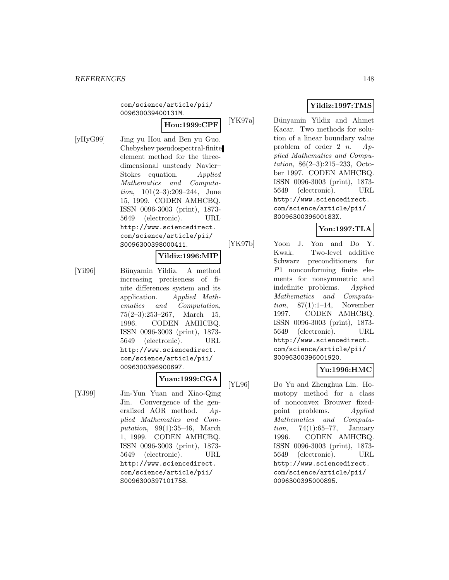com/science/article/pii/ 009630039400131M.

**Hou:1999:CPF**

[yHyG99] Jing yu Hou and Ben yu Guo. Chebyshev pseudospectral-finite element method for the threedimensional unsteady Navier– Stokes equation. Applied Mathematics and Computation, 101(2–3):209–244, June 15, 1999. CODEN AMHCBQ. ISSN 0096-3003 (print), 1873- 5649 (electronic). URL http://www.sciencedirect. com/science/article/pii/ S0096300398000411.

#### **Yildiz:1996:MIP**

[Yil96] Bünyamin Yildiz. A method increasing preciseness of finite differences system and its application. Applied Mathematics and Computation, 75(2–3):253–267, March 15, 1996. CODEN AMHCBQ. ISSN 0096-3003 (print), 1873- 5649 (electronic). URL http://www.sciencedirect. com/science/article/pii/ 0096300396900697.

# **Yuan:1999:CGA**

[YJ99] Jin-Yun Yuan and Xiao-Qing Jin. Convergence of the generalized AOR method. Applied Mathematics and Computation,  $99(1):35-46$ , March 1, 1999. CODEN AMHCBQ. ISSN 0096-3003 (print), 1873- 5649 (electronic). URL http://www.sciencedirect. com/science/article/pii/ S0096300397101758.

## **Yildiz:1997:TMS**

[YK97a] Bünyamin Yildiz and Ahmet Kacar. Two methods for solution of a linear boundary value problem of order 2 *n*.  $Ap$ plied Mathematics and Computation, 86(2–3):215–233, October 1997. CODEN AMHCBQ. ISSN 0096-3003 (print), 1873- 5649 (electronic). URL http://www.sciencedirect. com/science/article/pii/ S009630039600183X.

## **Yon:1997:TLA**

[YK97b] Yoon J. Yon and Do Y. Kwak. Two-level additive Schwarz preconditioners for P1 nonconforming finite elements for nonsymmetric and indefinite problems. Applied Mathematics and Computation, 87(1):1–14, November 1997. CODEN AMHCBQ. ISSN 0096-3003 (print), 1873- 5649 (electronic). URL http://www.sciencedirect. com/science/article/pii/ S0096300396001920.

#### **Yu:1996:HMC**

[YL96] Bo Yu and Zhenghua Lin. Homotopy method for a class of nonconvex Brouwer fixedpoint problems. Applied Mathematics and Computa*tion*, 74(1):65–77, January 1996. CODEN AMHCBQ. ISSN 0096-3003 (print), 1873- 5649 (electronic). URL http://www.sciencedirect. com/science/article/pii/ 0096300395000895.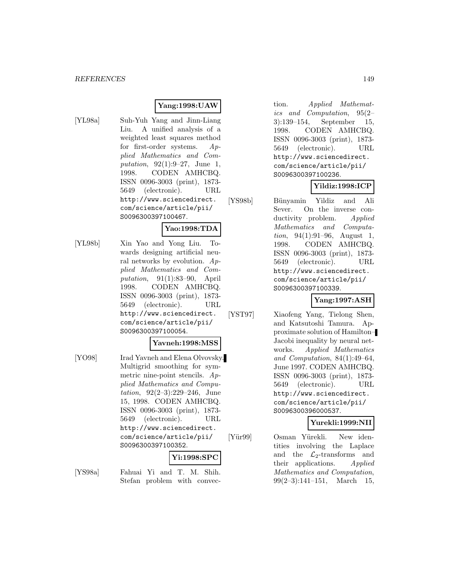## **Yang:1998:UAW**

[YL98a] Suh-Yuh Yang and Jinn-Liang Liu. A unified analysis of a weighted least squares method for first-order systems. Applied Mathematics and Computation, 92(1):9–27, June 1, 1998. CODEN AMHCBQ. ISSN 0096-3003 (print), 1873- 5649 (electronic). URL http://www.sciencedirect. com/science/article/pii/ S0096300397100467.

## **Yao:1998:TDA**

[YL98b] Xin Yao and Yong Liu. Towards designing artificial neural networks by evolution.  $Ap$ plied Mathematics and Computation, 91(1):83–90, April 1998. CODEN AMHCBQ. ISSN 0096-3003 (print), 1873- 5649 (electronic). URL http://www.sciencedirect. com/science/article/pii/ S0096300397100054.

#### **Yavneh:1998:MSS**

[YO98] Irad Yavneh and Elena Olvovsky. Multigrid smoothing for symmetric nine-point stencils. Applied Mathematics and Computation, 92(2–3):229–246, June 15, 1998. CODEN AMHCBQ. ISSN 0096-3003 (print), 1873- 5649 (electronic). URL http://www.sciencedirect. com/science/article/pii/ S0096300397100352.

# **Yi:1998:SPC**

[YS98a] Fahuai Yi and T. M. Shih. Stefan problem with convec-

tion. Applied Mathematics and Computation, 95(2– 3):139–154, September 15, 1998. CODEN AMHCBQ. ISSN 0096-3003 (print), 1873- 5649 (electronic). URL http://www.sciencedirect. com/science/article/pii/ S0096300397100236.

## **Yildiz:1998:ICP**

[YS98b] B¨unyamin Yildiz and Ali Sever. On the inverse conductivity problem. Applied Mathematics and Computation, 94(1):91–96, August 1, 1998. CODEN AMHCBQ. ISSN 0096-3003 (print), 1873- 5649 (electronic). URL http://www.sciencedirect. com/science/article/pii/ S0096300397100339.

**Yang:1997:ASH**

[YST97] Xiaofeng Yang, Tielong Shen, and Katsutoshi Tamura. Approximate solution of Hamilton– Jacobi inequality by neural networks. Applied Mathematics and Computation, 84(1):49–64, June 1997. CODEN AMHCBQ. ISSN 0096-3003 (print), 1873- 5649 (electronic). URL http://www.sciencedirect. com/science/article/pii/ S0096300396000537.

#### **Yurekli:1999:NII**

[Yür99] Osman Yürekli. New identities involving the Laplace and the  $\mathcal{L}_2$ -transforms and<br>their applications. Applied their applications. Mathematics and Computation, 99(2–3):141–151, March 15,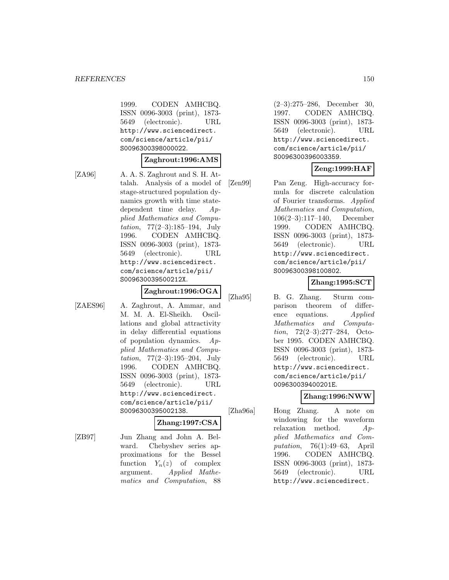1999. CODEN AMHCBQ. ISSN 0096-3003 (print), 1873- 5649 (electronic). URL http://www.sciencedirect. com/science/article/pii/ S0096300398000022.

#### **Zaghrout:1996:AMS**

[ZA96] A. A. S. Zaghrout and S. H. Attalah. Analysis of a model of stage-structured population dynamics growth with time statedependent time delay. Applied Mathematics and Computation,  $77(2-3):185-194$ , July 1996. CODEN AMHCBQ. ISSN 0096-3003 (print), 1873- 5649 (electronic). URL http://www.sciencedirect. com/science/article/pii/ S009630039500212X.

#### **Zaghrout:1996:OGA**

[ZAES96] A. Zaghrout, A. Ammar, and M. M. A. El-Sheikh. Oscillations and global attractivity in delay differential equations of population dynamics. Applied Mathematics and Computation, 77(2–3):195–204, July 1996. CODEN AMHCBQ. ISSN 0096-3003 (print), 1873- 5649 (electronic). URL http://www.sciencedirect. com/science/article/pii/ S0096300395002138.

#### **Zhang:1997:CSA**

[ZB97] Jun Zhang and John A. Belward. Chebyshev series approximations for the Bessel function  $Y_n(z)$  of complex argument. Applied Mathematics and Computation, 88

(2–3):275–286, December 30, 1997. CODEN AMHCBQ. ISSN 0096-3003 (print), 1873- 5649 (electronic). URL http://www.sciencedirect. com/science/article/pii/ S0096300396003359.

## **Zeng:1999:HAF**

[Zen99] Pan Zeng. High-accuracy formula for discrete calculation of Fourier transforms. Applied Mathematics and Computation, 106(2–3):117–140, December 1999. CODEN AMHCBQ. ISSN 0096-3003 (print), 1873- 5649 (electronic). URL http://www.sciencedirect. com/science/article/pii/ S0096300398100802.

#### **Zhang:1995:SCT**

[Zha95] B. G. Zhang. Sturm comparison theorem of difference equations. Applied Mathematics and Computation, 72(2–3):277–284, October 1995. CODEN AMHCBQ. ISSN 0096-3003 (print), 1873- 5649 (electronic). URL http://www.sciencedirect. com/science/article/pii/ 009630039400201E.

#### **Zhang:1996:NWW**

[Zha96a] Hong Zhang. A note on windowing for the waveform relaxation method. Applied Mathematics and Computation, 76(1):49–63, April 1996. CODEN AMHCBQ. ISSN 0096-3003 (print), 1873- 5649 (electronic). URL http://www.sciencedirect.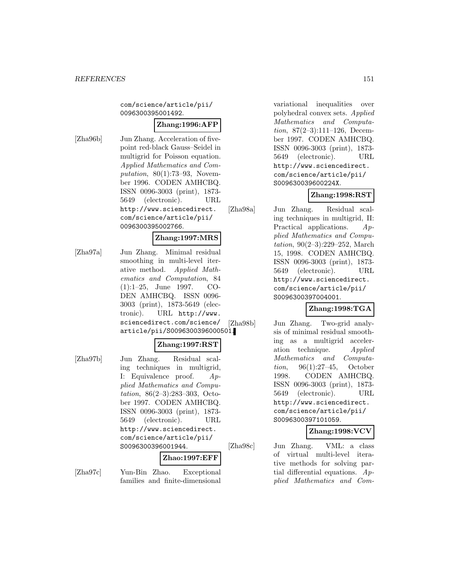com/science/article/pii/ 0096300395001492.

#### **Zhang:1996:AFP**

[Zha96b] Jun Zhang. Acceleration of fivepoint red-black Gauss–Seidel in multigrid for Poisson equation. Applied Mathematics and Computation,  $80(1)$ :73-93, November 1996. CODEN AMHCBQ. ISSN 0096-3003 (print), 1873- 5649 (electronic). URL http://www.sciencedirect. com/science/article/pii/ 0096300395002766.

#### **Zhang:1997:MRS**

[Zha97a] Jun Zhang. Minimal residual smoothing in multi-level iterative method. Applied Mathematics and Computation, 84 (1):1–25, June 1997. CO-DEN AMHCBQ. ISSN 0096- 3003 (print), 1873-5649 (electronic). URL http://www. sciencedirect.com/science/ article/pii/S0096300396000501.

#### **Zhang:1997:RST**

[Zha97b] Jun Zhang. Residual scaling techniques in multigrid, I: Equivalence proof. Applied Mathematics and Computation, 86(2–3):283–303, October 1997. CODEN AMHCBQ. ISSN 0096-3003 (print), 1873- 5649 (electronic). URL http://www.sciencedirect. com/science/article/pii/ S0096300396001944.

#### **Zhao:1997:EFF**

[Zha97c] Yun-Bin Zhao. Exceptional families and finite-dimensional

variational inequalities over polyhedral convex sets. Applied Mathematics and Computation, 87(2–3):111–126, December 1997. CODEN AMHCBQ. ISSN 0096-3003 (print), 1873- 5649 (electronic). URL http://www.sciencedirect. com/science/article/pii/ S009630039600224X.

## **Zhang:1998:RST**

[Zha98a] Jun Zhang. Residual scaling techniques in multigrid, II: Practical applications. Applied Mathematics and Computation, 90(2–3):229–252, March 15, 1998. CODEN AMHCBQ. ISSN 0096-3003 (print), 1873- 5649 (electronic). URL http://www.sciencedirect. com/science/article/pii/ S0096300397004001.

#### **Zhang:1998:TGA**

[Zha98b] Jun Zhang. Two-grid analysis of minimal residual smoothing as a multigrid acceleration technique. Applied Mathematics and Computation, 96(1):27–45, October 1998. CODEN AMHCBQ. ISSN 0096-3003 (print), 1873- 5649 (electronic). URL http://www.sciencedirect. com/science/article/pii/ S0096300397101059.

#### **Zhang:1998:VCV**

[Zha98c] Jun Zhang. VML: a class of virtual multi-level iterative methods for solving partial differential equations.  $Ap$ plied Mathematics and Com-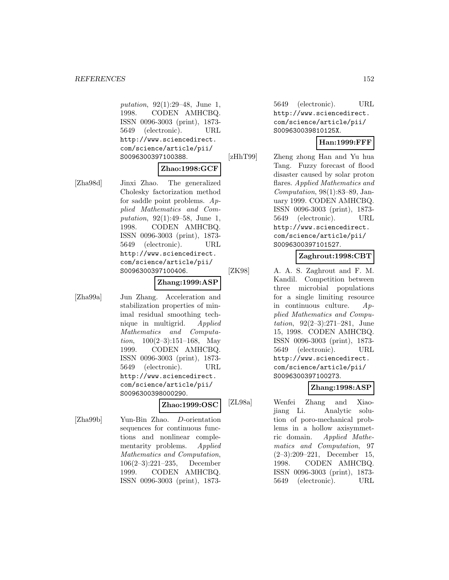putation, 92(1):29–48, June 1, 1998. CODEN AMHCBQ. ISSN 0096-3003 (print), 1873- 5649 (electronic). URL http://www.sciencedirect. com/science/article/pii/ S0096300397100388.

#### **Zhao:1998:GCF**

[Zha98d] Jinxi Zhao. The generalized Cholesky factorization method for saddle point problems.  $Ap$ plied Mathematics and Computation, 92(1):49–58, June 1, 1998. CODEN AMHCBQ. ISSN 0096-3003 (print), 1873- 5649 (electronic). URL http://www.sciencedirect. com/science/article/pii/ S0096300397100406.

#### **Zhang:1999:ASP**

[Zha99a] Jun Zhang. Acceleration and stabilization properties of minimal residual smoothing technique in multigrid. Applied Mathematics and Computa*tion*,  $100(2-3):151-168$ , May 1999. CODEN AMHCBQ. ISSN 0096-3003 (print), 1873- 5649 (electronic). URL http://www.sciencedirect. com/science/article/pii/ S0096300398000290.

## **Zhao:1999:OSC**

[Zha99b] Yun-Bin Zhao. D-orientation sequences for continuous functions and nonlinear complementarity problems. Applied Mathematics and Computation, 106(2–3):221–235, December 1999. CODEN AMHCBQ. ISSN 0096-3003 (print), 1873-

5649 (electronic). URL http://www.sciencedirect. com/science/article/pii/ S009630039810125X.

#### **Han:1999:FFF**

[zHhT99] Zheng zhong Han and Yu hua Tang. Fuzzy forecast of flood disaster caused by solar proton flares. Applied Mathematics and Computation, 98(1):83–89, January 1999. CODEN AMHCBQ. ISSN 0096-3003 (print), 1873- 5649 (electronic). URL http://www.sciencedirect. com/science/article/pii/ S0096300397101527.

#### **Zaghrout:1998:CBT**

[ZK98] A. A. S. Zaghrout and F. M. Kandil. Competition between three microbial populations for a single limiting resource in continuous culture. Applied Mathematics and Computation, 92(2–3):271–281, June 15, 1998. CODEN AMHCBQ. ISSN 0096-3003 (print), 1873- 5649 (electronic). URL http://www.sciencedirect. com/science/article/pii/ S0096300397100273.

## **Zhang:1998:ASP**

[ZL98a] Wenfei Zhang and Xiaojiang Li. Analytic solution of poro-mechanical problems in a hollow axisymmetric domain. Applied Mathematics and Computation, 97 (2–3):209–221, December 15, 1998. CODEN AMHCBQ. ISSN 0096-3003 (print), 1873- 5649 (electronic). URL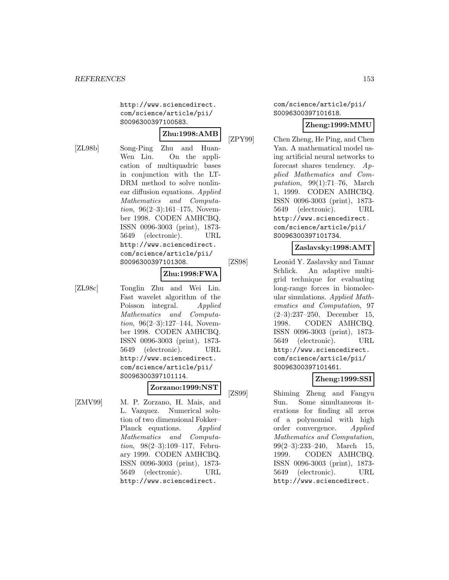http://www.sciencedirect. com/science/article/pii/ S0096300397100583.

# **Zhu:1998:AMB**

[ZL98b] Song-Ping Zhu and Huan-Wen Liu. On the application of multiquadric bases in conjunction with the LT-DRM method to solve nonlinear diffusion equations. Applied Mathematics and Computa*tion*,  $96(2-3):161-175$ , November 1998. CODEN AMHCBQ. ISSN 0096-3003 (print), 1873- 5649 (electronic). URL http://www.sciencedirect. com/science/article/pii/ S0096300397101308.

#### **Zhu:1998:FWA**

[ZL98c] Tonglin Zhu and Wei Lin. Fast wavelet algorithm of the Poisson integral. Applied Mathematics and Computation, 96(2–3):127–144, November 1998. CODEN AMHCBQ. ISSN 0096-3003 (print), 1873- 5649 (electronic). URL http://www.sciencedirect. com/science/article/pii/ S0096300397101114.

## **Zorzano:1999:NST**

[ZMV99] M. P. Zorzano, H. Mais, and L. Vazquez. Numerical solution of two dimensional Fokker– Planck equations. Applied Mathematics and Computation, 98(2–3):109–117, February 1999. CODEN AMHCBQ. ISSN 0096-3003 (print), 1873- 5649 (electronic). URL http://www.sciencedirect.

#### com/science/article/pii/ S0096300397101618.

## **Zheng:1999:MMU**

[ZPY99] Chen Zheng, He Ping, and Chen Yan. A mathematical model using artificial neural networks to forecast shares tendency. Applied Mathematics and Computation, 99(1):71–76, March 1, 1999. CODEN AMHCBQ. ISSN 0096-3003 (print), 1873- 5649 (electronic). URL http://www.sciencedirect. com/science/article/pii/ S0096300397101734.

#### **Zaslavsky:1998:AMT**

[ZS98] Leonid Y. Zaslavsky and Tamar Schlick. An adaptive multigrid technique for evaluating long-range forces in biomolecular simulations. Applied Mathematics and Computation, 97 (2–3):237–250, December 15, 1998. CODEN AMHCBQ. ISSN 0096-3003 (print), 1873- 5649 (electronic). URL http://www.sciencedirect. com/science/article/pii/ S0096300397101461.

## **Zheng:1999:SSI**

[ZS99] Shiming Zheng and Fangyu Sun. Some simultaneous iterations for finding all zeros of a polynomial with high order convergence. Applied Mathematics and Computation, 99(2–3):233–240, March 15, 1999. CODEN AMHCBQ. ISSN 0096-3003 (print), 1873- 5649 (electronic). URL http://www.sciencedirect.